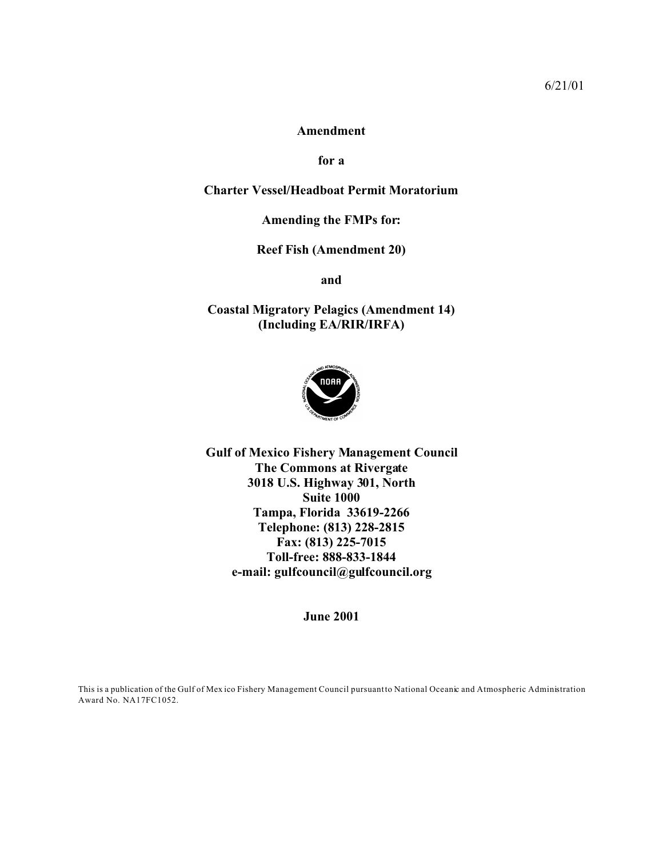#### **Amendment**

**for a**

### **Charter Vessel/Headboat Permit Moratorium**

### **Amending the FMPs for:**

**Reef Fish (Amendment 20)**

**and**

# **Coastal Migratory Pelagics (Amendment 14) (Including EA/RIR/IRFA)**



**Gulf of Mexico Fishery Management Council The Commons at Rivergate 3018 U.S. Highway 301, North Suite 1000 Tampa, Florida 33619-2266 Telephone: (813) 228-2815 Fax: (813) 225-7015 Toll-free: 888-833-1844 e-mail: gulfcouncil@gulfcouncil.org**

**June 2001**

This is a publication of the Gulf of Mex ico Fishery Management Council pursuant to National Oceanic and Atmospheric Administration Award No. NA17FC1052.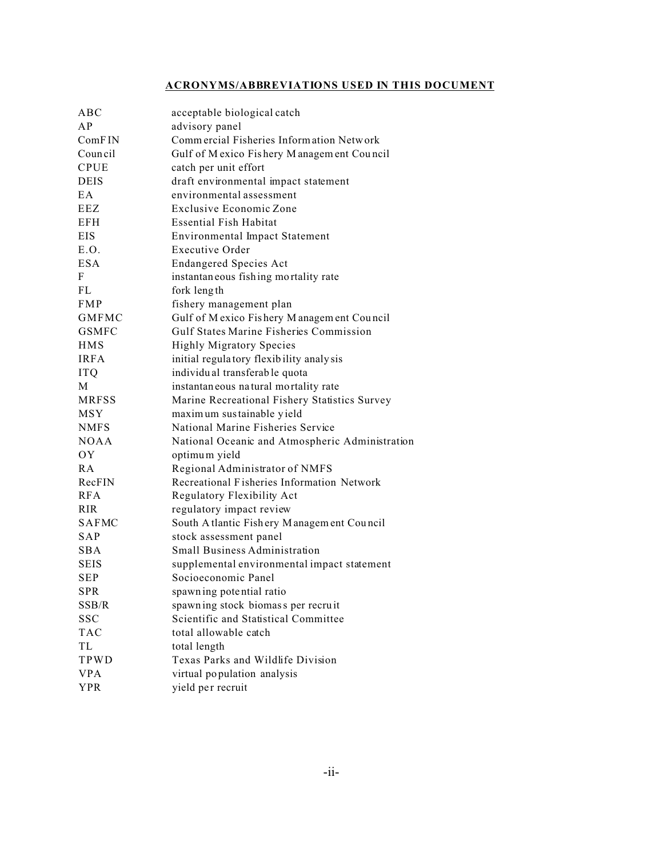# **ACRONYMS/ABBREVIATIONS USED IN THIS DOCUMENT**

| ABC             | acceptable biological catch                     |
|-----------------|-------------------------------------------------|
| A P             | advisory panel                                  |
| ComFIN          | Commercial Fisheries Information Network        |
| Council         | Gulf of Mexico Fishery Management Council       |
| <b>CPUE</b>     | catch per unit effort                           |
| <b>DEIS</b>     | draft environmental impact statement            |
| EA              | environmental assessment                        |
| <b>EEZ</b>      | Exclusive Economic Zone                         |
| <b>EFH</b>      | <b>Essential Fish Habitat</b>                   |
| <b>EIS</b>      | <b>Environmental Impact Statement</b>           |
| E.O.            | <b>Executive Order</b>                          |
| <b>ESA</b>      | <b>Endangered Species Act</b>                   |
| F               | instantaneous fishing mortality rate            |
| <b>FL</b>       | fork length                                     |
| <b>FMP</b>      | fishery management plan                         |
| <b>GMFMC</b>    | Gulf of Mexico Fishery Management Council       |
| <b>GSMFC</b>    | Gulf States Marine Fisheries Commission         |
| <b>HMS</b>      | <b>Highly Migratory Species</b>                 |
| <b>IRFA</b>     | initial regulatory flexibility analysis         |
| <b>ITQ</b>      | individual transferable quota                   |
| M               | instantaneous natural mortality rate            |
| <b>MRFSS</b>    | Marine Recreational Fishery Statistics Survey   |
| <b>MSY</b>      | maximum sustainable yield                       |
| <b>NMFS</b>     | National Marine Fisheries Service               |
| <b>NOAA</b>     | National Oceanic and Atmospheric Administration |
| OY              | optimum yield                                   |
| R A             | Regional Administrator of NMFS                  |
| RecFIN          | Recreational Fisheries Information Network      |
| <b>RFA</b>      | Regulatory Flexibility Act                      |
| R <sub>IR</sub> | regulatory impact review                        |
| <b>SAFMC</b>    | South Atlantic Fishery Management Council       |
| <b>SAP</b>      | stock assessment panel                          |
| <b>SBA</b>      | Small Business Administration                   |
| <b>SEIS</b>     | supplemental environmental impact statement     |
| <b>SEP</b>      | Socioeconomic Panel                             |
| <b>SPR</b>      | spawn ing potential ratio                       |
| SSB/R           | spawning stock biomass per recruit              |
| <b>SSC</b>      | Scientific and Statistical Committee            |
| <b>TAC</b>      | total allowable catch                           |
| TL              | total length                                    |
| TPWD            | Texas Parks and Wildlife Division               |
| <b>VPA</b>      | virtual population analysis                     |
| <b>YPR</b>      | yield per recruit                               |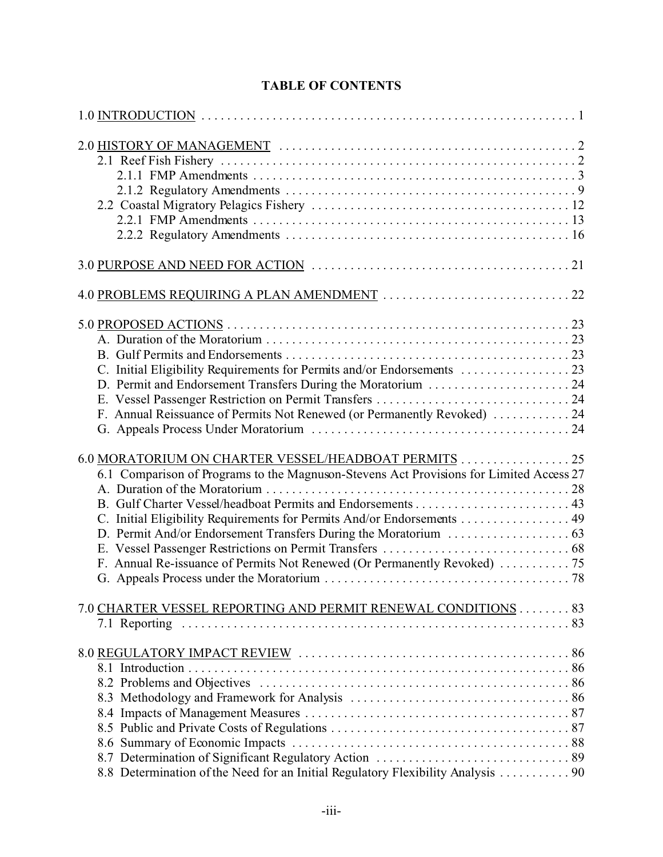| D. Permit and Endorsement Transfers During the Moratorium  24<br>F. Annual Reissuance of Permits Not Renewed (or Permanently Revoked)  24                                                                                  |
|----------------------------------------------------------------------------------------------------------------------------------------------------------------------------------------------------------------------------|
| 6.0 MORATORIUM ON CHARTER VESSEL/HEADBOAT PERMITS  25<br>6.1 Comparison of Programs to the Magnuson-Stevens Act Provisions for Limited Access 27<br>C. Initial Eligibility Requirements for Permits And/or Endorsements 49 |
| 7.0 CHARTER VESSEL REPORTING AND PERMIT RENEWAL CONDITIONS 83                                                                                                                                                              |
| 8.8 Determination of the Need for an Initial Regulatory Flexibility Analysis  90                                                                                                                                           |

# **TABLE OF CONTENTS**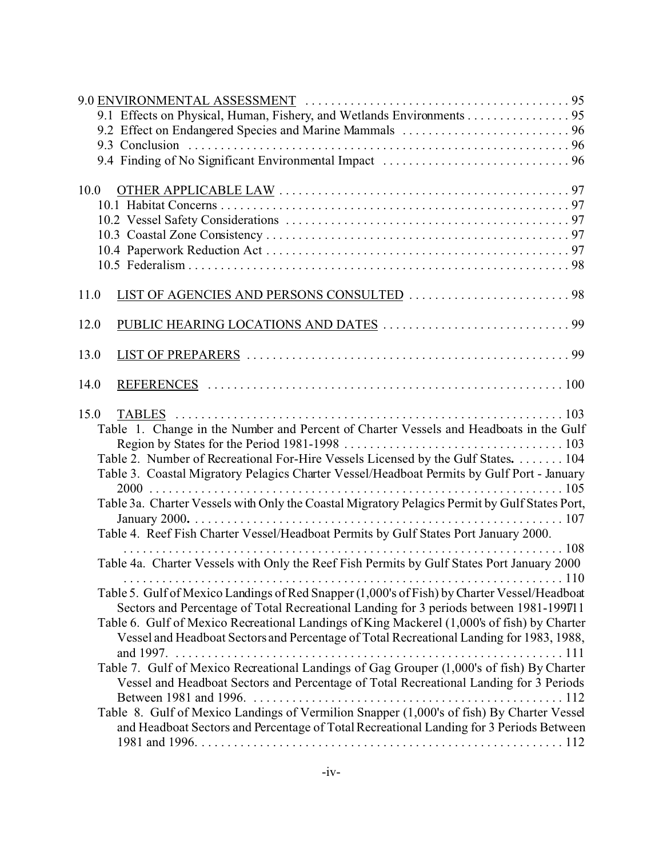| 9.1 Effects on Physical, Human, Fishery, and Wetlands Environments 95                                                                                                                                                                                                                                                                                                                                                                                                                                                                                                                                                                                                 |
|-----------------------------------------------------------------------------------------------------------------------------------------------------------------------------------------------------------------------------------------------------------------------------------------------------------------------------------------------------------------------------------------------------------------------------------------------------------------------------------------------------------------------------------------------------------------------------------------------------------------------------------------------------------------------|
|                                                                                                                                                                                                                                                                                                                                                                                                                                                                                                                                                                                                                                                                       |
|                                                                                                                                                                                                                                                                                                                                                                                                                                                                                                                                                                                                                                                                       |
|                                                                                                                                                                                                                                                                                                                                                                                                                                                                                                                                                                                                                                                                       |
| 10.0                                                                                                                                                                                                                                                                                                                                                                                                                                                                                                                                                                                                                                                                  |
|                                                                                                                                                                                                                                                                                                                                                                                                                                                                                                                                                                                                                                                                       |
|                                                                                                                                                                                                                                                                                                                                                                                                                                                                                                                                                                                                                                                                       |
|                                                                                                                                                                                                                                                                                                                                                                                                                                                                                                                                                                                                                                                                       |
|                                                                                                                                                                                                                                                                                                                                                                                                                                                                                                                                                                                                                                                                       |
|                                                                                                                                                                                                                                                                                                                                                                                                                                                                                                                                                                                                                                                                       |
| 11.0                                                                                                                                                                                                                                                                                                                                                                                                                                                                                                                                                                                                                                                                  |
| 12.0                                                                                                                                                                                                                                                                                                                                                                                                                                                                                                                                                                                                                                                                  |
| 13.0                                                                                                                                                                                                                                                                                                                                                                                                                                                                                                                                                                                                                                                                  |
| 14.0                                                                                                                                                                                                                                                                                                                                                                                                                                                                                                                                                                                                                                                                  |
| 15.0<br>Table 1. Change in the Number and Percent of Charter Vessels and Headboats in the Gulf<br>Table 2. Number of Recreational For-Hire Vessels Licensed by the Gulf States. 104<br>Table 3. Coastal Migratory Pelagics Charter Vessel/Headboat Permits by Gulf Port - January<br>Table 3a. Charter Vessels with Only the Coastal Migratory Pelagics Permit by Gulf States Port,<br>Table 4. Reef Fish Charter Vessel/Headboat Permits by Gulf States Port January 2000.                                                                                                                                                                                           |
| Table 4a. Charter Vessels with Only the Reef Fish Permits by Gulf States Port January 2000                                                                                                                                                                                                                                                                                                                                                                                                                                                                                                                                                                            |
| Table 5. Gulf of Mexico Landings of Red Snapper (1,000's of Fish) by Charter Vessel/Headboat<br>Sectors and Percentage of Total Recreational Landing for 3 periods between 1981-199711<br>Table 6. Gulf of Mexico Recreational Landings of King Mackerel (1,000's of fish) by Charter<br>Vessel and Headboat Sectors and Percentage of Total Recreational Landing for 1983, 1988,<br>Table 7. Gulf of Mexico Recreational Landings of Gag Grouper (1,000's of fish) By Charter<br>Vessel and Headboat Sectors and Percentage of Total Recreational Landing for 3 Periods<br>Table 8. Gulf of Mexico Landings of Vermilion Snapper (1,000's of fish) By Charter Vessel |
| and Headboat Sectors and Percentage of Total Recreational Landing for 3 Periods Between                                                                                                                                                                                                                                                                                                                                                                                                                                                                                                                                                                               |
|                                                                                                                                                                                                                                                                                                                                                                                                                                                                                                                                                                                                                                                                       |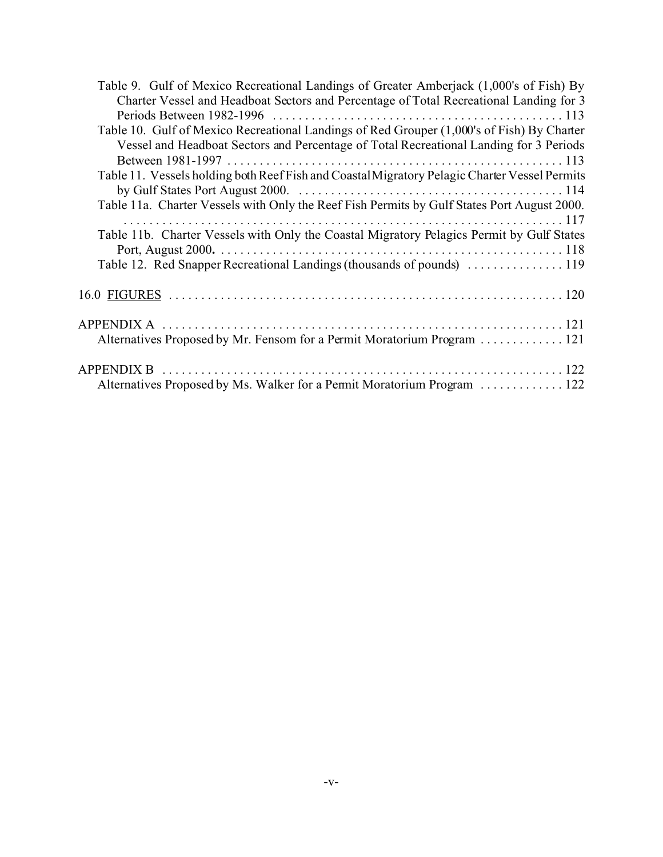| Table 9. Gulf of Mexico Recreational Landings of Greater Amberjack (1,000's of Fish) By       |  |
|-----------------------------------------------------------------------------------------------|--|
| Charter Vessel and Headboat Sectors and Percentage of Total Recreational Landing for 3        |  |
|                                                                                               |  |
| Table 10. Gulf of Mexico Recreational Landings of Red Grouper (1,000's of Fish) By Charter    |  |
| Vessel and Headboat Sectors and Percentage of Total Recreational Landing for 3 Periods        |  |
|                                                                                               |  |
| Table 11. Vessels holding both Reef Fish and Coastal Migratory Pelagic Charter Vessel Permits |  |
|                                                                                               |  |
| Table 11a. Charter Vessels with Only the Reef Fish Permits by Gulf States Port August 2000.   |  |
|                                                                                               |  |
| Table 11b. Charter Vessels with Only the Coastal Migratory Pelagics Permit by Gulf States     |  |
|                                                                                               |  |
|                                                                                               |  |
|                                                                                               |  |
|                                                                                               |  |
|                                                                                               |  |
|                                                                                               |  |
| Alternatives Proposed by Mr. Fensom for a Permit Moratorium Program  121                      |  |
|                                                                                               |  |
|                                                                                               |  |
| Alternatives Proposed by Ms. Walker for a Permit Moratorium Program  122                      |  |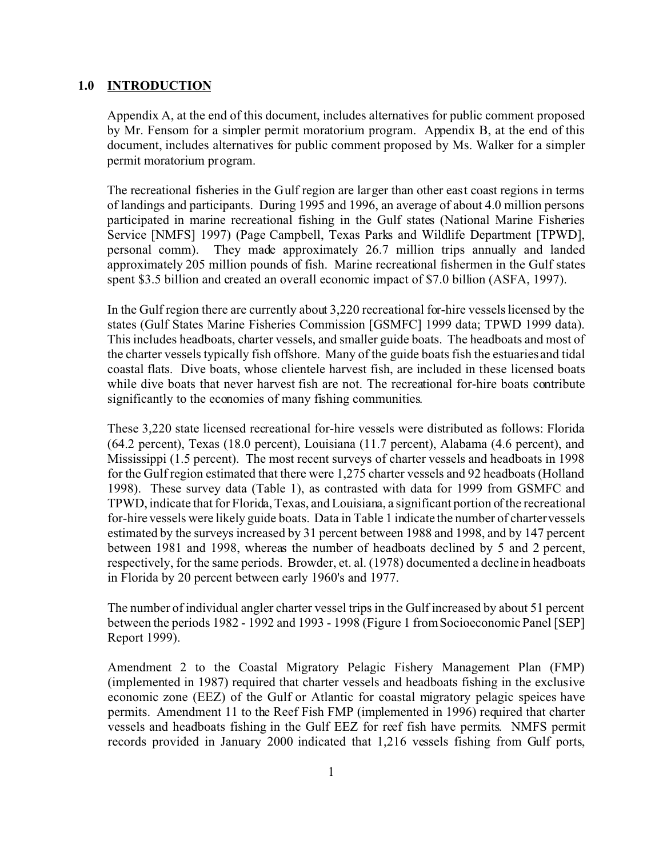#### **1.0 INTRODUCTION**

Appendix A, at the end of this document, includes alternatives for public comment proposed by Mr. Fensom for a simpler permit moratorium program. Appendix B, at the end of this document, includes alternatives for public comment proposed by Ms. Walker for a simpler permit moratorium program.

The recreational fisheries in the Gulf region are larger than other east coast regions in terms of landings and participants. During 1995 and 1996, an average of about 4.0 million persons participated in marine recreational fishing in the Gulf states (National Marine Fisheries Service [NMFS] 1997) (Page Campbell, Texas Parks and Wildlife Department [TPWD], personal comm). They made approximately 26.7 million trips annually and landed approximately 205 million pounds of fish. Marine recreational fishermen in the Gulf states spent \$3.5 billion and created an overall economic impact of \$7.0 billion (ASFA, 1997).

In the Gulf region there are currently about 3,220 recreational for-hire vessels licensed by the states (Gulf States Marine Fisheries Commission [GSMFC] 1999 data; TPWD 1999 data). This includes headboats, charter vessels, and smaller guide boats. The headboats and most of the charter vessels typically fish offshore. Many of the guide boats fish the estuaries and tidal coastal flats. Dive boats, whose clientele harvest fish, are included in these licensed boats while dive boats that never harvest fish are not. The recreational for-hire boats contribute significantly to the economies of many fishing communities.

These 3,220 state licensed recreational for-hire vessels were distributed as follows: Florida (64.2 percent), Texas (18.0 percent), Louisiana (11.7 percent), Alabama (4.6 percent), and Mississippi (1.5 percent). The most recent surveys of charter vessels and headboats in 1998 for the Gulf region estimated that there were 1,275 charter vessels and 92 headboats (Holland 1998). These survey data (Table 1), as contrasted with data for 1999 from GSMFC and TPWD, indicate that for Florida, Texas, and Louisiana, a significant portion of the recreational for-hire vessels were likely guide boats. Data in Table 1 indicate the number of charter vessels estimated by the surveys increased by 31 percent between 1988 and 1998, and by 147 percent between 1981 and 1998, whereas the number of headboats declined by 5 and 2 percent, respectively, for the same periods. Browder, et. al. (1978) documented a decline in headboats in Florida by 20 percent between early 1960's and 1977.

The number of individual angler charter vessel trips in the Gulf increased by about 51 percent between the periods 1982 - 1992 and 1993 - 1998 (Figure 1 from Socioeconomic Panel [SEP] Report 1999).

Amendment 2 to the Coastal Migratory Pelagic Fishery Management Plan (FMP) (implemented in 1987) required that charter vessels and headboats fishing in the exclusive economic zone (EEZ) of the Gulf or Atlantic for coastal migratory pelagic speices have permits. Amendment 11 to the Reef Fish FMP (implemented in 1996) required that charter vessels and headboats fishing in the Gulf EEZ for reef fish have permits. NMFS permit records provided in January 2000 indicated that 1,216 vessels fishing from Gulf ports,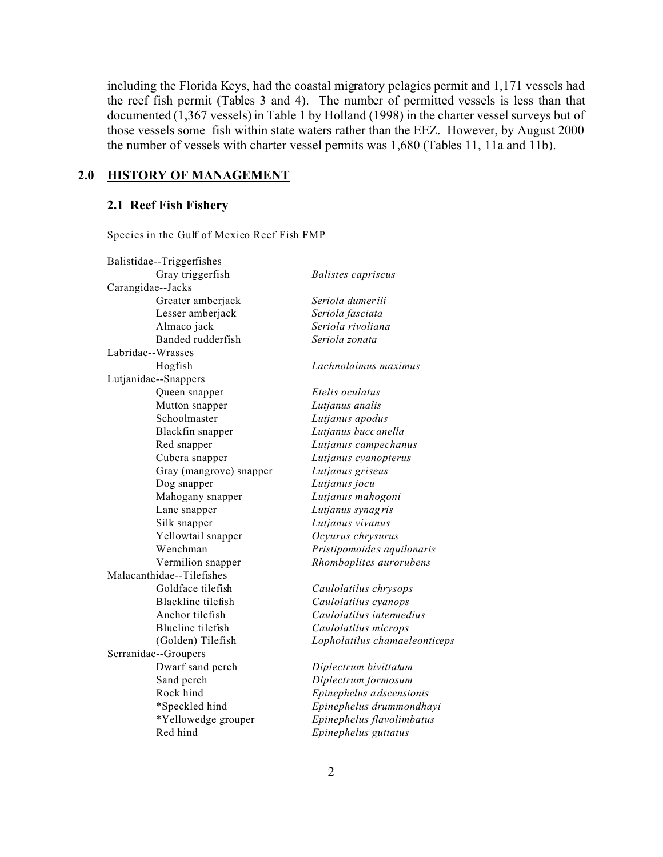including the Florida Keys, had the coastal migratory pelagics permit and 1,171 vessels had the reef fish permit (Tables 3 and 4). The number of permitted vessels is less than that documented (1,367 vessels) in Table 1 by Holland (1998) in the charter vessel surveys but of those vessels some fish within state waters rather than the EEZ. However, by August 2000 the number of vessels with charter vessel permits was 1,680 (Tables 11, 11a and 11b).

# **2.0 HISTORY OF MANAGEMENT**

# **2.1 Reef Fish Fishery**

Species in the Gulf of Mexico Reef Fish FMP

| Balistidae--Triggerfishes |                               |
|---------------------------|-------------------------------|
| Gray triggerfish          | <b>Balistes</b> capriscus     |
| Carangidae-Jacks          |                               |
| Greater amberjack         | Seriola dumerili              |
| Lesser amberjack          | Seriola fasciata              |
| Almaco jack               | Seriola rivoliana             |
| Banded rudderfish         | Seriola zonata                |
| Labridae--Wrasses         |                               |
| Hogfish                   | Lachnolaimus maximus          |
| Lutjanidae--Snappers      |                               |
| Queen snapper             | Etelis oculatus               |
| Mutton snapper            | Lutjanus analis               |
| Schoolmaster              | Lutjanus apodus               |
| Blackfin snapper          | Lutjanus bucc anella          |
| Red snapper               | Lutjanus campechanus          |
| Cubera snapper            | Lutjanus cyanopterus          |
| Gray (mangrove) snapper   | Lutjanus griseus              |
| Dog snapper               | Lutjanus jocu                 |
| Mahogany snapper          | Lutjanus mahogoni             |
| Lane snapper              | Lutjanus synagris             |
| Silk snapper              | Lutjanus vivanus              |
| Yellowtail snapper        | Ocyurus chrysurus             |
| Wenchman                  | Pristipomoides aquilonaris    |
| Vermilion snapper         | Rhomboplites aurorubens       |
| Malacanthidae--Tilefishes |                               |
| Goldface tilefish         | Caulolatilus chrysops         |
| Blackline tilefish        | Caulolatilus cyanops          |
| Anchor tilefish           | Caulolatilus intermedius      |
| Blueline tilefish         | Caulolatilus microps          |
| (Golden) Tilefish         | Lopholatilus chamaeleonticeps |
| Serranidae--Groupers      |                               |
| Dwarf sand perch          | Diplectrum bivittatum         |
| Sand perch                | Diplectrum formosum           |
| Rock hind                 | Epinephelus adscensionis      |
| *Speckled hind            | Epinephelus drummondhayi      |
| *Yellowedge grouper       | Epinephelus flavolimbatus     |
| Red hind                  | Epinephelus guttatus          |
|                           |                               |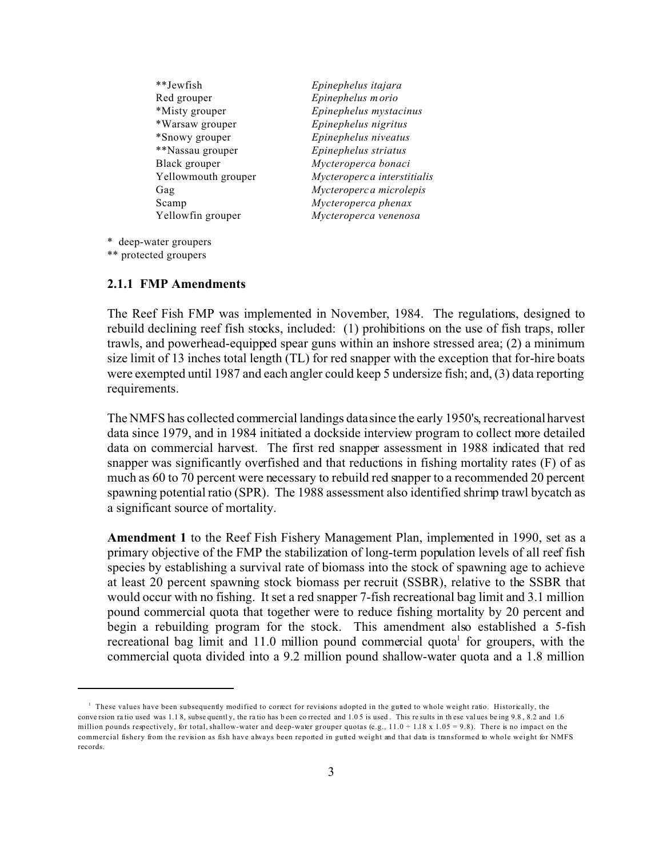| **Jewfish           | Epinephelus itajara          |
|---------------------|------------------------------|
| Red grouper         | Epinephelus morio            |
| *Misty grouper      | Epinephelus mystacinus       |
| *Warsaw grouper     | Epinephelus nigritus         |
| *Snowy grouper      | Epinephelus niveatus         |
| **Nassau grouper    | Epinephelus striatus         |
| Black grouper       | Mycteroperca bonaci          |
| Yellowmouth grouper | Mycteroperc a interstitialis |
| Gag                 | Mycteroperca microlepis      |
| Scamp               | Mycteroperca phenax          |
| Yellowfin grouper   | Mycteroperca venenosa        |
|                     |                              |

\* deep-water groupers

\*\* protected groupers

#### **2.1.1 FMP Amendments**

The Reef Fish FMP was implemented in November, 1984. The regulations, designed to rebuild declining reef fish stocks, included: (1) prohibitions on the use of fish traps, roller trawls, and powerhead-equipped spear guns within an inshore stressed area; (2) a minimum size limit of 13 inches total length (TL) for red snapper with the exception that for-hire boats were exempted until 1987 and each angler could keep 5 undersize fish; and, (3) data reporting requirements.

The NMFS has collected commercial landings data since the early 1950's, recreational harvest data since 1979, and in 1984 initiated a dockside interview program to collect more detailed data on commercial harvest. The first red snapper assessment in 1988 indicated that red snapper was significantly overfished and that reductions in fishing mortality rates (F) of as much as 60 to 70 percent were necessary to rebuild red snapper to a recommended 20 percent spawning potential ratio (SPR). The 1988 assessment also identified shrimp trawl bycatch as a significant source of mortality.

**Amendment 1** to the Reef Fish Fishery Management Plan, implemented in 1990, set as a primary objective of the FMP the stabilization of long-term population levels of all reef fish species by establishing a survival rate of biomass into the stock of spawning age to achieve at least 20 percent spawning stock biomass per recruit (SSBR), relative to the SSBR that would occur with no fishing. It set a red snapper 7-fish recreational bag limit and 3.1 million pound commercial quota that together were to reduce fishing mortality by 20 percent and begin a rebuilding program for the stock. This amendment also established a 5-fish recreational bag limit and 11.0 million pound commercial quota<sup>1</sup> for groupers, with the commercial quota divided into a 9.2 million pound shallow-water quota and a 1.8 million

<sup>&</sup>lt;sup>1</sup> These values have been subsequently modified to correct for revisions adopted in the gutted to whole weight ratio. Historically, the conversion ratio used was 1.1 8, subsequently, the ratio has been corrected and 1.05 is used. This results in these values being 9.8, 8.2 and 1.6 million pounds respectively, for total, shallow-water and deep-water grouper quotas (e.g.,  $11.0 \div 1.18 \times 1.05 = 9.8$ ). There is no impact on the commercial fishery from the revision as fish have always been reported in gutted weight and that data is transformed to whole weight for NMFS records.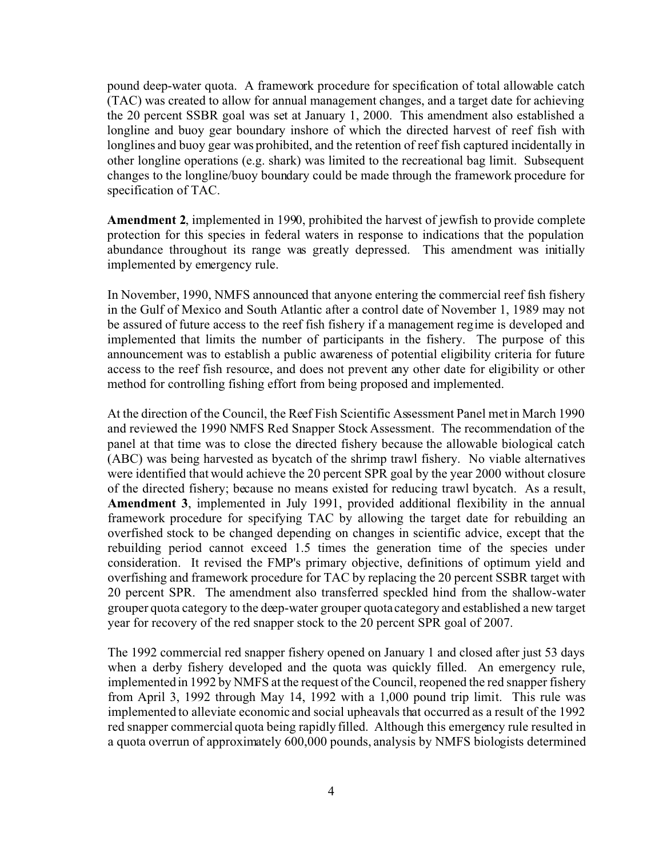pound deep-water quota. A framework procedure for specification of total allowable catch (TAC) was created to allow for annual management changes, and a target date for achieving the 20 percent SSBR goal was set at January 1, 2000. This amendment also established a longline and buoy gear boundary inshore of which the directed harvest of reef fish with longlines and buoy gear was prohibited, and the retention of reef fish captured incidentally in other longline operations (e.g. shark) was limited to the recreational bag limit. Subsequent changes to the longline/buoy boundary could be made through the framework procedure for specification of TAC.

**Amendment 2**, implemented in 1990, prohibited the harvest of jewfish to provide complete protection for this species in federal waters in response to indications that the population abundance throughout its range was greatly depressed. This amendment was initially implemented by emergency rule.

In November, 1990, NMFS announced that anyone entering the commercial reef fish fishery in the Gulf of Mexico and South Atlantic after a control date of November 1, 1989 may not be assured of future access to the reef fish fishery if a management regime is developed and implemented that limits the number of participants in the fishery. The purpose of this announcement was to establish a public awareness of potential eligibility criteria for future access to the reef fish resource, and does not prevent any other date for eligibility or other method for controlling fishing effort from being proposed and implemented.

At the direction of the Council, the Reef Fish Scientific Assessment Panel met in March 1990 and reviewed the 1990 NMFS Red Snapper Stock Assessment. The recommendation of the panel at that time was to close the directed fishery because the allowable biological catch (ABC) was being harvested as bycatch of the shrimp trawl fishery. No viable alternatives were identified that would achieve the 20 percent SPR goal by the year 2000 without closure of the directed fishery; because no means existed for reducing trawl bycatch. As a result, **Amendment 3**, implemented in July 1991, provided additional flexibility in the annual framework procedure for specifying TAC by allowing the target date for rebuilding an overfished stock to be changed depending on changes in scientific advice, except that the rebuilding period cannot exceed 1.5 times the generation time of the species under consideration. It revised the FMP's primary objective, definitions of optimum yield and overfishing and framework procedure for TAC by replacing the 20 percent SSBR target with 20 percent SPR. The amendment also transferred speckled hind from the shallow-water grouper quota category to the deep-water grouper quota category and established a new target year for recovery of the red snapper stock to the 20 percent SPR goal of 2007.

The 1992 commercial red snapper fishery opened on January 1 and closed after just 53 days when a derby fishery developed and the quota was quickly filled. An emergency rule, implemented in 1992 by NMFS at the request of the Council, reopened the red snapper fishery from April 3, 1992 through May 14, 1992 with a 1,000 pound trip limit. This rule was implemented to alleviate economic and social upheavals that occurred as a result of the 1992 red snapper commercial quota being rapidly filled. Although this emergency rule resulted in a quota overrun of approximately 600,000 pounds, analysis by NMFS biologists determined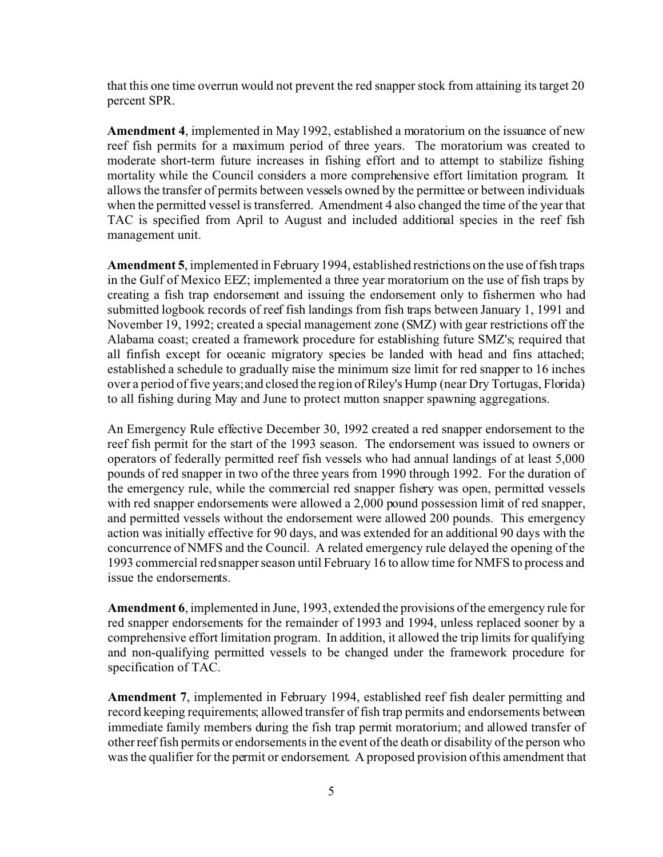that this one time overrun would not prevent the red snapper stock from attaining its target 20 percent SPR.

**Amendment 4**, implemented in May 1992, established a moratorium on the issuance of new reef fish permits for a maximum period of three years. The moratorium was created to moderate short-term future increases in fishing effort and to attempt to stabilize fishing mortality while the Council considers a more comprehensive effort limitation program. It allows the transfer of permits between vessels owned by the permittee or between individuals when the permitted vessel is transferred. Amendment 4 also changed the time of the year that TAC is specified from April to August and included additional species in the reef fish management unit.

**Amendment 5**, implemented in February 1994, established restrictions on the use of fish traps in the Gulf of Mexico EEZ; implemented a three year moratorium on the use of fish traps by creating a fish trap endorsement and issuing the endorsement only to fishermen who had submitted logbook records of reef fish landings from fish traps between January 1, 1991 and November 19, 1992; created a special management zone (SMZ) with gear restrictions off the Alabama coast; created a framework procedure for establishing future SMZ's; required that all finfish except for oceanic migratory species be landed with head and fins attached; established a schedule to gradually raise the minimum size limit for red snapper to 16 inches over a period of five years; and closed the region of Riley's Hump (near Dry Tortugas, Florida) to all fishing during May and June to protect mutton snapper spawning aggregations.

An Emergency Rule effective December 30, 1992 created a red snapper endorsement to the reef fish permit for the start of the 1993 season. The endorsement was issued to owners or operators of federally permitted reef fish vessels who had annual landings of at least 5,000 pounds of red snapper in two of the three years from 1990 through 1992. For the duration of the emergency rule, while the commercial red snapper fishery was open, permitted vessels with red snapper endorsements were allowed a 2,000 pound possession limit of red snapper, and permitted vessels without the endorsement were allowed 200 pounds. This emergency action was initially effective for 90 days, and was extended for an additional 90 days with the concurrence of NMFS and the Council. A related emergency rule delayed the opening of the 1993 commercial red snapper season until February 16 to allow time for NMFS to process and issue the endorsements.

**Amendment 6**, implemented in June, 1993, extended the provisions of the emergency rule for red snapper endorsements for the remainder of 1993 and 1994, unless replaced sooner by a comprehensive effort limitation program. In addition, it allowed the trip limits for qualifying and non-qualifying permitted vessels to be changed under the framework procedure for specification of TAC.

**Amendment 7**, implemented in February 1994, established reef fish dealer permitting and record keeping requirements; allowed transfer of fish trap permits and endorsements between immediate family members during the fish trap permit moratorium; and allowed transfer of other reef fish permits or endorsements in the event of the death or disability of the person who was the qualifier for the permit or endorsement. A proposed provision of this amendment that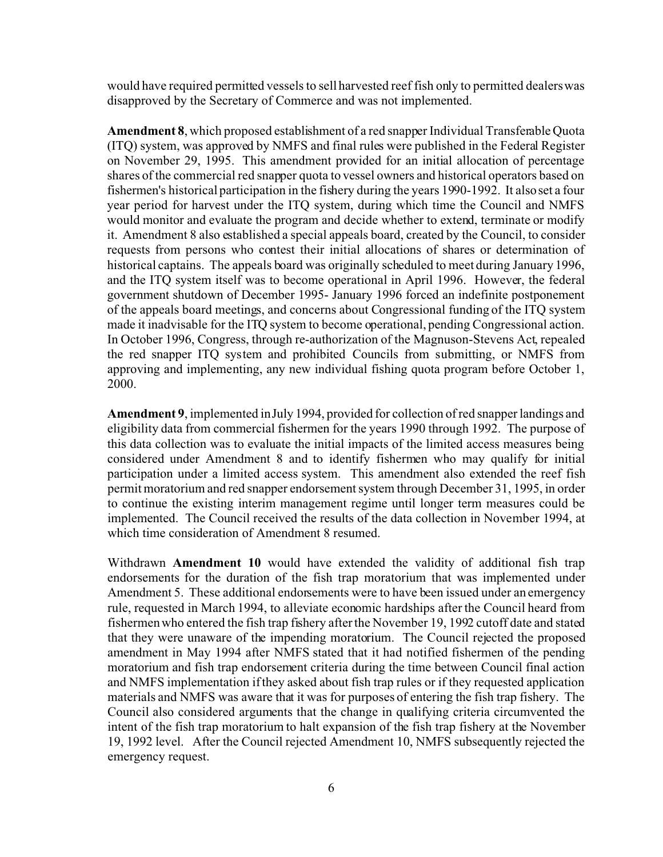would have required permitted vessels to sell harvested reef fish only to permitted dealers was disapproved by the Secretary of Commerce and was not implemented.

**Amendment 8**, which proposed establishment of a red snapper Individual Transferable Quota (ITQ) system, was approved by NMFS and final rules were published in the Federal Register on November 29, 1995. This amendment provided for an initial allocation of percentage shares of the commercial red snapper quota to vessel owners and historical operators based on fishermen's historical participation in the fishery during the years 1990-1992. It also set a four year period for harvest under the ITQ system, during which time the Council and NMFS would monitor and evaluate the program and decide whether to extend, terminate or modify it. Amendment 8 also established a special appeals board, created by the Council, to consider requests from persons who contest their initial allocations of shares or determination of historical captains. The appeals board was originally scheduled to meet during January 1996, and the ITQ system itself was to become operational in April 1996. However, the federal government shutdown of December 1995- January 1996 forced an indefinite postponement of the appeals board meetings, and concerns about Congressional funding of the ITQ system made it inadvisable for the ITQ system to become operational, pending Congressional action. In October 1996, Congress, through re-authorization of the Magnuson-Stevens Act, repealed the red snapper ITQ system and prohibited Councils from submitting, or NMFS from approving and implementing, any new individual fishing quota program before October 1, 2000.

**Amendment 9**, implemented in July 1994, provided for collection of red snapper landings and eligibility data from commercial fishermen for the years 1990 through 1992. The purpose of this data collection was to evaluate the initial impacts of the limited access measures being considered under Amendment 8 and to identify fishermen who may qualify for initial participation under a limited access system. This amendment also extended the reef fish permit moratorium and red snapper endorsement system through December 31, 1995, in order to continue the existing interim management regime until longer term measures could be implemented. The Council received the results of the data collection in November 1994, at which time consideration of Amendment 8 resumed.

Withdrawn **Amendment 10** would have extended the validity of additional fish trap endorsements for the duration of the fish trap moratorium that was implemented under Amendment 5. These additional endorsements were to have been issued under an emergency rule, requested in March 1994, to alleviate economic hardships after the Council heard from fishermen who entered the fish trap fishery after the November 19, 1992 cutoff date and stated that they were unaware of the impending moratorium. The Council rejected the proposed amendment in May 1994 after NMFS stated that it had notified fishermen of the pending moratorium and fish trap endorsement criteria during the time between Council final action and NMFS implementation if they asked about fish trap rules or if they requested application materials and NMFS was aware that it was for purposes of entering the fish trap fishery. The Council also considered arguments that the change in qualifying criteria circumvented the intent of the fish trap moratorium to halt expansion of the fish trap fishery at the November 19, 1992 level. After the Council rejected Amendment 10, NMFS subsequently rejected the emergency request.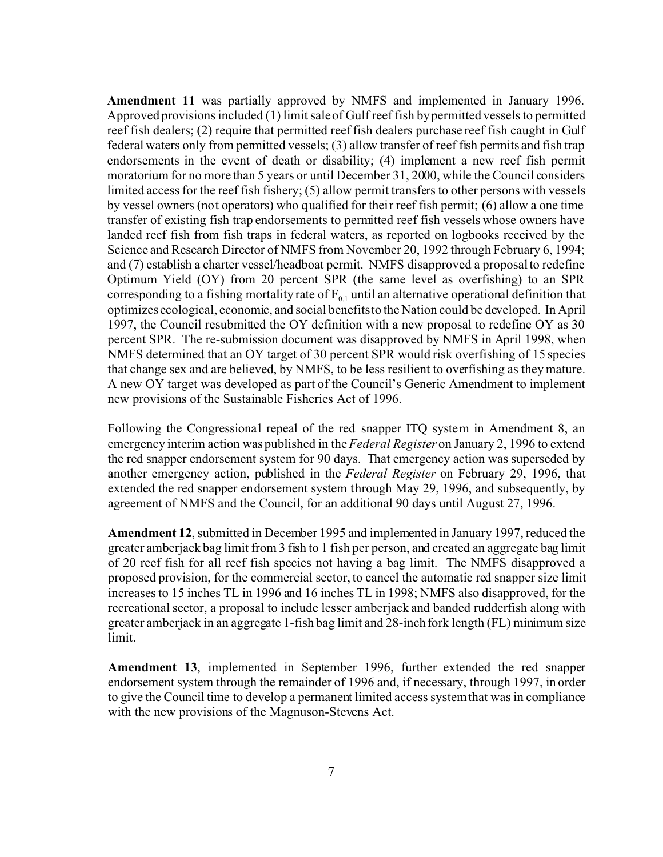**Amendment 11** was partially approved by NMFS and implemented in January 1996. Approved provisions included (1) limit sale of Gulf reef fish by permitted vessels to permitted reef fish dealers; (2) require that permitted reef fish dealers purchase reef fish caught in Gulf federal waters only from permitted vessels; (3) allow transfer of reef fish permits and fish trap endorsements in the event of death or disability; (4) implement a new reef fish permit moratorium for no more than 5 years or until December 31, 2000, while the Council considers limited access for the reef fish fishery; (5) allow permit transfers to other persons with vessels by vessel owners (not operators) who qualified for their reef fish permit; (6) allow a one time transfer of existing fish trap endorsements to permitted reef fish vessels whose owners have landed reef fish from fish traps in federal waters, as reported on logbooks received by the Science and Research Director of NMFS from November 20, 1992 through February 6, 1994; and (7) establish a charter vessel/headboat permit. NMFS disapproved a proposal to redefine Optimum Yield (OY) from 20 percent SPR (the same level as overfishing) to an SPR corresponding to a fishing mortality rate of  $F_{0,1}$  until an alternative operational definition that optimizes ecological, economic, and social benefits to the Nation could be developed. In April 1997, the Council resubmitted the OY definition with a new proposal to redefine OY as 30 percent SPR. The re-submission document was disapproved by NMFS in April 1998, when NMFS determined that an OY target of 30 percent SPR would risk overfishing of 15 species that change sex and are believed, by NMFS, to be less resilient to overfishing as they mature. A new OY target was developed as part of the Council's Generic Amendment to implement new provisions of the Sustainable Fisheries Act of 1996.

Following the Congressional repeal of the red snapper ITQ system in Amendment 8, an emergency interim action was published in the *Federal Register* on January 2, 1996 to extend the red snapper endorsement system for 90 days. That emergency action was superseded by another emergency action, published in the *Federal Register* on February 29, 1996, that extended the red snapper endorsement system through May 29, 1996, and subsequently, by agreement of NMFS and the Council, for an additional 90 days until August 27, 1996.

**Amendment 12**, submitted in December 1995 and implemented in January 1997, reduced the greater amberjack bag limit from 3 fish to 1 fish per person, and created an aggregate bag limit of 20 reef fish for all reef fish species not having a bag limit. The NMFS disapproved a proposed provision, for the commercial sector, to cancel the automatic red snapper size limit increases to 15 inches TL in 1996 and 16 inches TL in 1998; NMFS also disapproved, for the recreational sector, a proposal to include lesser amberjack and banded rudderfish along with greater amberjack in an aggregate 1-fish bag limit and 28-inch fork length (FL) minimum size limit.

**Amendment 13**, implemented in September 1996, further extended the red snapper endorsement system through the remainder of 1996 and, if necessary, through 1997, in order to give the Council time to develop a permanent limited access system that was in compliance with the new provisions of the Magnuson-Stevens Act.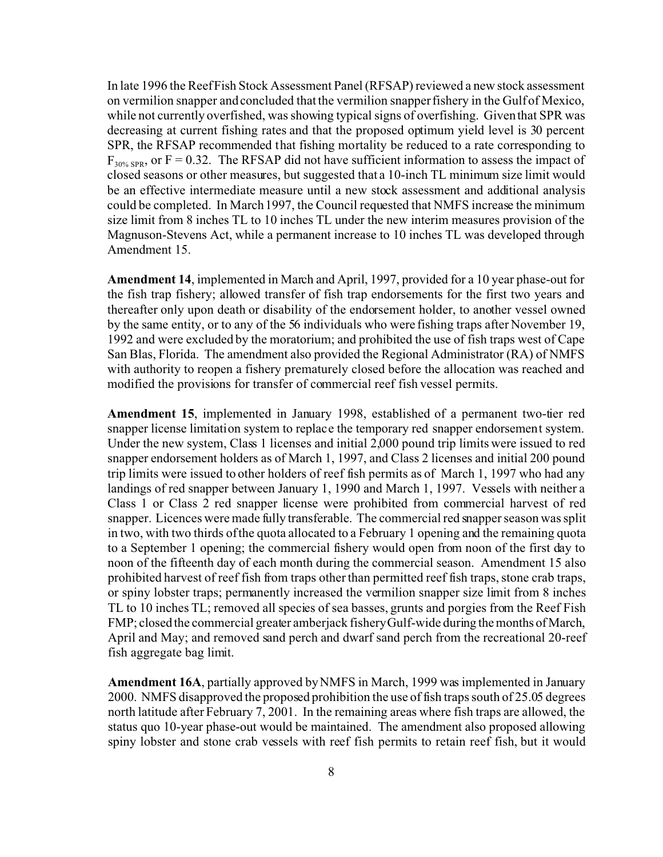In late 1996 the Reef Fish Stock Assessment Panel (RFSAP) reviewed a new stock assessment on vermilion snapper and concluded that the vermilion snapper fishery in the Gulf of Mexico, while not currently overfished, was showing typical signs of overfishing. Given that SPR was decreasing at current fishing rates and that the proposed optimum yield level is 30 percent SPR, the RFSAP recommended that fishing mortality be reduced to a rate corresponding to  $F_{30\% SPR}$ , or F = 0.32. The RFSAP did not have sufficient information to assess the impact of closed seasons or other measures, but suggested that a 10-inch TL minimum size limit would be an effective intermediate measure until a new stock assessment and additional analysis could be completed. In March 1997, the Council requested that NMFS increase the minimum size limit from 8 inches TL to 10 inches TL under the new interim measures provision of the Magnuson-Stevens Act, while a permanent increase to 10 inches TL was developed through Amendment 15.

**Amendment 14**, implemented in March and April, 1997, provided for a 10 year phase-out for the fish trap fishery; allowed transfer of fish trap endorsements for the first two years and thereafter only upon death or disability of the endorsement holder, to another vessel owned by the same entity, or to any of the 56 individuals who were fishing traps after November 19, 1992 and were excluded by the moratorium; and prohibited the use of fish traps west of Cape San Blas, Florida. The amendment also provided the Regional Administrator (RA) of NMFS with authority to reopen a fishery prematurely closed before the allocation was reached and modified the provisions for transfer of commercial reef fish vessel permits.

**Amendment 15**, implemented in January 1998, established of a permanent two-tier red snapper license limitation system to replace the temporary red snapper endorsement system. Under the new system, Class 1 licenses and initial 2,000 pound trip limits were issued to red snapper endorsement holders as of March 1, 1997, and Class 2 licenses and initial 200 pound trip limits were issued to other holders of reef fish permits as of March 1, 1997 who had any landings of red snapper between January 1, 1990 and March 1, 1997. Vessels with neither a Class 1 or Class 2 red snapper license were prohibited from commercial harvest of red snapper. Licences were made fully transferable. The commercial red snapper season was split in two, with two thirds of the quota allocated to a February 1 opening and the remaining quota to a September 1 opening; the commercial fishery would open from noon of the first day to noon of the fifteenth day of each month during the commercial season. Amendment 15 also prohibited harvest of reef fish from traps other than permitted reef fish traps, stone crab traps, or spiny lobster traps; permanently increased the vermilion snapper size limit from 8 inches TL to 10 inches TL; removed all species of sea basses, grunts and porgies from the Reef Fish FMP; closed the commercial greater amberjack fishery Gulf-wide during the months of March, April and May; and removed sand perch and dwarf sand perch from the recreational 20-reef fish aggregate bag limit.

**Amendment 16A**, partially approved by NMFS in March, 1999 was implemented in January 2000. NMFS disapproved the proposed prohibition the use of fish traps south of 25.05 degrees north latitude after February 7, 2001. In the remaining areas where fish traps are allowed, the status quo 10-year phase-out would be maintained. The amendment also proposed allowing spiny lobster and stone crab vessels with reef fish permits to retain reef fish, but it would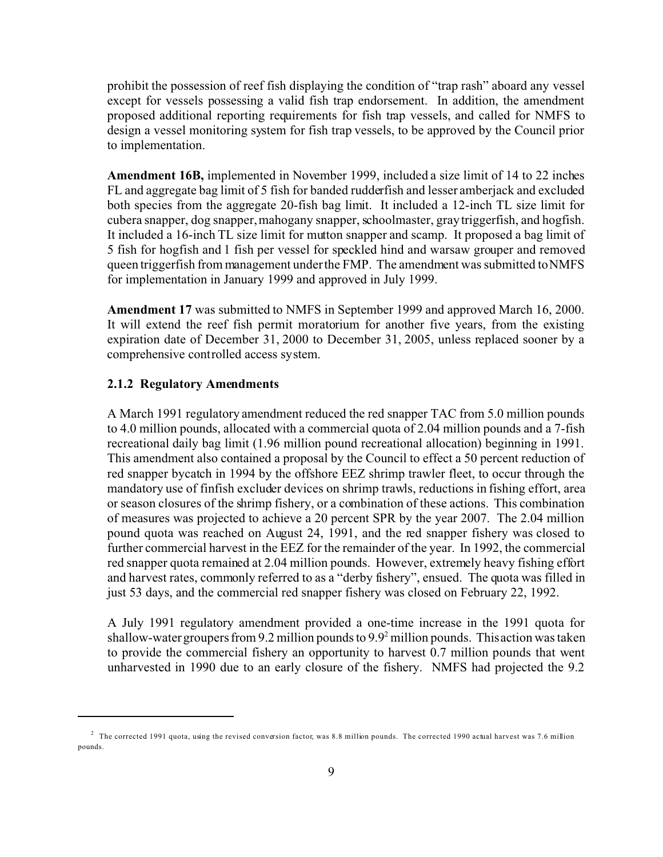prohibit the possession of reef fish displaying the condition of "trap rash" aboard any vessel except for vessels possessing a valid fish trap endorsement. In addition, the amendment proposed additional reporting requirements for fish trap vessels, and called for NMFS to design a vessel monitoring system for fish trap vessels, to be approved by the Council prior to implementation.

**Amendment 16B,** implemented in November 1999, included a size limit of 14 to 22 inches FL and aggregate bag limit of 5 fish for banded rudderfish and lesser amberjack and excluded both species from the aggregate 20-fish bag limit. It included a 12-inch TL size limit for cubera snapper, dog snapper, mahogany snapper, schoolmaster, gray triggerfish, and hogfish. It included a 16-inch TL size limit for mutton snapper and scamp. It proposed a bag limit of 5 fish for hogfish and 1 fish per vessel for speckled hind and warsaw grouper and removed queen triggerfish from management under the FMP. The amendment was submitted to NMFS for implementation in January 1999 and approved in July 1999.

**Amendment 17** was submitted to NMFS in September 1999 and approved March 16, 2000. It will extend the reef fish permit moratorium for another five years, from the existing expiration date of December 31, 2000 to December 31, 2005, unless replaced sooner by a comprehensive controlled access system.

### **2.1.2 Regulatory Amendments**

A March 1991 regulatory amendment reduced the red snapper TAC from 5.0 million pounds to 4.0 million pounds, allocated with a commercial quota of 2.04 million pounds and a 7-fish recreational daily bag limit (1.96 million pound recreational allocation) beginning in 1991. This amendment also contained a proposal by the Council to effect a 50 percent reduction of red snapper bycatch in 1994 by the offshore EEZ shrimp trawler fleet, to occur through the mandatory use of finfish excluder devices on shrimp trawls, reductions in fishing effort, area or season closures of the shrimp fishery, or a combination of these actions. This combination of measures was projected to achieve a 20 percent SPR by the year 2007. The 2.04 million pound quota was reached on August 24, 1991, and the red snapper fishery was closed to further commercial harvest in the EEZ for the remainder of the year. In 1992, the commercial red snapper quota remained at 2.04 million pounds. However, extremely heavy fishing effort and harvest rates, commonly referred to as a "derby fishery", ensued. The quota was filled in just 53 days, and the commercial red snapper fishery was closed on February 22, 1992.

A July 1991 regulatory amendment provided a one-time increase in the 1991 quota for shallow-water groupers from 9.2 million pounds to 9.9<sup>2</sup> million pounds. This action was taken to provide the commercial fishery an opportunity to harvest 0.7 million pounds that went unharvested in 1990 due to an early closure of the fishery. NMFS had projected the 9.2

 $^2$  The corrected 1991 quota, using the revised conversion factor, was 8.8 million pounds. The corrected 1990 actual harvest was 7.6 million pounds.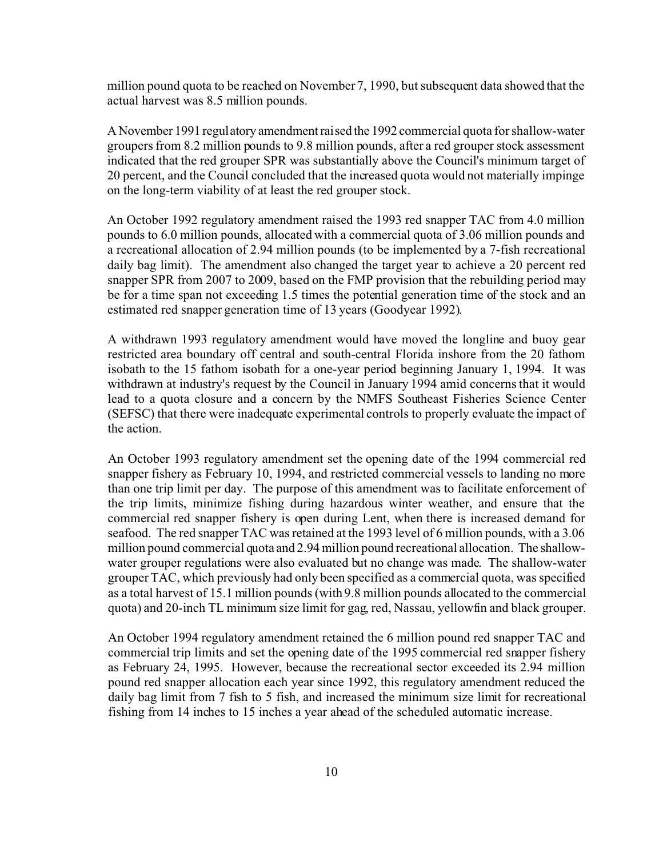million pound quota to be reached on November 7, 1990, but subsequent data showed that the actual harvest was 8.5 million pounds.

A November 1991 regulatory amendment raised the 1992 commercial quota for shallow-water groupers from 8.2 million pounds to 9.8 million pounds, after a red grouper stock assessment indicated that the red grouper SPR was substantially above the Council's minimum target of 20 percent, and the Council concluded that the increased quota would not materially impinge on the long-term viability of at least the red grouper stock.

An October 1992 regulatory amendment raised the 1993 red snapper TAC from 4.0 million pounds to 6.0 million pounds, allocated with a commercial quota of 3.06 million pounds and a recreational allocation of 2.94 million pounds (to be implemented by a 7-fish recreational daily bag limit). The amendment also changed the target year to achieve a 20 percent red snapper SPR from 2007 to 2009, based on the FMP provision that the rebuilding period may be for a time span not exceeding 1.5 times the potential generation time of the stock and an estimated red snapper generation time of 13 years (Goodyear 1992).

A withdrawn 1993 regulatory amendment would have moved the longline and buoy gear restricted area boundary off central and south-central Florida inshore from the 20 fathom isobath to the 15 fathom isobath for a one-year period beginning January 1, 1994. It was withdrawn at industry's request by the Council in January 1994 amid concerns that it would lead to a quota closure and a concern by the NMFS Southeast Fisheries Science Center (SEFSC) that there were inadequate experimental controls to properly evaluate the impact of the action.

An October 1993 regulatory amendment set the opening date of the 1994 commercial red snapper fishery as February 10, 1994, and restricted commercial vessels to landing no more than one trip limit per day. The purpose of this amendment was to facilitate enforcement of the trip limits, minimize fishing during hazardous winter weather, and ensure that the commercial red snapper fishery is open during Lent, when there is increased demand for seafood. The red snapper TAC was retained at the 1993 level of 6 million pounds, with a 3.06 million pound commercial quota and 2.94 million pound recreational allocation. The shallowwater grouper regulations were also evaluated but no change was made. The shallow-water grouper TAC, which previously had only been specified as a commercial quota, was specified as a total harvest of 15.1 million pounds (with 9.8 million pounds allocated to the commercial quota) and 20-inch TL minimum size limit for gag, red, Nassau, yellowfin and black grouper.

An October 1994 regulatory amendment retained the 6 million pound red snapper TAC and commercial trip limits and set the opening date of the 1995 commercial red snapper fishery as February 24, 1995. However, because the recreational sector exceeded its 2.94 million pound red snapper allocation each year since 1992, this regulatory amendment reduced the daily bag limit from 7 fish to 5 fish, and increased the minimum size limit for recreational fishing from 14 inches to 15 inches a year ahead of the scheduled automatic increase.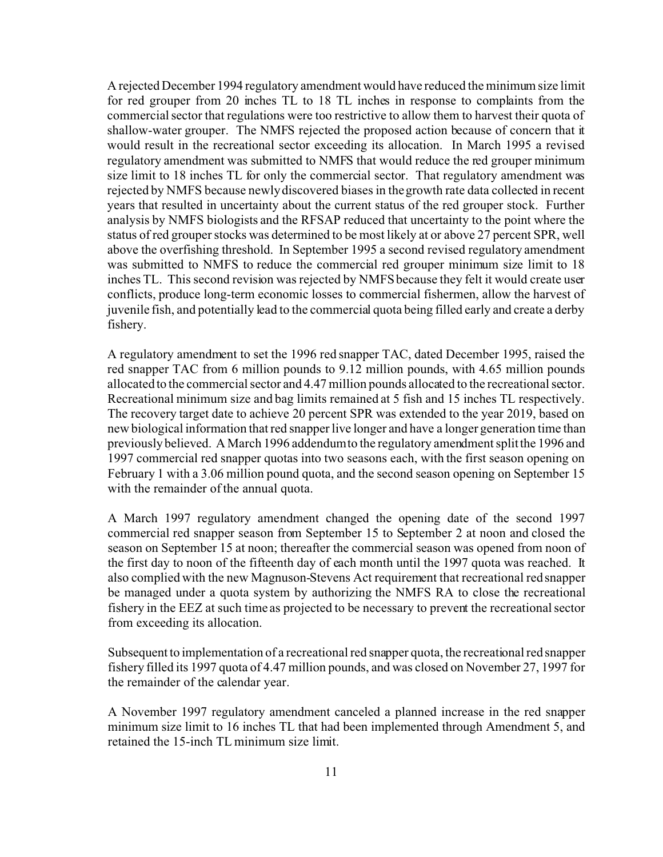A rejected December 1994 regulatory amendment would have reduced the minimum size limit for red grouper from 20 inches TL to 18 TL inches in response to complaints from the commercial sector that regulations were too restrictive to allow them to harvest their quota of shallow-water grouper. The NMFS rejected the proposed action because of concern that it would result in the recreational sector exceeding its allocation. In March 1995 a revised regulatory amendment was submitted to NMFS that would reduce the red grouper minimum size limit to 18 inches TL for only the commercial sector. That regulatory amendment was rejected by NMFS because newly discovered biases in the growth rate data collected in recent years that resulted in uncertainty about the current status of the red grouper stock. Further analysis by NMFS biologists and the RFSAP reduced that uncertainty to the point where the status of red grouper stocks was determined to be most likely at or above 27 percent SPR, well above the overfishing threshold. In September 1995 a second revised regulatory amendment was submitted to NMFS to reduce the commercial red grouper minimum size limit to 18 inches TL. This second revision was rejected by NMFS because they felt it would create user conflicts, produce long-term economic losses to commercial fishermen, allow the harvest of juvenile fish, and potentially lead to the commercial quota being filled early and create a derby fishery.

A regulatory amendment to set the 1996 red snapper TAC, dated December 1995, raised the red snapper TAC from 6 million pounds to 9.12 million pounds, with 4.65 million pounds allocated to the commercial sector and 4.47 million pounds allocated to the recreational sector. Recreational minimum size and bag limits remained at 5 fish and 15 inches TL respectively. The recovery target date to achieve 20 percent SPR was extended to the year 2019, based on new biological information that red snapper live longer and have a longer generation time than previously believed. A March 1996 addendum to the regulatory amendment split the 1996 and 1997 commercial red snapper quotas into two seasons each, with the first season opening on February 1 with a 3.06 million pound quota, and the second season opening on September 15 with the remainder of the annual quota.

A March 1997 regulatory amendment changed the opening date of the second 1997 commercial red snapper season from September 15 to September 2 at noon and closed the season on September 15 at noon; thereafter the commercial season was opened from noon of the first day to noon of the fifteenth day of each month until the 1997 quota was reached. It also complied with the new Magnuson-Stevens Act requirement that recreational red snapper be managed under a quota system by authorizing the NMFS RA to close the recreational fishery in the EEZ at such time as projected to be necessary to prevent the recreational sector from exceeding its allocation.

Subsequent to implementation of a recreational red snapper quota, the recreational red snapper fishery filled its 1997 quota of 4.47 million pounds, and was closed on November 27, 1997 for the remainder of the calendar year.

A November 1997 regulatory amendment canceled a planned increase in the red snapper minimum size limit to 16 inches TL that had been implemented through Amendment 5, and retained the 15-inch TL minimum size limit.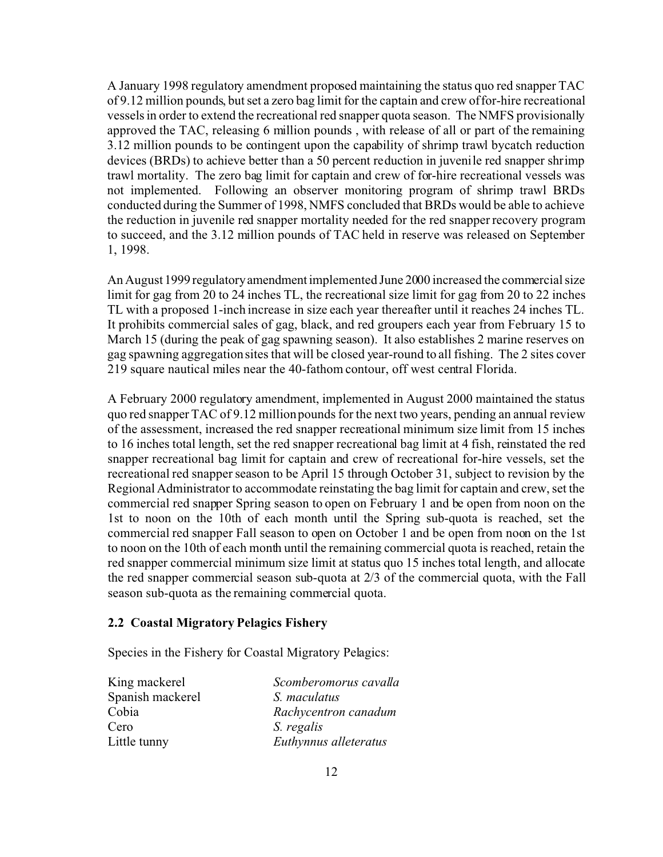A January 1998 regulatory amendment proposed maintaining the status quo red snapper TAC of 9.12 million pounds, but set a zero bag limit for the captain and crew of for-hire recreational vessels in order to extend the recreational red snapper quota season. The NMFS provisionally approved the TAC, releasing 6 million pounds , with release of all or part of the remaining 3.12 million pounds to be contingent upon the capability of shrimp trawl bycatch reduction devices (BRDs) to achieve better than a 50 percent reduction in juvenile red snapper shrimp trawl mortality. The zero bag limit for captain and crew of for-hire recreational vessels was not implemented. Following an observer monitoring program of shrimp trawl BRDs conducted during the Summer of 1998, NMFS concluded that BRDs would be able to achieve the reduction in juvenile red snapper mortality needed for the red snapper recovery program to succeed, and the 3.12 million pounds of TAC held in reserve was released on September 1, 1998.

An August 1999 regulatoryamendmentimplemented June 2000 increased the commercial size limit for gag from 20 to 24 inches TL, the recreational size limit for gag from 20 to 22 inches TL with a proposed 1-inch increase in size each year thereafter until it reaches 24 inches TL. It prohibits commercial sales of gag, black, and red groupers each year from February 15 to March 15 (during the peak of gag spawning season). It also establishes 2 marine reserves on gag spawning aggregation sites that will be closed year-round to all fishing. The 2 sites cover 219 square nautical miles near the 40-fathom contour, off west central Florida.

A February 2000 regulatory amendment, implemented in August 2000 maintained the status quo red snapper TAC of 9.12 million pounds for the next two years, pending an annual review of the assessment, increased the red snapper recreational minimum size limit from 15 inches to 16 inches total length, set the red snapper recreational bag limit at 4 fish, reinstated the red snapper recreational bag limit for captain and crew of recreational for-hire vessels, set the recreational red snapper season to be April 15 through October 31, subject to revision by the Regional Administrator to accommodate reinstating the bag limit for captain and crew, set the commercial red snapper Spring season to open on February 1 and be open from noon on the 1st to noon on the 10th of each month until the Spring sub-quota is reached, set the commercial red snapper Fall season to open on October 1 and be open from noon on the 1st to noon on the 10th of each month until the remaining commercial quota is reached, retain the red snapper commercial minimum size limit at status quo 15 inches total length, and allocate the red snapper commercial season sub-quota at 2/3 of the commercial quota, with the Fall season sub-quota as the remaining commercial quota.

### **2.2 Coastal Migratory Pelagics Fishery**

Species in the Fishery for Coastal Migratory Pelagics:

| King mackerel    | Scomberomorus cavalla |
|------------------|-----------------------|
| Spanish mackerel | S. maculatus          |
| Cobia            | Rachycentron canadum  |
| Cero             | S. regalis            |
| Little tunny     | Euthynnus alleteratus |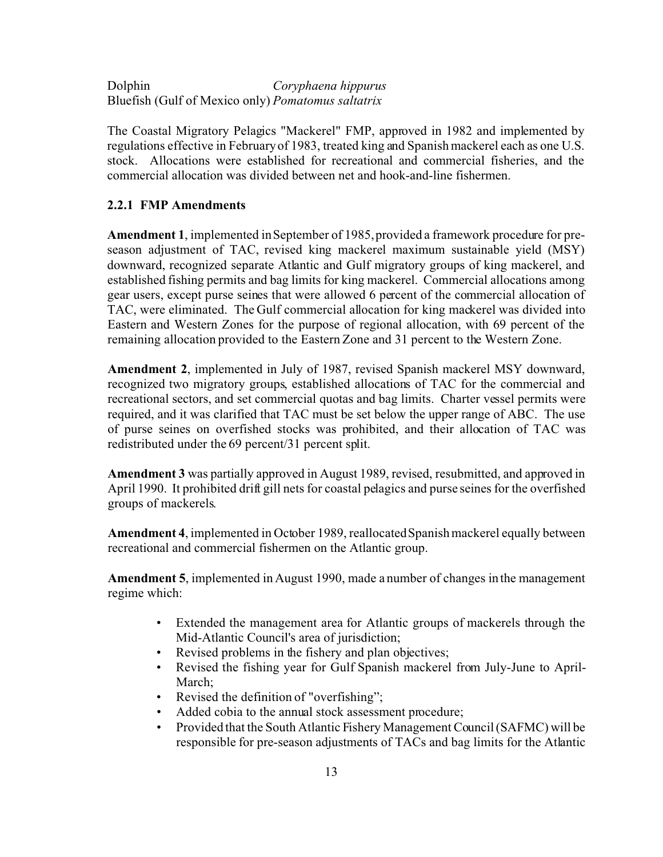Dolphin *Coryphaena hippurus* Bluefish (Gulf of Mexico only) *Pomatomus saltatrix*

The Coastal Migratory Pelagics "Mackerel" FMP, approved in 1982 and implemented by regulations effective in February of 1983, treated king and Spanish mackerel each as one U.S. stock. Allocations were established for recreational and commercial fisheries, and the commercial allocation was divided between net and hook-and-line fishermen.

### **2.2.1 FMP Amendments**

**Amendment 1**, implemented in September of 1985, provided a framework procedure for preseason adjustment of TAC, revised king mackerel maximum sustainable yield (MSY) downward, recognized separate Atlantic and Gulf migratory groups of king mackerel, and established fishing permits and bag limits for king mackerel. Commercial allocations among gear users, except purse seines that were allowed 6 percent of the commercial allocation of TAC, were eliminated. The Gulf commercial allocation for king mackerel was divided into Eastern and Western Zones for the purpose of regional allocation, with 69 percent of the remaining allocation provided to the Eastern Zone and 31 percent to the Western Zone.

**Amendment 2**, implemented in July of 1987, revised Spanish mackerel MSY downward, recognized two migratory groups, established allocations of TAC for the commercial and recreational sectors, and set commercial quotas and bag limits. Charter vessel permits were required, and it was clarified that TAC must be set below the upper range of ABC. The use of purse seines on overfished stocks was prohibited, and their allocation of TAC was redistributed under the 69 percent/31 percent split.

**Amendment 3** was partially approved in August 1989, revised, resubmitted, and approved in April 1990. It prohibited drift gill nets for coastal pelagics and purse seines for the overfished groups of mackerels.

**Amendment 4**, implemented in October 1989, reallocated Spanish mackerel equally between recreational and commercial fishermen on the Atlantic group.

**Amendment 5**, implemented in August 1990, made a number of changes in the management regime which:

- Extended the management area for Atlantic groups of mackerels through the Mid-Atlantic Council's area of jurisdiction;
- Revised problems in the fishery and plan objectives;
- Revised the fishing year for Gulf Spanish mackerel from July-June to April-March;
- Revised the definition of "overfishing";
- Added cobia to the annual stock assessment procedure;
- Provided that the South Atlantic Fishery Management Council (SAFMC) will be responsible for pre-season adjustments of TACs and bag limits for the Atlantic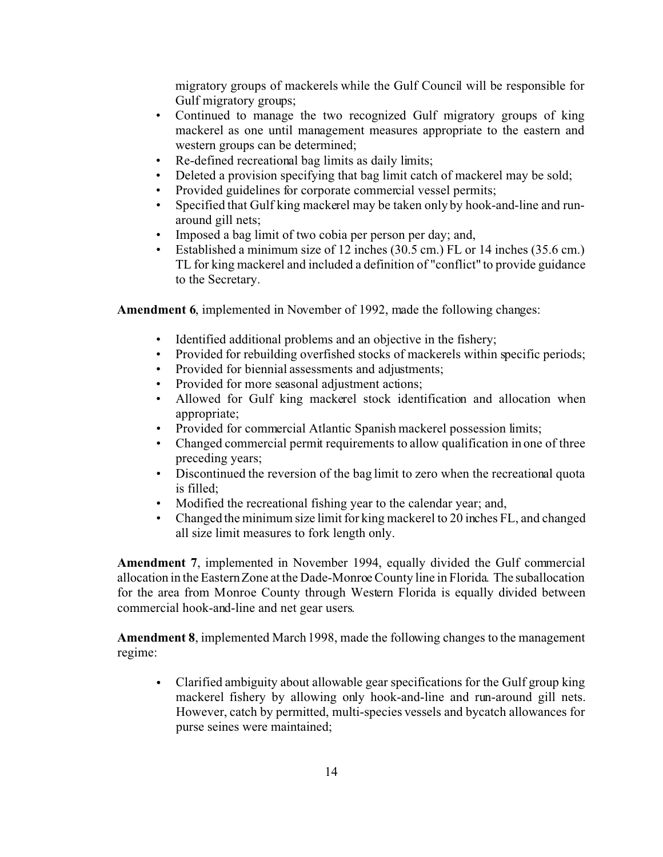migratory groups of mackerels while the Gulf Council will be responsible for Gulf migratory groups;

- Continued to manage the two recognized Gulf migratory groups of king mackerel as one until management measures appropriate to the eastern and western groups can be determined;
- Re-defined recreational bag limits as daily limits;
- Deleted a provision specifying that bag limit catch of mackerel may be sold;
- Provided guidelines for corporate commercial vessel permits;
- Specified that Gulf king mackerel may be taken only by hook-and-line and runaround gill nets;
- Imposed a bag limit of two cobia per person per day; and,
- Established a minimum size of 12 inches (30.5 cm.) FL or 14 inches (35.6 cm.) TL for king mackerel and included a definition of "conflict" to provide guidance to the Secretary.

**Amendment 6**, implemented in November of 1992, made the following changes:

- Identified additional problems and an objective in the fishery;
- Provided for rebuilding overfished stocks of mackerels within specific periods;
- Provided for biennial assessments and adjustments;
- Provided for more seasonal adjustment actions;
- Allowed for Gulf king mackerel stock identification and allocation when appropriate;
- Provided for commercial Atlantic Spanish mackerel possession limits;
- Changed commercial permit requirements to allow qualification in one of three preceding years;
- Discontinued the reversion of the bag limit to zero when the recreational quota is filled;
- Modified the recreational fishing year to the calendar year; and,
- Changed the minimum size limit for king mackerel to 20 inches FL, and changed all size limit measures to fork length only.

**Amendment 7**, implemented in November 1994, equally divided the Gulf commercial allocation in the Eastern Zone at the Dade-Monroe County line in Florida. The suballocation for the area from Monroe County through Western Florida is equally divided between commercial hook-and-line and net gear users.

**Amendment 8**, implemented March 1998, made the following changes to the management regime:

• Clarified ambiguity about allowable gear specifications for the Gulf group king mackerel fishery by allowing only hook-and-line and run-around gill nets. However, catch by permitted, multi-species vessels and bycatch allowances for purse seines were maintained;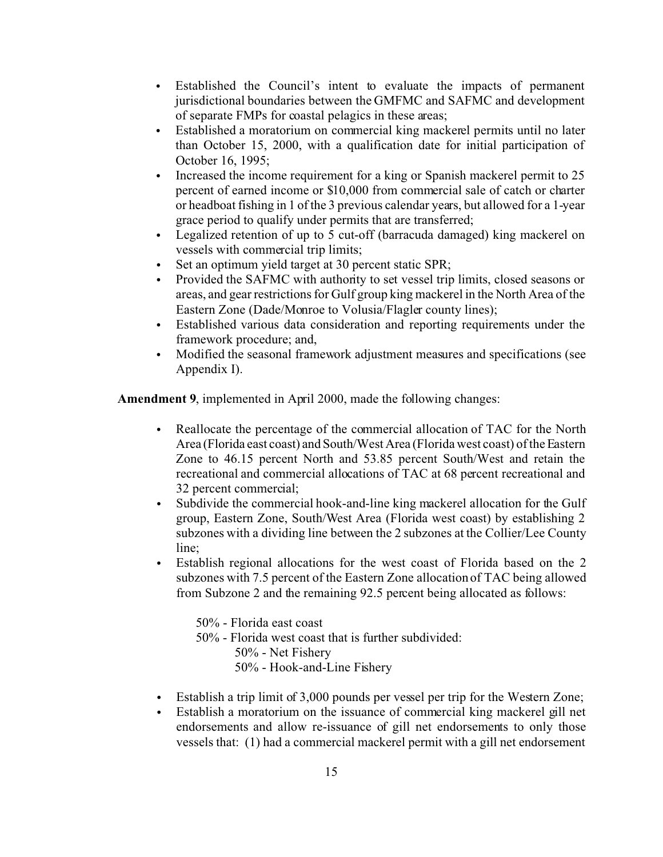- Established the Council's intent to evaluate the impacts of permanent jurisdictional boundaries between the GMFMC and SAFMC and development of separate FMPs for coastal pelagics in these areas;
- Established a moratorium on commercial king mackerel permits until no later than October 15, 2000, with a qualification date for initial participation of October 16, 1995;
- Increased the income requirement for a king or Spanish mackerel permit to 25 percent of earned income or \$10,000 from commercial sale of catch or charter or headboat fishing in 1 of the 3 previous calendar years, but allowed for a 1-year grace period to qualify under permits that are transferred;
- Legalized retention of up to 5 cut-off (barracuda damaged) king mackerel on vessels with commercial trip limits;
- Set an optimum yield target at 30 percent static SPR;
- Provided the SAFMC with authority to set vessel trip limits, closed seasons or areas, and gear restrictions for Gulf group king mackerel in the North Area of the Eastern Zone (Dade/Monroe to Volusia/Flagler county lines);
- Established various data consideration and reporting requirements under the framework procedure; and,
- Modified the seasonal framework adjustment measures and specifications (see Appendix I).

**Amendment 9**, implemented in April 2000, made the following changes:

- Reallocate the percentage of the commercial allocation of TAC for the North Area (Florida east coast) and South/West Area (Florida west coast) of the Eastern Zone to 46.15 percent North and 53.85 percent South/West and retain the recreational and commercial allocations of TAC at 68 percent recreational and 32 percent commercial;
- Subdivide the commercial hook-and-line king mackerel allocation for the Gulf group, Eastern Zone, South/West Area (Florida west coast) by establishing 2 subzones with a dividing line between the 2 subzones at the Collier/Lee County line;
- Establish regional allocations for the west coast of Florida based on the 2 subzones with 7.5 percent of the Eastern Zone allocation of TAC being allowed from Subzone 2 and the remaining 92.5 percent being allocated as follows:

50% - Florida east coast 50% - Florida west coast that is further subdivided: 50% - Net Fishery 50% - Hook-and-Line Fishery

- Establish a trip limit of 3,000 pounds per vessel per trip for the Western Zone;
- Establish a moratorium on the issuance of commercial king mackerel gill net endorsements and allow re-issuance of gill net endorsements to only those vessels that: (1) had a commercial mackerel permit with a gill net endorsement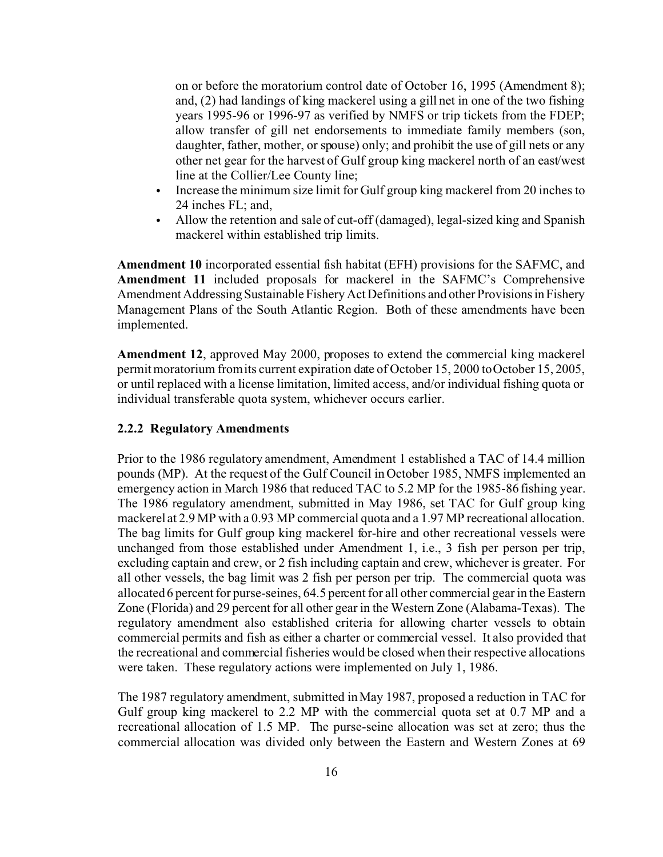on or before the moratorium control date of October 16, 1995 (Amendment 8); and, (2) had landings of king mackerel using a gill net in one of the two fishing years 1995-96 or 1996-97 as verified by NMFS or trip tickets from the FDEP; allow transfer of gill net endorsements to immediate family members (son, daughter, father, mother, or spouse) only; and prohibit the use of gill nets or any other net gear for the harvest of Gulf group king mackerel north of an east/west line at the Collier/Lee County line;

- Increase the minimum size limit for Gulf group king mackerel from 20 inches to 24 inches FL; and,
- Allow the retention and sale of cut-off (damaged), legal-sized king and Spanish mackerel within established trip limits.

**Amendment 10** incorporated essential fish habitat (EFH) provisions for the SAFMC, and **Amendment 11** included proposals for mackerel in the SAFMC's Comprehensive Amendment Addressing Sustainable Fishery Act Definitions and other Provisionsin Fishery Management Plans of the South Atlantic Region. Both of these amendments have been implemented.

**Amendment 12**, approved May 2000, proposes to extend the commercial king mackerel permit moratorium from its current expiration date of October 15, 2000 to October 15, 2005, or until replaced with a license limitation, limited access, and/or individual fishing quota or individual transferable quota system, whichever occurs earlier.

#### **2.2.2 Regulatory Amendments**

Prior to the 1986 regulatory amendment, Amendment 1 established a TAC of 14.4 million pounds (MP). At the request of the Gulf Council in October 1985, NMFS implemented an emergency action in March 1986 that reduced TAC to 5.2 MP for the 1985-86 fishing year. The 1986 regulatory amendment, submitted in May 1986, set TAC for Gulf group king mackerel at 2.9 MP with a 0.93 MP commercial quota and a 1.97 MP recreational allocation. The bag limits for Gulf group king mackerel for-hire and other recreational vessels were unchanged from those established under Amendment 1, i.e., 3 fish per person per trip, excluding captain and crew, or 2 fish including captain and crew, whichever is greater. For all other vessels, the bag limit was 2 fish per person per trip. The commercial quota was allocated 6 percent for purse-seines, 64.5 percent for all other commercial gear in the Eastern Zone (Florida) and 29 percent for all other gear in the Western Zone (Alabama-Texas). The regulatory amendment also established criteria for allowing charter vessels to obtain commercial permits and fish as either a charter or commercial vessel. It also provided that the recreational and commercial fisheries would be closed when their respective allocations were taken. These regulatory actions were implemented on July 1, 1986.

The 1987 regulatory amendment, submitted in May 1987, proposed a reduction in TAC for Gulf group king mackerel to 2.2 MP with the commercial quota set at 0.7 MP and a recreational allocation of 1.5 MP. The purse-seine allocation was set at zero; thus the commercial allocation was divided only between the Eastern and Western Zones at 69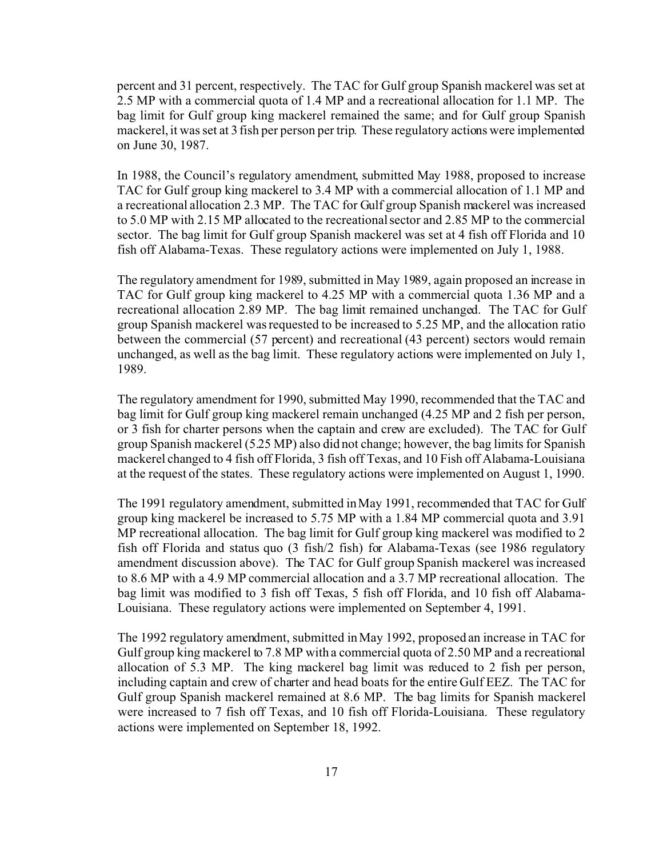percent and 31 percent, respectively. The TAC for Gulf group Spanish mackerel was set at 2.5 MP with a commercial quota of 1.4 MP and a recreational allocation for 1.1 MP. The bag limit for Gulf group king mackerel remained the same; and for Gulf group Spanish mackerel, it was set at 3 fish per person per trip. These regulatory actions were implemented on June 30, 1987.

In 1988, the Council's regulatory amendment, submitted May 1988, proposed to increase TAC for Gulf group king mackerel to 3.4 MP with a commercial allocation of 1.1 MP and a recreational allocation 2.3 MP. The TAC for Gulf group Spanish mackerel was increased to 5.0 MP with 2.15 MP allocated to the recreational sector and 2.85 MP to the commercial sector. The bag limit for Gulf group Spanish mackerel was set at 4 fish off Florida and 10 fish off Alabama-Texas. These regulatory actions were implemented on July 1, 1988.

The regulatory amendment for 1989, submitted in May 1989, again proposed an increase in TAC for Gulf group king mackerel to 4.25 MP with a commercial quota 1.36 MP and a recreational allocation 2.89 MP. The bag limit remained unchanged. The TAC for Gulf group Spanish mackerel was requested to be increased to 5.25 MP, and the allocation ratio between the commercial (57 percent) and recreational (43 percent) sectors would remain unchanged, as well as the bag limit. These regulatory actions were implemented on July 1, 1989.

The regulatory amendment for 1990, submitted May 1990, recommended that the TAC and bag limit for Gulf group king mackerel remain unchanged (4.25 MP and 2 fish per person, or 3 fish for charter persons when the captain and crew are excluded). The TAC for Gulf group Spanish mackerel (5.25 MP) also did not change; however, the bag limits for Spanish mackerel changed to 4 fish off Florida, 3 fish off Texas, and 10 Fish off Alabama-Louisiana at the request of the states. These regulatory actions were implemented on August 1, 1990.

The 1991 regulatory amendment, submitted in May 1991, recommended that TAC for Gulf group king mackerel be increased to 5.75 MP with a 1.84 MP commercial quota and 3.91 MP recreational allocation. The bag limit for Gulf group king mackerel was modified to 2 fish off Florida and status quo (3 fish/2 fish) for Alabama-Texas (see 1986 regulatory amendment discussion above). The TAC for Gulf group Spanish mackerel was increased to 8.6 MP with a 4.9 MP commercial allocation and a 3.7 MP recreational allocation. The bag limit was modified to 3 fish off Texas, 5 fish off Florida, and 10 fish off Alabama-Louisiana. These regulatory actions were implemented on September 4, 1991.

The 1992 regulatory amendment, submitted in May 1992, proposed an increase in TAC for Gulf group king mackerel to 7.8 MP with a commercial quota of 2.50 MP and a recreational allocation of 5.3 MP. The king mackerel bag limit was reduced to 2 fish per person, including captain and crew of charter and head boats for the entire Gulf EEZ. The TAC for Gulf group Spanish mackerel remained at 8.6 MP. The bag limits for Spanish mackerel were increased to 7 fish off Texas, and 10 fish off Florida-Louisiana. These regulatory actions were implemented on September 18, 1992.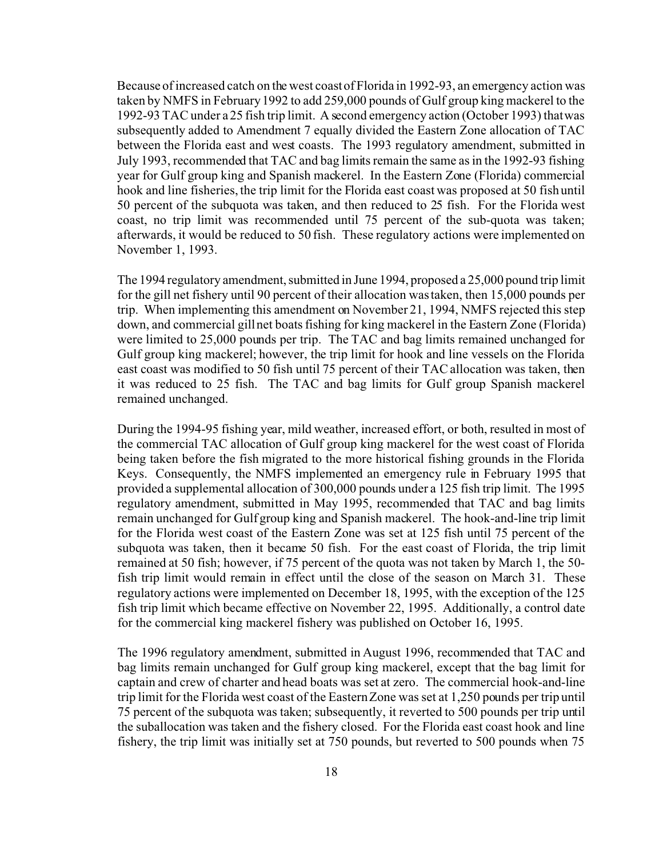Because of increased catch on the west coast of Florida in 1992-93, an emergency action was taken by NMFS in February 1992 to add 259,000 pounds of Gulf group king mackerel to the 1992-93 TAC under a 25 fish trip limit. A second emergency action (October 1993) that was subsequently added to Amendment 7 equally divided the Eastern Zone allocation of TAC between the Florida east and west coasts. The 1993 regulatory amendment, submitted in July 1993, recommended that TAC and bag limits remain the same as in the 1992-93 fishing year for Gulf group king and Spanish mackerel. In the Eastern Zone (Florida) commercial hook and line fisheries, the trip limit for the Florida east coast was proposed at 50 fish until 50 percent of the subquota was taken, and then reduced to 25 fish. For the Florida west coast, no trip limit was recommended until 75 percent of the sub-quota was taken; afterwards, it would be reduced to 50 fish. These regulatory actions were implemented on November 1, 1993.

The 1994 regulatory amendment, submitted in June 1994, proposed a 25,000 pound trip limit for the gill net fishery until 90 percent of their allocation was taken, then 15,000 pounds per trip. When implementing this amendment on November 21, 1994, NMFS rejected this step down, and commercial gill net boats fishing for king mackerel in the Eastern Zone (Florida) were limited to 25,000 pounds per trip. The TAC and bag limits remained unchanged for Gulf group king mackerel; however, the trip limit for hook and line vessels on the Florida east coast was modified to 50 fish until 75 percent of their TAC allocation was taken, then it was reduced to 25 fish. The TAC and bag limits for Gulf group Spanish mackerel remained unchanged.

During the 1994-95 fishing year, mild weather, increased effort, or both, resulted in most of the commercial TAC allocation of Gulf group king mackerel for the west coast of Florida being taken before the fish migrated to the more historical fishing grounds in the Florida Keys. Consequently, the NMFS implemented an emergency rule in February 1995 that provided a supplemental allocation of 300,000 pounds under a 125 fish trip limit. The 1995 regulatory amendment, submitted in May 1995, recommended that TAC and bag limits remain unchanged for Gulf group king and Spanish mackerel. The hook-and-line trip limit for the Florida west coast of the Eastern Zone was set at 125 fish until 75 percent of the subquota was taken, then it became 50 fish. For the east coast of Florida, the trip limit remained at 50 fish; however, if 75 percent of the quota was not taken by March 1, the 50 fish trip limit would remain in effect until the close of the season on March 31. These regulatory actions were implemented on December 18, 1995, with the exception of the 125 fish trip limit which became effective on November 22, 1995. Additionally, a control date for the commercial king mackerel fishery was published on October 16, 1995.

The 1996 regulatory amendment, submitted in August 1996, recommended that TAC and bag limits remain unchanged for Gulf group king mackerel, except that the bag limit for captain and crew of charter and head boats was set at zero. The commercial hook-and-line trip limit for the Florida west coast of the Eastern Zone was set at 1,250 pounds per trip until 75 percent of the subquota was taken; subsequently, it reverted to 500 pounds per trip until the suballocation was taken and the fishery closed. For the Florida east coast hook and line fishery, the trip limit was initially set at 750 pounds, but reverted to 500 pounds when 75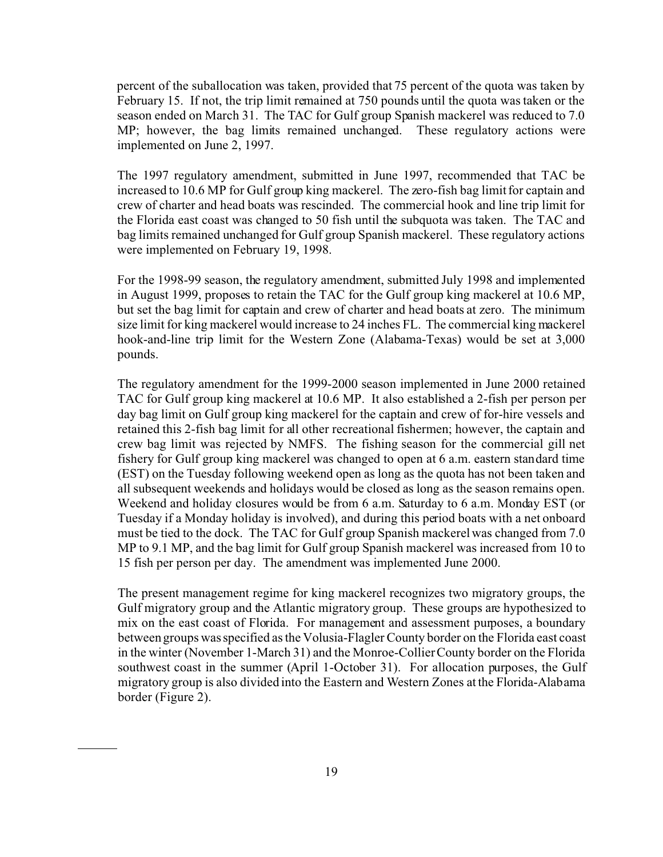percent of the suballocation was taken, provided that 75 percent of the quota was taken by February 15. If not, the trip limit remained at 750 pounds until the quota was taken or the season ended on March 31. The TAC for Gulf group Spanish mackerel was reduced to 7.0 MP; however, the bag limits remained unchanged. These regulatory actions were implemented on June 2, 1997.

The 1997 regulatory amendment, submitted in June 1997, recommended that TAC be increased to 10.6 MP for Gulf group king mackerel. The zero-fish bag limit for captain and crew of charter and head boats was rescinded. The commercial hook and line trip limit for the Florida east coast was changed to 50 fish until the subquota was taken. The TAC and bag limits remained unchanged for Gulf group Spanish mackerel. These regulatory actions were implemented on February 19, 1998.

For the 1998-99 season, the regulatory amendment, submitted July 1998 and implemented in August 1999, proposes to retain the TAC for the Gulf group king mackerel at 10.6 MP, but set the bag limit for captain and crew of charter and head boats at zero. The minimum size limit for king mackerel would increase to 24 inches FL. The commercial king mackerel hook-and-line trip limit for the Western Zone (Alabama-Texas) would be set at 3,000 pounds.

The regulatory amendment for the 1999-2000 season implemented in June 2000 retained TAC for Gulf group king mackerel at 10.6 MP. It also established a 2-fish per person per day bag limit on Gulf group king mackerel for the captain and crew of for-hire vessels and retained this 2-fish bag limit for all other recreational fishermen; however, the captain and crew bag limit was rejected by NMFS. The fishing season for the commercial gill net fishery for Gulf group king mackerel was changed to open at 6 a.m. eastern standard time (EST) on the Tuesday following weekend open as long as the quota has not been taken and all subsequent weekends and holidays would be closed as long as the season remains open. Weekend and holiday closures would be from 6 a.m. Saturday to 6 a.m. Monday EST (or Tuesday if a Monday holiday is involved), and during this period boats with a net onboard must be tied to the dock. The TAC for Gulf group Spanish mackerel was changed from 7.0 MP to 9.1 MP, and the bag limit for Gulf group Spanish mackerel was increased from 10 to 15 fish per person per day. The amendment was implemented June 2000.

The present management regime for king mackerel recognizes two migratory groups, the Gulf migratory group and the Atlantic migratory group. These groups are hypothesized to mix on the east coast of Florida. For management and assessment purposes, a boundary between groups was specified as the Volusia-Flagler County border on the Florida east coast in the winter (November 1-March 31) and the Monroe-Collier County border on the Florida southwest coast in the summer (April 1-October 31). For allocation purposes, the Gulf migratory group is also divided into the Eastern and Western Zones at the Florida-Alabama border (Figure 2).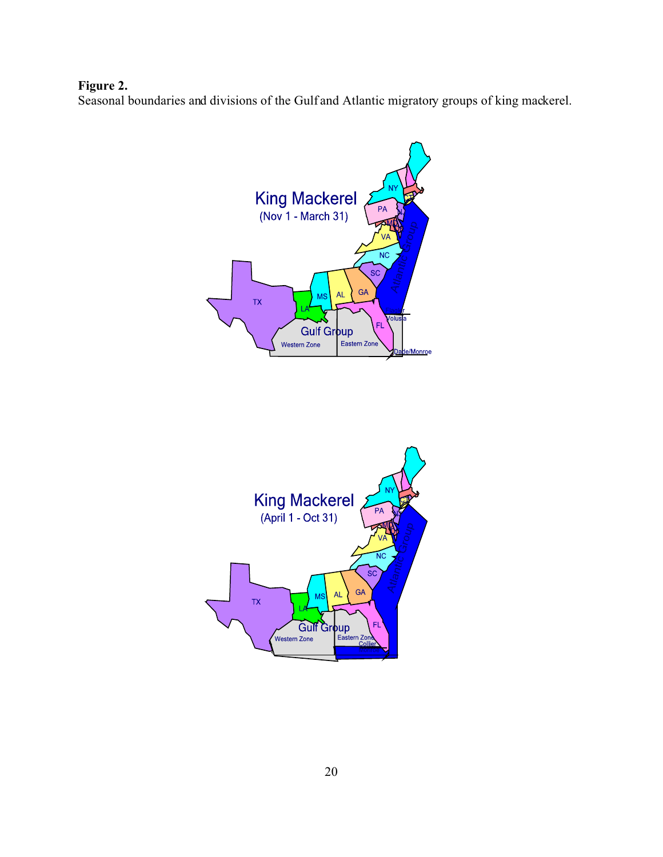# **Figure 2.**

Seasonal boundaries and divisions of the Gulf and Atlantic migratory groups of king mackerel.



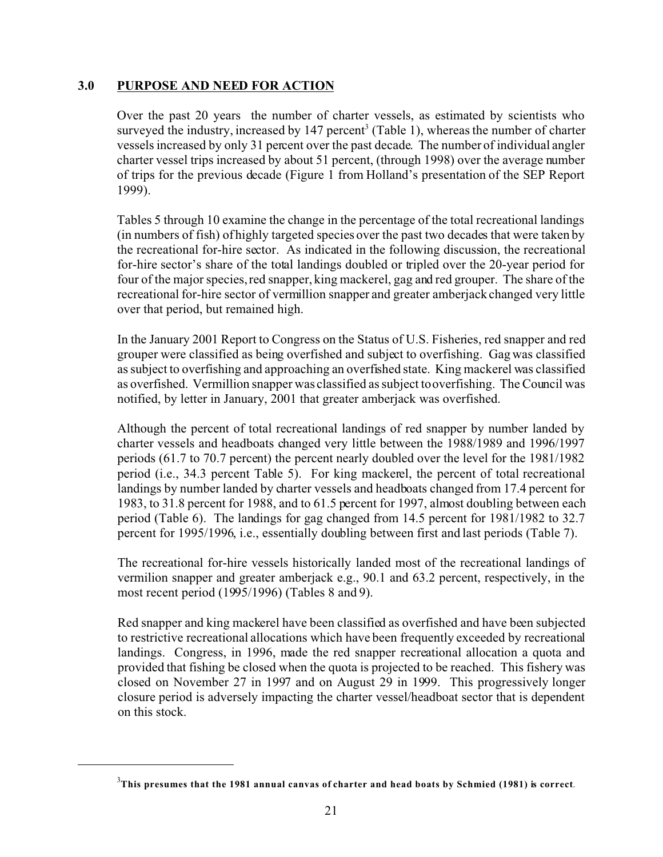### **3.0 PURPOSE AND NEED FOR ACTION**

Over the past 20 years the number of charter vessels, as estimated by scientists who surveyed the industry, increased by  $147$  percent<sup>3</sup> (Table 1), whereas the number of charter vessels increased by only 31 percent over the past decade. The number of individual angler charter vessel trips increased by about 51 percent, (through 1998) over the average number of trips for the previous decade (Figure 1 from Holland's presentation of the SEP Report 1999).

Tables 5 through 10 examine the change in the percentage of the total recreational landings (in numbers of fish) of highly targeted species over the past two decades that were taken by the recreational for-hire sector. As indicated in the following discussion, the recreational for-hire sector's share of the total landings doubled or tripled over the 20-year period for four of the major species, red snapper, king mackerel, gag and red grouper. The share of the recreational for-hire sector of vermillion snapper and greater amberjack changed very little over that period, but remained high.

In the January 2001 Report to Congress on the Status of U.S. Fisheries, red snapper and red grouper were classified as being overfished and subject to overfishing. Gag was classified as subject to overfishing and approaching an overfished state. King mackerel was classified as overfished. Vermillion snapper was classified as subject to overfishing. The Council was notified, by letter in January, 2001 that greater amberjack was overfished.

Although the percent of total recreational landings of red snapper by number landed by charter vessels and headboats changed very little between the 1988/1989 and 1996/1997 periods (61.7 to 70.7 percent) the percent nearly doubled over the level for the 1981/1982 period (i.e., 34.3 percent Table 5). For king mackerel, the percent of total recreational landings by number landed by charter vessels and headboats changed from 17.4 percent for 1983, to 31.8 percent for 1988, and to 61.5 percent for 1997, almost doubling between each period (Table 6). The landings for gag changed from 14.5 percent for 1981/1982 to 32.7 percent for 1995/1996, i.e., essentially doubling between first and last periods (Table 7).

The recreational for-hire vessels historically landed most of the recreational landings of vermilion snapper and greater amberjack e.g., 90.1 and 63.2 percent, respectively, in the most recent period (1995/1996) (Tables 8 and 9).

Red snapper and king mackerel have been classified as overfished and have been subjected to restrictive recreational allocations which have been frequently exceeded by recreational landings. Congress, in 1996, made the red snapper recreational allocation a quota and provided that fishing be closed when the quota is projected to be reached. This fishery was closed on November 27 in 1997 and on August 29 in 1999. This progressively longer closure period is adversely impacting the charter vessel/headboat sector that is dependent on this stock.

<sup>&</sup>lt;sup>3</sup>This presumes that the 1981 annual canvas of charter and head boats by Schmied (1981) is correct.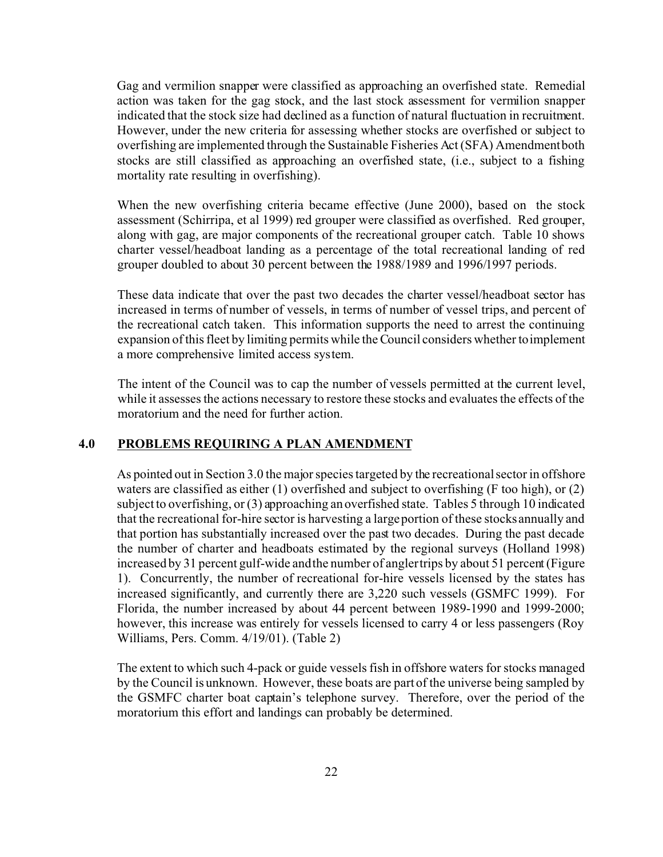Gag and vermilion snapper were classified as approaching an overfished state. Remedial action was taken for the gag stock, and the last stock assessment for vermilion snapper indicated that the stock size had declined as a function of natural fluctuation in recruitment. However, under the new criteria for assessing whether stocks are overfished or subject to overfishing are implemented through the Sustainable Fisheries Act (SFA) Amendment both stocks are still classified as approaching an overfished state, (i.e., subject to a fishing mortality rate resulting in overfishing).

When the new overfishing criteria became effective (June 2000), based on the stock assessment (Schirripa, et al 1999) red grouper were classified as overfished. Red grouper, along with gag, are major components of the recreational grouper catch. Table 10 shows charter vessel/headboat landing as a percentage of the total recreational landing of red grouper doubled to about 30 percent between the 1988/1989 and 1996/1997 periods.

These data indicate that over the past two decades the charter vessel/headboat sector has increased in terms of number of vessels, in terms of number of vessel trips, and percent of the recreational catch taken. This information supports the need to arrest the continuing expansion of this fleet by limiting permits while the Council considers whether to implement a more comprehensive limited access system.

The intent of the Council was to cap the number of vessels permitted at the current level, while it assesses the actions necessary to restore these stocks and evaluates the effects of the moratorium and the need for further action.

### **4.0 PROBLEMS REQUIRING A PLAN AMENDMENT**

As pointed out in Section 3.0 the major species targeted by the recreational sector in offshore waters are classified as either (1) overfished and subject to overfishing (F too high), or (2) subject to overfishing, or (3) approaching an overfished state. Tables 5 through 10 indicated that the recreational for-hire sector is harvesting a large portion of these stocks annually and that portion has substantially increased over the past two decades. During the past decade the number of charter and headboats estimated by the regional surveys (Holland 1998) increased by 31 percent gulf-wide and the number of angler trips by about 51 percent (Figure 1). Concurrently, the number of recreational for-hire vessels licensed by the states has increased significantly, and currently there are 3,220 such vessels (GSMFC 1999). For Florida, the number increased by about 44 percent between 1989-1990 and 1999-2000; however, this increase was entirely for vessels licensed to carry 4 or less passengers (Roy Williams, Pers. Comm. 4/19/01). (Table 2)

The extent to which such 4-pack or guide vessels fish in offshore waters for stocks managed by the Council is unknown. However, these boats are part of the universe being sampled by the GSMFC charter boat captain's telephone survey. Therefore, over the period of the moratorium this effort and landings can probably be determined.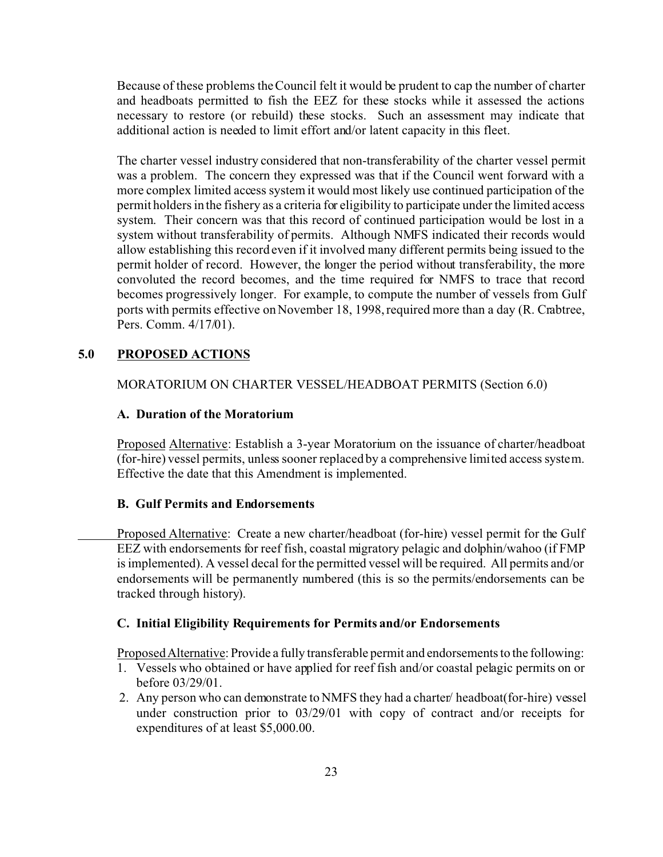Because of these problems the Council felt it would be prudent to cap the number of charter and headboats permitted to fish the EEZ for these stocks while it assessed the actions necessary to restore (or rebuild) these stocks. Such an assessment may indicate that additional action is needed to limit effort and/or latent capacity in this fleet.

The charter vessel industry considered that non-transferability of the charter vessel permit was a problem. The concern they expressed was that if the Council went forward with a more complex limited access system it would most likely use continued participation of the permit holders in the fishery as a criteria for eligibility to participate under the limited access system. Their concern was that this record of continued participation would be lost in a system without transferability of permits. Although NMFS indicated their records would allow establishing this record even if it involved many different permits being issued to the permit holder of record. However, the longer the period without transferability, the more convoluted the record becomes, and the time required for NMFS to trace that record becomes progressively longer. For example, to compute the number of vessels from Gulf ports with permits effective on November 18, 1998, required more than a day (R. Crabtree, Pers. Comm. 4/17/01).

### **5.0 PROPOSED ACTIONS**

### MORATORIUM ON CHARTER VESSEL/HEADBOAT PERMITS (Section 6.0)

### **A. Duration of the Moratorium**

Proposed Alternative: Establish a 3-year Moratorium on the issuance of charter/headboat (for-hire) vessel permits, unless sooner replaced by a comprehensive limited access system. Effective the date that this Amendment is implemented.

### **B. Gulf Permits and Endorsements**

Proposed Alternative: Create a new charter/headboat (for-hire) vessel permit for the Gulf EEZ with endorsements for reef fish, coastal migratory pelagic and dolphin/wahoo (if FMP is implemented). A vessel decal for the permitted vessel will be required. All permits and/or endorsements will be permanently numbered (this is so the permits/endorsements can be tracked through history).

### **C. Initial Eligibility Requirements for Permits and/or Endorsements**

Proposed Alternative: Provide a fully transferable permit and endorsements to the following:

- 1. Vessels who obtained or have applied for reef fish and/or coastal pelagic permits on or before 03/29/01.
- 2. Any person who can demonstrate to NMFS they had a charter/ headboat(for-hire) vessel under construction prior to 03/29/01 with copy of contract and/or receipts for expenditures of at least \$5,000.00.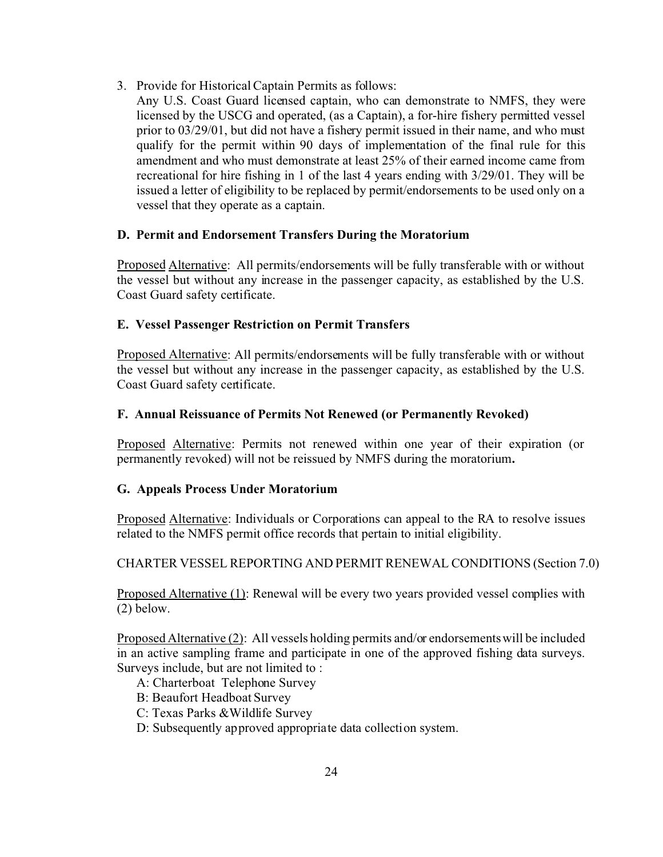- 3. Provide for Historical Captain Permits as follows:
	- Any U.S. Coast Guard licensed captain, who can demonstrate to NMFS, they were licensed by the USCG and operated, (as a Captain), a for-hire fishery permitted vessel prior to 03/29/01, but did not have a fishery permit issued in their name, and who must qualify for the permit within 90 days of implementation of the final rule for this amendment and who must demonstrate at least 25% of their earned income came from recreational for hire fishing in 1 of the last 4 years ending with 3/29/01. They will be issued a letter of eligibility to be replaced by permit/endorsements to be used only on a vessel that they operate as a captain.

# **D. Permit and Endorsement Transfers During the Moratorium**

Proposed Alternative: All permits/endorsements will be fully transferable with or without the vessel but without any increase in the passenger capacity, as established by the U.S. Coast Guard safety certificate.

### **E. Vessel Passenger Restriction on Permit Transfers**

Proposed Alternative: All permits/endorsements will be fully transferable with or without the vessel but without any increase in the passenger capacity, as established by the U.S. Coast Guard safety certificate.

# **F. Annual Reissuance of Permits Not Renewed (or Permanently Revoked)**

Proposed Alternative: Permits not renewed within one year of their expiration (or permanently revoked) will not be reissued by NMFS during the moratorium**.**

### **G. Appeals Process Under Moratorium**

Proposed Alternative: Individuals or Corporations can appeal to the RA to resolve issues related to the NMFS permit office records that pertain to initial eligibility.

### CHARTER VESSEL REPORTING AND PERMIT RENEWAL CONDITIONS (Section 7.0)

**Proposed Alternative (1):** Renewal will be every two years provided vessel complies with (2) below.

Proposed Alternative (2): All vessels holding permits and/or endorsements will be included in an active sampling frame and participate in one of the approved fishing data surveys. Surveys include, but are not limited to :

- A: Charterboat Telephone Survey
- B: Beaufort Headboat Survey
- C: Texas Parks &Wildlife Survey
- D: Subsequently approved appropriate data collection system.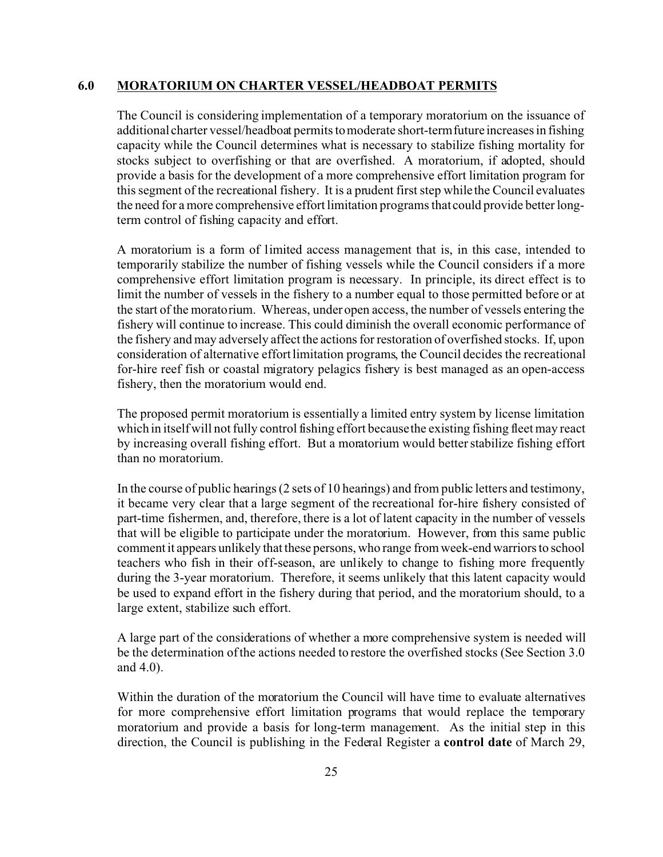#### **6.0 MORATORIUM ON CHARTER VESSEL/HEADBOAT PERMITS**

The Council is considering implementation of a temporary moratorium on the issuance of additional charter vessel/headboat permits to moderate short-term future increases in fishing capacity while the Council determines what is necessary to stabilize fishing mortality for stocks subject to overfishing or that are overfished. A moratorium, if adopted, should provide a basis for the development of a more comprehensive effort limitation program for this segment of the recreational fishery. It is a prudent first step while the Council evaluates the need for a more comprehensive effort limitation programs that could provide better longterm control of fishing capacity and effort.

A moratorium is a form of limited access management that is, in this case, intended to temporarily stabilize the number of fishing vessels while the Council considers if a more comprehensive effort limitation program is necessary. In principle, its direct effect is to limit the number of vessels in the fishery to a number equal to those permitted before or at the start of the moratorium. Whereas, under open access, the number of vessels entering the fishery will continue to increase. This could diminish the overall economic performance of the fishery and may adversely affect the actions for restoration of overfished stocks. If, upon consideration of alternative effort limitation programs, the Council decides the recreational for-hire reef fish or coastal migratory pelagics fishery is best managed as an open-access fishery, then the moratorium would end.

The proposed permit moratorium is essentially a limited entry system by license limitation which in itself will not fully control fishing effort because the existing fishing fleet may react by increasing overall fishing effort. But a moratorium would better stabilize fishing effort than no moratorium.

In the course of public hearings (2 sets of 10 hearings) and from public letters and testimony, it became very clear that a large segment of the recreational for-hire fishery consisted of part-time fishermen, and, therefore, there is a lot of latent capacity in the number of vessels that will be eligible to participate under the moratorium. However, from this same public comment it appears unlikely that these persons, who range from week-end warriors to school teachers who fish in their off-season, are unlikely to change to fishing more frequently during the 3-year moratorium. Therefore, it seems unlikely that this latent capacity would be used to expand effort in the fishery during that period, and the moratorium should, to a large extent, stabilize such effort.

A large part of the considerations of whether a more comprehensive system is needed will be the determination of the actions needed to restore the overfished stocks (See Section 3.0 and 4.0).

Within the duration of the moratorium the Council will have time to evaluate alternatives for more comprehensive effort limitation programs that would replace the temporary moratorium and provide a basis for long-term management. As the initial step in this direction, the Council is publishing in the Federal Register a **control date** of March 29,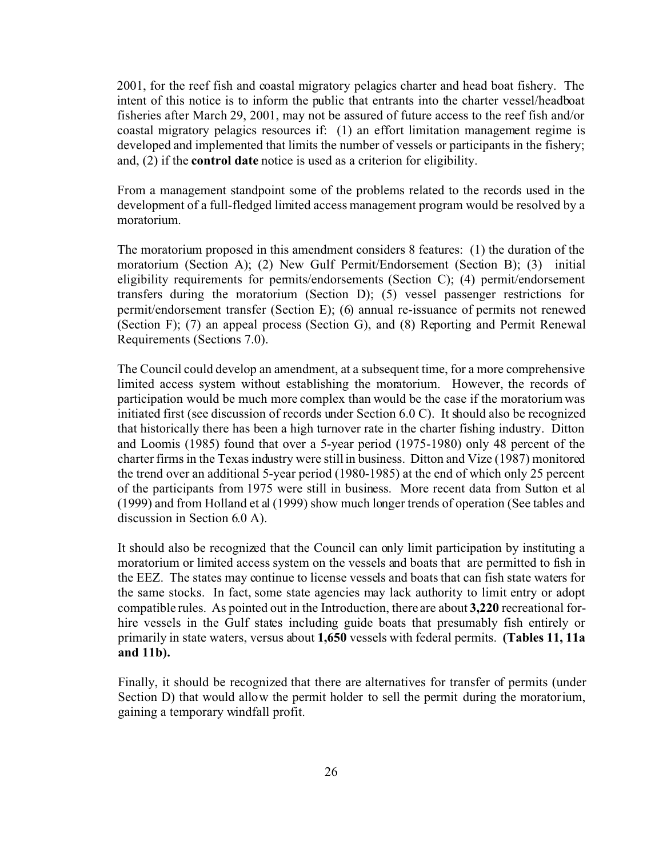2001, for the reef fish and coastal migratory pelagics charter and head boat fishery. The intent of this notice is to inform the public that entrants into the charter vessel/headboat fisheries after March 29, 2001, may not be assured of future access to the reef fish and/or coastal migratory pelagics resources if: (1) an effort limitation management regime is developed and implemented that limits the number of vessels or participants in the fishery; and, (2) if the **control date** notice is used as a criterion for eligibility.

From a management standpoint some of the problems related to the records used in the development of a full-fledged limited access management program would be resolved by a moratorium.

The moratorium proposed in this amendment considers 8 features: (1) the duration of the moratorium (Section A); (2) New Gulf Permit/Endorsement (Section B); (3) initial eligibility requirements for permits/endorsements (Section C); (4) permit/endorsement transfers during the moratorium (Section D); (5) vessel passenger restrictions for permit/endorsement transfer (Section E); (6) annual re-issuance of permits not renewed (Section F); (7) an appeal process (Section G), and (8) Reporting and Permit Renewal Requirements (Sections 7.0).

The Council could develop an amendment, at a subsequent time, for a more comprehensive limited access system without establishing the moratorium. However, the records of participation would be much more complex than would be the case if the moratorium was initiated first (see discussion of records under Section 6.0 C). It should also be recognized that historically there has been a high turnover rate in the charter fishing industry. Ditton and Loomis (1985) found that over a 5-year period (1975-1980) only 48 percent of the charter firms in the Texas industry were still in business. Ditton and Vize (1987) monitored the trend over an additional 5-year period (1980-1985) at the end of which only 25 percent of the participants from 1975 were still in business. More recent data from Sutton et al (1999) and from Holland et al (1999) show much longer trends of operation (See tables and discussion in Section 6.0 A).

It should also be recognized that the Council can only limit participation by instituting a moratorium or limited access system on the vessels and boats that are permitted to fish in the EEZ. The states may continue to license vessels and boats that can fish state waters for the same stocks. In fact, some state agencies may lack authority to limit entry or adopt compatible rules. As pointed out in the Introduction, there are about **3,220** recreational forhire vessels in the Gulf states including guide boats that presumably fish entirely or primarily in state waters, versus about **1,650** vessels with federal permits. **(Tables 11, 11a and 11b).**

Finally, it should be recognized that there are alternatives for transfer of permits (under Section D) that would allow the permit holder to sell the permit during the moratorium, gaining a temporary windfall profit.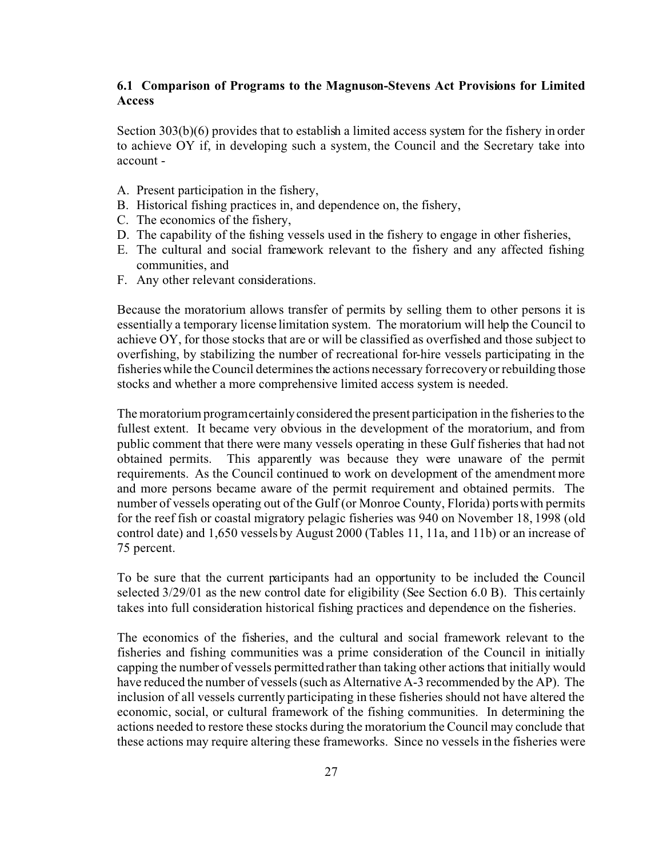### **6.1 Comparison of Programs to the Magnuson-Stevens Act Provisions for Limited Access**

Section 303(b)(6) provides that to establish a limited access system for the fishery in order to achieve OY if, in developing such a system, the Council and the Secretary take into account -

- A. Present participation in the fishery,
- B. Historical fishing practices in, and dependence on, the fishery,
- C. The economics of the fishery,
- D. The capability of the fishing vessels used in the fishery to engage in other fisheries,
- E. The cultural and social framework relevant to the fishery and any affected fishing communities, and
- F. Any other relevant considerations.

Because the moratorium allows transfer of permits by selling them to other persons it is essentially a temporary license limitation system. The moratorium will help the Council to achieve OY, for those stocks that are or will be classified as overfished and those subject to overfishing, by stabilizing the number of recreational for-hire vessels participating in the fisheries while the Council determines the actions necessary for recovery or rebuilding those stocks and whether a more comprehensive limited access system is needed.

The moratorium program certainly considered the present participation in the fisheries to the fullest extent. It became very obvious in the development of the moratorium, and from public comment that there were many vessels operating in these Gulf fisheries that had not obtained permits. This apparently was because they were unaware of the permit requirements. As the Council continued to work on development of the amendment more and more persons became aware of the permit requirement and obtained permits. The number of vessels operating out of the Gulf (or Monroe County, Florida) ports with permits for the reef fish or coastal migratory pelagic fisheries was 940 on November 18, 1998 (old control date) and 1,650 vessels by August 2000 (Tables 11, 11a, and 11b) or an increase of 75 percent.

To be sure that the current participants had an opportunity to be included the Council selected 3/29/01 as the new control date for eligibility (See Section 6.0 B). This certainly takes into full consideration historical fishing practices and dependence on the fisheries.

The economics of the fisheries, and the cultural and social framework relevant to the fisheries and fishing communities was a prime consideration of the Council in initially capping the number of vessels permitted rather than taking other actions that initially would have reduced the number of vessels (such as Alternative A-3 recommended by the AP). The inclusion of all vessels currently participating in these fisheries should not have altered the economic, social, or cultural framework of the fishing communities. In determining the actions needed to restore these stocks during the moratorium the Council may conclude that these actions may require altering these frameworks. Since no vessels in the fisheries were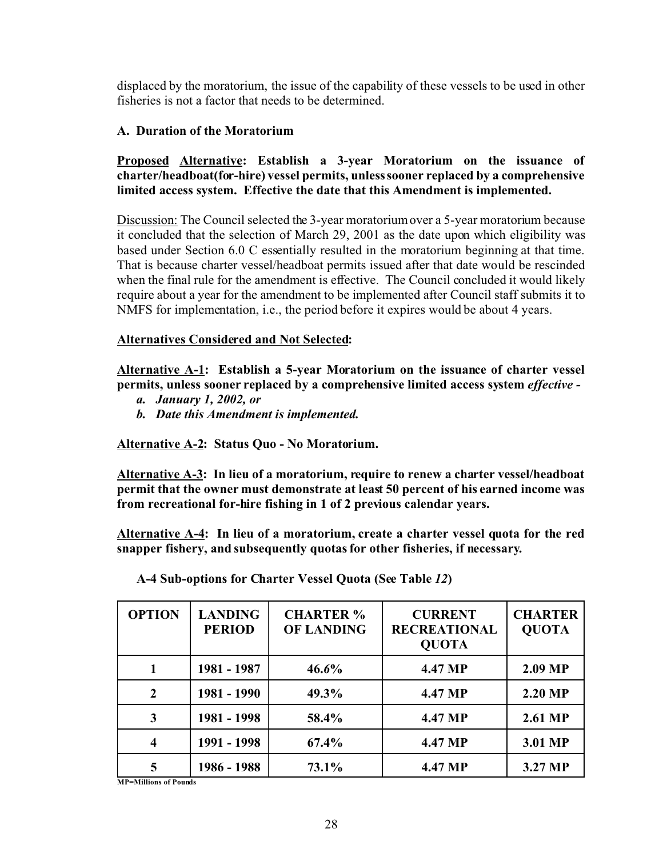displaced by the moratorium, the issue of the capability of these vessels to be used in other fisheries is not a factor that needs to be determined.

# **A. Duration of the Moratorium**

# **Proposed Alternative: Establish a 3-year Moratorium on the issuance of charter/headboat(for-hire) vessel permits, unless sooner replaced by a comprehensive limited access system. Effective the date that this Amendment is implemented.**

Discussion: The Council selected the 3-year moratorium over a 5-year moratorium because it concluded that the selection of March 29, 2001 as the date upon which eligibility was based under Section 6.0 C essentially resulted in the moratorium beginning at that time. That is because charter vessel/headboat permits issued after that date would be rescinded when the final rule for the amendment is effective. The Council concluded it would likely require about a year for the amendment to be implemented after Council staff submits it to NMFS for implementation, i.e., the period before it expires would be about 4 years.

# **Alternatives Considered and Not Selected:**

**Alternative A-1: Establish a 5-year Moratorium on the issuance of charter vessel permits, unless sooner replaced by a comprehensive limited access system** *effective -*

- *a. January 1, 2002, or*
- *b. Date this Amendment is implemented.*

**Alternative A-2: Status Quo - No Moratorium.**

**Alternative A-3: In lieu of a moratorium, require to renew a charter vessel/headboat permit that the owner must demonstrate at least 50 percent of his earned income was from recreational for-hire fishing in 1 of 2 previous calendar years.**

**Alternative A-4: In lieu of a moratorium, create a charter vessel quota for the red snapper fishery, and subsequently quotas for other fisheries, if necessary***.*

| <b>OPTION</b> | <b>LANDING</b><br><b>PERIOD</b> | <b>CHARTER %</b><br><b>OF LANDING</b> | <b>CURRENT</b><br><b>RECREATIONAL</b><br><b>OUOTA</b> | <b>CHARTER</b><br><b>QUOTA</b> |
|---------------|---------------------------------|---------------------------------------|-------------------------------------------------------|--------------------------------|
|               | 1981 - 1987                     | $46.6\%$                              | 4.47 MP                                               | 2.09 MP                        |
| $\mathbf{2}$  | 1981 - 1990                     | 49.3%                                 | 4.47 MP                                               | 2.20 MP                        |
| 3             | 1981 - 1998                     | 58.4%                                 | 4.47 MP                                               | 2.61 MP                        |
| 4             | 1991 - 1998                     | 67.4%                                 | 4.47 MP                                               | 3.01 MP                        |
| 5             | 1986 - 1988                     | 73.1%                                 | 4.47 MP                                               | 3.27 MP                        |

**A-4 Sub-options for Charter Vessel Quota (See Table** *12***)**

**MP=Millions of Pounds**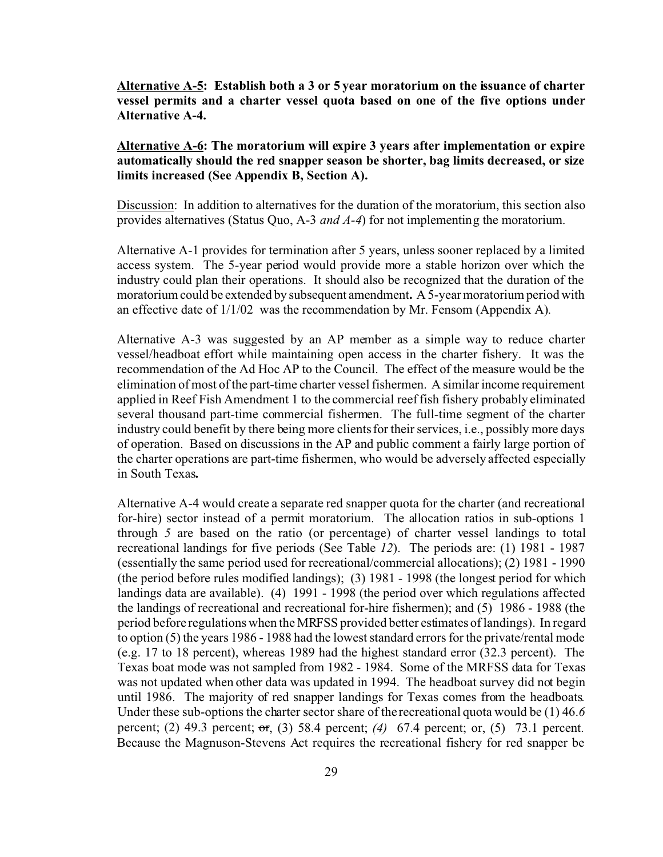**Alternative A-5: Establish both a 3 or 5 year moratorium on the issuance of charter vessel permits and a charter vessel quota based on one of the five options under Alternative A-4.**

**Alternative A-6: The moratorium will expire 3 years after implementation or expire automatically should the red snapper season be shorter, bag limits decreased, or size limits increased (See Appendix B, Section A).**

Discussion: In addition to alternatives for the duration of the moratorium, this section also provides alternatives (Status Quo, A-3 *and A-4*) for not implementing the moratorium.

Alternative A-1 provides for termination after 5 years, unless sooner replaced by a limited access system. The 5-year period would provide more a stable horizon over which the industry could plan their operations. It should also be recognized that the duration of the moratorium could be extended by subsequent amendment**.** A 5-year moratorium period with an effective date of 1/1/02 was the recommendation by Mr. Fensom (Appendix A)*.* 

Alternative A-3 was suggested by an AP member as a simple way to reduce charter vessel/headboat effort while maintaining open access in the charter fishery. It was the recommendation of the Ad Hoc AP to the Council. The effect of the measure would be the elimination of most of the part-time charter vessel fishermen. A similar income requirement applied in Reef Fish Amendment 1 to the commercial reef fish fishery probably eliminated several thousand part-time commercial fishermen. The full-time segment of the charter industry could benefit by there being more clients for their services, i.e., possibly more days of operation. Based on discussions in the AP and public comment a fairly large portion of the charter operations are part-time fishermen, who would be adversely affected especially in South Texas**.**

Alternative A-4 would create a separate red snapper quota for the charter (and recreational for-hire) sector instead of a permit moratorium. The allocation ratios in sub-options 1 through *5* are based on the ratio (or percentage) of charter vessel landings to total recreational landings for five periods (See Table *12*). The periods are: (1) 1981 - 1987 (essentially the same period used for recreational/commercial allocations); (2) 1981 - 1990 (the period before rules modified landings); (3) 1981 - 1998 (the longest period for which landings data are available). (4) 1991 - 1998 (the period over which regulations affected the landings of recreational and recreational for-hire fishermen); and (5) 1986 - 1988 (the period before regulations when the MRFSS provided better estimates of landings). In regard to option (5) the years 1986 - 1988 had the lowest standard errors for the private/rental mode (e.g. 17 to 18 percent), whereas 1989 had the highest standard error (32.3 percent). The Texas boat mode was not sampled from 1982 - 1984. Some of the MRFSS data for Texas was not updated when other data was updated in 1994. The headboat survey did not begin until 1986. The majority of red snapper landings for Texas comes from the headboats*.* Under these sub-options the charter sector share of the recreational quota would be (1) 46.*6* percent; (2) 49.3 percent; or, (3) 58.4 percent; *(4)* 67.4 percent; or, (5) 73.1 percent*.* Because the Magnuson-Stevens Act requires the recreational fishery for red snapper be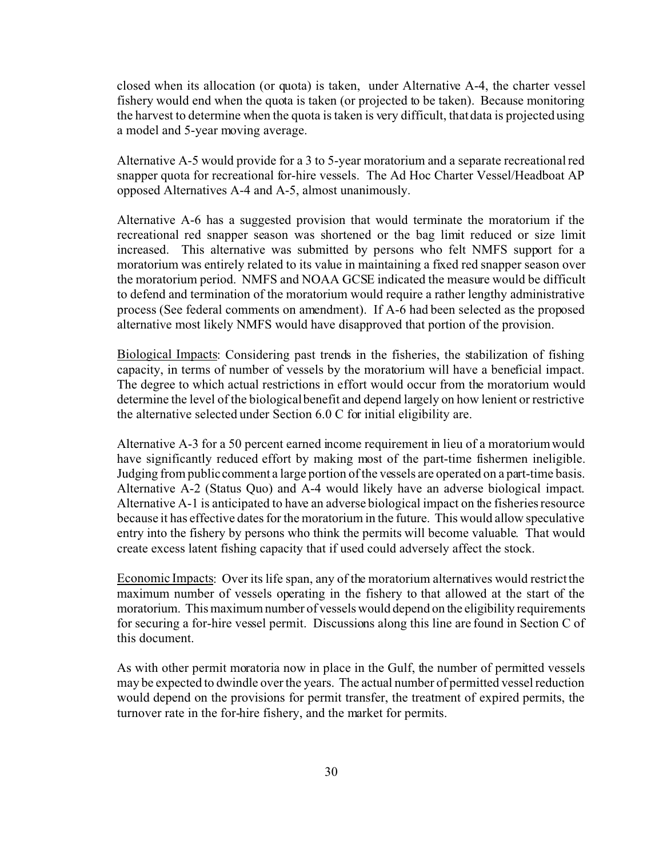closed when its allocation (or quota) is taken, under Alternative A-4, the charter vessel fishery would end when the quota is taken (or projected to be taken). Because monitoring the harvest to determine when the quota is taken is very difficult, that data is projected using a model and 5-year moving average.

Alternative A-5 would provide for a 3 to 5-year moratorium and a separate recreational red snapper quota for recreational for-hire vessels. The Ad Hoc Charter Vessel/Headboat AP opposed Alternatives A-4 and A-5, almost unanimously.

Alternative A-6 has a suggested provision that would terminate the moratorium if the recreational red snapper season was shortened or the bag limit reduced or size limit increased. This alternative was submitted by persons who felt NMFS support for a moratorium was entirely related to its value in maintaining a fixed red snapper season over the moratorium period. NMFS and NOAA GCSE indicated the measure would be difficult to defend and termination of the moratorium would require a rather lengthy administrative process (See federal comments on amendment). If A-6 had been selected as the proposed alternative most likely NMFS would have disapproved that portion of the provision.

Biological Impacts: Considering past trends in the fisheries, the stabilization of fishing capacity, in terms of number of vessels by the moratorium will have a beneficial impact. The degree to which actual restrictions in effort would occur from the moratorium would determine the level of the biological benefit and depend largely on how lenient or restrictive the alternative selected under Section 6.0 C for initial eligibility are.

Alternative A-3 for a 50 percent earned income requirement in lieu of a moratorium would have significantly reduced effort by making most of the part-time fishermen ineligible. Judging from public comment a large portion of the vessels are operated on a part-time basis. Alternative A-2 (Status Quo) and A-4 would likely have an adverse biological impact. Alternative A-1 is anticipated to have an adverse biological impact on the fisheries resource because it has effective dates for the moratorium in the future. This would allow speculative entry into the fishery by persons who think the permits will become valuable. That would create excess latent fishing capacity that if used could adversely affect the stock.

Economic Impacts: Over its life span, any of the moratorium alternatives would restrict the maximum number of vessels operating in the fishery to that allowed at the start of the moratorium. This maximum number of vessels would depend on the eligibility requirements for securing a for-hire vessel permit. Discussions along this line are found in Section C of this document.

As with other permit moratoria now in place in the Gulf, the number of permitted vessels may be expected to dwindle over the years. The actual number of permitted vessel reduction would depend on the provisions for permit transfer, the treatment of expired permits, the turnover rate in the for-hire fishery, and the market for permits.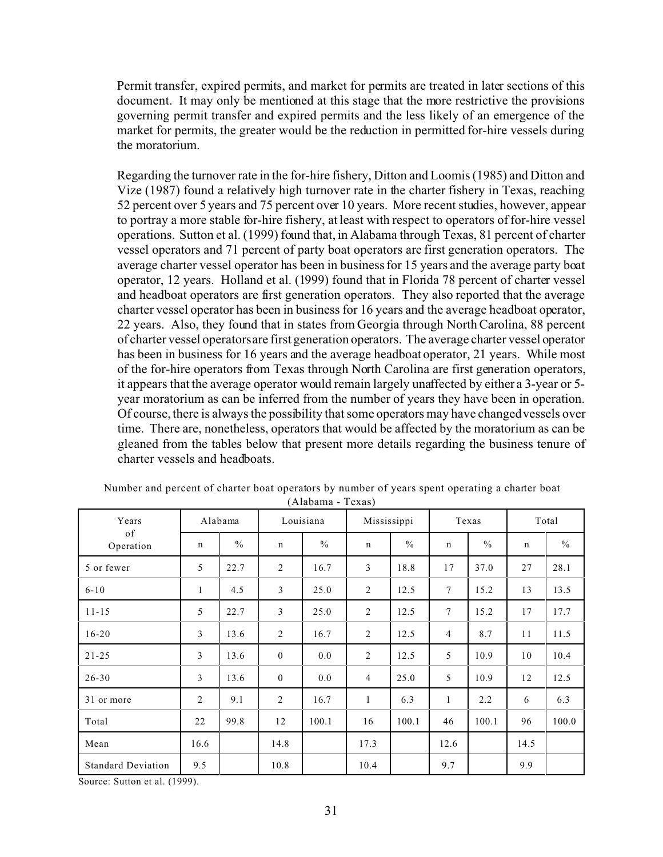Permit transfer, expired permits, and market for permits are treated in later sections of this document. It may only be mentioned at this stage that the more restrictive the provisions governing permit transfer and expired permits and the less likely of an emergence of the market for permits, the greater would be the reduction in permitted for-hire vessels during the moratorium.

Regarding the turnover rate in the for-hire fishery, Ditton and Loomis (1985) and Ditton and Vize (1987) found a relatively high turnover rate in the charter fishery in Texas, reaching 52 percent over 5 years and 75 percent over 10 years. More recent studies, however, appear to portray a more stable for-hire fishery, at least with respect to operators of for-hire vessel operations. Sutton et al. (1999) found that, in Alabama through Texas, 81 percent of charter vessel operators and 71 percent of party boat operators are first generation operators. The average charter vessel operator has been in business for 15 years and the average party boat operator, 12 years. Holland et al. (1999) found that in Florida 78 percent of charter vessel and headboat operators are first generation operators. They also reported that the average charter vessel operator has been in business for 16 years and the average headboat operator, 22 years. Also, they found that in states from Georgia through North Carolina, 88 percent of charter vessel operators are first generation operators. The average charter vessel operator has been in business for 16 years and the average headboat operator, 21 years. While most of the for-hire operators from Texas through North Carolina are first generation operators, it appears that the average operator would remain largely unaffected by either a 3-year or 5 year moratorium as can be inferred from the number of years they have been in operation. Of course, there is always the possibility that some operators may have changed vessels over time. There are, nonetheless, operators that would be affected by the moratorium as can be gleaned from the tables below that present more details regarding the business tenure of charter vessels and headboats.

| Years                     | Alabama        |               | Louisiana      |               | Mississippi    |       | Texas           |               | Total |               |
|---------------------------|----------------|---------------|----------------|---------------|----------------|-------|-----------------|---------------|-------|---------------|
| of<br>Operation           | n              | $\frac{0}{0}$ | n              | $\frac{0}{0}$ | $\mathbf n$    | $\%$  | $\mathbf n$     | $\frac{0}{0}$ | n     | $\frac{0}{0}$ |
| 5 or fewer                | 5              | 22.7          | $\overline{2}$ | 16.7          | $\overline{3}$ | 18.8  | 17              | 37.0          | 27    | 28.1          |
| $6 - 10$                  | $\mathbf{1}$   | 4.5           | 3              | 25.0          | 2              | 12.5  | $7\phantom{.0}$ | 15.2          | 13    | 13.5          |
| $11 - 15$                 | 5              | 22.7          | $\mathfrak{Z}$ | 25.0          | 2              | 12.5  | $7\phantom{.0}$ | 15.2          | 17    | 17.7          |
| $16 - 20$                 | $\mathfrak{Z}$ | 13.6          | $\overline{c}$ | 16.7          | 2              | 12.5  | $\overline{4}$  | 8.7           | 11    | 11.5          |
| $21 - 25$                 | $\mathfrak{Z}$ | 13.6          | $\overline{0}$ | 0.0           | 2              | 12.5  | 5               | 10.9          | 10    | 10.4          |
| $26 - 30$                 | 3              | 13.6          | $\mathbf{0}$   | 0.0           | $\overline{4}$ | 25.0  | 5               | 10.9          | 12    | 12.5          |
| 31 or more                | $\overline{2}$ | 9.1           | $\overline{2}$ | 16.7          | $\mathbf{1}$   | 6.3   | 1               | 2.2           | 6     | 6.3           |
| Total                     | 22             | 99.8          | 12             | 100.1         | 16             | 100.1 | 46              | 100.1         | 96    | 100.0         |
| Mean                      | 16.6           |               | 14.8           |               | 17.3           |       | 12.6            |               | 14.5  |               |
| <b>Standard Deviation</b> | 9.5            |               | 10.8           |               | 10.4           |       | 9.7             |               | 9.9   |               |

| Number and percent of charter boat operators by number of years spent operating a charter boat |  |  |  |  |  |  |  |  |
|------------------------------------------------------------------------------------------------|--|--|--|--|--|--|--|--|
| (Alahama - Texas)                                                                              |  |  |  |  |  |  |  |  |

Source: Sutton et al. (1999).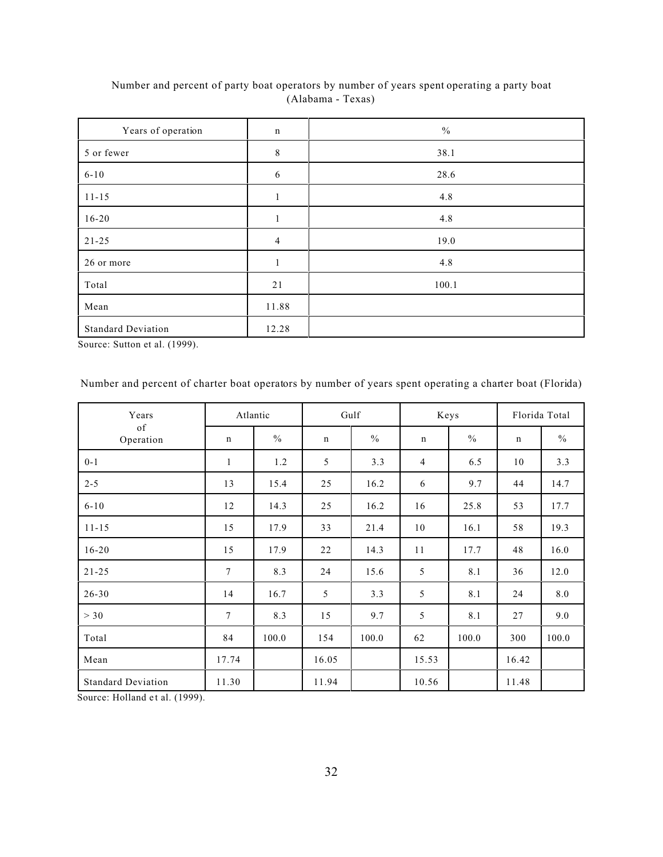| Years of operation        | $\mathbf n$    | $\frac{0}{0}$ |
|---------------------------|----------------|---------------|
| 5 or fewer                | 8              | 38.1          |
| $6 - 10$                  | 6              | 28.6          |
| $11 - 15$                 | $\mathbf{1}$   | 4.8           |
| $16 - 20$                 | 1              | 4.8           |
| $21 - 25$                 | $\overline{4}$ | 19.0          |
| 26 or more                | 1              | 4.8           |
| Total                     | 21             | 100.1         |
| Mean                      | 11.88          |               |
| <b>Standard Deviation</b> | 12.28          |               |

Number and percent of party boat operators by number of years spent operating a party boat (Alabama - Texas)

Source: Sutton et al. (1999).

Number and percent of charter boat operators by number of years spent operating a charter boat (Florida)

| Years                     | Atlantic     |               |             | Gulf          |             | Keys  |             | Florida Total |
|---------------------------|--------------|---------------|-------------|---------------|-------------|-------|-------------|---------------|
| of<br>Operation           | $\mathbf n$  | $\frac{0}{0}$ | $\mathbf n$ | $\frac{0}{0}$ | $\mathbf n$ | $\%$  | $\mathbf n$ | $\frac{0}{0}$ |
| $0 - 1$                   | $\mathbf{1}$ | 1.2           | 5           | 3.3           | 4           | 6.5   | 10          | 3.3           |
| $2 - 5$                   | 13           | 15.4          | 25          | 16.2          | 6           | 9.7   | 44          | 14.7          |
| $6 - 10$                  | 12           | 14.3          | 25          | 16.2          | 16          | 25.8  | 53          | 17.7          |
| $11 - 15$                 | 15           | 17.9          | 33          | 21.4          | 10          | 16.1  | 58          | 19.3          |
| $16 - 20$                 | 15           | 17.9          | 22          | 14.3          | 11          | 17.7  | 48          | 16.0          |
| $21 - 25$                 | 7            | 8.3           | 24          | 15.6          | 5           | 8.1   | 36          | 12.0          |
| $26 - 30$                 | 14           | 16.7          | 5           | 3.3           | 5           | 8.1   | 24          | 8.0           |
| > 30                      | $\tau$       | 8.3           | 15          | 9.7           | 5           | 8.1   | 27          | 9.0           |
| Total                     | 84           | 100.0         | 154         | 100.0         | 62          | 100.0 | 300         | 100.0         |
| Mean                      | 17.74        |               | 16.05       |               | 15.53       |       | 16.42       |               |
| <b>Standard Deviation</b> | 11.30        |               | 11.94       |               | 10.56       |       | 11.48       |               |

Source: Holland et al. (1999).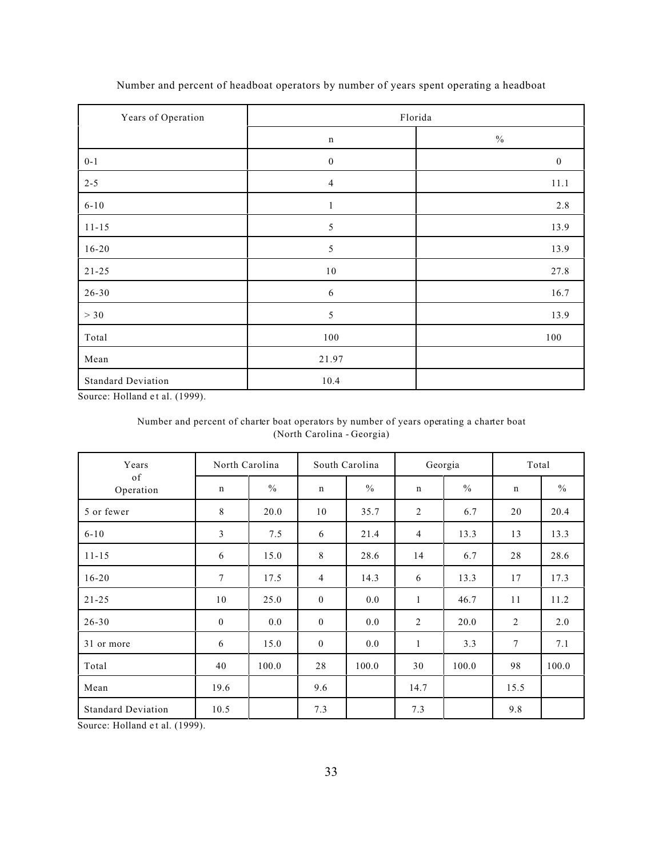| Years of Operation        | Florida          |                             |  |  |  |  |  |
|---------------------------|------------------|-----------------------------|--|--|--|--|--|
|                           | $\mathbf n$      | $\sqrt[0]{\hskip -1.0pt 0}$ |  |  |  |  |  |
| $0 - 1$                   | $\boldsymbol{0}$ | $\boldsymbol{0}$            |  |  |  |  |  |
| $2 - 5$                   | $\overline{4}$   | 11.1                        |  |  |  |  |  |
| $6 - 10$                  | $\mathbf{1}$     | 2.8                         |  |  |  |  |  |
| $11 - 15$                 | $\sqrt{5}$       | 13.9                        |  |  |  |  |  |
| $16 - 20$                 | $\sqrt{5}$       | 13.9                        |  |  |  |  |  |
| $21 - 25$                 | $10\,$           | 27.8                        |  |  |  |  |  |
| $26 - 30$                 | 6                | 16.7                        |  |  |  |  |  |
| $>30$                     | 5                | 13.9                        |  |  |  |  |  |
| Total                     | 100              | 100                         |  |  |  |  |  |
| ${\bf Mean}$              | 21.97            |                             |  |  |  |  |  |
| <b>Standard Deviation</b> | 10.4             |                             |  |  |  |  |  |

Number and percent of headboat operators by number of years spent operating a headboat

Source: Holland et al. (1999).

### Number and percent of charter boat operators by number of years operating a charter boat (North Carolina - Georgia)

| Years                     | North Carolina |               |                | South Carolina |                | Georgia       |             | Total         |  |
|---------------------------|----------------|---------------|----------------|----------------|----------------|---------------|-------------|---------------|--|
| of<br>Operation           | $\mathbf n$    | $\frac{0}{0}$ | $\mathbf n$    | $\frac{0}{0}$  | $\mathbf n$    | $\frac{0}{0}$ | $\mathbf n$ | $\frac{0}{0}$ |  |
| 5 or fewer                | 8              | 20.0          | 10             | 35.7           | 2              | 6.7           | 20          | 20.4          |  |
| $6 - 10$                  | 3              | 7.5           | 6              | 21.4           | $\overline{4}$ | 13.3          | 13          | 13.3          |  |
| $11 - 15$                 | 6              | 15.0          | $8\,$          | 28.6           | 14             | 6.7           | 28          | 28.6          |  |
| $16 - 20$                 | 7              | 17.5          | $\overline{4}$ | 14.3           | 6              | 13.3          | 17          | 17.3          |  |
| $21 - 25$                 | 10             | 25.0          | $\bf{0}$       | 0.0            | $\mathbf{1}$   | 46.7          | 11          | 11.2          |  |
| $26 - 30$                 | $\bf{0}$       | 0.0           | $\bf{0}$       | 0.0            | 2              | 20.0          | 2           | 2.0           |  |
| 31 or more                | 6              | 15.0          | $\bf{0}$       | 0.0            | $\mathbf{1}$   | 3.3           | $\tau$      | 7.1           |  |
| Total                     | 40             | 100.0         | 28             | 100.0          | 30             | 100.0         | 98          | 100.0         |  |
| Mean                      | 19.6           |               | 9.6            |                | 14.7           |               | 15.5        |               |  |
| <b>Standard Deviation</b> | 10.5           |               | 7.3            |                | 7.3            |               | 9.8         |               |  |

Source: Holland et al. (1999).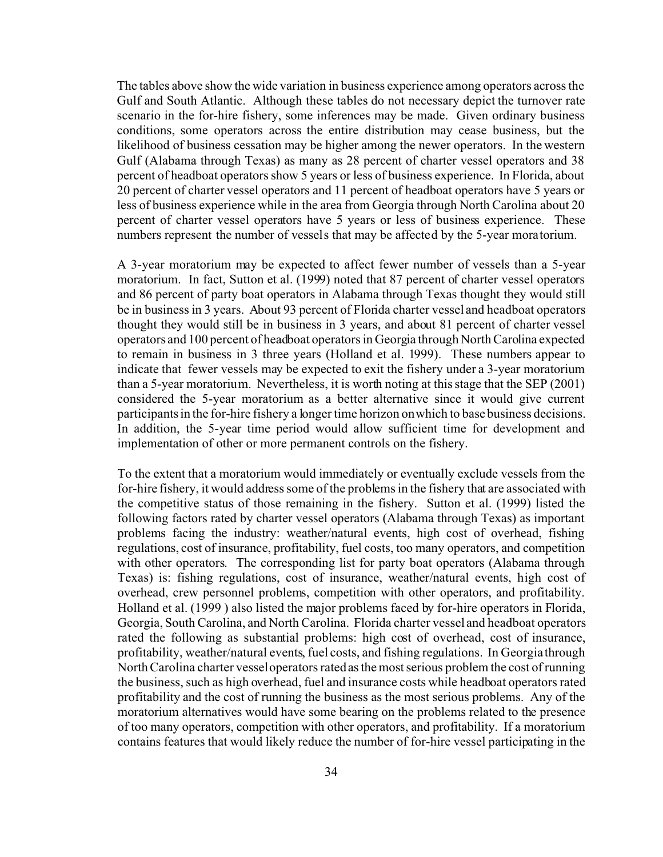The tables above show the wide variation in business experience among operators across the Gulf and South Atlantic. Although these tables do not necessary depict the turnover rate scenario in the for-hire fishery, some inferences may be made. Given ordinary business conditions, some operators across the entire distribution may cease business, but the likelihood of business cessation may be higher among the newer operators. In the western Gulf (Alabama through Texas) as many as 28 percent of charter vessel operators and 38 percent of headboat operators show 5 years or less of business experience. In Florida, about 20 percent of charter vessel operators and 11 percent of headboat operators have 5 years or less of business experience while in the area from Georgia through North Carolina about 20 percent of charter vessel operators have 5 years or less of business experience. These numbers represent the number of vessels that may be affected by the 5-year moratorium.

A 3-year moratorium may be expected to affect fewer number of vessels than a 5-year moratorium. In fact, Sutton et al. (1999) noted that 87 percent of charter vessel operators and 86 percent of party boat operators in Alabama through Texas thought they would still be in business in 3 years. About 93 percent of Florida charter vessel and headboat operators thought they would still be in business in 3 years, and about 81 percent of charter vessel operators and 100 percent of headboat operators in Georgia through North Carolina expected to remain in business in 3 three years (Holland et al. 1999). These numbers appear to indicate that fewer vessels may be expected to exit the fishery under a 3-year moratorium than a 5-year moratorium. Nevertheless, it is worth noting at this stage that the SEP (2001) considered the 5-year moratorium as a better alternative since it would give current participants in the for-hire fishery a longer time horizon on which to base business decisions. In addition, the 5-year time period would allow sufficient time for development and implementation of other or more permanent controls on the fishery.

To the extent that a moratorium would immediately or eventually exclude vessels from the for-hire fishery, it would address some of the problems in the fishery that are associated with the competitive status of those remaining in the fishery. Sutton et al. (1999) listed the following factors rated by charter vessel operators (Alabama through Texas) as important problems facing the industry: weather/natural events, high cost of overhead, fishing regulations, cost of insurance, profitability, fuel costs, too many operators, and competition with other operators. The corresponding list for party boat operators (Alabama through Texas) is: fishing regulations, cost of insurance, weather/natural events, high cost of overhead, crew personnel problems, competition with other operators, and profitability. Holland et al. (1999 ) also listed the major problems faced by for-hire operators in Florida, Georgia, South Carolina, and North Carolina. Florida charter vessel and headboat operators rated the following as substantial problems: high cost of overhead, cost of insurance, profitability, weather/natural events, fuel costs, and fishing regulations. In Georgia through North Carolina charter vessel operators rated as the most serious problem the cost of running the business, such as high overhead, fuel and insurance costs while headboat operators rated profitability and the cost of running the business as the most serious problems. Any of the moratorium alternatives would have some bearing on the problems related to the presence of too many operators, competition with other operators, and profitability. If a moratorium contains features that would likely reduce the number of for-hire vessel participating in the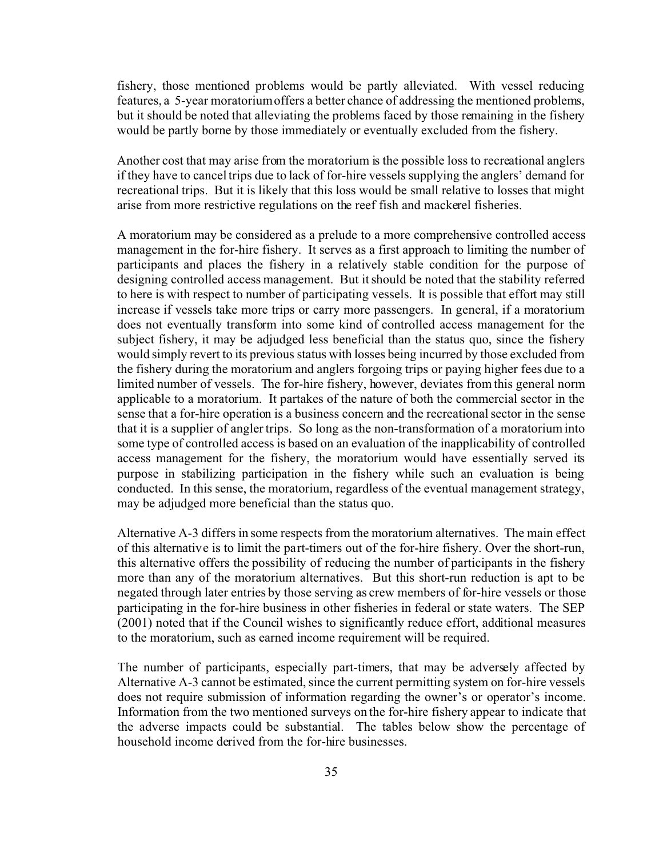fishery, those mentioned problems would be partly alleviated. With vessel reducing features, a 5-year moratorium offers a better chance of addressing the mentioned problems, but it should be noted that alleviating the problems faced by those remaining in the fishery would be partly borne by those immediately or eventually excluded from the fishery.

Another cost that may arise from the moratorium is the possible loss to recreational anglers if they have to cancel trips due to lack of for-hire vessels supplying the anglers' demand for recreational trips. But it is likely that this loss would be small relative to losses that might arise from more restrictive regulations on the reef fish and mackerel fisheries.

A moratorium may be considered as a prelude to a more comprehensive controlled access management in the for-hire fishery. It serves as a first approach to limiting the number of participants and places the fishery in a relatively stable condition for the purpose of designing controlled access management. But it should be noted that the stability referred to here is with respect to number of participating vessels. It is possible that effort may still increase if vessels take more trips or carry more passengers. In general, if a moratorium does not eventually transform into some kind of controlled access management for the subject fishery, it may be adjudged less beneficial than the status quo, since the fishery would simply revert to its previous status with losses being incurred by those excluded from the fishery during the moratorium and anglers forgoing trips or paying higher fees due to a limited number of vessels. The for-hire fishery, however, deviates from this general norm applicable to a moratorium. It partakes of the nature of both the commercial sector in the sense that a for-hire operation is a business concern and the recreational sector in the sense that it is a supplier of angler trips. So long as the non-transformation of a moratorium into some type of controlled access is based on an evaluation of the inapplicability of controlled access management for the fishery, the moratorium would have essentially served its purpose in stabilizing participation in the fishery while such an evaluation is being conducted. In this sense, the moratorium, regardless of the eventual management strategy, may be adjudged more beneficial than the status quo.

Alternative A-3 differs in some respects from the moratorium alternatives. The main effect of this alternative is to limit the part-timers out of the for-hire fishery. Over the short-run, this alternative offers the possibility of reducing the number of participants in the fishery more than any of the moratorium alternatives. But this short-run reduction is apt to be negated through later entries by those serving as crew members of for-hire vessels or those participating in the for-hire business in other fisheries in federal or state waters. The SEP (2001) noted that if the Council wishes to significantly reduce effort, additional measures to the moratorium, such as earned income requirement will be required.

The number of participants, especially part-timers, that may be adversely affected by Alternative A-3 cannot be estimated, since the current permitting system on for-hire vessels does not require submission of information regarding the owner's or operator's income. Information from the two mentioned surveys on the for-hire fishery appear to indicate that the adverse impacts could be substantial. The tables below show the percentage of household income derived from the for-hire businesses.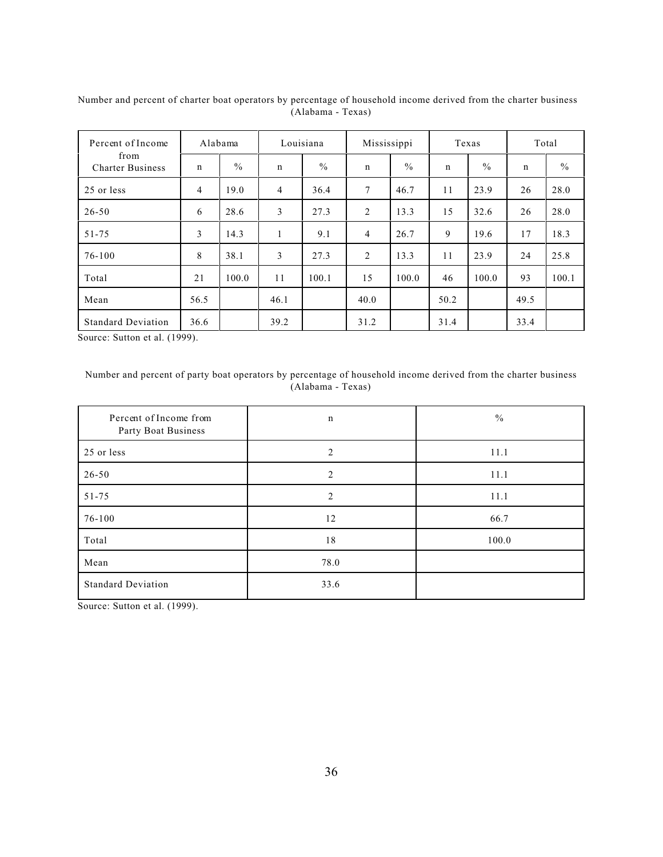| Percent of Income               | Alabama        |               |                | Louisiana     | Mississippi    |               |             | Texas         |      | Total         |
|---------------------------------|----------------|---------------|----------------|---------------|----------------|---------------|-------------|---------------|------|---------------|
| from<br><b>Charter Business</b> | $\mathbf n$    | $\frac{0}{0}$ | $\mathbf n$    | $\frac{0}{0}$ | $\mathbf n$    | $\frac{0}{0}$ | $\mathbf n$ | $\frac{0}{0}$ | n    | $\frac{0}{0}$ |
| 25 or less                      | $\overline{4}$ | 19.0          | $\overline{4}$ | 36.4          | 7              | 46.7          | 11          | 23.9          | 26   | 28.0          |
| $26 - 50$                       | 6              | 28.6          | 3              | 27.3          | 2              | 13.3          | 15          | 32.6          | 26   | 28.0          |
| $51 - 75$                       | 3              | 14.3          | л.             | 9.1           | $\overline{4}$ | 26.7          | 9           | 19.6          | 17   | 18.3          |
| $76 - 100$                      | 8              | 38.1          | 3              | 27.3          | 2              | 13.3          | 11          | 23.9          | 24   | 25.8          |
| Total                           | 21             | 100.0         | 11             | 100.1         | 15             | 100.0         | 46          | 100.0         | 93   | 100.1         |
| Mean                            | 56.5           |               | 46.1           |               | 40.0           |               | 50.2        |               | 49.5 |               |
| <b>Standard Deviation</b>       | 36.6           |               | 39.2           |               | 31.2           |               | 31.4        |               | 33.4 |               |

Number and percent of charter boat operators by percentage of household income derived from the charter business (Alabama - Texas)

Source: Sutton et al. (1999).

### Number and percent of party boat operators by percentage of household income derived from the charter business (Alabama - Texas)

| Percent of Income from<br>Party Boat Business | $\mathbf n$    | $\frac{0}{0}$ |
|-----------------------------------------------|----------------|---------------|
| 25 or less                                    | 2              | 11.1          |
| $26 - 50$                                     | $\overline{2}$ | 11.1          |
| $51 - 75$                                     | $\mathfrak{D}$ | 11.1          |
| 76-100                                        | 12             | 66.7          |
| Total                                         | 18             | 100.0         |
| Mean                                          | 78.0           |               |
| <b>Standard Deviation</b>                     | 33.6           |               |

Source: Sutton et al. (1999).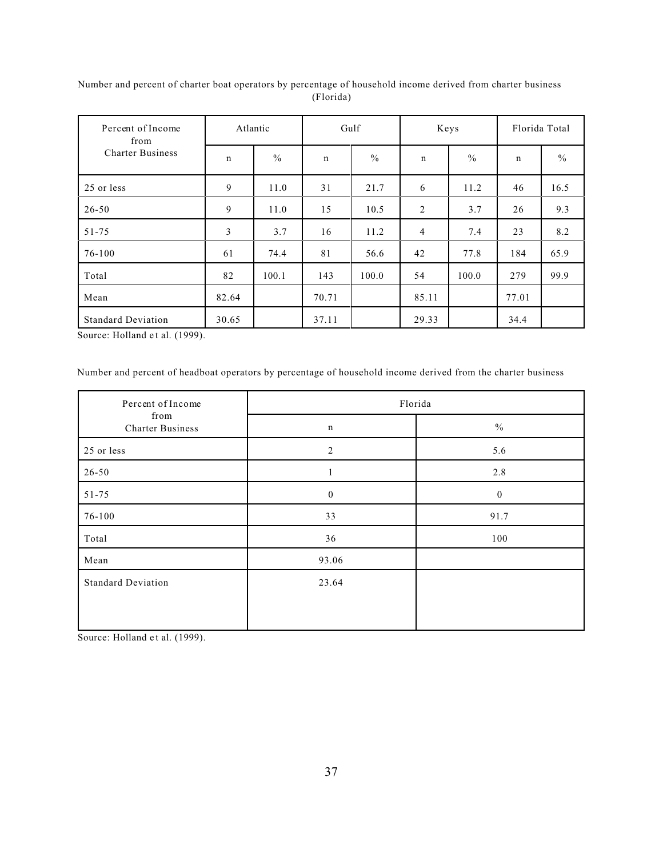| Percent of Income<br>from | Atlantic       |               | Gulf         |       | Keys        |               | Florida Total |               |
|---------------------------|----------------|---------------|--------------|-------|-------------|---------------|---------------|---------------|
| <b>Charter Business</b>   | $\mathbf n$    | $\frac{0}{0}$ | $\mathsf{n}$ | $\%$  | $\mathbf n$ | $\frac{0}{0}$ | $\mathbf n$   | $\frac{0}{0}$ |
| 25 or less                | 9              | 11.0          | 31           | 21.7  | 6           | 11.2          | 46            | 16.5          |
| $26 - 50$                 | 9              | 11.0          | 15           | 10.5  | 2           | 3.7           | 26            | 9.3           |
| $51 - 75$                 | $\mathfrak{Z}$ | 3.7           | 16           | 11.2  | 4           | 7.4           | 23            | 8.2           |
| $76 - 100$                | 61             | 74.4          | 81           | 56.6  | 42          | 77.8          | 184           | 65.9          |
| Total                     | 82             | 100.1         | 143          | 100.0 | 54          | 100.0         | 279           | 99.9          |
| Mean                      | 82.64          |               | 70.71        |       | 85.11       |               | 77.01         |               |
| <b>Standard Deviation</b> | 30.65          |               | 37.11        |       | 29.33       |               | 34.4          |               |

Number and percent of charter boat operators by percentage of household income derived from charter business (Florida)

Source: Holland et al. (1999).

Number and percent of headboat operators by percentage of household income derived from the charter business

| Percent of Income               | Florida          |               |  |  |  |
|---------------------------------|------------------|---------------|--|--|--|
| from<br><b>Charter Business</b> | $\mathbf n$      | $\frac{0}{0}$ |  |  |  |
| 25 or less                      | $\overline{2}$   | 5.6           |  |  |  |
| $26 - 50$                       | 1                | 2.8           |  |  |  |
| $51 - 75$                       | $\boldsymbol{0}$ | $\bf{0}$      |  |  |  |
| 76-100                          | 33               | 91.7          |  |  |  |
| Total                           | 36               | 100           |  |  |  |
| Mean                            | 93.06            |               |  |  |  |
| <b>Standard Deviation</b>       | 23.64            |               |  |  |  |
|                                 |                  |               |  |  |  |
|                                 |                  |               |  |  |  |

Source: Holland et al. (1999).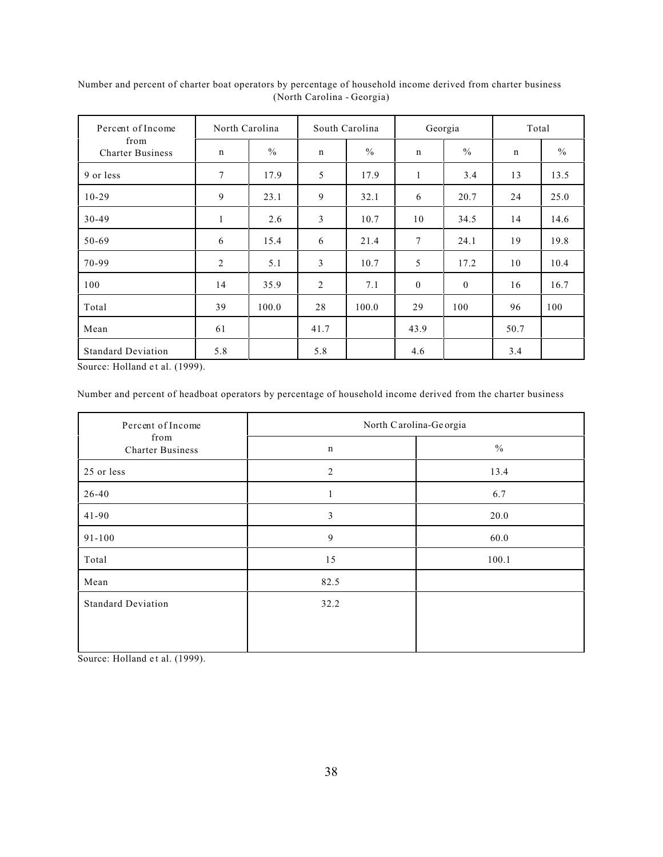| Percent of Income               | North Carolina |               | South Carolina |               | Georgia      |               | Total |               |
|---------------------------------|----------------|---------------|----------------|---------------|--------------|---------------|-------|---------------|
| from<br><b>Charter Business</b> | $\mathbf n$    | $\frac{0}{0}$ | n              | $\frac{0}{0}$ | $\mathbf n$  | $\frac{0}{0}$ | n     | $\frac{0}{0}$ |
| 9 or less                       | $\tau$         | 17.9          | 5              | 17.9          | $\mathbf{1}$ | 3.4           | 13    | 13.5          |
| $10-29$                         | 9              | 23.1          | 9              | 32.1          | 6            | 20.7          | 24    | 25.0          |
| $30-49$                         | $\mathbf{1}$   | 2.6           | 3              | 10.7          | 10           | 34.5          | 14    | 14.6          |
| 50-69                           | 6              | 15.4          | 6              | 21.4          | 7            | 24.1          | 19    | 19.8          |
| 70-99                           | $\overline{2}$ | 5.1           | 3              | 10.7          | 5            | 17.2          | 10    | 10.4          |
| 100                             | 14             | 35.9          | 2              | 7.1           | $\mathbf{0}$ | $\mathbf{0}$  | 16    | 16.7          |
| Total                           | 39             | 100.0         | 28             | 100.0         | 29           | 100           | 96    | 100           |
| Mean                            | 61             |               | 41.7           |               | 43.9         |               | 50.7  |               |
| <b>Standard Deviation</b>       | 5.8            |               | 5.8            |               | 4.6          |               | 3.4   |               |

Number and percent of charter boat operators by percentage of household income derived from charter business (North Carolina - Georgia)

Source: Holland et al. (1999).

Number and percent of headboat operators by percentage of household income derived from the charter business

| Percent of Income               | North Carolina-Georgia |               |  |  |  |
|---------------------------------|------------------------|---------------|--|--|--|
| from<br><b>Charter Business</b> | $\mathbf n$            | $\frac{0}{0}$ |  |  |  |
| 25 or less                      | $\overline{2}$         | 13.4          |  |  |  |
| $26 - 40$                       |                        | 6.7           |  |  |  |
| $41 - 90$                       | 3                      | 20.0          |  |  |  |
| $91 - 100$                      | 9                      | 60.0          |  |  |  |
| Total                           | 15                     | 100.1         |  |  |  |
| Mean                            | 82.5                   |               |  |  |  |
| <b>Standard Deviation</b>       | 32.2                   |               |  |  |  |
|                                 |                        |               |  |  |  |
|                                 |                        |               |  |  |  |

Source: Holland et al. (1999).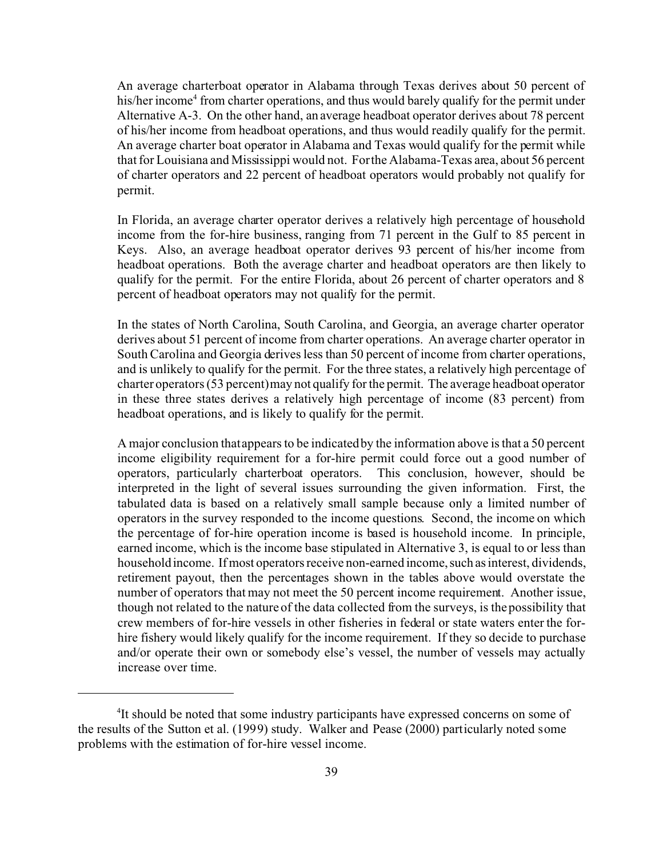An average charterboat operator in Alabama through Texas derives about 50 percent of his/her income<sup>4</sup> from charter operations, and thus would barely qualify for the permit under Alternative A-3. On the other hand, an average headboat operator derives about 78 percent of his/her income from headboat operations, and thus would readily qualify for the permit. An average charter boat operator in Alabama and Texas would qualify for the permit while that for Louisiana and Mississippi would not. For the Alabama-Texas area, about 56 percent of charter operators and 22 percent of headboat operators would probably not qualify for permit.

In Florida, an average charter operator derives a relatively high percentage of household income from the for-hire business, ranging from 71 percent in the Gulf to 85 percent in Keys. Also, an average headboat operator derives 93 percent of his/her income from headboat operations. Both the average charter and headboat operators are then likely to qualify for the permit. For the entire Florida, about 26 percent of charter operators and 8 percent of headboat operators may not qualify for the permit.

In the states of North Carolina, South Carolina, and Georgia, an average charter operator derives about 51 percent of income from charter operations. An average charter operator in South Carolina and Georgia derives less than 50 percent of income from charter operations, and is unlikely to qualify for the permit. For the three states, a relatively high percentage of charter operators (53 percent) may not qualify for the permit. The average headboat operator in these three states derives a relatively high percentage of income (83 percent) from headboat operations, and is likely to qualify for the permit.

A major conclusion that appears to be indicated by the information above is that a 50 percent income eligibility requirement for a for-hire permit could force out a good number of operators, particularly charterboat operators. This conclusion, however, should be interpreted in the light of several issues surrounding the given information. First, the tabulated data is based on a relatively small sample because only a limited number of operators in the survey responded to the income questions. Second, the income on which the percentage of for-hire operation income is based is household income. In principle, earned income, which is the income base stipulated in Alternative 3, is equal to or less than household income. If most operators receive non-earned income, such as interest, dividends, retirement payout, then the percentages shown in the tables above would overstate the number of operators that may not meet the 50 percent income requirement. Another issue, though not related to the nature of the data collected from the surveys, is the possibility that crew members of for-hire vessels in other fisheries in federal or state waters enter the forhire fishery would likely qualify for the income requirement. If they so decide to purchase and/or operate their own or somebody else's vessel, the number of vessels may actually increase over time.

<sup>&</sup>lt;sup>4</sup>It should be noted that some industry participants have expressed concerns on some of the results of the Sutton et al. (1999) study. Walker and Pease (2000) particularly noted some problems with the estimation of for-hire vessel income.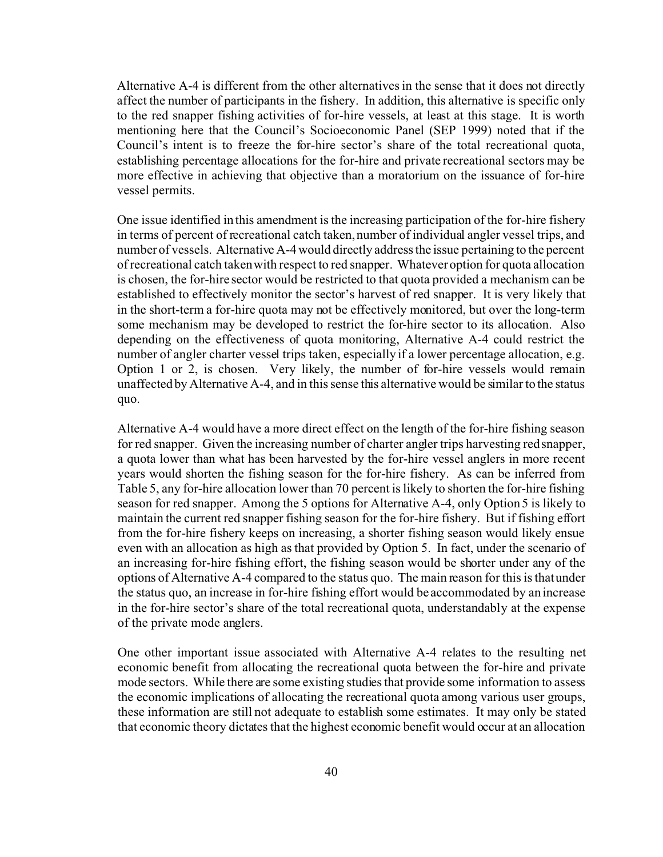Alternative A-4 is different from the other alternatives in the sense that it does not directly affect the number of participants in the fishery. In addition, this alternative is specific only to the red snapper fishing activities of for-hire vessels, at least at this stage. It is worth mentioning here that the Council's Socioeconomic Panel (SEP 1999) noted that if the Council's intent is to freeze the for-hire sector's share of the total recreational quota, establishing percentage allocations for the for-hire and private recreational sectors may be more effective in achieving that objective than a moratorium on the issuance of for-hire vessel permits.

One issue identified in this amendment is the increasing participation of the for-hire fishery in terms of percent of recreational catch taken, number of individual angler vessel trips, and number of vessels. Alternative A-4 would directly address the issue pertaining to the percent of recreational catch taken with respect to red snapper. Whatever option for quota allocation is chosen, the for-hire sector would be restricted to that quota provided a mechanism can be established to effectively monitor the sector's harvest of red snapper. It is very likely that in the short-term a for-hire quota may not be effectively monitored, but over the long-term some mechanism may be developed to restrict the for-hire sector to its allocation. Also depending on the effectiveness of quota monitoring, Alternative A-4 could restrict the number of angler charter vessel trips taken, especially if a lower percentage allocation, e.g. Option 1 or 2, is chosen. Very likely, the number of for-hire vessels would remain unaffected by Alternative A-4, and in this sense this alternative would be similar to the status quo.

Alternative A-4 would have a more direct effect on the length of the for-hire fishing season for red snapper. Given the increasing number of charter angler trips harvesting red snapper, a quota lower than what has been harvested by the for-hire vessel anglers in more recent years would shorten the fishing season for the for-hire fishery. As can be inferred from Table 5, any for-hire allocation lower than 70 percent is likely to shorten the for-hire fishing season for red snapper. Among the 5 options for Alternative A-4, only Option 5 is likely to maintain the current red snapper fishing season for the for-hire fishery. But if fishing effort from the for-hire fishery keeps on increasing, a shorter fishing season would likely ensue even with an allocation as high as that provided by Option 5. In fact, under the scenario of an increasing for-hire fishing effort, the fishing season would be shorter under any of the options of Alternative A-4 compared to the status quo. The main reason for this is that under the status quo, an increase in for-hire fishing effort would be accommodated by an increase in the for-hire sector's share of the total recreational quota, understandably at the expense of the private mode anglers.

One other important issue associated with Alternative A-4 relates to the resulting net economic benefit from allocating the recreational quota between the for-hire and private mode sectors. While there are some existing studies that provide some information to assess the economic implications of allocating the recreational quota among various user groups, these information are still not adequate to establish some estimates. It may only be stated that economic theory dictates that the highest economic benefit would occur at an allocation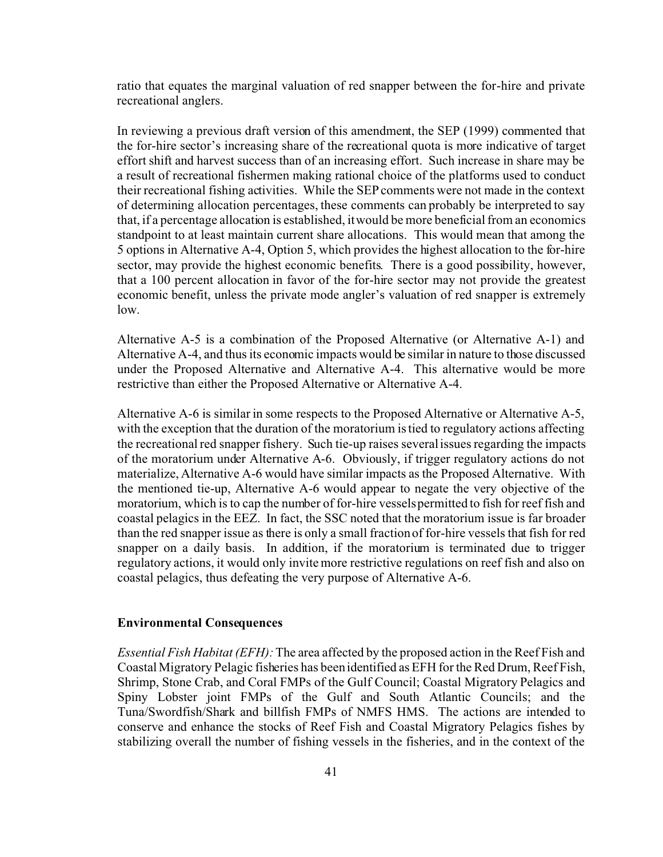ratio that equates the marginal valuation of red snapper between the for-hire and private recreational anglers.

In reviewing a previous draft version of this amendment, the SEP (1999) commented that the for-hire sector's increasing share of the recreational quota is more indicative of target effort shift and harvest success than of an increasing effort. Such increase in share may be a result of recreational fishermen making rational choice of the platforms used to conduct their recreational fishing activities. While the SEP comments were not made in the context of determining allocation percentages, these comments can probably be interpreted to say that, if a percentage allocation is established, it would be more beneficial from an economics standpoint to at least maintain current share allocations. This would mean that among the 5 options in Alternative A-4, Option 5, which provides the highest allocation to the for-hire sector, may provide the highest economic benefits. There is a good possibility, however, that a 100 percent allocation in favor of the for-hire sector may not provide the greatest economic benefit, unless the private mode angler's valuation of red snapper is extremely low.

Alternative A-5 is a combination of the Proposed Alternative (or Alternative A-1) and Alternative A-4, and thus its economic impacts would be similar in nature to those discussed under the Proposed Alternative and Alternative A-4. This alternative would be more restrictive than either the Proposed Alternative or Alternative A-4.

Alternative A-6 is similar in some respects to the Proposed Alternative or Alternative A-5, with the exception that the duration of the moratorium is tied to regulatory actions affecting the recreational red snapper fishery. Such tie-up raises several issues regarding the impacts of the moratorium under Alternative A-6. Obviously, if trigger regulatory actions do not materialize, Alternative A-6 would have similar impacts as the Proposed Alternative. With the mentioned tie-up, Alternative A-6 would appear to negate the very objective of the moratorium, which is to cap the number of for-hire vessels permitted to fish for reef fish and coastal pelagics in the EEZ. In fact, the SSC noted that the moratorium issue is far broader than the red snapper issue as there is only a small fraction of for-hire vessels that fish for red snapper on a daily basis. In addition, if the moratorium is terminated due to trigger regulatory actions, it would only invite more restrictive regulations on reef fish and also on coastal pelagics, thus defeating the very purpose of Alternative A-6.

#### **Environmental Consequences**

*Essential Fish Habitat (EFH):* The area affected by the proposed action in the Reef Fish and Coastal Migratory Pelagic fisheries has been identified as EFH for the Red Drum, Reef Fish, Shrimp, Stone Crab, and Coral FMPs of the Gulf Council; Coastal Migratory Pelagics and Spiny Lobster joint FMPs of the Gulf and South Atlantic Councils; and the Tuna/Swordfish/Shark and billfish FMPs of NMFS HMS. The actions are intended to conserve and enhance the stocks of Reef Fish and Coastal Migratory Pelagics fishes by stabilizing overall the number of fishing vessels in the fisheries, and in the context of the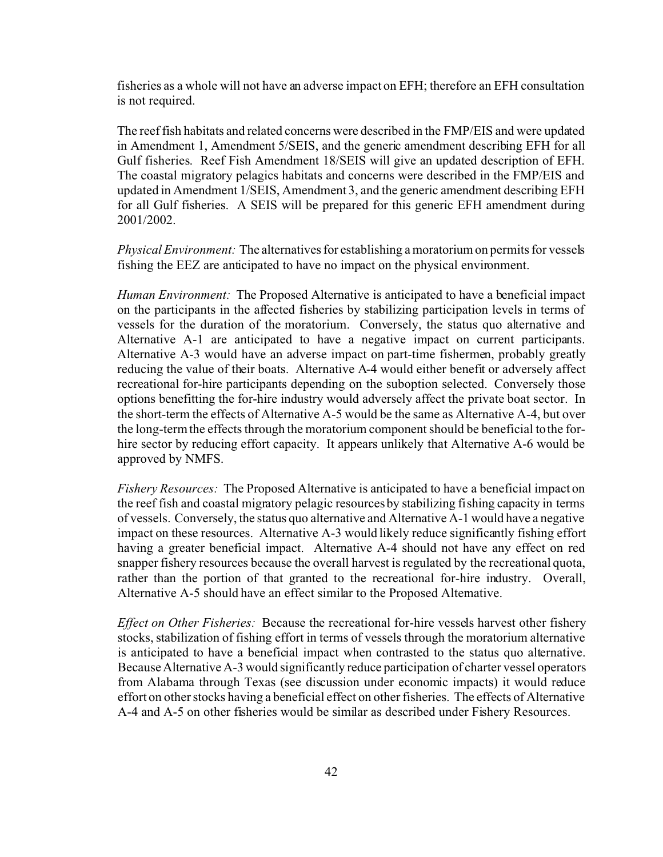fisheries as a whole will not have an adverse impact on EFH; therefore an EFH consultation is not required.

The reef fish habitats and related concerns were described in the FMP/EIS and were updated in Amendment 1, Amendment 5/SEIS, and the generic amendment describing EFH for all Gulf fisheries. Reef Fish Amendment 18/SEIS will give an updated description of EFH. The coastal migratory pelagics habitats and concerns were described in the FMP/EIS and updated in Amendment 1/SEIS, Amendment 3, and the generic amendment describing EFH for all Gulf fisheries. A SEIS will be prepared for this generic EFH amendment during 2001/2002.

*Physical Environment:* The alternatives for establishing amoratorium on permits for vessels fishing the EEZ are anticipated to have no impact on the physical environment.

*Human Environment:* The Proposed Alternative is anticipated to have a beneficial impact on the participants in the affected fisheries by stabilizing participation levels in terms of vessels for the duration of the moratorium. Conversely, the status quo alternative and Alternative A-1 are anticipated to have a negative impact on current participants. Alternative A-3 would have an adverse impact on part-time fishermen, probably greatly reducing the value of their boats. Alternative A-4 would either benefit or adversely affect recreational for-hire participants depending on the suboption selected. Conversely those options benefitting the for-hire industry would adversely affect the private boat sector. In the short-term the effects of Alternative A-5 would be the same as Alternative A-4, but over the long-term the effects through the moratorium component should be beneficial to the forhire sector by reducing effort capacity. It appears unlikely that Alternative A-6 would be approved by NMFS.

*Fishery Resources:* The Proposed Alternative is anticipated to have a beneficial impact on the reef fish and coastal migratory pelagic resources by stabilizing fishing capacity in terms of vessels. Conversely, the status quo alternative and Alternative A-1 would have a negative impact on these resources. Alternative A-3 would likely reduce significantly fishing effort having a greater beneficial impact. Alternative A-4 should not have any effect on red snapper fishery resources because the overall harvest is regulated by the recreational quota, rather than the portion of that granted to the recreational for-hire industry. Overall, Alternative A-5 should have an effect similar to the Proposed Alternative.

*Effect on Other Fisheries:* Because the recreational for-hire vessels harvest other fishery stocks, stabilization of fishing effort in terms of vessels through the moratorium alternative is anticipated to have a beneficial impact when contrasted to the status quo alternative. Because Alternative A-3 would significantly reduce participation of charter vessel operators from Alabama through Texas (see discussion under economic impacts) it would reduce effort on other stocks having a beneficial effect on other fisheries. The effects of Alternative A-4 and A-5 on other fisheries would be similar as described under Fishery Resources.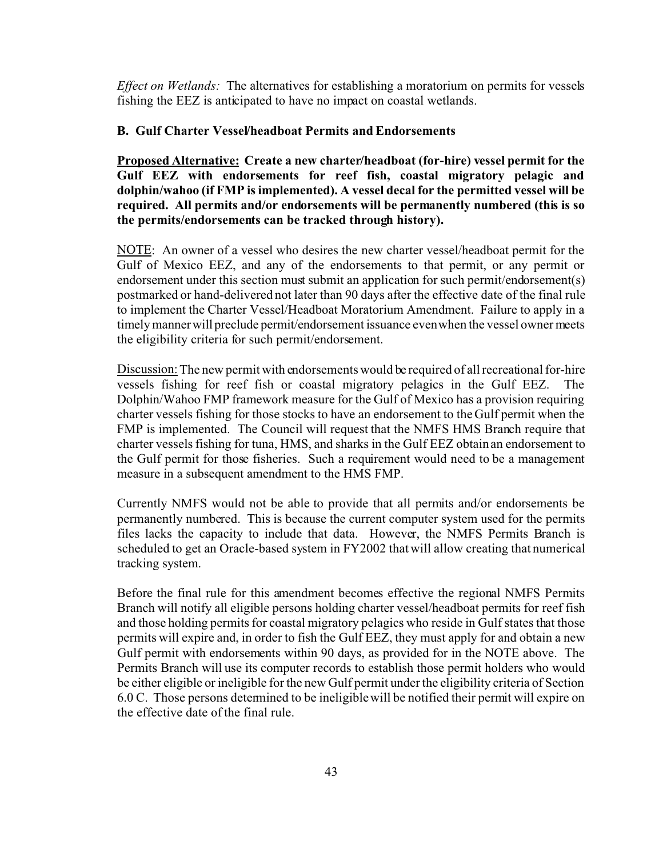*Effect on Wetlands:* The alternatives for establishing a moratorium on permits for vessels fishing the EEZ is anticipated to have no impact on coastal wetlands.

### **B. Gulf Charter Vessel/headboat Permits and Endorsements**

**Proposed Alternative: Create a new charter/headboat (for-hire) vessel permit for the Gulf EEZ with endorsements for reef fish, coastal migratory pelagic and dolphin/wahoo (if FMP is implemented). A vessel decal for the permitted vessel will be required. All permits and/or endorsements will be permanently numbered (this is so the permits/endorsements can be tracked through history).**

NOTE: An owner of a vessel who desires the new charter vessel/headboat permit for the Gulf of Mexico EEZ, and any of the endorsements to that permit, or any permit or endorsement under this section must submit an application for such permit/endorsement(s) postmarked or hand-delivered not later than 90 days after the effective date of the final rule to implement the Charter Vessel/Headboat Moratorium Amendment. Failure to apply in a timely manner will preclude permit/endorsement issuance even when the vessel owner meets the eligibility criteria for such permit/endorsement.

Discussion: The new permit with endorsements would be required of all recreational for-hire vessels fishing for reef fish or coastal migratory pelagics in the Gulf EEZ. The Dolphin/Wahoo FMP framework measure for the Gulf of Mexico has a provision requiring charter vessels fishing for those stocks to have an endorsement to the Gulf permit when the FMP is implemented. The Council will request that the NMFS HMS Branch require that charter vessels fishing for tuna, HMS, and sharks in the Gulf EEZ obtain an endorsement to the Gulf permit for those fisheries. Such a requirement would need to be a management measure in a subsequent amendment to the HMS FMP.

Currently NMFS would not be able to provide that all permits and/or endorsements be permanently numbered. This is because the current computer system used for the permits files lacks the capacity to include that data. However, the NMFS Permits Branch is scheduled to get an Oracle-based system in FY2002 that will allow creating that numerical tracking system.

Before the final rule for this amendment becomes effective the regional NMFS Permits Branch will notify all eligible persons holding charter vessel/headboat permits for reef fish and those holding permits for coastal migratory pelagics who reside in Gulf states that those permits will expire and, in order to fish the Gulf EEZ, they must apply for and obtain a new Gulf permit with endorsements within 90 days, as provided for in the NOTE above. The Permits Branch will use its computer records to establish those permit holders who would be either eligible or ineligible for the new Gulf permit under the eligibility criteria of Section 6.0 C. Those persons determined to be ineligible will be notified their permit will expire on the effective date of the final rule.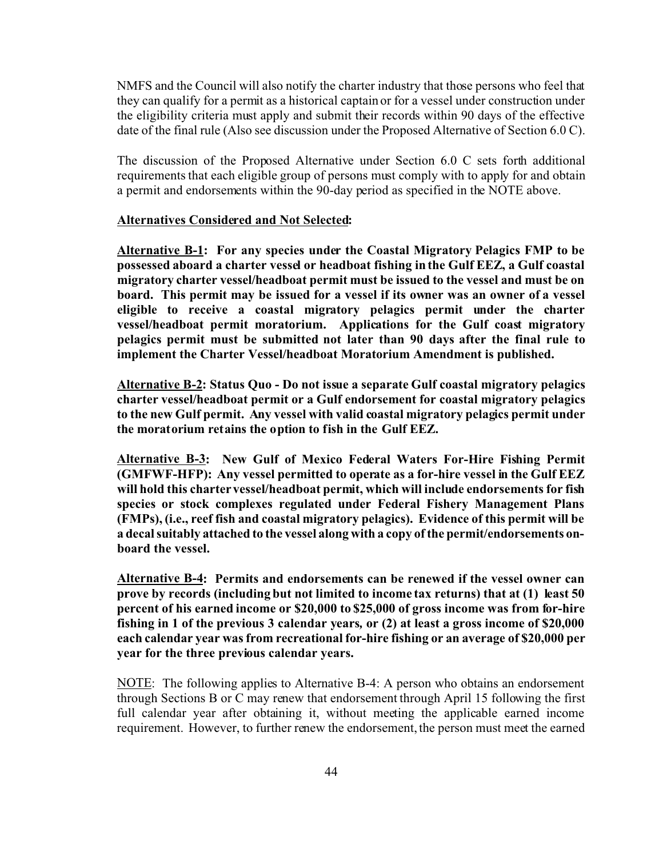NMFS and the Council will also notify the charter industry that those persons who feel that they can qualify for a permit as a historical captain or for a vessel under construction under the eligibility criteria must apply and submit their records within 90 days of the effective date of the final rule (Also see discussion under the Proposed Alternative of Section 6.0 C).

The discussion of the Proposed Alternative under Section 6.0 C sets forth additional requirements that each eligible group of persons must comply with to apply for and obtain a permit and endorsements within the 90-day period as specified in the NOTE above.

### **Alternatives Considered and Not Selected:**

**Alternative B-1: For any species under the Coastal Migratory Pelagics FMP to be possessed aboard a charter vessel or headboat fishing in the Gulf EEZ, a Gulf coastal migratory charter vessel/headboat permit must be issued to the vessel and must be on board. This permit may be issued for a vessel if its owner was an owner of a vessel eligible to receive a coastal migratory pelagics permit under the charter vessel/headboat permit moratorium. Applications for the Gulf coast migratory pelagics permit must be submitted not later than 90 days after the final rule to implement the Charter Vessel/headboat Moratorium Amendment is published.**

**Alternative B-2: Status Quo - Do not issue a separate Gulf coastal migratory pelagics charter vessel/headboat permit or a Gulf endorsement for coastal migratory pelagics to the new Gulf permit. Any vessel with valid coastal migratory pelagics permit under the moratorium retains the option to fish in the Gulf EEZ.**

**Alternative B-3: New Gulf of Mexico Federal Waters For-Hire Fishing Permit (GMFWF-HFP): Any vessel permitted to operate as a for-hire vessel in the Gulf EEZ will hold this charter vessel/headboat permit, which will include endorsements for fish species or stock complexes regulated under Federal Fishery Management Plans (FMPs), (i.e., reef fish and coastal migratory pelagics). Evidence of this permit will be a decal suitably attached to the vessel along with a copy of the permit/endorsements onboard the vessel.**

**Alternative B-4: Permits and endorsements can be renewed if the vessel owner can prove by records (including but not limited to income tax returns) that at (1) least 50 percent of his earned income or \$20,000 to \$25,000 of gross income was from for-hire fishing in 1 of the previous 3 calendar years***,* **or (2) at least a gross income of \$20,000 each calendar year was from recreational for-hire fishing or an average of \$20,000 per year for the three previous calendar years.**

NOTE: The following applies to Alternative B-4: A person who obtains an endorsement through Sections B or C may renew that endorsement through April 15 following the first full calendar year after obtaining it, without meeting the applicable earned income requirement. However, to further renew the endorsement, the person must meet the earned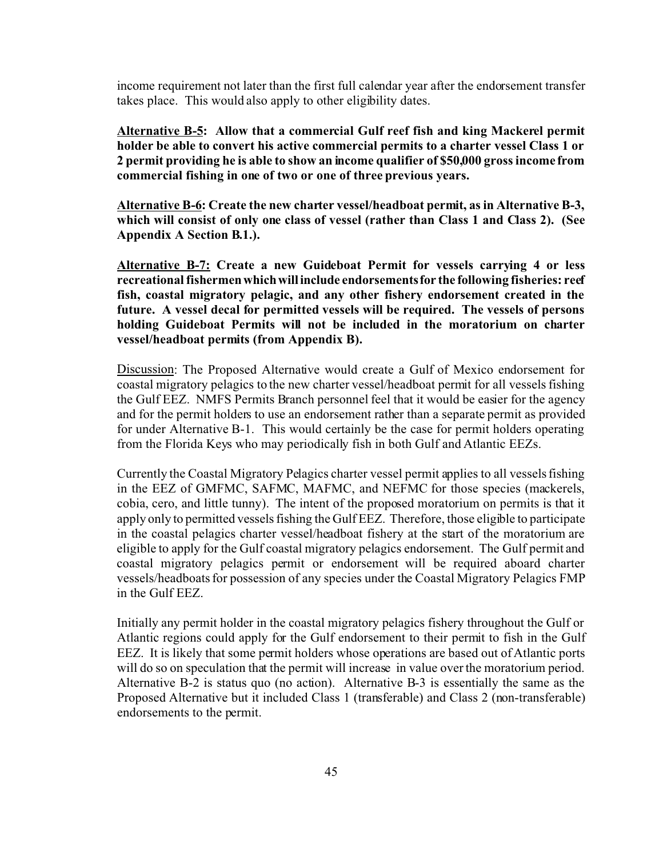income requirement not later than the first full calendar year after the endorsement transfer takes place. This would also apply to other eligibility dates.

**Alternative B-5: Allow that a commercial Gulf reef fish and king Mackerel permit holder be able to convert his active commercial permits to a charter vessel Class 1 or 2 permit providing he is able to show an income qualifier of \$50,000 gross income from commercial fishing in one of two or one of three previous years.**

**Alternative B-6: Create the new charter vessel/headboat permit, as in Alternative B-3, which will consist of only one class of vessel (rather than Class 1 and Class 2). (See Appendix A Section B.1.).**

**Alternative B-7: Create a new Guideboat Permit for vessels carrying 4 or less recreational fishermenwhichwillinclude endorsementsfor the following fisheries: reef fish, coastal migratory pelagic, and any other fishery endorsement created in the future. A vessel decal for permitted vessels will be required. The vessels of persons holding Guideboat Permits will not be included in the moratorium on charter vessel/headboat permits (from Appendix B).**

Discussion: The Proposed Alternative would create a Gulf of Mexico endorsement for coastal migratory pelagics to the new charter vessel/headboat permit for all vessels fishing the Gulf EEZ. NMFS Permits Branch personnel feel that it would be easier for the agency and for the permit holders to use an endorsement rather than a separate permit as provided for under Alternative B-1. This would certainly be the case for permit holders operating from the Florida Keys who may periodically fish in both Gulf and Atlantic EEZs.

Currently the Coastal Migratory Pelagics charter vessel permit applies to all vessels fishing in the EEZ of GMFMC, SAFMC, MAFMC, and NEFMC for those species (mackerels, cobia, cero, and little tunny). The intent of the proposed moratorium on permits is that it apply only to permitted vessels fishing the Gulf EEZ.Therefore, those eligible to participate in the coastal pelagics charter vessel/headboat fishery at the start of the moratorium are eligible to apply for the Gulf coastal migratory pelagics endorsement. The Gulf permit and coastal migratory pelagics permit or endorsement will be required aboard charter vessels/headboats for possession of any species under the Coastal Migratory Pelagics FMP in the Gulf EEZ.

Initially any permit holder in the coastal migratory pelagics fishery throughout the Gulf or Atlantic regions could apply for the Gulf endorsement to their permit to fish in the Gulf EEZ. It is likely that some permit holders whose operations are based out of Atlantic ports will do so on speculation that the permit will increase in value over the moratorium period. Alternative B-2 is status quo (no action). Alternative B-3 is essentially the same as the Proposed Alternative but it included Class 1 (transferable) and Class 2 (non-transferable) endorsements to the permit.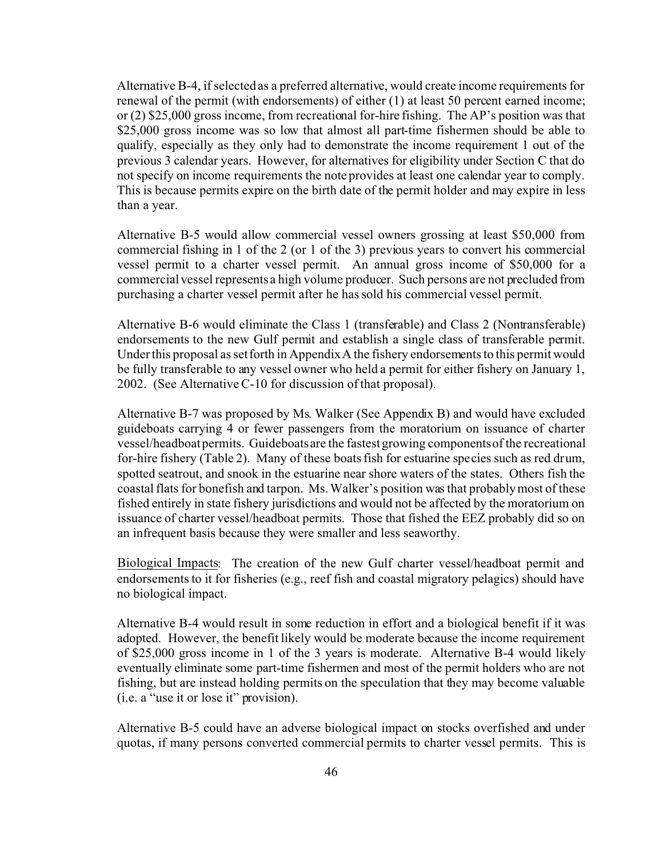Alternative B-4, if selected as a preferred alternative, would create income requirements for renewal of the permit (with endorsements) of either (1) at least 50 percent earned income; or (2) \$25,000 gross income, from recreational for-hire fishing. The AP's position was that \$25,000 gross income was so low that almost all part-time fishermen should be able to qualify, especially as they only had to demonstrate the income requirement 1 out of the previous 3 calendar years. However, for alternatives for eligibility under Section C that do not specify on income requirements the note provides at least one calendar year to comply. This is because permits expire on the birth date of the permit holder and may expire in less than a year.

Alternative B-5 would allow commercial vessel owners grossing at least \$50,000 from commercial fishing in 1 of the 2 (or 1 of the 3) previous years to convert his commercial vessel permit to a charter vessel permit. An annual gross income of \$50,000 for a commercial vessel represents a high volume producer. Such persons are not precluded from purchasing a charter vessel permit after he has sold his commercial vessel permit.

Alternative B-6 would eliminate the Class 1 (transferable) and Class 2 (Nontransferable) endorsements to the new Gulf permit and establish a single class of transferable permit. Under this proposal as set forth in Appendix A the fishery endorsements to this permit would be fully transferable to any vessel owner who held a permit for either fishery on January 1, 2002. (See Alternative C-10 for discussion of that proposal).

Alternative B-7 was proposed by Ms. Walker (See Appendix B) and would have excluded guideboats carrying 4 or fewer passengers from the moratorium on issuance of charter vessel/headboat permits. Guideboats are the fastest growing components of the recreational for-hire fishery (Table 2). Many of these boats fish for estuarine species such as red drum, spotted seatrout, and snook in the estuarine near shore waters of the states. Others fish the coastal flats for bonefish and tarpon. Ms. Walker's position was that probably most of these fished entirely in state fishery jurisdictions and would not be affected by the moratorium on issuance of charter vessel/headboat permits. Those that fished the EEZ probably did so on an infrequent basis because they were smaller and less seaworthy.

Biological Impacts: The creation of the new Gulf charter vessel/headboat permit and endorsements to it for fisheries (e.g., reef fish and coastal migratory pelagics) should have no biological impact.

Alternative B-4 would result in some reduction in effort and a biological benefit if it was adopted. However, the benefit likely would be moderate because the income requirement of \$25,000 gross income in 1 of the 3 years is moderate. Alternative B-4 would likely eventually eliminate some part-time fishermen and most of the permit holders who are not fishing, but are instead holding permits on the speculation that they may become valuable (i.e. a "use it or lose it" provision).

Alternative B-5 could have an adverse biological impact on stocks overfished and under quotas, if many persons converted commercial permits to charter vessel permits. This is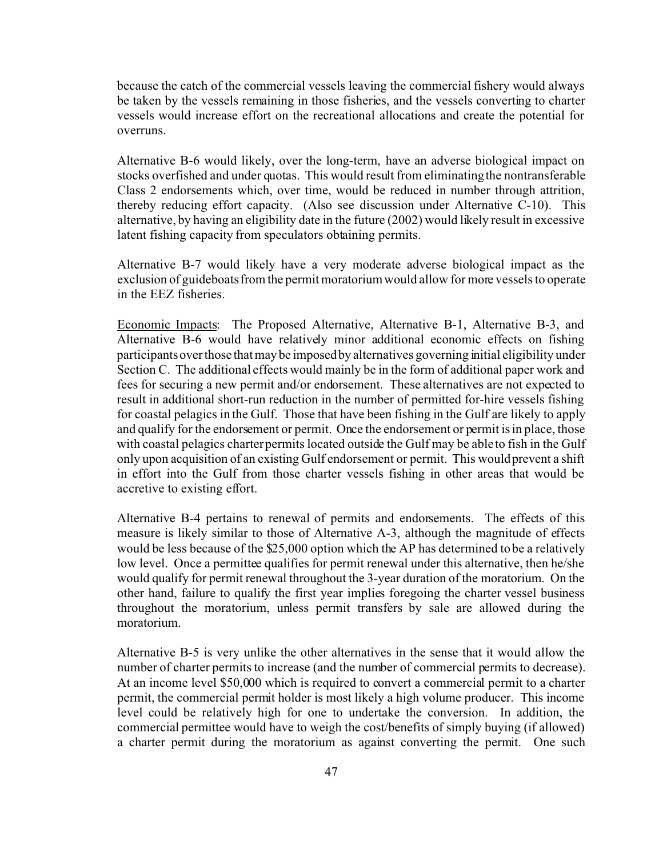because the catch of the commercial vessels leaving the commercial fishery would always be taken by the vessels remaining in those fisheries, and the vessels converting to charter vessels would increase effort on the recreational allocations and create the potential for overruns.

Alternative B-6 would likely, over the long-term, have an adverse biological impact on stocks overfished and under quotas. This would result from eliminating the nontransferable Class 2 endorsements which, over time, would be reduced in number through attrition, thereby reducing effort capacity. (Also see discussion under Alternative C-10). This alternative, by having an eligibility date in the future (2002) would likely result in excessive latent fishing capacity from speculators obtaining permits.

Alternative B-7 would likely have a very moderate adverse biological impact as the exclusion of guideboats from the permit moratorium would allow for more vessels to operate in the EEZ fisheries.

Economic Impacts: The Proposed Alternative, Alternative B-1, Alternative B-3, and Alternative B-6 would have relatively minor additional economic effects on fishing participants over those that may be imposed by alternatives governing initial eligibility under Section C. The additional effects would mainly be in the form of additional paper work and fees for securing a new permit and/or endorsement. These alternatives are not expected to result in additional short-run reduction in the number of permitted for-hire vessels fishing for coastal pelagics in the Gulf. Those that have been fishing in the Gulf are likely to apply and qualify for the endorsement or permit. Once the endorsement or permit is in place, those with coastal pelagics charter permits located outside the Gulf may be able to fish in the Gulf only upon acquisition of an existing Gulf endorsement or permit. This would prevent a shift in effort into the Gulf from those charter vessels fishing in other areas that would be accretive to existing effort.

Alternative B-4 pertains to renewal of permits and endorsements. The effects of this measure is likely similar to those of Alternative A-3, although the magnitude of effects would be less because of the \$25,000 option which the AP has determined to be a relatively low level. Once a permittee qualifies for permit renewal under this alternative, then he/she would qualify for permit renewal throughout the 3-year duration of the moratorium. On the other hand, failure to qualify the first year implies foregoing the charter vessel business throughout the moratorium, unless permit transfers by sale are allowed during the moratorium.

Alternative B-5 is very unlike the other alternatives in the sense that it would allow the number of charter permits to increase (and the number of commercial permits to decrease). At an income level \$50,000 which is required to convert a commercial permit to a charter permit, the commercial permit holder is most likely a high volume producer. This income level could be relatively high for one to undertake the conversion. In addition, the commercial permittee would have to weigh the cost/benefits of simply buying (if allowed) a charter permit during the moratorium as against converting the permit. One such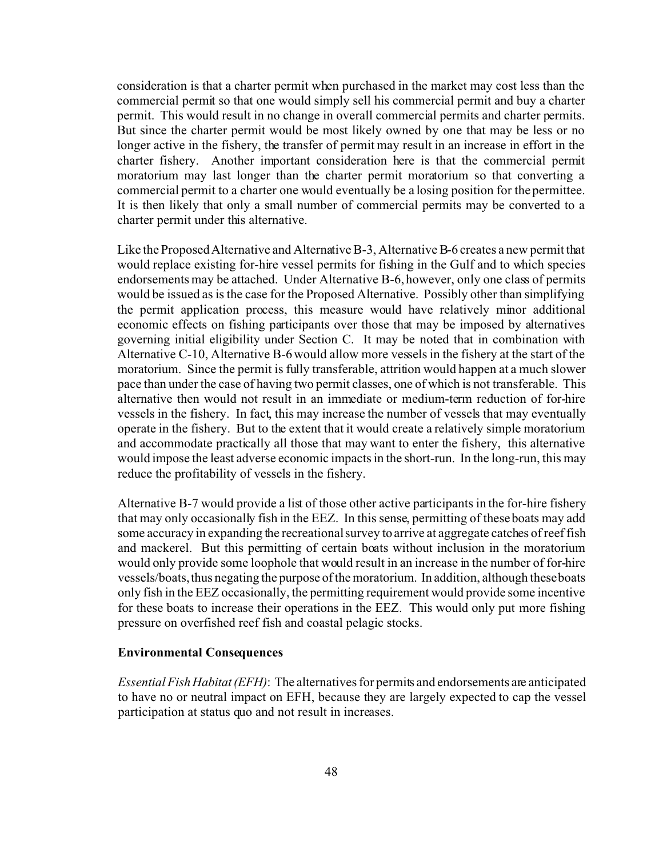consideration is that a charter permit when purchased in the market may cost less than the commercial permit so that one would simply sell his commercial permit and buy a charter permit. This would result in no change in overall commercial permits and charter permits. But since the charter permit would be most likely owned by one that may be less or no longer active in the fishery, the transfer of permit may result in an increase in effort in the charter fishery. Another important consideration here is that the commercial permit moratorium may last longer than the charter permit moratorium so that converting a commercial permit to a charter one would eventually be a losing position for the permittee. It is then likely that only a small number of commercial permits may be converted to a charter permit under this alternative.

Like the Proposed Alternative and Alternative B-3, Alternative B-6 creates a new permit that would replace existing for-hire vessel permits for fishing in the Gulf and to which species endorsements may be attached. Under Alternative B-6, however, only one class of permits would be issued as is the case for the Proposed Alternative. Possibly other than simplifying the permit application process, this measure would have relatively minor additional economic effects on fishing participants over those that may be imposed by alternatives governing initial eligibility under Section C. It may be noted that in combination with Alternative C-10, Alternative B-6 would allow more vessels in the fishery at the start of the moratorium. Since the permit is fully transferable, attrition would happen at a much slower pace than under the case of having two permit classes, one of which is not transferable. This alternative then would not result in an immediate or medium-term reduction of for-hire vessels in the fishery. In fact, this may increase the number of vessels that may eventually operate in the fishery. But to the extent that it would create a relatively simple moratorium and accommodate practically all those that may want to enter the fishery, this alternative would impose the least adverse economic impacts in the short-run. In the long-run, this may reduce the profitability of vessels in the fishery.

Alternative B-7 would provide a list of those other active participants in the for-hire fishery that may only occasionally fish in the EEZ. In this sense, permitting of these boats may add some accuracy in expanding the recreational survey to arrive at aggregate catches of reef fish and mackerel. But this permitting of certain boats without inclusion in the moratorium would only provide some loophole that would result in an increase in the number of for-hire vessels/boats, thus negating the purpose of the moratorium. In addition, although these boats only fish in the EEZ occasionally, the permitting requirement would provide some incentive for these boats to increase their operations in the EEZ. This would only put more fishing pressure on overfished reef fish and coastal pelagic stocks.

#### **Environmental Consequences**

*Essential FishHabitat(EFH)*: The alternatives for permits and endorsements are anticipated to have no or neutral impact on EFH, because they are largely expected to cap the vessel participation at status quo and not result in increases.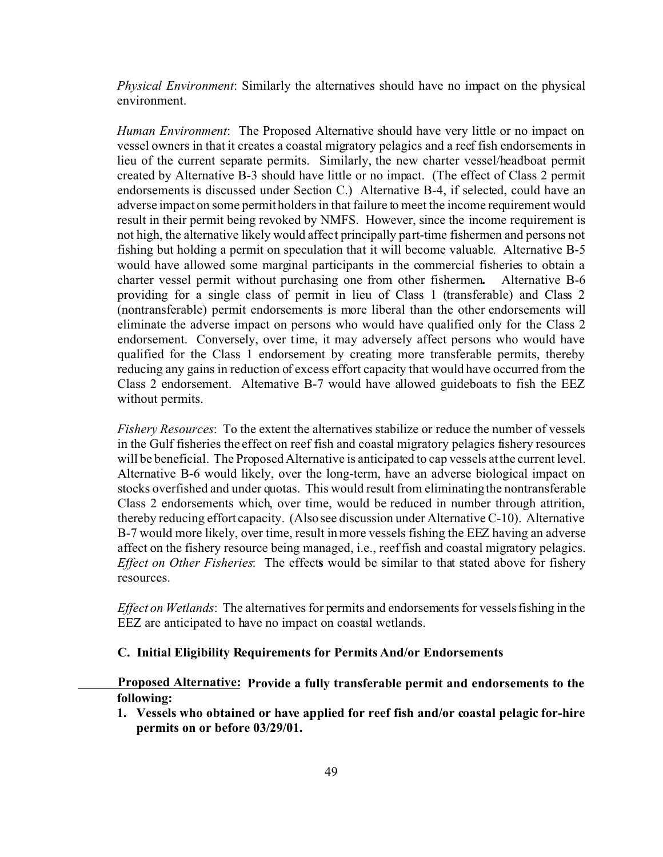*Physical Environment*: Similarly the alternatives should have no impact on the physical environment.

*Human Environment*: The Proposed Alternative should have very little or no impact on vessel owners in that it creates a coastal migratory pelagics and a reef fish endorsements in lieu of the current separate permits. Similarly, the new charter vessel/headboat permit created by Alternative B-3 should have little or no impact. (The effect of Class 2 permit endorsements is discussed under Section C.) Alternative B-4, if selected, could have an adverse impact on some permit holders in that failure to meet the income requirement would result in their permit being revoked by NMFS. However, since the income requirement is not high, the alternative likely would affect principally part-time fishermen and persons not fishing but holding a permit on speculation that it will become valuable. Alternative B-5 would have allowed some marginal participants in the commercial fisheries to obtain a charter vessel permit without purchasing one from other fishermen**.** Alternative B-6 providing for a single class of permit in lieu of Class 1 (transferable) and Class 2 (nontransferable) permit endorsements is more liberal than the other endorsements will eliminate the adverse impact on persons who would have qualified only for the Class 2 endorsement. Conversely, over time, it may adversely affect persons who would have qualified for the Class 1 endorsement by creating more transferable permits, thereby reducing any gains in reduction of excess effort capacity that would have occurred from the Class 2 endorsement. Alternative B-7 would have allowed guideboats to fish the EEZ without permits.

*Fishery Resources*: To the extent the alternatives stabilize or reduce the number of vessels in the Gulf fisheries the effect on reef fish and coastal migratory pelagics fishery resources will be beneficial. The Proposed Alternative is anticipated to cap vessels at the current level. Alternative B-6 would likely, over the long-term, have an adverse biological impact on stocks overfished and under quotas. This would result from eliminating the nontransferable Class 2 endorsements which, over time, would be reduced in number through attrition, thereby reducing effort capacity. (Also see discussion under Alternative C-10). Alternative B-7 would more likely, over time, result in more vessels fishing the EEZ having an adverse affect on the fishery resource being managed, i.e., reef fish and coastal migratory pelagics. *Effect on Other Fisheries*: The effect**s** would be similar to that stated above for fishery resources.

*Effect on Wetlands*: The alternatives for permits and endorsements for vessels fishing in the EEZ are anticipated to have no impact on coastal wetlands.

### **C. Initial Eligibility Requirements for Permits And/or Endorsements**

**Proposed Alternative: Provide a fully transferable permit and endorsements to the following:**

**1. Vessels who obtained or have applied for reef fish and/or coastal pelagic for-hire permits on or before 03/29/01.**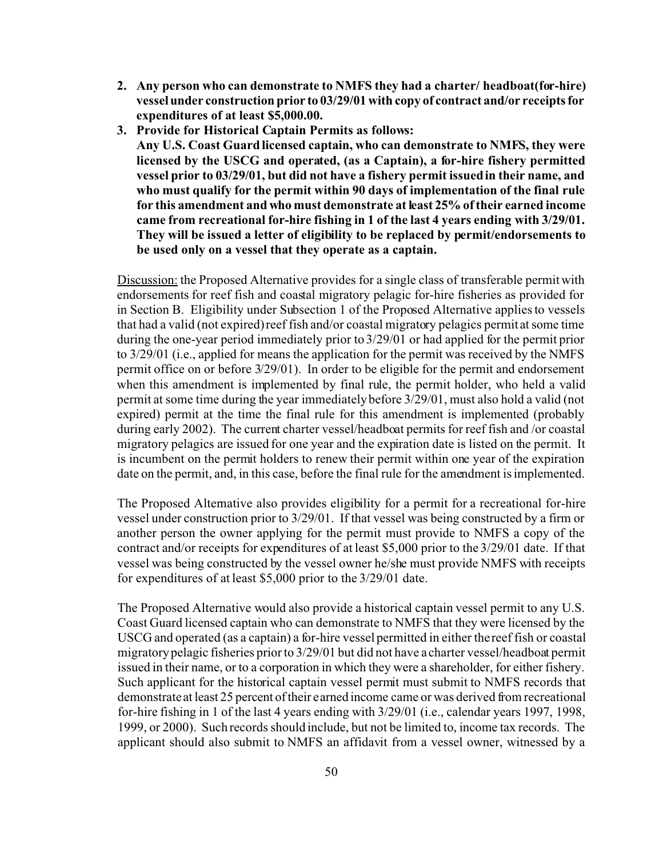- **2. Any person who can demonstrate to NMFS they had a charter/ headboat(for-hire) vessel under construction prior to 03/29/01 with copy of contract and/or receipts for expenditures of at least \$5,000.00.**
- **3. Provide for Historical Captain Permits as follows: Any U.S. Coast Guard licensed captain, who can demonstrate to NMFS, they were**

**licensed by the USCG and operated, (as a Captain), a for-hire fishery permitted vessel prior to 03/29/01, but did not have a fishery permit issued in their name, and who must qualify for the permit within 90 days of implementation of the final rule for this amendment and who must demonstrate at least 25% of their earned income came from recreational for-hire fishing in 1 of the last 4 years ending with 3/29/01. They will be issued a letter of eligibility to be replaced by permit/endorsements to be used only on a vessel that they operate as a captain.** 

Discussion: the Proposed Alternative provides for a single class of transferable permit with endorsements for reef fish and coastal migratory pelagic for-hire fisheries as provided for in Section B. Eligibility under Subsection 1 of the Proposed Alternative applies to vessels that had a valid (not expired) reef fish and/or coastal migratory pelagics permit at some time during the one-year period immediately prior to 3/29/01 or had applied for the permit prior to 3/29/01 (i.e., applied for means the application for the permit was received by the NMFS permit office on or before 3/29/01). In order to be eligible for the permit and endorsement when this amendment is implemented by final rule, the permit holder, who held a valid permit at some time during the year immediately before 3/29/01, must also hold a valid (not expired) permit at the time the final rule for this amendment is implemented (probably during early 2002). The current charter vessel/headboat permits for reef fish and /or coastal migratory pelagics are issued for one year and the expiration date is listed on the permit. It is incumbent on the permit holders to renew their permit within one year of the expiration date on the permit, and, in this case, before the final rule for the amendment is implemented.

The Proposed Alternative also provides eligibility for a permit for a recreational for-hire vessel under construction prior to 3/29/01. If that vessel was being constructed by a firm or another person the owner applying for the permit must provide to NMFS a copy of the contract and/or receipts for expenditures of at least \$5,000 prior to the 3/29/01 date. If that vessel was being constructed by the vessel owner he/she must provide NMFS with receipts for expenditures of at least \$5,000 prior to the 3/29/01 date.

The Proposed Alternative would also provide a historical captain vessel permit to any U.S. Coast Guard licensed captain who can demonstrate to NMFS that they were licensed by the USCG and operated (as a captain) a for-hire vessel permitted in either the reef fish or coastal migratory pelagic fisheries prior to 3/29/01 but did not have a charter vessel/headboat permit issued in their name, or to a corporation in which they were a shareholder, for either fishery. Such applicant for the historical captain vessel permit must submit to NMFS records that demonstrate at least 25 percent of their earned income came or was derived from recreational for-hire fishing in 1 of the last 4 years ending with 3/29/01 (i.e., calendar years 1997, 1998, 1999, or 2000). Such records should include, but not be limited to, income tax records. The applicant should also submit to NMFS an affidavit from a vessel owner, witnessed by a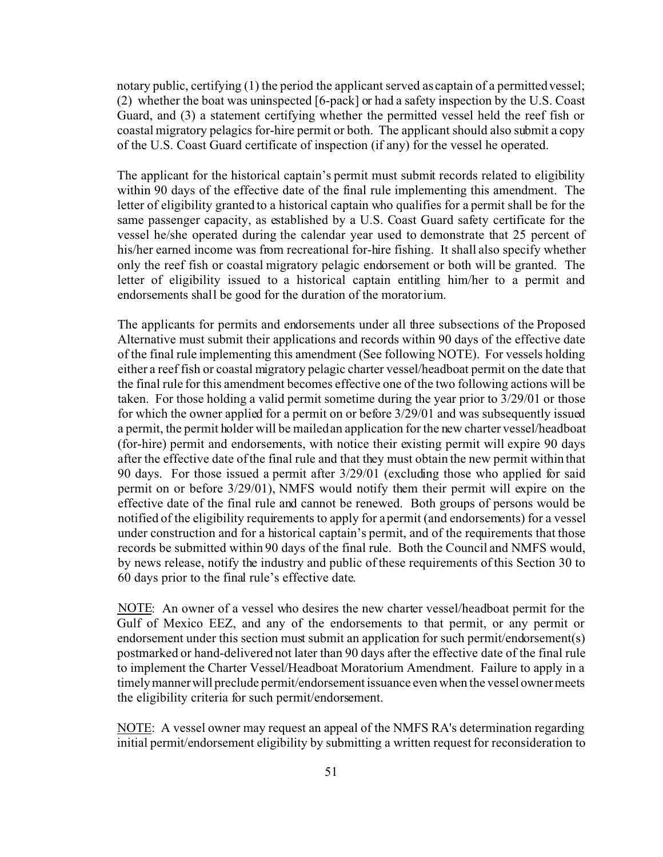notary public, certifying (1) the period the applicant served as captain of a permitted vessel; (2) whether the boat was uninspected [6-pack] or had a safety inspection by the U.S. Coast Guard, and (3) a statement certifying whether the permitted vessel held the reef fish or coastal migratory pelagics for-hire permit or both. The applicant should also submit a copy of the U.S. Coast Guard certificate of inspection (if any) for the vessel he operated.

The applicant for the historical captain's permit must submit records related to eligibility within 90 days of the effective date of the final rule implementing this amendment. The letter of eligibility granted to a historical captain who qualifies for a permit shall be for the same passenger capacity, as established by a U.S. Coast Guard safety certificate for the vessel he/she operated during the calendar year used to demonstrate that 25 percent of his/her earned income was from recreational for-hire fishing. It shall also specify whether only the reef fish or coastal migratory pelagic endorsement or both will be granted. The letter of eligibility issued to a historical captain entitling him/her to a permit and endorsements shall be good for the duration of the moratorium.

The applicants for permits and endorsements under all three subsections of the Proposed Alternative must submit their applications and records within 90 days of the effective date of the final rule implementing this amendment (See following NOTE). For vessels holding either a reef fish or coastal migratory pelagic charter vessel/headboat permit on the date that the final rule for this amendment becomes effective one of the two following actions will be taken. For those holding a valid permit sometime during the year prior to 3/29/01 or those for which the owner applied for a permit on or before 3/29/01 and was subsequently issued a permit, the permit holder will be mailed an application for the new charter vessel/headboat (for-hire) permit and endorsements, with notice their existing permit will expire 90 days after the effective date of the final rule and that they must obtain the new permit within that 90 days. For those issued a permit after 3/29/01 (excluding those who applied for said permit on or before 3/29/01), NMFS would notify them their permit will expire on the effective date of the final rule and cannot be renewed. Both groups of persons would be notified of the eligibility requirements to apply for a permit (and endorsements) for a vessel under construction and for a historical captain's permit, and of the requirements that those records be submitted within 90 days of the final rule. Both the Council and NMFS would, by news release, notify the industry and public of these requirements of this Section 30 to 60 days prior to the final rule's effective date.

NOTE: An owner of a vessel who desires the new charter vessel/headboat permit for the Gulf of Mexico EEZ, and any of the endorsements to that permit, or any permit or endorsement under this section must submit an application for such permit/endorsement(s) postmarked or hand-delivered not later than 90 days after the effective date of the final rule to implement the Charter Vessel/Headboat Moratorium Amendment. Failure to apply in a timely manner will preclude permit/endorsement issuance even when the vessel owner meets the eligibility criteria for such permit/endorsement.

NOTE: A vessel owner may request an appeal of the NMFS RA's determination regarding initial permit/endorsement eligibility by submitting a written request for reconsideration to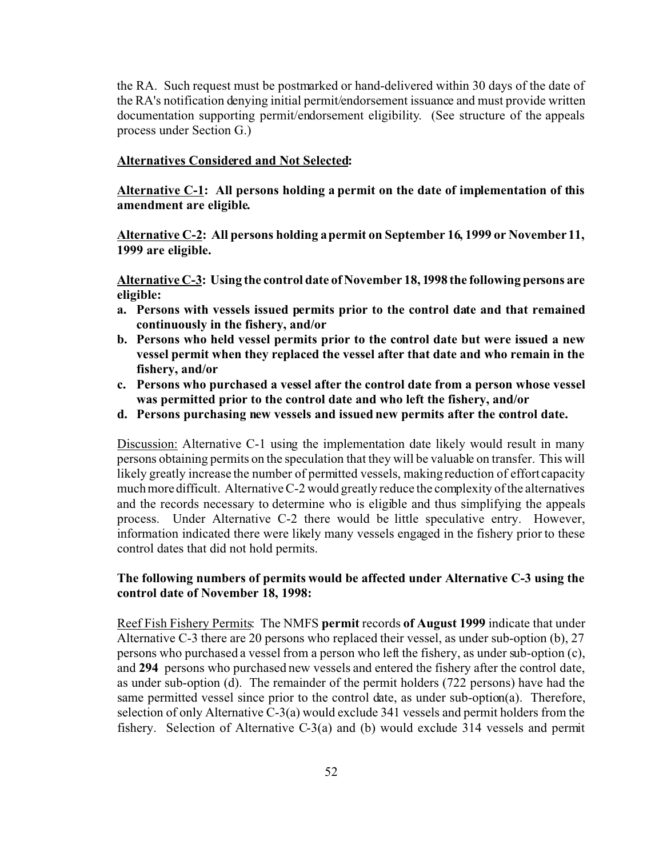the RA. Such request must be postmarked or hand-delivered within 30 days of the date of the RA's notification denying initial permit/endorsement issuance and must provide written documentation supporting permit/endorsement eligibility. (See structure of the appeals process under Section G.)

### **Alternatives Considered and Not Selected:**

**Alternative C-1: All persons holding a permit on the date of implementation of this amendment are eligible.**

**Alternative C-2: All persons holding a permit on September 16, 1999 or November 11, 1999 are eligible.**

**Alternative C-3: Using the control date of November 18, 1998 the following persons are eligible:**

- **a. Persons with vessels issued permits prior to the control date and that remained continuously in the fishery, and/or**
- **b. Persons who held vessel permits prior to the control date but were issued a new vessel permit when they replaced the vessel after that date and who remain in the fishery, and/or**
- **c. Persons who purchased a vessel after the control date from a person whose vessel was permitted prior to the control date and who left the fishery, and/or**
- **d. Persons purchasing new vessels and issued new permits after the control date.**

Discussion: Alternative C-1 using the implementation date likely would result in many persons obtaining permits on the speculation that they will be valuable on transfer. This will likely greatly increase the number of permitted vessels, making reduction of effort capacity much more difficult. Alternative C-2 would greatly reduce the complexity of the alternatives and the records necessary to determine who is eligible and thus simplifying the appeals process. Under Alternative C-2 there would be little speculative entry. However, information indicated there were likely many vessels engaged in the fishery prior to these control dates that did not hold permits.

## **The following numbers of permits would be affected under Alternative C-3 using the control date of November 18, 1998:**

Reef Fish Fishery Permits: The NMFS **permit** records **of August 1999** indicate that under Alternative C-3 there are 20 persons who replaced their vessel, as under sub-option (b), 27 persons who purchased a vessel from a person who left the fishery, as under sub-option (c), and **294** persons who purchased new vessels and entered the fishery after the control date, as under sub-option (d). The remainder of the permit holders (722 persons) have had the same permitted vessel since prior to the control date, as under sub-option(a). Therefore, selection of only Alternative C-3(a) would exclude 341 vessels and permit holders from the fishery. Selection of Alternative C-3(a) and (b) would exclude 314 vessels and permit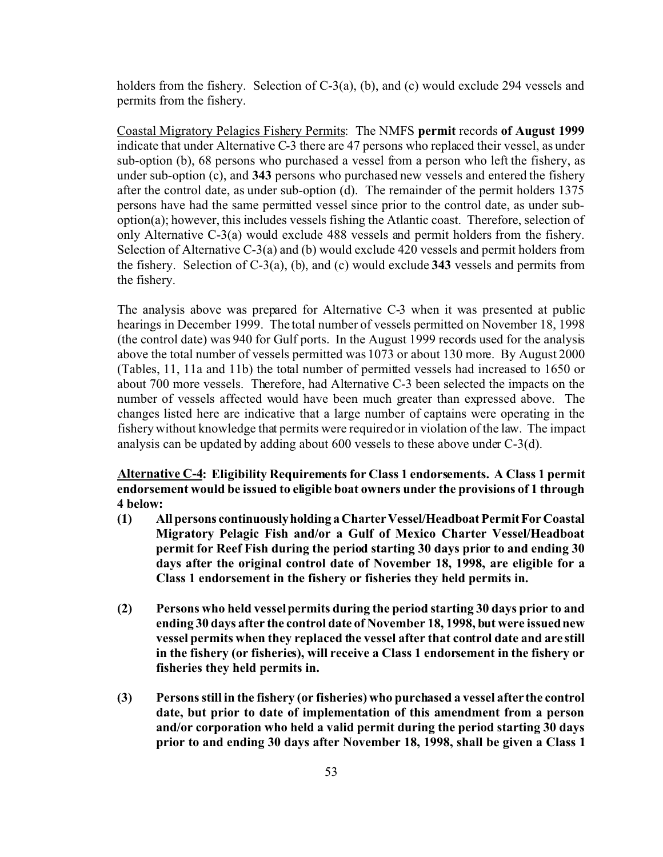holders from the fishery. Selection of C-3(a), (b), and (c) would exclude 294 vessels and permits from the fishery.

Coastal Migratory Pelagics Fishery Permits: The NMFS **permit** records **of August 1999** indicate that under Alternative C-3 there are 47 persons who replaced their vessel, as under sub-option (b), 68 persons who purchased a vessel from a person who left the fishery, as under sub-option (c), and **343** persons who purchased new vessels and entered the fishery after the control date, as under sub-option (d). The remainder of the permit holders 1375 persons have had the same permitted vessel since prior to the control date, as under suboption(a); however, this includes vessels fishing the Atlantic coast. Therefore, selection of only Alternative C-3(a) would exclude 488 vessels and permit holders from the fishery. Selection of Alternative C-3(a) and (b) would exclude 420 vessels and permit holders from the fishery. Selection of C-3(a), (b), and (c) would exclude **343** vessels and permits from the fishery.

The analysis above was prepared for Alternative C-3 when it was presented at public hearings in December 1999. The total number of vessels permitted on November 18, 1998 (the control date) was 940 for Gulf ports. In the August 1999 records used for the analysis above the total number of vessels permitted was 1073 or about 130 more. By August 2000 (Tables, 11, 11a and 11b) the total number of permitted vessels had increased to 1650 or about 700 more vessels. Therefore, had Alternative C-3 been selected the impacts on the number of vessels affected would have been much greater than expressed above. The changes listed here are indicative that a large number of captains were operating in the fishery without knowledge that permits were required or in violation of the law. The impact analysis can be updated by adding about 600 vessels to these above under C-3(d).

**Alternative C-4: Eligibility Requirements for Class 1 endorsements. A Class 1 permit endorsement would be issued to eligible boat owners under the provisions of 1 through 4 below:**

- **(1) Allpersons continuouslyholding a CharterVessel/Headboat PermitFor Coastal Migratory Pelagic Fish and/or a Gulf of Mexico Charter Vessel/Headboat permit for Reef Fish during the period starting 30 days prior to and ending 30 days after the original control date of November 18, 1998, are eligible for a Class 1 endorsement in the fishery or fisheries they held permits in.**
- **(2) Persons who held vessel permits during the period starting 30 days prior to and ending 30 days after the control date of November 18, 1998, but were issued new vessel permits when they replaced the vessel after that control date and are still in the fishery (or fisheries), will receive a Class 1 endorsement in the fishery or fisheries they held permits in.**
- **(3) Persons still in the fishery (or fisheries) who purchased a vessel after the control date, but prior to date of implementation of this amendment from a person and/or corporation who held a valid permit during the period starting 30 days prior to and ending 30 days after November 18, 1998, shall be given a Class 1**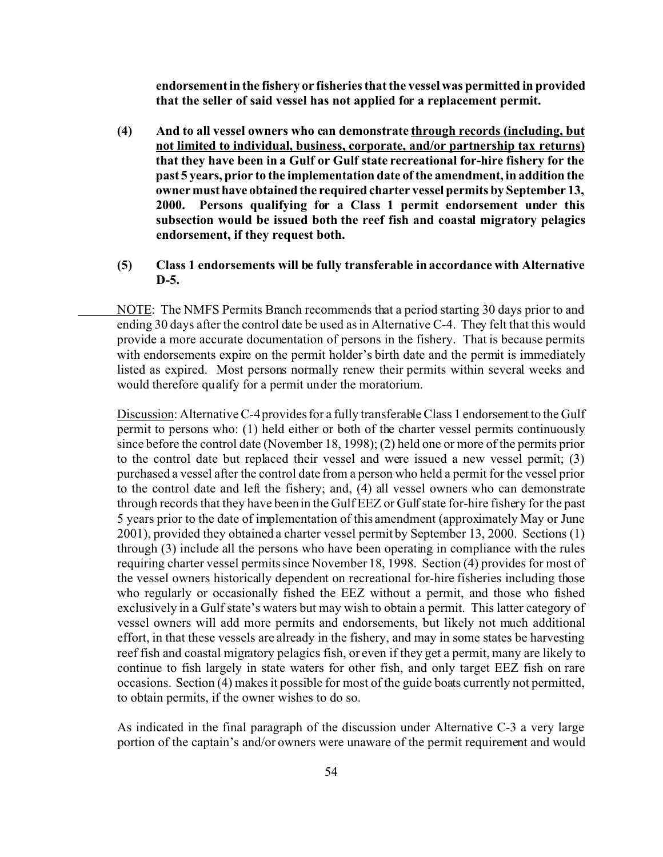**endorsement in the fishery or fisheries that the vessel was permitted in provided that the seller of said vessel has not applied for a replacement permit.**

- **(4) And to all vessel owners who can demonstrate through records (including, but not limited to individual, business, corporate, and/or partnership tax returns) that they have been in a Gulf or Gulf state recreational for-hire fishery for the past 5 years, prior to the implementation date of the amendment, in addition the owner musthave obtained the required charter vessel permits by September 13, 2000. Persons qualifying for a Class 1 permit endorsement under this subsection would be issued both the reef fish and coastal migratory pelagics endorsement, if they request both.**
- **(5) Class 1 endorsements will be fully transferable in accordance with Alternative D-5.**

NOTE: The NMFS Permits Branch recommends that a period starting 30 days prior to and ending 30 days after the control date be used as in Alternative C-4. They felt that this would provide a more accurate documentation of persons in the fishery. That is because permits with endorsements expire on the permit holder's birth date and the permit is immediately listed as expired. Most persons normally renew their permits within several weeks and would therefore qualify for a permit under the moratorium.

Discussion: Alternative C-4 provides for a fully transferable Class 1 endorsement to the Gulf permit to persons who: (1) held either or both of the charter vessel permits continuously since before the control date (November 18, 1998); (2) held one or more of the permits prior to the control date but replaced their vessel and were issued a new vessel permit; (3) purchased a vessel after the control date from a person who held a permit for the vessel prior to the control date and left the fishery; and, (4) all vessel owners who can demonstrate through records that they have been in the Gulf EEZ or Gulf state for-hire fishery for the past 5 years prior to the date of implementation of this amendment (approximately May or June 2001), provided they obtained a charter vessel permit by September 13, 2000. Sections (1) through (3) include all the persons who have been operating in compliance with the rules requiring charter vessel permits since November 18, 1998. Section (4) provides for most of the vessel owners historically dependent on recreational for-hire fisheries including those who regularly or occasionally fished the EEZ without a permit, and those who fished exclusively in a Gulf state's waters but may wish to obtain a permit. This latter category of vessel owners will add more permits and endorsements, but likely not much additional effort, in that these vessels are already in the fishery, and may in some states be harvesting reef fish and coastal migratory pelagics fish, or even if they get a permit, many are likely to continue to fish largely in state waters for other fish, and only target EEZ fish on rare occasions. Section (4) makes it possible for most of the guide boats currently not permitted, to obtain permits, if the owner wishes to do so.

As indicated in the final paragraph of the discussion under Alternative C-3 a very large portion of the captain's and/or owners were unaware of the permit requirement and would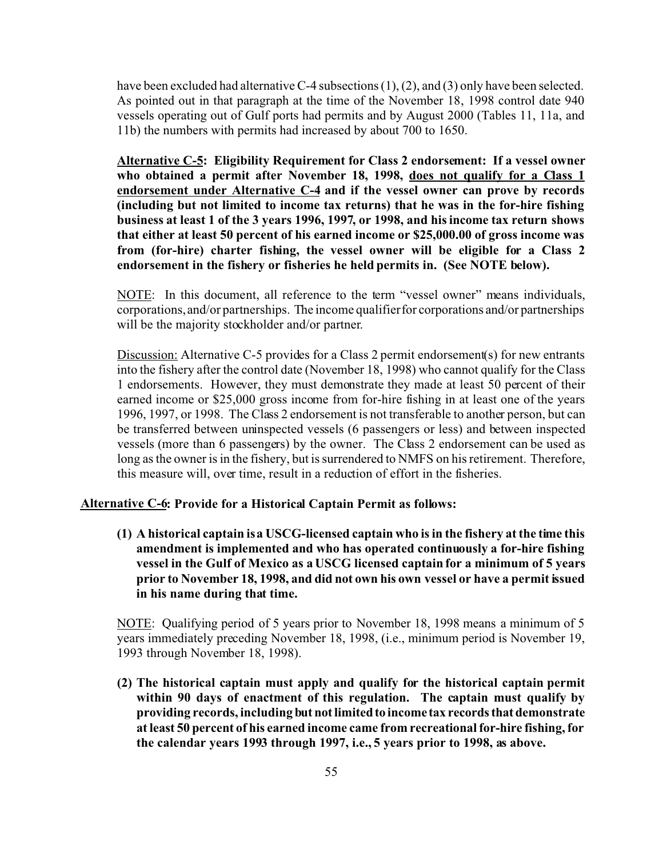have been excluded had alternative C-4 subsections (1), (2), and (3) only have been selected. As pointed out in that paragraph at the time of the November 18, 1998 control date 940 vessels operating out of Gulf ports had permits and by August 2000 (Tables 11, 11a, and 11b) the numbers with permits had increased by about 700 to 1650.

**Alternative C-5: Eligibility Requirement for Class 2 endorsement: If a vessel owner who obtained a permit after November 18, 1998, does not qualify for a Class 1 endorsement under Alternative C-4 and if the vessel owner can prove by records (including but not limited to income tax returns) that he was in the for-hire fishing business at least 1 of the 3 years 1996, 1997, or 1998, and his income tax return shows that either at least 50 percent of his earned income or \$25,000.00 of gross income was from (for-hire) charter fishing, the vessel owner will be eligible for a Class 2 endorsement in the fishery or fisheries he held permits in. (See NOTE below).**

NOTE: In this document, all reference to the term "vessel owner" means individuals, corporations, and/or partnerships. The income qualifier for corporations and/or partnerships will be the majority stockholder and/or partner.

Discussion: Alternative C-5 provides for a Class 2 permit endorsement(s) for new entrants into the fishery after the control date (November 18, 1998) who cannot qualify for the Class 1 endorsements. However, they must demonstrate they made at least 50 percent of their earned income or \$25,000 gross income from for-hire fishing in at least one of the years 1996, 1997, or 1998. The Class 2 endorsement is not transferable to another person, but can be transferred between uninspected vessels (6 passengers or less) and between inspected vessels (more than 6 passengers) by the owner. The Class 2 endorsement can be used as long as the owner is in the fishery, but is surrendered to NMFS on his retirement. Therefore, this measure will, over time, result in a reduction of effort in the fisheries.

### **Alternative C-6: Provide for a Historical Captain Permit as follows:**

**(1) A historical captain is a USCG-licensed captain who is in the fishery at the time this amendment is implemented and who has operated continuously a for-hire fishing vessel in the Gulf of Mexico as a USCG licensed captain for a minimum of 5 years prior to November 18, 1998, and did not own his own vessel or have a permit issued in his name during that time.**

NOTE: Qualifying period of 5 years prior to November 18, 1998 means a minimum of 5 years immediately preceding November 18, 1998, (i.e., minimum period is November 19, 1993 through November 18, 1998).

**(2) The historical captain must apply and qualify for the historical captain permit within 90 days of enactment of this regulation. The captain must qualify by providing records, including but notlimitedto income tax recordsthat demonstrate at least 50 percent of his earned income came from recreational for-hire fishing, for the calendar years 1993 through 1997, i.e., 5 years prior to 1998, as above.**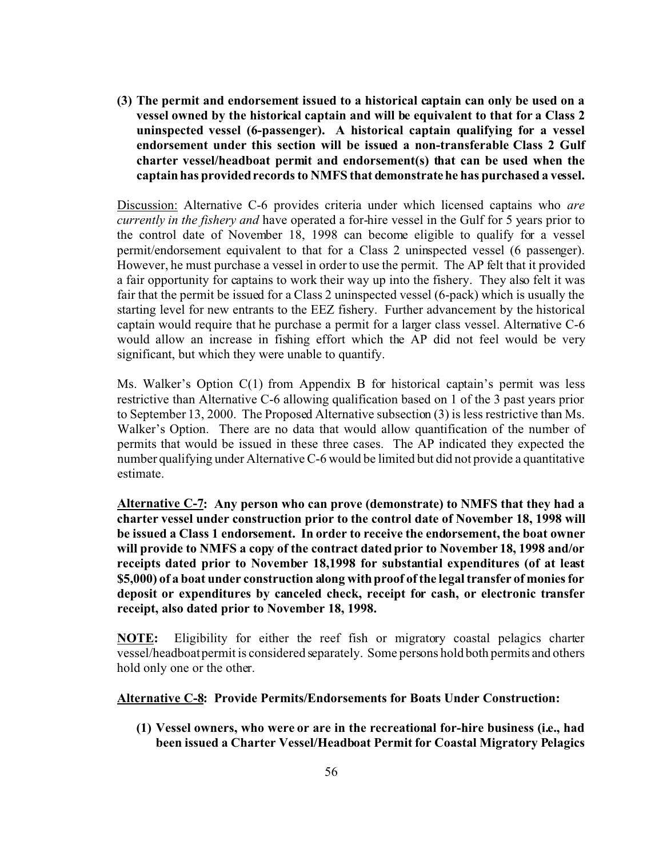**(3) The permit and endorsement issued to a historical captain can only be used on a vessel owned by the historical captain and will be equivalent to that for a Class 2 uninspected vessel (6-passenger). A historical captain qualifying for a vessel endorsement under this section will be issued a non-transferable Class 2 Gulf charter vessel/headboat permit and endorsement(s) that can be used when the captain has provided records to NMFS that demonstrate he has purchased a vessel.**

Discussion: Alternative C-6 provides criteria under which licensed captains who *are currently in the fishery and* have operated a for-hire vessel in the Gulf for 5 years prior to the control date of November 18, 1998 can become eligible to qualify for a vessel permit/endorsement equivalent to that for a Class 2 uninspected vessel (6 passenger). However, he must purchase a vessel in order to use the permit. The AP felt that it provided a fair opportunity for captains to work their way up into the fishery. They also felt it was fair that the permit be issued for a Class 2 uninspected vessel (6-pack) which is usually the starting level for new entrants to the EEZ fishery. Further advancement by the historical captain would require that he purchase a permit for a larger class vessel. Alternative C-6 would allow an increase in fishing effort which the AP did not feel would be very significant, but which they were unable to quantify.

Ms. Walker's Option C(1) from Appendix B for historical captain's permit was less restrictive than Alternative C-6 allowing qualification based on 1 of the 3 past years prior to September 13, 2000. The Proposed Alternative subsection (3) is less restrictive than Ms. Walker's Option. There are no data that would allow quantification of the number of permits that would be issued in these three cases. The AP indicated they expected the number qualifying under Alternative C-6 would be limited but did not provide a quantitative estimate.

**Alternative C-7: Any person who can prove (demonstrate) to NMFS that they had a charter vessel under construction prior to the control date of November 18, 1998 will be issued a Class 1 endorsement. In order to receive the endorsement, the boat owner will provide to NMFS a copy of the contract dated prior to November 18, 1998 and/or receipts dated prior to November 18,1998 for substantial expenditures (of at least \$5,000) of a boat under construction along with proof of the legal transfer of monies for deposit or expenditures by canceled check, receipt for cash, or electronic transfer receipt, also dated prior to November 18, 1998.**

**NOTE:** Eligibility for either the reef fish or migratory coastal pelagics charter vessel/headboat permit is considered separately. Some persons hold both permits and others hold only one or the other.

**Alternative C-8: Provide Permits/Endorsements for Boats Under Construction:**

**(1) Vessel owners, who were or are in the recreational for-hire business (i.e., had been issued a Charter Vessel/Headboat Permit for Coastal Migratory Pelagics**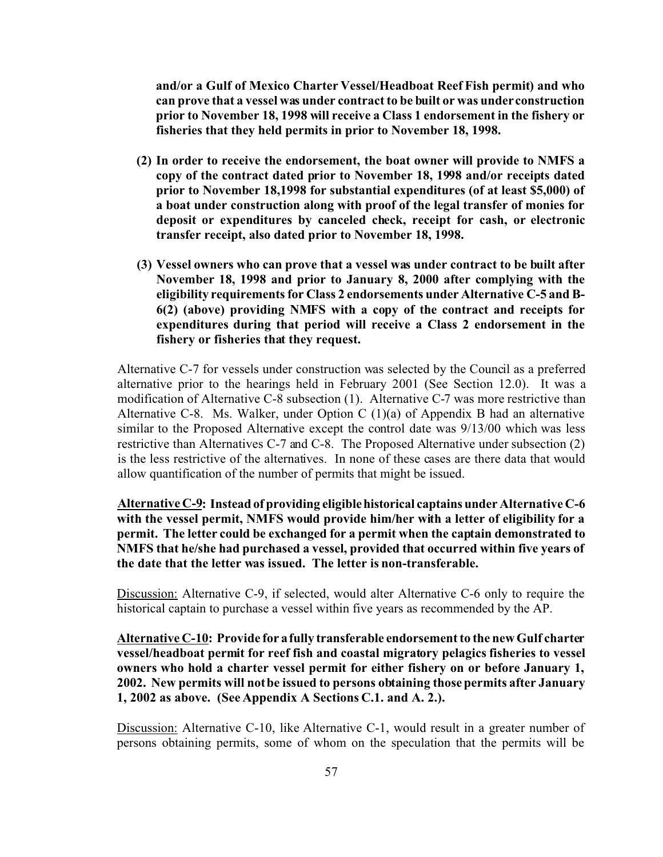**and/or a Gulf of Mexico Charter Vessel/Headboat Reef Fish permit) and who can prove that a vessel was under contract to be built or was under construction prior to November 18, 1998 will receive a Class 1 endorsement in the fishery or fisheries that they held permits in prior to November 18, 1998.**

- **(2) In order to receive the endorsement, the boat owner will provide to NMFS a copy of the contract dated prior to November 18, 1998 and/or receipts dated prior to November 18,1998 for substantial expenditures (of at least \$5,000) of a boat under construction along with proof of the legal transfer of monies for deposit or expenditures by canceled check, receipt for cash, or electronic transfer receipt, also dated prior to November 18, 1998.**
- **(3) Vessel owners who can prove that a vessel was under contract to be built after November 18, 1998 and prior to January 8, 2000 after complying with the eligibility requirements for Class 2 endorsements under Alternative C-5 and B-6(2) (above) providing NMFS with a copy of the contract and receipts for expenditures during that period will receive a Class 2 endorsement in the fishery or fisheries that they request.**

Alternative C-7 for vessels under construction was selected by the Council as a preferred alternative prior to the hearings held in February 2001 (See Section 12.0). It was a modification of Alternative C-8 subsection (1). Alternative C-7 was more restrictive than Alternative C-8. Ms. Walker, under Option C (1)(a) of Appendix B had an alternative similar to the Proposed Alternative except the control date was 9/13/00 which was less restrictive than Alternatives C-7 and C-8. The Proposed Alternative under subsection (2) is the less restrictive of the alternatives. In none of these cases are there data that would allow quantification of the number of permits that might be issued.

**Alternative C-9: Instead of providing eligiblehistorical captains under Alternative C-6 with the vessel permit, NMFS would provide him/her with a letter of eligibility for a permit. The letter could be exchanged for a permit when the captain demonstrated to NMFS that he/she had purchased a vessel, provided that occurred within five years of the date that the letter was issued. The letter is non-transferable.**

Discussion: Alternative C-9, if selected, would alter Alternative C-6 only to require the historical captain to purchase a vessel within five years as recommended by the AP.

**Alternative C-10: Provide for a fully transferable endorsement to the new Gulf charter vessel/headboat permit for reef fish and coastal migratory pelagics fisheries to vessel owners who hold a charter vessel permit for either fishery on or before January 1, 2002. New permits will not be issued to persons obtaining those permits after January 1, 2002 as above. (See Appendix A Sections C.1. and A. 2.).**

Discussion: Alternative C-10, like Alternative C-1, would result in a greater number of persons obtaining permits, some of whom on the speculation that the permits will be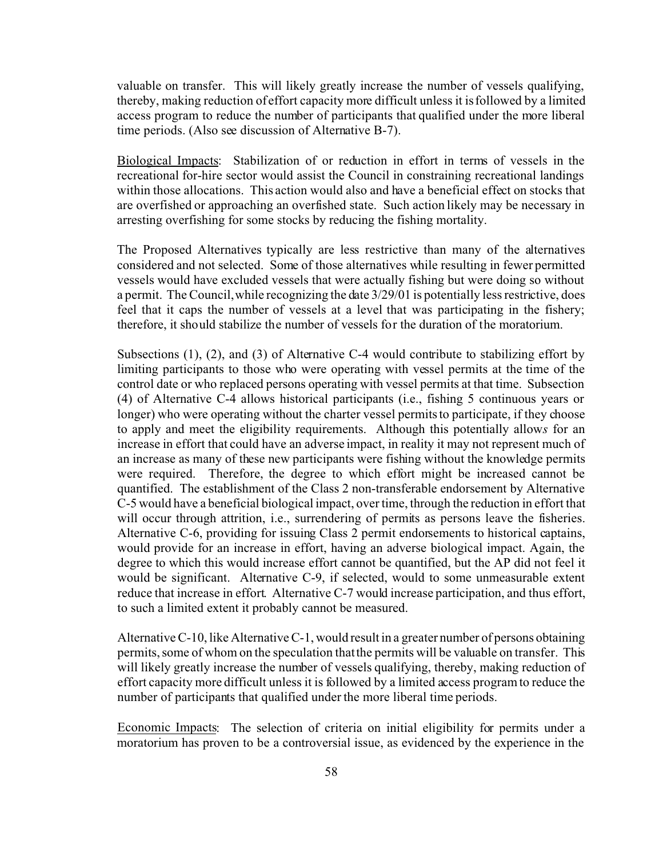valuable on transfer. This will likely greatly increase the number of vessels qualifying, thereby, making reduction of effort capacity more difficult unless it is followed by a limited access program to reduce the number of participants that qualified under the more liberal time periods. (Also see discussion of Alternative B-7).

Biological Impacts: Stabilization of or reduction in effort in terms of vessels in the recreational for-hire sector would assist the Council in constraining recreational landings within those allocations. This action would also and have a beneficial effect on stocks that are overfished or approaching an overfished state. Such action likely may be necessary in arresting overfishing for some stocks by reducing the fishing mortality.

The Proposed Alternatives typically are less restrictive than many of the alternatives considered and not selected. Some of those alternatives while resulting in fewer permitted vessels would have excluded vessels that were actually fishing but were doing so without a permit. The Council, while recognizing the date 3/29/01 is potentially less restrictive, does feel that it caps the number of vessels at a level that was participating in the fishery; therefore, it should stabilize the number of vessels for the duration of the moratorium.

Subsections (1), (2), and (3) of Alternative C-4 would contribute to stabilizing effort by limiting participants to those who were operating with vessel permits at the time of the control date or who replaced persons operating with vessel permits at that time. Subsection (4) of Alternative C-4 allows historical participants (i.e., fishing 5 continuous years or longer) who were operating without the charter vessel permits to participate, if they choose to apply and meet the eligibility requirements. Although this potentially allow*s* for an increase in effort that could have an adverse impact, in reality it may not represent much of an increase as many of these new participants were fishing without the knowledge permits were required. Therefore, the degree to which effort might be increased cannot be quantified. The establishment of the Class 2 non-transferable endorsement by Alternative C-5 would have a beneficial biological impact, over time, through the reduction in effort that will occur through attrition, i.e., surrendering of permits as persons leave the fisheries. Alternative C-6, providing for issuing Class 2 permit endorsements to historical captains, would provide for an increase in effort, having an adverse biological impact. Again, the degree to which this would increase effort cannot be quantified, but the AP did not feel it would be significant. Alternative C-9, if selected, would to some unmeasurable extent reduce that increase in effort. Alternative C-7 would increase participation, and thus effort, to such a limited extent it probably cannot be measured.

Alternative C-10, like Alternative C-1, would result in a greater number of persons obtaining permits, some of whom on the speculation that the permits will be valuable on transfer. This will likely greatly increase the number of vessels qualifying, thereby, making reduction of effort capacity more difficult unless it is followed by a limited access program to reduce the number of participants that qualified under the more liberal time periods.

Economic Impacts: The selection of criteria on initial eligibility for permits under a moratorium has proven to be a controversial issue, as evidenced by the experience in the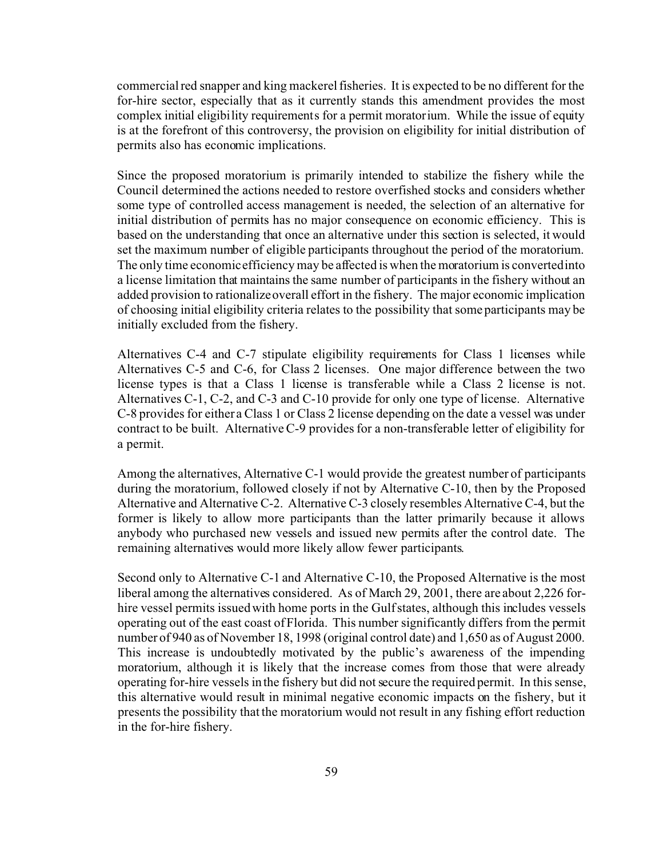commercial red snapper and king mackerel fisheries. It is expected to be no different for the for-hire sector, especially that as it currently stands this amendment provides the most complex initial eligibility requirements for a permit moratorium. While the issue of equity is at the forefront of this controversy, the provision on eligibility for initial distribution of permits also has economic implications.

Since the proposed moratorium is primarily intended to stabilize the fishery while the Council determined the actions needed to restore overfished stocks and considers whether some type of controlled access management is needed, the selection of an alternative for initial distribution of permits has no major consequence on economic efficiency. This is based on the understanding that once an alternative under this section is selected, it would set the maximum number of eligible participants throughout the period of the moratorium. The only time economic efficiency may be affected is when the moratorium is converted into a license limitation that maintains the same number of participants in the fishery without an added provision to rationalize overall effort in the fishery. The major economic implication of choosing initial eligibility criteria relates to the possibility that some participants may be initially excluded from the fishery.

Alternatives C-4 and C-7 stipulate eligibility requirements for Class 1 licenses while Alternatives C-5 and C-6, for Class 2 licenses. One major difference between the two license types is that a Class 1 license is transferable while a Class 2 license is not. Alternatives C-1, C-2, and C-3 and C-10 provide for only one type of license. Alternative C-8 provides for either a Class 1 or Class 2 license depending on the date a vessel was under contract to be built. Alternative C-9 provides for a non-transferable letter of eligibility for a permit.

Among the alternatives, Alternative C-1 would provide the greatest number of participants during the moratorium, followed closely if not by Alternative C-10, then by the Proposed Alternative and Alternative C-2. Alternative C-3 closely resembles Alternative C-4, but the former is likely to allow more participants than the latter primarily because it allows anybody who purchased new vessels and issued new permits after the control date. The remaining alternatives would more likely allow fewer participants.

Second only to Alternative C-1 and Alternative C-10, the Proposed Alternative is the most liberal among the alternatives considered. As of March 29, 2001, there are about 2,226 forhire vessel permits issued with home ports in the Gulf states, although this includes vessels operating out of the east coast of Florida. This number significantly differs from the permit number of 940 as of November 18, 1998 (original control date) and 1,650 as of August 2000. This increase is undoubtedly motivated by the public's awareness of the impending moratorium, although it is likely that the increase comes from those that were already operating for-hire vessels in the fishery but did not secure the required permit. In this sense, this alternative would result in minimal negative economic impacts on the fishery, but it presents the possibility that the moratorium would not result in any fishing effort reduction in the for-hire fishery.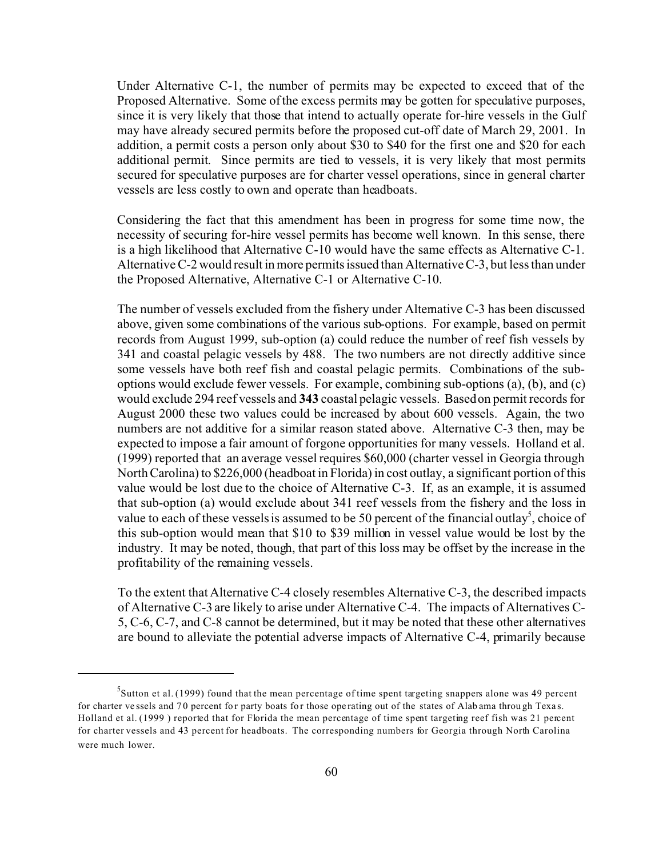Under Alternative C-1, the number of permits may be expected to exceed that of the Proposed Alternative. Some of the excess permits may be gotten for speculative purposes, since it is very likely that those that intend to actually operate for-hire vessels in the Gulf may have already secured permits before the proposed cut-off date of March 29, 2001. In addition, a permit costs a person only about \$30 to \$40 for the first one and \$20 for each additional permit. Since permits are tied to vessels, it is very likely that most permits secured for speculative purposes are for charter vessel operations, since in general charter vessels are less costly to own and operate than headboats.

Considering the fact that this amendment has been in progress for some time now, the necessity of securing for-hire vessel permits has become well known. In this sense, there is a high likelihood that Alternative C-10 would have the same effects as Alternative C-1. Alternative C-2 would result in more permits issued than Alternative C-3, but less than under the Proposed Alternative, Alternative C-1 or Alternative C-10.

The number of vessels excluded from the fishery under Alternative C-3 has been discussed above, given some combinations of the various sub-options. For example, based on permit records from August 1999, sub-option (a) could reduce the number of reef fish vessels by 341 and coastal pelagic vessels by 488. The two numbers are not directly additive since some vessels have both reef fish and coastal pelagic permits. Combinations of the suboptions would exclude fewer vessels. For example, combining sub-options (a), (b), and (c) would exclude 294 reef vessels and **343** coastal pelagic vessels. Based on permit records for August 2000 these two values could be increased by about 600 vessels. Again, the two numbers are not additive for a similar reason stated above. Alternative C-3 then, may be expected to impose a fair amount of forgone opportunities for many vessels. Holland et al. (1999) reported that an average vessel requires \$60,000 (charter vessel in Georgia through North Carolina) to \$226,000 (headboat in Florida) in cost outlay, a significant portion of this value would be lost due to the choice of Alternative C-3. If, as an example, it is assumed that sub-option (a) would exclude about 341 reef vessels from the fishery and the loss in value to each of these vessels is assumed to be 50 percent of the financial outlay<sup>5</sup>, choice of this sub-option would mean that \$10 to \$39 million in vessel value would be lost by the industry. It may be noted, though, that part of this loss may be offset by the increase in the profitability of the remaining vessels.

To the extent that Alternative C-4 closely resembles Alternative C-3, the described impacts of Alternative C-3 are likely to arise under Alternative C-4. The impacts of Alternatives C-5, C-6, C-7, and C-8 cannot be determined, but it may be noted that these other alternatives are bound to alleviate the potential adverse impacts of Alternative C-4, primarily because

 $^5$ Sutton et al. (1999) found that the mean percentage of time spent targeting snappers alone was 49 percent for charter vessels and 70 percent for party boats for those operating out of the states of Alab ama through Texas. Holland et al. (1999 ) reported that for Florida the mean percentage of time spent targeting reef fish was 21 percent for charter vessels and 43 percent for headboats. The corresponding numbers for Georgia through North Carolina were much lower.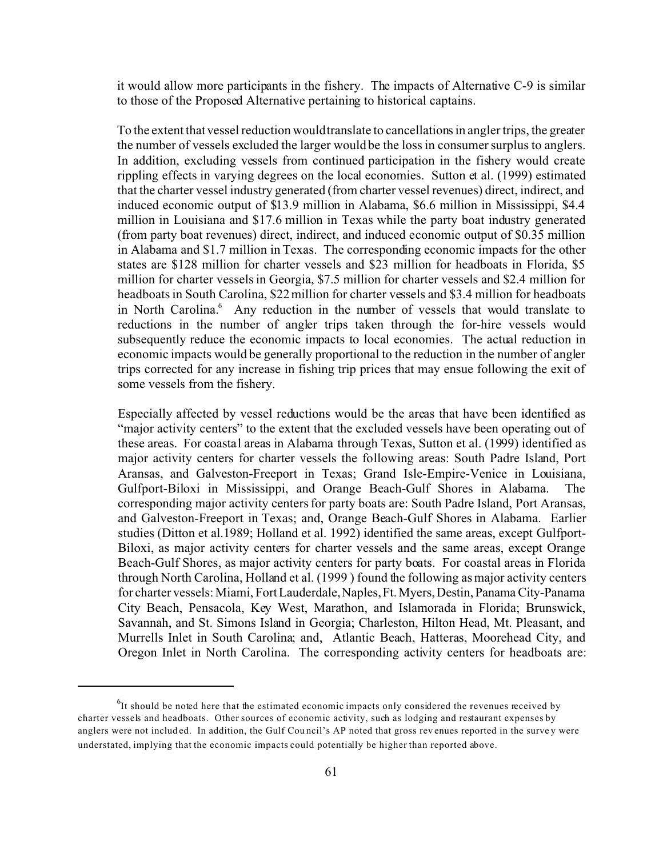it would allow more participants in the fishery. The impacts of Alternative C-9 is similar to those of the Proposed Alternative pertaining to historical captains.

To the extent that vessel reduction would translate to cancellations in angler trips, the greater the number of vessels excluded the larger would be the loss in consumer surplus to anglers. In addition, excluding vessels from continued participation in the fishery would create rippling effects in varying degrees on the local economies. Sutton et al. (1999) estimated that the charter vessel industry generated (from charter vessel revenues) direct, indirect, and induced economic output of \$13.9 million in Alabama, \$6.6 million in Mississippi, \$4.4 million in Louisiana and \$17.6 million in Texas while the party boat industry generated (from party boat revenues) direct, indirect, and induced economic output of \$0.35 million in Alabama and \$1.7 million in Texas. The corresponding economic impacts for the other states are \$128 million for charter vessels and \$23 million for headboats in Florida, \$5 million for charter vessels in Georgia, \$7.5 million for charter vessels and \$2.4 million for headboats in South Carolina, \$22 million for charter vessels and \$3.4 million for headboats in North Carolina.<sup>6</sup> Any reduction in the number of vessels that would translate to reductions in the number of angler trips taken through the for-hire vessels would subsequently reduce the economic impacts to local economies. The actual reduction in economic impacts would be generally proportional to the reduction in the number of angler trips corrected for any increase in fishing trip prices that may ensue following the exit of some vessels from the fishery.

Especially affected by vessel reductions would be the areas that have been identified as "major activity centers" to the extent that the excluded vessels have been operating out of these areas. For coastal areas in Alabama through Texas, Sutton et al. (1999) identified as major activity centers for charter vessels the following areas: South Padre Island, Port Aransas, and Galveston-Freeport in Texas; Grand Isle-Empire-Venice in Louisiana, Gulfport-Biloxi in Mississippi, and Orange Beach-Gulf Shores in Alabama. The corresponding major activity centers for party boats are: South Padre Island, Port Aransas, and Galveston-Freeport in Texas; and, Orange Beach-Gulf Shores in Alabama. Earlier studies (Ditton et al.1989; Holland et al. 1992) identified the same areas, except Gulfport-Biloxi, as major activity centers for charter vessels and the same areas, except Orange Beach-Gulf Shores, as major activity centers for party boats. For coastal areas in Florida through North Carolina, Holland et al. (1999 ) found the following as major activity centers for charter vessels: Miami, FortLauderdale,Naples,Ft.Myers,Destin, PanamaCity-Panama City Beach, Pensacola, Key West, Marathon, and Islamorada in Florida; Brunswick, Savannah, and St. Simons Island in Georgia; Charleston, Hilton Head, Mt. Pleasant, and Murrells Inlet in South Carolina; and, Atlantic Beach, Hatteras, Moorehead City, and Oregon Inlet in North Carolina. The corresponding activity centers for headboats are:

 $<sup>6</sup>$ It should be noted here that the estimated economic impacts only considered the revenues received by</sup> charter vessels and headboats. Other sources of economic activity, such as lodging and restaurant expenses by anglers were not included. In addition, the Gulf Council's AP noted that gross revenues reported in the survey were understated, implying that the economic impacts could potentially be higher than reported above.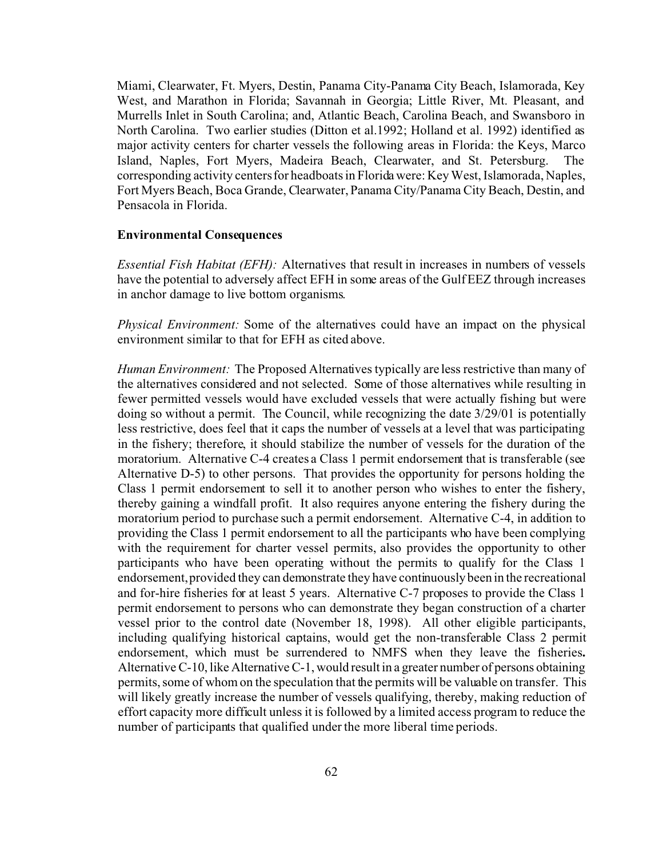Miami, Clearwater, Ft. Myers, Destin, Panama City-Panama City Beach, Islamorada, Key West, and Marathon in Florida; Savannah in Georgia; Little River, Mt. Pleasant, and Murrells Inlet in South Carolina; and, Atlantic Beach, Carolina Beach, and Swansboro in North Carolina. Two earlier studies (Ditton et al.1992; Holland et al. 1992) identified as major activity centers for charter vessels the following areas in Florida: the Keys, Marco Island, Naples, Fort Myers, Madeira Beach, Clearwater, and St. Petersburg. The corresponding activity centers for headboats in Florida were: Key West, Islamorada, Naples, Fort Myers Beach, Boca Grande, Clearwater, Panama City/Panama City Beach, Destin, and Pensacola in Florida.

### **Environmental Consequences**

*Essential Fish Habitat (EFH):* Alternatives that result in increases in numbers of vessels have the potential to adversely affect EFH in some areas of the Gulf EEZ through increases in anchor damage to live bottom organisms.

*Physical Environment:* Some of the alternatives could have an impact on the physical environment similar to that for EFH as cited above.

*Human Environment:* The Proposed Alternatives typically are less restrictive than many of the alternatives considered and not selected. Some of those alternatives while resulting in fewer permitted vessels would have excluded vessels that were actually fishing but were doing so without a permit. The Council, while recognizing the date 3/29/01 is potentially less restrictive, does feel that it caps the number of vessels at a level that was participating in the fishery; therefore, it should stabilize the number of vessels for the duration of the moratorium. Alternative C-4 creates a Class 1 permit endorsement that is transferable (see Alternative D-5) to other persons. That provides the opportunity for persons holding the Class 1 permit endorsement to sell it to another person who wishes to enter the fishery, thereby gaining a windfall profit. It also requires anyone entering the fishery during the moratorium period to purchase such a permit endorsement. Alternative C-4, in addition to providing the Class 1 permit endorsement to all the participants who have been complying with the requirement for charter vessel permits, also provides the opportunity to other participants who have been operating without the permits to qualify for the Class 1 endorsement, provided they can demonstrate they have continuously been in the recreational and for-hire fisheries for at least 5 years. Alternative C-7 proposes to provide the Class 1 permit endorsement to persons who can demonstrate they began construction of a charter vessel prior to the control date (November 18, 1998). All other eligible participants, including qualifying historical captains, would get the non-transferable Class 2 permit endorsement, which must be surrendered to NMFS when they leave the fisheries**.** Alternative C-10, like Alternative C-1, would result in a greater number of persons obtaining permits, some of whom on the speculation that the permits will be valuable on transfer. This will likely greatly increase the number of vessels qualifying, thereby, making reduction of effort capacity more difficult unless it is followed by a limited access program to reduce the number of participants that qualified under the more liberal time periods.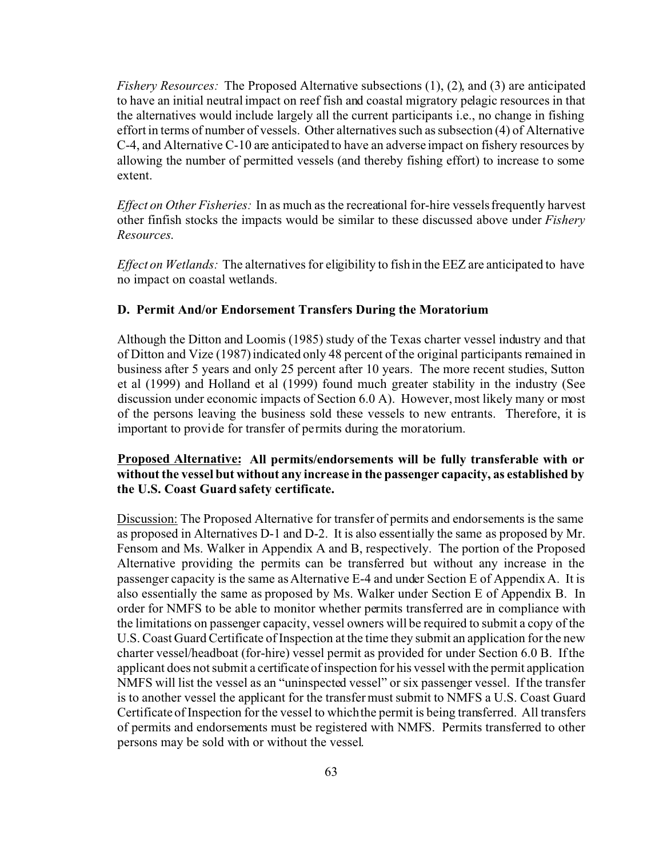*Fishery Resources:* The Proposed Alternative subsections (1), (2), and (3) are anticipated to have an initial neutral impact on reef fish and coastal migratory pelagic resources in that the alternatives would include largely all the current participants i.e., no change in fishing effort in terms of number of vessels. Other alternatives such as subsection (4) of Alternative C-4, and Alternative C-10 are anticipated to have an adverse impact on fishery resources by allowing the number of permitted vessels (and thereby fishing effort) to increase to some extent.

*Effect on Other Fisheries:* In as much as the recreational for-hire vessels frequently harvest other finfish stocks the impacts would be similar to these discussed above under *Fishery Resources*.

*Effect on Wetlands:* The alternatives for eligibility to fish in the EEZ are anticipated to have no impact on coastal wetlands.

### **D. Permit And/or Endorsement Transfers During the Moratorium**

Although the Ditton and Loomis (1985) study of the Texas charter vessel industry and that of Ditton and Vize (1987) indicated only 48 percent of the original participants remained in business after 5 years and only 25 percent after 10 years. The more recent studies, Sutton et al (1999) and Holland et al (1999) found much greater stability in the industry (See discussion under economic impacts of Section 6.0 A). However, most likely many or most of the persons leaving the business sold these vessels to new entrants. Therefore, it is important to provide for transfer of permits during the moratorium.

# **Proposed Alternative: All permits/endorsements will be fully transferable with or without the vessel but without any increase in the passenger capacity, as established by the U.S. Coast Guard safety certificate.**

Discussion: The Proposed Alternative for transfer of permits and endorsements is the same as proposed in Alternatives D-1 and D-2. It is also essentially the same as proposed by Mr. Fensom and Ms. Walker in Appendix A and B, respectively. The portion of the Proposed Alternative providing the permits can be transferred but without any increase in the passenger capacity is the same as Alternative E-4 and under Section E of Appendix A. It is also essentially the same as proposed by Ms. Walker under Section E of Appendix B. In order for NMFS to be able to monitor whether permits transferred are in compliance with the limitations on passenger capacity, vessel owners will be required to submit a copy of the U.S. Coast Guard Certificate of Inspection at the time they submit an application for the new charter vessel/headboat (for-hire) vessel permit as provided for under Section 6.0 B. If the applicant does not submit a certificate of inspection for his vessel with the permit application NMFS will list the vessel as an "uninspected vessel" or six passenger vessel. If the transfer is to another vessel the applicant for the transfer must submit to NMFS a U.S. Coast Guard Certificate of Inspection for the vessel to which the permit is being transferred. All transfers of permits and endorsements must be registered with NMFS. Permits transferred to other persons may be sold with or without the vessel.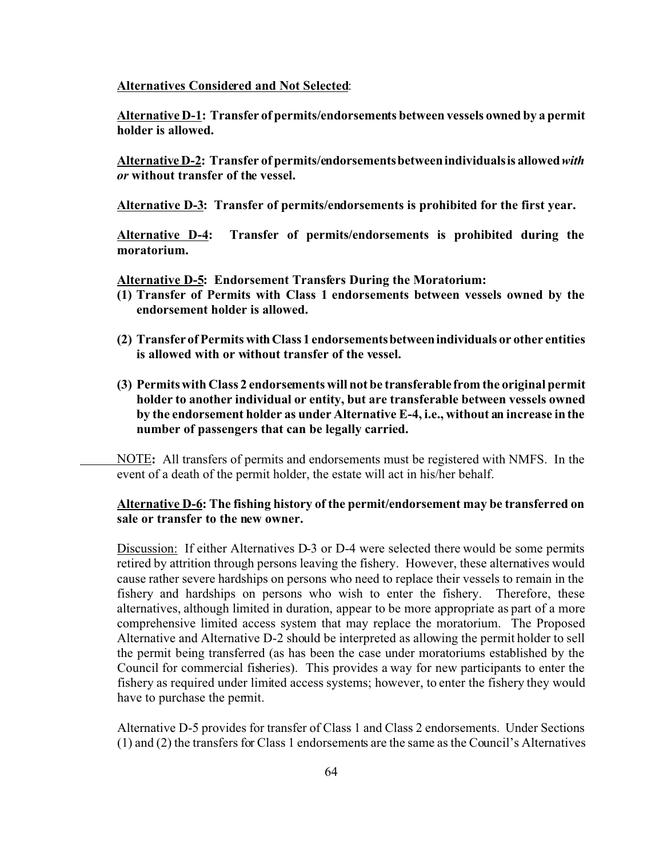**Alternatives Considered and Not Selected**:

**Alternative D-1: Transfer of permits/endorsements between vessels owned by a permit holder is allowed.**

**Alternative D-2: Transfer of permits/endorsementsbetweenindividualsis allowed***with or* **without transfer of the vessel.**

**Alternative D-3: Transfer of permits/endorsements is prohibited for the first year.**

**Alternative D-4: Transfer of permits/endorsements is prohibited during the moratorium.**

**Alternative D-5: Endorsement Transfers During the Moratorium:**

- **(1) Transfer of Permits with Class 1 endorsements between vessels owned by the endorsement holder is allowed.**
- **(2) Transfer of Permits withClass 1 endorsementsbetweenindividuals or other entities is allowed with or without transfer of the vessel.**
- **(3) Permits with Class 2 endorsements will not be transferablefrom the original permit holder to another individual or entity, but are transferable between vessels owned by the endorsement holder as under Alternative E-4, i.e., without an increase in the number of passengers that can be legally carried.**

NOTE**:** All transfers of permits and endorsements must be registered with NMFS. In the event of a death of the permit holder, the estate will act in his/her behalf.

## **Alternative D-6: The fishing history of the permit/endorsement may be transferred on sale or transfer to the new owner.**

Discussion: If either Alternatives D-3 or D-4 were selected there would be some permits retired by attrition through persons leaving the fishery. However, these alternatives would cause rather severe hardships on persons who need to replace their vessels to remain in the fishery and hardships on persons who wish to enter the fishery. Therefore, these alternatives, although limited in duration, appear to be more appropriate as part of a more comprehensive limited access system that may replace the moratorium. The Proposed Alternative and Alternative D-2 should be interpreted as allowing the permit holder to sell the permit being transferred (as has been the case under moratoriums established by the Council for commercial fisheries). This provides a way for new participants to enter the fishery as required under limited access systems; however, to enter the fishery they would have to purchase the permit.

Alternative D-5 provides for transfer of Class 1 and Class 2 endorsements. Under Sections (1) and (2) the transfers for Class 1 endorsements are the same as the Council's Alternatives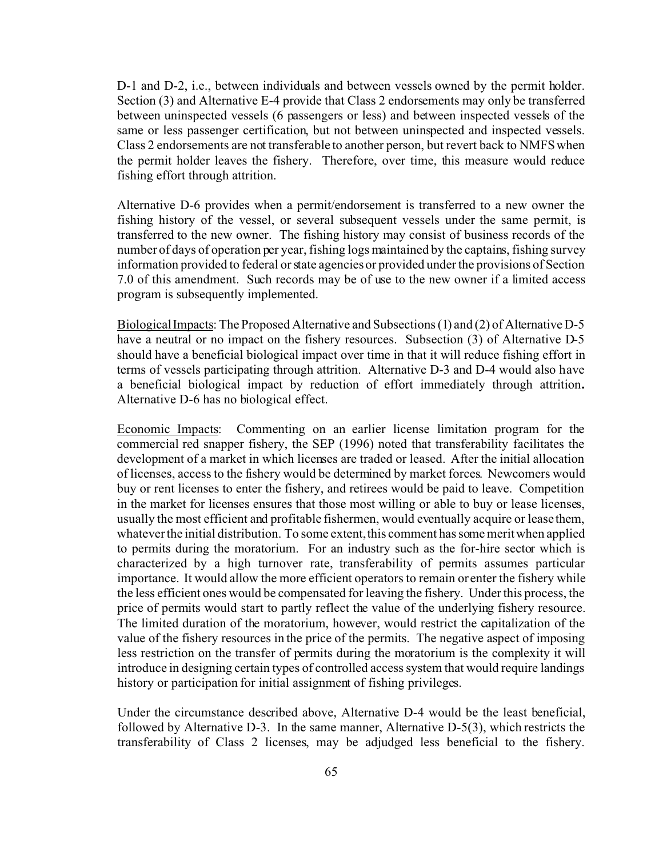D-1 and D-2, i.e., between individuals and between vessels owned by the permit holder. Section (3) and Alternative E-4 provide that Class 2 endorsements may only be transferred between uninspected vessels (6 passengers or less) and between inspected vessels of the same or less passenger certification, but not between uninspected and inspected vessels. Class 2 endorsements are not transferable to another person, but revert back to NMFS when the permit holder leaves the fishery. Therefore, over time, this measure would reduce fishing effort through attrition.

Alternative D-6 provides when a permit/endorsement is transferred to a new owner the fishing history of the vessel, or several subsequent vessels under the same permit, is transferred to the new owner. The fishing history may consist of business records of the number of days of operation per year, fishing logs maintained by the captains, fishing survey information provided to federal or state agencies or provided under the provisions of Section 7.0 of this amendment. Such records may be of use to the new owner if a limited access program is subsequently implemented.

BiologicalImpacts: The Proposed Alternative and Subsections (1) and (2) of Alternative D-5 have a neutral or no impact on the fishery resources. Subsection (3) of Alternative D-5 should have a beneficial biological impact over time in that it will reduce fishing effort in terms of vessels participating through attrition. Alternative D-3 and D-4 would also have a beneficial biological impact by reduction of effort immediately through attrition**.** Alternative D-6 has no biological effect.

Economic Impacts: Commenting on an earlier license limitation program for the commercial red snapper fishery, the SEP (1996) noted that transferability facilitates the development of a market in which licenses are traded or leased. After the initial allocation of licenses, access to the fishery would be determined by market forces. Newcomers would buy or rent licenses to enter the fishery, and retirees would be paid to leave. Competition in the market for licenses ensures that those most willing or able to buy or lease licenses, usually the most efficient and profitable fishermen, would eventually acquire or lease them, whatever the initial distribution. To some extent, this comment has some merit when applied to permits during the moratorium. For an industry such as the for-hire sector which is characterized by a high turnover rate, transferability of permits assumes particular importance. It would allow the more efficient operators to remain or enter the fishery while the less efficient ones would be compensated for leaving the fishery. Under this process, the price of permits would start to partly reflect the value of the underlying fishery resource. The limited duration of the moratorium, however, would restrict the capitalization of the value of the fishery resources in the price of the permits. The negative aspect of imposing less restriction on the transfer of permits during the moratorium is the complexity it will introduce in designing certain types of controlled access system that would require landings history or participation for initial assignment of fishing privileges.

Under the circumstance described above, Alternative D-4 would be the least beneficial, followed by Alternative D-3. In the same manner, Alternative D-5(3), which restricts the transferability of Class 2 licenses, may be adjudged less beneficial to the fishery.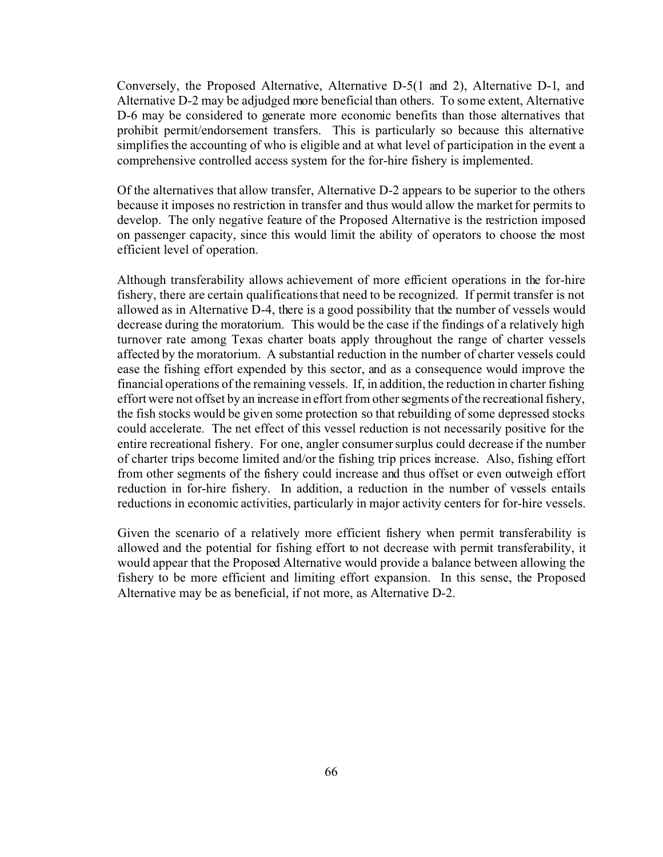Conversely, the Proposed Alternative, Alternative D-5(1 and 2), Alternative D-1, and Alternative D-2 may be adjudged more beneficial than others. To some extent, Alternative D-6 may be considered to generate more economic benefits than those alternatives that prohibit permit/endorsement transfers. This is particularly so because this alternative simplifies the accounting of who is eligible and at what level of participation in the event a comprehensive controlled access system for the for-hire fishery is implemented.

Of the alternatives that allow transfer, Alternative D-2 appears to be superior to the others because it imposes no restriction in transfer and thus would allow the market for permits to develop. The only negative feature of the Proposed Alternative is the restriction imposed on passenger capacity, since this would limit the ability of operators to choose the most efficient level of operation.

Although transferability allows achievement of more efficient operations in the for-hire fishery, there are certain qualifications that need to be recognized. If permit transfer is not allowed as in Alternative D-4, there is a good possibility that the number of vessels would decrease during the moratorium. This would be the case if the findings of a relatively high turnover rate among Texas charter boats apply throughout the range of charter vessels affected by the moratorium. A substantial reduction in the number of charter vessels could ease the fishing effort expended by this sector, and as a consequence would improve the financial operations of the remaining vessels. If, in addition, the reduction in charter fishing effort were not offset by an increase in effort from other segments of the recreational fishery, the fish stocks would be given some protection so that rebuilding of some depressed stocks could accelerate. The net effect of this vessel reduction is not necessarily positive for the entire recreational fishery. For one, angler consumer surplus could decrease if the number of charter trips become limited and/or the fishing trip prices increase. Also, fishing effort from other segments of the fishery could increase and thus offset or even outweigh effort reduction in for-hire fishery. In addition, a reduction in the number of vessels entails reductions in economic activities, particularly in major activity centers for for-hire vessels.

Given the scenario of a relatively more efficient fishery when permit transferability is allowed and the potential for fishing effort to not decrease with permit transferability, it would appear that the Proposed Alternative would provide a balance between allowing the fishery to be more efficient and limiting effort expansion. In this sense, the Proposed Alternative may be as beneficial, if not more, as Alternative D-2.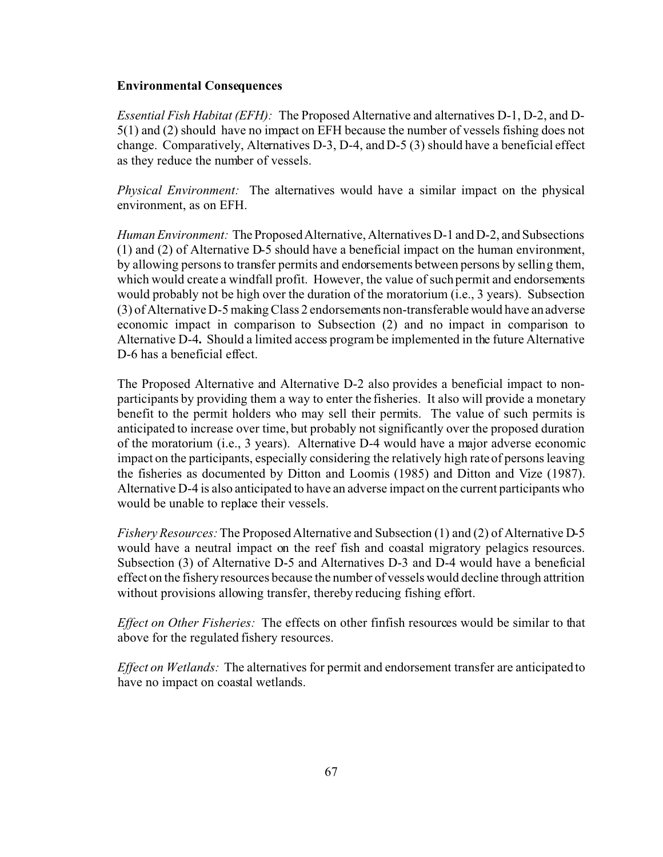### **Environmental Consequences**

*Essential Fish Habitat (EFH):* The Proposed Alternative and alternatives D-1, D-2, and D-5(1) and (2) should have no impact on EFH because the number of vessels fishing does not change. Comparatively, Alternatives D-3, D-4, and D-5 (3) should have a beneficial effect as they reduce the number of vessels.

*Physical Environment:* The alternatives would have a similar impact on the physical environment, as on EFH.

*Human Environment:* The Proposed Alternative, Alternatives D-1 and D-2, and Subsections (1) and (2) of Alternative D-5 should have a beneficial impact on the human environment, by allowing persons to transfer permits and endorsements between persons by selling them, which would create a windfall profit. However, the value of such permit and endorsements would probably not be high over the duration of the moratorium (i.e., 3 years). Subsection (3) of Alternative D-5 making Class 2 endorsements non-transferable would have an adverse economic impact in comparison to Subsection (2) and no impact in comparison to Alternative D-4**.** Should a limited access program be implemented in the future Alternative D-6 has a beneficial effect.

The Proposed Alternative and Alternative D-2 also provides a beneficial impact to nonparticipants by providing them a way to enter the fisheries. It also will provide a monetary benefit to the permit holders who may sell their permits. The value of such permits is anticipated to increase over time, but probably not significantly over the proposed duration of the moratorium (i.e., 3 years). Alternative D-4 would have a major adverse economic impact on the participants, especially considering the relatively high rate of persons leaving the fisheries as documented by Ditton and Loomis (1985) and Ditton and Vize (1987). Alternative D-4 is also anticipated to have an adverse impact on the current participants who would be unable to replace their vessels.

*Fishery Resources:* The Proposed Alternative and Subsection (1) and (2) of Alternative D-5 would have a neutral impact on the reef fish and coastal migratory pelagics resources. Subsection (3) of Alternative D-5 and Alternatives D-3 and D-4 would have a beneficial effect on the fishery resources because the number of vessels would decline through attrition without provisions allowing transfer, thereby reducing fishing effort.

*Effect on Other Fisheries:* The effects on other finfish resources would be similar to that above for the regulated fishery resources.

*Effect on Wetlands:* The alternatives for permit and endorsement transfer are anticipated to have no impact on coastal wetlands.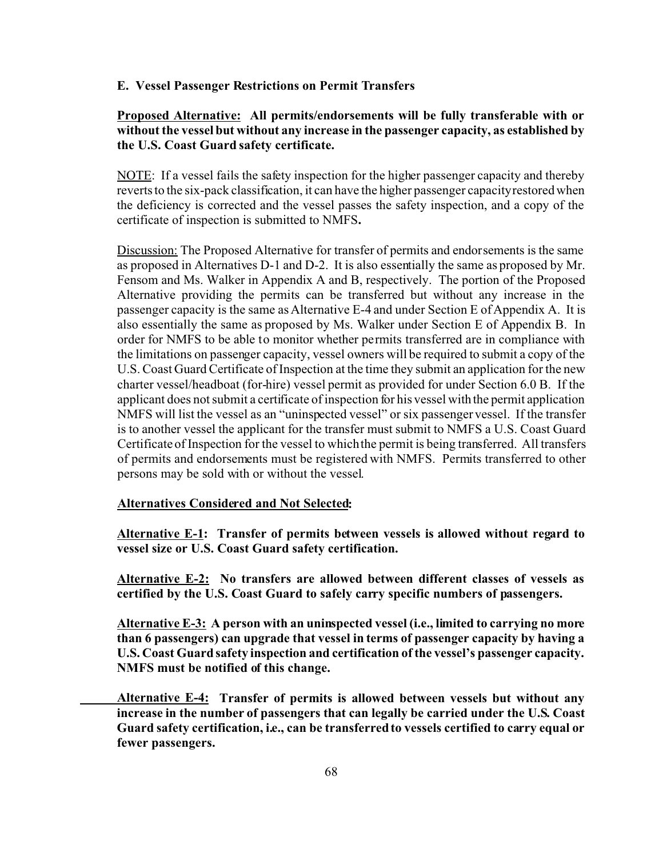#### **E. Vessel Passenger Restrictions on Permit Transfers**

# **Proposed Alternative: All permits/endorsements will be fully transferable with or without the vessel but without any increase in the passenger capacity, as established by the U.S. Coast Guard safety certificate.**

NOTE: If a vessel fails the safety inspection for the higher passenger capacity and thereby reverts to the six-pack classification, it can have the higher passenger capacity restored when the deficiency is corrected and the vessel passes the safety inspection, and a copy of the certificate of inspection is submitted to NMFS**.**

Discussion: The Proposed Alternative for transfer of permits and endorsements is the same as proposed in Alternatives D-1 and D-2. It is also essentially the same as proposed by Mr. Fensom and Ms. Walker in Appendix A and B, respectively. The portion of the Proposed Alternative providing the permits can be transferred but without any increase in the passenger capacity is the same as Alternative E-4 and under Section E of Appendix A. It is also essentially the same as proposed by Ms. Walker under Section E of Appendix B. In order for NMFS to be able to monitor whether permits transferred are in compliance with the limitations on passenger capacity, vessel owners will be required to submit a copy of the U.S. Coast Guard Certificate of Inspection at the time they submit an application for the new charter vessel/headboat (for-hire) vessel permit as provided for under Section 6.0 B. If the applicant does not submit a certificate of inspection for his vessel with the permit application NMFS will list the vessel as an "uninspected vessel" or six passenger vessel. If the transfer is to another vessel the applicant for the transfer must submit to NMFS a U.S. Coast Guard Certificate of Inspection for the vessel to which the permit is being transferred. All transfers of permits and endorsements must be registered with NMFS. Permits transferred to other persons may be sold with or without the vessel.

# **Alternatives Considered and Not Selected:**

**Alternative E-1: Transfer of permits between vessels is allowed without regard to vessel size or U.S. Coast Guard safety certification.**

**Alternative E-2: No transfers are allowed between different classes of vessels as certified by the U.S. Coast Guard to safely carry specific numbers of passengers.**

**Alternative E-3: A person with an uninspected vessel (i.e., limited to carrying no more than 6 passengers) can upgrade that vessel in terms of passenger capacity by having a U.S. Coast Guard safety inspection and certification of the vessel's passenger capacity. NMFS must be notified of this change.**

**Alternative E-4: Transfer of permits is allowed between vessels but without any increase in the number of passengers that can legally be carried under the U.S. Coast Guard safety certification, i.e., can be transferred to vessels certified to carry equal or fewer passengers.**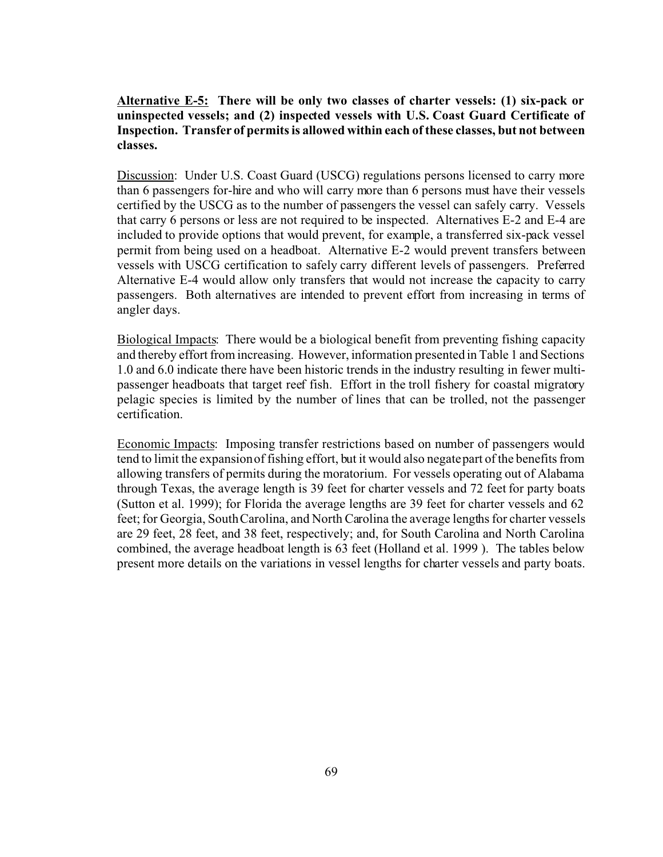# **Alternative E-5: There will be only two classes of charter vessels: (1) six-pack or uninspected vessels; and (2) inspected vessels with U.S. Coast Guard Certificate of Inspection. Transfer of permits is allowed within each of these classes, but not between classes.**

Discussion: Under U.S. Coast Guard (USCG) regulations persons licensed to carry more than 6 passengers for-hire and who will carry more than 6 persons must have their vessels certified by the USCG as to the number of passengers the vessel can safely carry. Vessels that carry 6 persons or less are not required to be inspected. Alternatives E-2 and E-4 are included to provide options that would prevent, for example, a transferred six-pack vessel permit from being used on a headboat. Alternative E-2 would prevent transfers between vessels with USCG certification to safely carry different levels of passengers. Preferred Alternative E-4 would allow only transfers that would not increase the capacity to carry passengers. Both alternatives are intended to prevent effort from increasing in terms of angler days.

Biological Impacts: There would be a biological benefit from preventing fishing capacity and thereby effort from increasing. However, information presented in Table 1 and Sections 1.0 and 6.0 indicate there have been historic trends in the industry resulting in fewer multipassenger headboats that target reef fish. Effort in the troll fishery for coastal migratory pelagic species is limited by the number of lines that can be trolled, not the passenger certification.

Economic Impacts: Imposing transfer restrictions based on number of passengers would tend to limit the expansion of fishing effort, but it would also negate part of the benefits from allowing transfers of permits during the moratorium. For vessels operating out of Alabama through Texas, the average length is 39 feet for charter vessels and 72 feet for party boats (Sutton et al. 1999); for Florida the average lengths are 39 feet for charter vessels and 62 feet; for Georgia, South Carolina, and North Carolina the average lengths for charter vessels are 29 feet, 28 feet, and 38 feet, respectively; and, for South Carolina and North Carolina combined, the average headboat length is 63 feet (Holland et al. 1999 ). The tables below present more details on the variations in vessel lengths for charter vessels and party boats.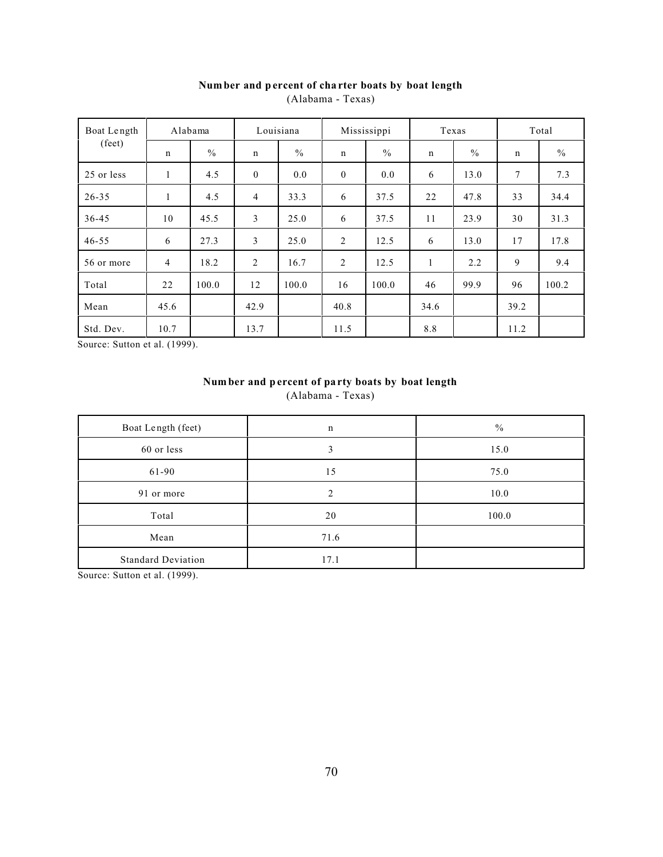| Boat Length     |                | Alabama | Louisiana        |               | Mississippi    |               |              | Texas         |             | Total         |
|-----------------|----------------|---------|------------------|---------------|----------------|---------------|--------------|---------------|-------------|---------------|
| $(\text{feet})$ | n              | $\%$    | $\mathbf n$      | $\frac{0}{0}$ | $\mathbf n$    | $\frac{0}{0}$ | $\mathbf n$  | $\frac{0}{0}$ | $\mathbf n$ | $\frac{0}{0}$ |
| 25 or less      | $\mathbf{1}$   | 4.5     | $\boldsymbol{0}$ | 0.0           | $\mathbf{0}$   | 0.0           | 6            | 13.0          | $\tau$      | 7.3           |
| $26 - 35$       | $\mathbf{1}$   | 4.5     | 4                | 33.3          | 6              | 37.5          | 22           | 47.8          | 33          | 34.4          |
| $36 - 45$       | 10             | 45.5    | 3                | 25.0          | 6              | 37.5          | 11           | 23.9          | 30          | 31.3          |
| $46 - 55$       | 6              | 27.3    | 3                | 25.0          | $\overline{2}$ | 12.5          | 6            | 13.0          | 17          | 17.8          |
| 56 or more      | $\overline{4}$ | 18.2    | 2                | 16.7          | $\overline{2}$ | 12.5          | $\mathbf{1}$ | 2.2           | 9           | 9.4           |
| Total           | 22             | 100.0   | 12               | 100.0         | 16             | 100.0         | 46           | 99.9          | 96          | 100.2         |
| Mean            | 45.6           |         | 42.9             |               | 40.8           |               | 34.6         |               | 39.2        |               |
| Std. Dev.       | 10.7           |         | 13.7             |               | 11.5           |               | 8.8          |               | 11.2        |               |

# **Num ber and p ercent of cha rter boats by boat length**

(Alabama - Texas)

Source: Sutton et al. (1999).

# **Num ber and p ercent of pa rty boats by boat length** (Alabama - Texas)

| Boat Length (feet)        | $\mathbf n$ | $\frac{0}{0}$ |
|---------------------------|-------------|---------------|
| 60 or less                | 3           | 15.0          |
| 61-90                     | 15          | 75.0          |
| 91 or more                | ↑           | 10.0          |
| Total                     | 20          | 100.0         |
| Mean                      | 71.6        |               |
| <b>Standard Deviation</b> | 17.1        |               |

Source: Sutton et al. (1999).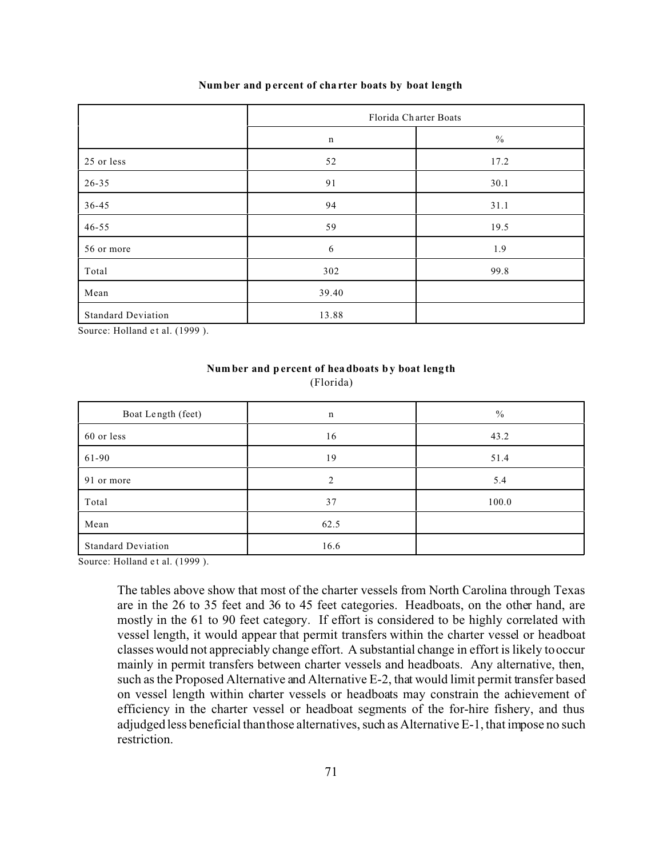#### **Num ber and p ercent of cha rter boats by boat length**

|                           | Florida Charter Boats |               |  |  |  |
|---------------------------|-----------------------|---------------|--|--|--|
|                           | $\mathbf n$           | $\frac{0}{0}$ |  |  |  |
| 25 or less                | 52                    | 17.2          |  |  |  |
| 26-35                     | 91                    | 30.1          |  |  |  |
| 36-45                     | 94                    | 31.1          |  |  |  |
| $46 - 55$                 | 59                    | 19.5          |  |  |  |
| 56 or more                | 6                     | 1.9           |  |  |  |
| Total                     | 302                   | 99.8          |  |  |  |
| Mean                      | 39.40                 |               |  |  |  |
| <b>Standard Deviation</b> | 13.88                 |               |  |  |  |

Source: Holland et al. (1999).

# **Num ber and p ercent of hea dboats by boat leng th**

(Florida)

| Boat Length (feet)        | n    | $\frac{0}{0}$ |
|---------------------------|------|---------------|
| 60 or less                | 16   | 43.2          |
| 61-90                     | 19   | 51.4          |
| 91 or more                | ↑    | 5.4           |
| Total                     | 37   | 100.0         |
| Mean                      | 62.5 |               |
| <b>Standard Deviation</b> | 16.6 |               |

Source: Holland et al. (1999).

The tables above show that most of the charter vessels from North Carolina through Texas are in the 26 to 35 feet and 36 to 45 feet categories. Headboats, on the other hand, are mostly in the 61 to 90 feet category. If effort is considered to be highly correlated with vessel length, it would appear that permit transfers within the charter vessel or headboat classes would not appreciably change effort. A substantial change in effort is likely to occur mainly in permit transfers between charter vessels and headboats. Any alternative, then, such as the Proposed Alternative and Alternative E-2, that would limit permit transfer based on vessel length within charter vessels or headboats may constrain the achievement of efficiency in the charter vessel or headboat segments of the for-hire fishery, and thus adjudged less beneficial than those alternatives, such as Alternative E-1, that impose no such restriction.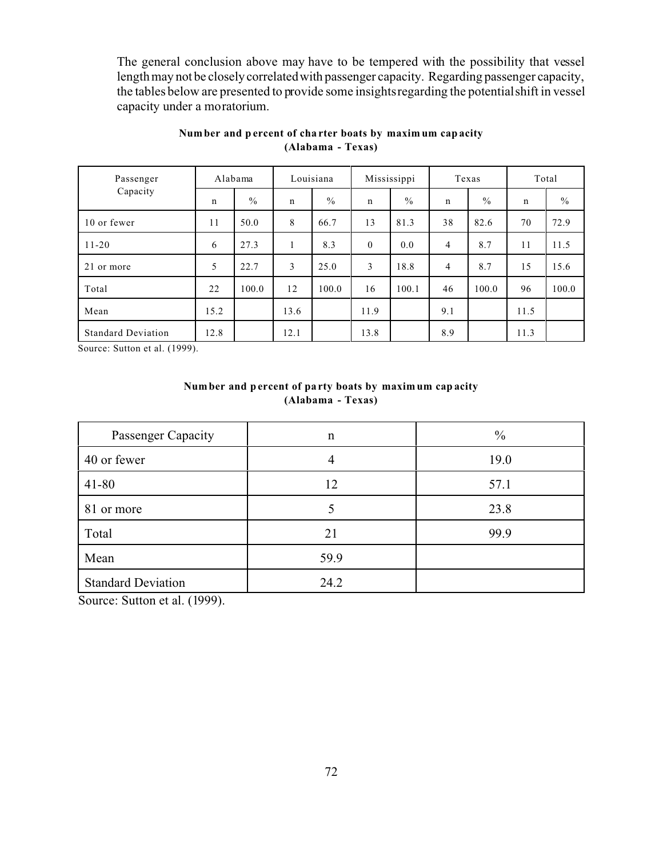The general conclusion above may have to be tempered with the possibility that vessel length may not be closely correlated with passenger capacity. Regarding passenger capacity, the tables below are presented to provide some insights regarding the potential shift in vessel capacity under a moratorium.

| Passenger                 | Alabama     |               | Louisiana   |               | Mississippi  |               | Texas       |               | Total       |               |
|---------------------------|-------------|---------------|-------------|---------------|--------------|---------------|-------------|---------------|-------------|---------------|
| Capacity                  | $\mathbf n$ | $\frac{0}{0}$ | $\mathbf n$ | $\frac{0}{0}$ | $\mathbf n$  | $\frac{0}{0}$ | $\mathbf n$ | $\frac{0}{0}$ | $\mathbf n$ | $\frac{0}{0}$ |
| 10 or fewer               | 11          | 50.0          | 8           | 66.7          | 13           | 81.3          | 38          | 82.6          | 70          | 72.9          |
| $11 - 20$                 | 6           | 27.3          |             | 8.3           | $\mathbf{0}$ | 0.0           | 4           | 8.7           | 11          | 11.5          |
| 21 or more                | 5           | 22.7          | 3           | 25.0          | 3            | 18.8          | 4           | 8.7           | 15          | 15.6          |
| Total                     | 22          | 100.0         | 12          | 100.0         | 16           | 100.1         | 46          | 100.0         | 96          | 100.0         |
| Mean                      | 15.2        |               | 13.6        |               | 11.9         |               | 9.1         |               | 11.5        |               |
| <b>Standard Deviation</b> | 12.8        |               | 12.1        |               | 13.8         |               | 8.9         |               | 11.3        |               |

# **Num ber and p ercent of cha rter boats by maxim um cap acity (Alabama - Texas)**

Source: Sutton et al. (1999).

# **Num ber and p ercent of pa rty boats by maxim um cap acity (Alabama - Texas)**

| Passenger Capacity        | $\mathbf n$ | $\frac{0}{0}$ |
|---------------------------|-------------|---------------|
| 40 or fewer               |             | 19.0          |
| $41 - 80$                 | 12          | 57.1          |
| 81 or more                |             | 23.8          |
| Total                     | 21          | 99.9          |
| Mean                      | 59.9        |               |
| <b>Standard Deviation</b> | 24.2        |               |

Source: Sutton et al. (1999).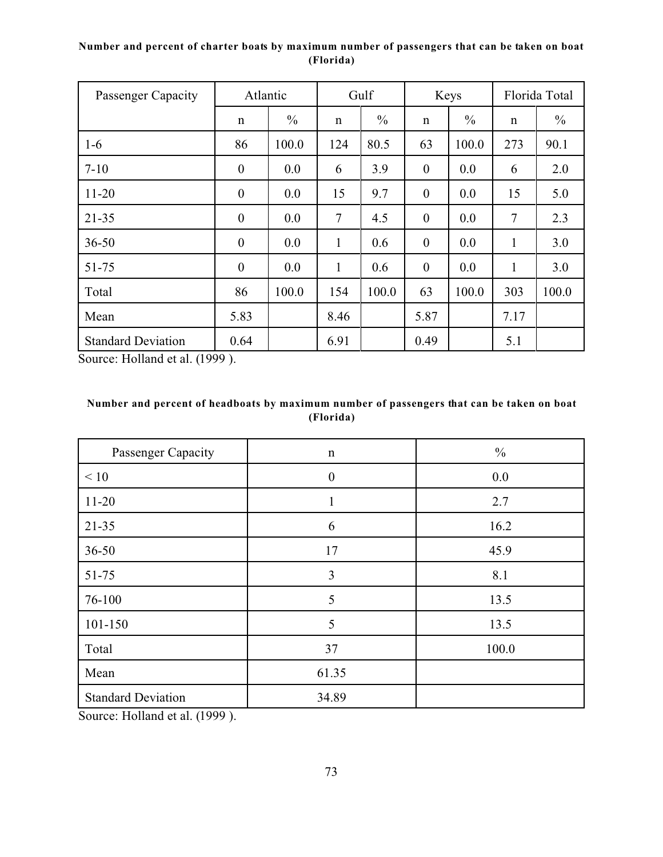# **Number and percent of charter boats by maximum number of passengers that can be taken on boat (Florida)**

| Passenger Capacity        | Atlantic         |               | Gulf         |               | Keys             |               | Florida Total  |               |
|---------------------------|------------------|---------------|--------------|---------------|------------------|---------------|----------------|---------------|
|                           | $\mathbf n$      | $\frac{0}{0}$ | $\mathbf n$  | $\frac{0}{0}$ | $\mathbf n$      | $\frac{0}{0}$ | n              | $\frac{0}{0}$ |
| $1-6$                     | 86               | 100.0         | 124          | 80.5          | 63               | 100.0         | 273            | 90.1          |
| $7 - 10$                  | $\boldsymbol{0}$ | 0.0           | 6            | 3.9           | $\boldsymbol{0}$ | 0.0           | 6              | 2.0           |
| $11 - 20$                 | $\boldsymbol{0}$ | 0.0           | 15           | 9.7           | $\boldsymbol{0}$ | 0.0           | 15             | 5.0           |
| $21 - 35$                 | $\boldsymbol{0}$ | 0.0           | 7            | 4.5           | $\boldsymbol{0}$ | 0.0           | $\overline{7}$ | 2.3           |
| $36 - 50$                 | $\boldsymbol{0}$ | 0.0           | $\mathbf{1}$ | 0.6           | $\boldsymbol{0}$ | 0.0           | 1              | 3.0           |
| 51-75                     | $\boldsymbol{0}$ | 0.0           | 1            | 0.6           | $\boldsymbol{0}$ | 0.0           | 1              | 3.0           |
| Total                     | 86               | 100.0         | 154          | 100.0         | 63               | 100.0         | 303            | 100.0         |
| Mean                      | 5.83             |               | 8.46         |               | 5.87             |               | 7.17           |               |
| <b>Standard Deviation</b> | 0.64             |               | 6.91         |               | 0.49             |               | 5.1            |               |

Source: Holland et al. (1999 ).

# **Number and percent of headboats by maximum number of passengers that can be taken on boat (Florida)**

| Passenger Capacity        | $\mathbf n$      | $\frac{0}{0}$ |
|---------------------------|------------------|---------------|
| < 10                      | $\boldsymbol{0}$ | 0.0           |
| $11 - 20$                 | $\mathbf{1}$     | 2.7           |
| $21 - 35$                 | 6                | 16.2          |
| $36 - 50$                 | 17               | 45.9          |
| $51 - 75$                 | 3                | 8.1           |
| 76-100                    | 5                | 13.5          |
| $101 - 150$               | 5                | 13.5          |
| Total                     | 37               | 100.0         |
| Mean                      | 61.35            |               |
| <b>Standard Deviation</b> | 34.89            |               |

Source: Holland et al. (1999 ).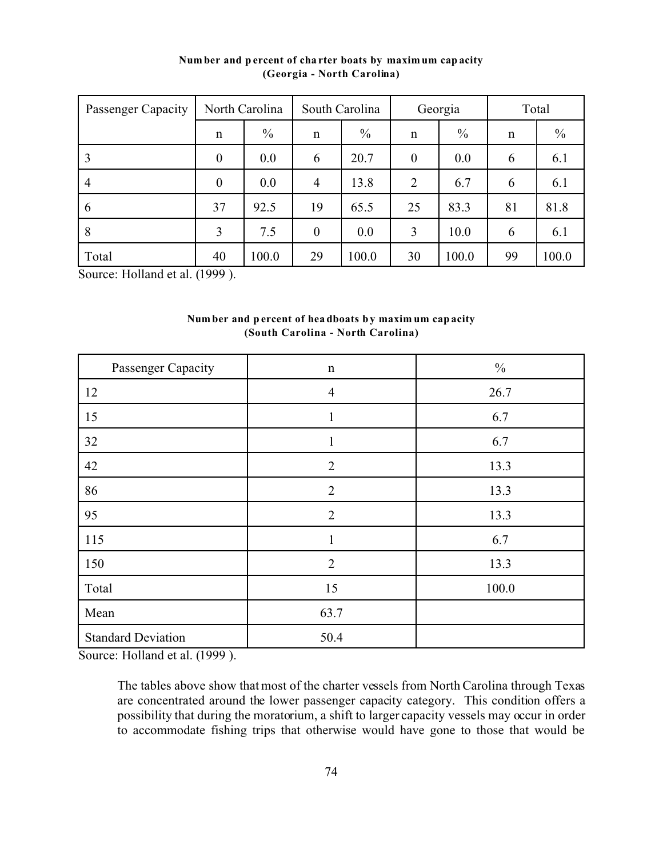| Passenger Capacity | North Carolina   |       | South Carolina |               | Georgia          |       | Total |       |
|--------------------|------------------|-------|----------------|---------------|------------------|-------|-------|-------|
|                    | $\mathbf n$      | $\%$  | $\mathbf n$    | $\frac{0}{0}$ | n                | $\%$  | n     | $\%$  |
| 3                  | $\boldsymbol{0}$ | 0.0   | 6              | 20.7          | $\boldsymbol{0}$ | 0.0   | 6     | 6.1   |
| $\overline{4}$     | $\boldsymbol{0}$ | 0.0   | $\overline{4}$ | 13.8          | $\overline{2}$   | 6.7   | 6     | 6.1   |
| 6                  | 37               | 92.5  | 19             | 65.5          | 25               | 83.3  | 81    | 81.8  |
| 8                  | 3                | 7.5   | $\overline{0}$ | 0.0           | 3                | 10.0  | 6     | 6.1   |
| Total              | 40               | 100.0 | 29             | 100.0         | 30               | 100.0 | 99    | 100.0 |

**Num ber and p ercent of cha rter boats by maxim um cap acity (Georgia - North Carolina)**

Source: Holland et al. (1999).

| Number and percent of headboats by maximum capacity |  |
|-----------------------------------------------------|--|
| (South Carolina - North Carolina)                   |  |

| Passenger Capacity        | $\mathbf n$    | $\frac{0}{0}$ |
|---------------------------|----------------|---------------|
| 12                        | $\overline{4}$ | 26.7          |
| 15                        | $\mathbf{1}$   | 6.7           |
| 32                        | $\mathbf{1}$   | 6.7           |
| 42                        | $\overline{2}$ | 13.3          |
| 86                        | $\overline{2}$ | 13.3          |
| 95                        | $\overline{2}$ | 13.3          |
| 115                       | $\mathbf{1}$   | 6.7           |
| 150                       | $\overline{2}$ | 13.3          |
| Total                     | 15             | 100.0         |
| Mean                      | 63.7           |               |
| <b>Standard Deviation</b> | 50.4           |               |

Source: Holland et al. (1999).

The tables above show that most of the charter vessels from North Carolina through Texas are concentrated around the lower passenger capacity category. This condition offers a possibility that during the moratorium, a shift to larger capacity vessels may occur in order to accommodate fishing trips that otherwise would have gone to those that would be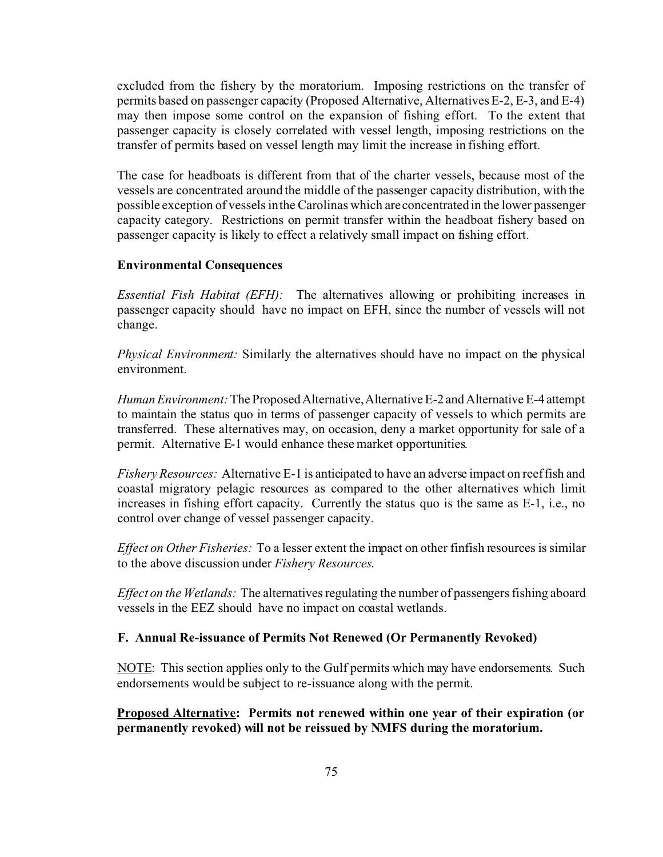excluded from the fishery by the moratorium. Imposing restrictions on the transfer of permits based on passenger capacity (Proposed Alternative, Alternatives E-2, E-3, and E-4) may then impose some control on the expansion of fishing effort. To the extent that passenger capacity is closely correlated with vessel length, imposing restrictions on the transfer of permits based on vessel length may limit the increase in fishing effort.

The case for headboats is different from that of the charter vessels, because most of the vessels are concentrated around the middle of the passenger capacity distribution, with the possible exception of vessels in the Carolinas which are concentrated in the lower passenger capacity category. Restrictions on permit transfer within the headboat fishery based on passenger capacity is likely to effect a relatively small impact on fishing effort.

#### **Environmental Consequences**

*Essential Fish Habitat (EFH):* The alternatives allowing or prohibiting increases in passenger capacity should have no impact on EFH, since the number of vessels will not change.

*Physical Environment:* Similarly the alternatives should have no impact on the physical environment.

*HumanEnvironment:* The ProposedAlternative,Alternative E-2 and Alternative E-4 attempt to maintain the status quo in terms of passenger capacity of vessels to which permits are transferred. These alternatives may, on occasion, deny a market opportunity for sale of a permit. Alternative E-1 would enhance these market opportunities.

*Fishery Resources:* Alternative E-1 is anticipated to have an adverse impact on reef fish and coastal migratory pelagic resources as compared to the other alternatives which limit increases in fishing effort capacity. Currently the status quo is the same as E-1, i.e., no control over change of vessel passenger capacity.

*Effect on Other Fisheries:* To a lesser extent the impact on other finfish resources is similar to the above discussion under *Fishery Resources*.

*Effect on the Wetlands:* The alternatives regulating the number of passengers fishing aboard vessels in the EEZ should have no impact on coastal wetlands.

### **F. Annual Re-issuance of Permits Not Renewed (Or Permanently Revoked)**

NOTE: This section applies only to the Gulf permits which may have endorsements. Such endorsements would be subject to re-issuance along with the permit.

**Proposed Alternative: Permits not renewed within one year of their expiration (or permanently revoked) will not be reissued by NMFS during the moratorium.**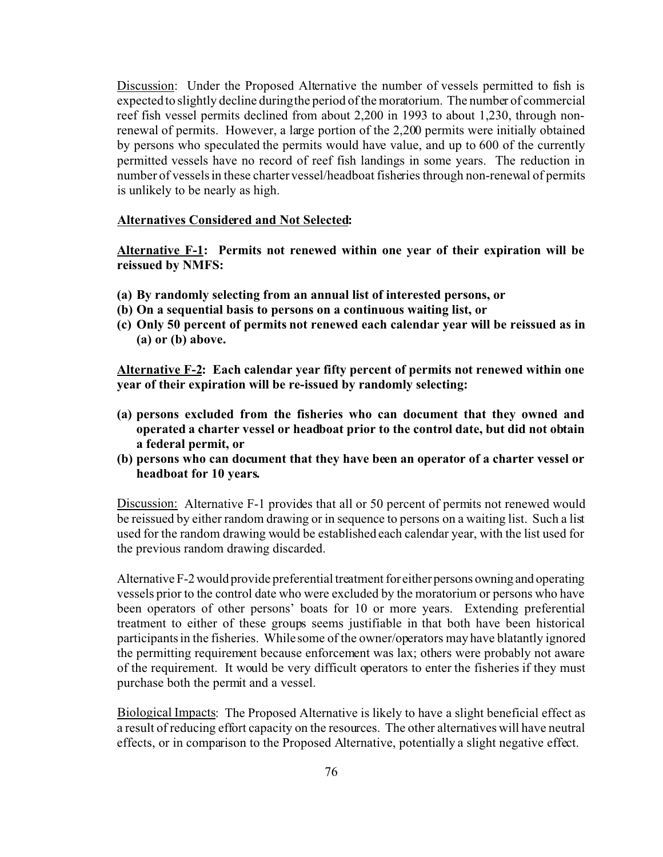Discussion: Under the Proposed Alternative the number of vessels permitted to fish is expected to slightly decline during the period of the moratorium. The number of commercial reef fish vessel permits declined from about 2,200 in 1993 to about 1,230, through nonrenewal of permits. However, a large portion of the 2,200 permits were initially obtained by persons who speculated the permits would have value, and up to 600 of the currently permitted vessels have no record of reef fish landings in some years. The reduction in number of vessels in these charter vessel/headboat fisheries through non-renewal of permits is unlikely to be nearly as high.

### **Alternatives Considered and Not Selected:**

**Alternative F-1: Permits not renewed within one year of their expiration will be reissued by NMFS:**

- **(a) By randomly selecting from an annual list of interested persons, or**
- **(b) On a sequential basis to persons on a continuous waiting list, or**
- **(c) Only 50 percent of permits not renewed each calendar year will be reissued as in (a) or (b) above.**

**Alternative F-2: Each calendar year fifty percent of permits not renewed within one year of their expiration will be re-issued by randomly selecting:**

- **(a) persons excluded from the fisheries who can document that they owned and operated a charter vessel or headboat prior to the control date, but did not obtain a federal permit, or**
- **(b) persons who can document that they have been an operator of a charter vessel or headboat for 10 years.**

Discussion: Alternative F-1 provides that all or 50 percent of permits not renewed would be reissued by either random drawing or in sequence to persons on a waiting list. Such a list used for the random drawing would be established each calendar year, with the list used for the previous random drawing discarded.

Alternative F-2 would provide preferential treatment for either persons owning and operating vessels prior to the control date who were excluded by the moratorium or persons who have been operators of other persons' boats for 10 or more years. Extending preferential treatment to either of these groups seems justifiable in that both have been historical participants in the fisheries. While some of the owner/operators may have blatantly ignored the permitting requirement because enforcement was lax; others were probably not aware of the requirement. It would be very difficult operators to enter the fisheries if they must purchase both the permit and a vessel.

Biological Impacts: The Proposed Alternative is likely to have a slight beneficial effect as a result of reducing effort capacity on the resources. The other alternatives will have neutral effects, or in comparison to the Proposed Alternative, potentially a slight negative effect.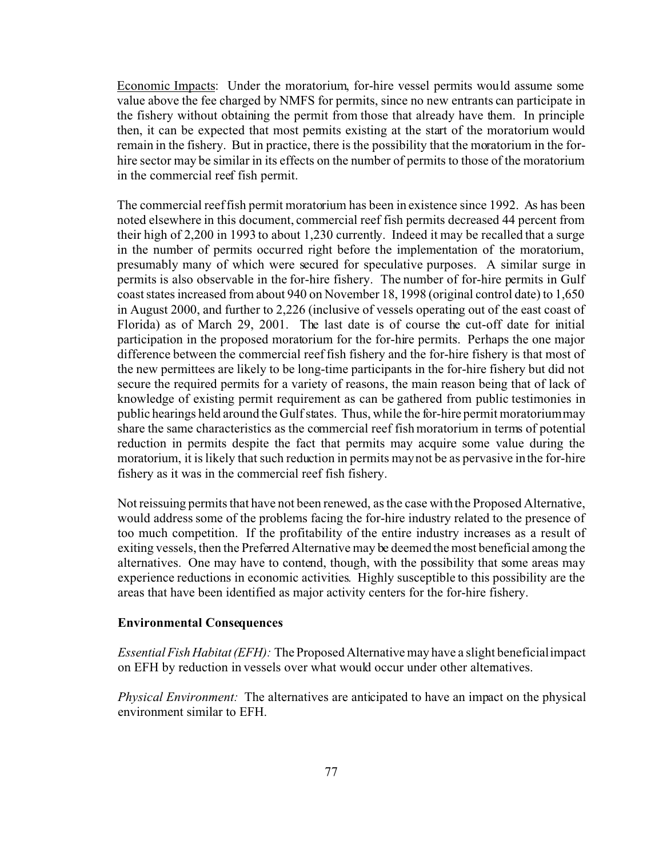Economic Impacts: Under the moratorium, for-hire vessel permits would assume some value above the fee charged by NMFS for permits, since no new entrants can participate in the fishery without obtaining the permit from those that already have them. In principle then, it can be expected that most permits existing at the start of the moratorium would remain in the fishery. But in practice, there is the possibility that the moratorium in the forhire sector may be similar in its effects on the number of permits to those of the moratorium in the commercial reef fish permit.

The commercial reef fish permit moratorium has been in existence since 1992. As has been noted elsewhere in this document, commercial reef fish permits decreased 44 percent from their high of 2,200 in 1993 to about 1,230 currently. Indeed it may be recalled that a surge in the number of permits occurred right before the implementation of the moratorium, presumably many of which were secured for speculative purposes. A similar surge in permits is also observable in the for-hire fishery. The number of for-hire permits in Gulf coast states increased from about 940 on November 18, 1998 (original control date) to 1,650 in August 2000, and further to 2,226 (inclusive of vessels operating out of the east coast of Florida) as of March 29, 2001. The last date is of course the cut-off date for initial participation in the proposed moratorium for the for-hire permits. Perhaps the one major difference between the commercial reef fish fishery and the for-hire fishery is that most of the new permittees are likely to be long-time participants in the for-hire fishery but did not secure the required permits for a variety of reasons, the main reason being that of lack of knowledge of existing permit requirement as can be gathered from public testimonies in public hearings held around the Gulf states. Thus, while the for-hire permit moratorium may share the same characteristics as the commercial reef fish moratorium in terms of potential reduction in permits despite the fact that permits may acquire some value during the moratorium, it is likely that such reduction in permits may not be as pervasive in the for-hire fishery as it was in the commercial reef fish fishery.

Not reissuing permits that have not been renewed, as the case with the Proposed Alternative, would address some of the problems facing the for-hire industry related to the presence of too much competition. If the profitability of the entire industry increases as a result of exiting vessels, then the Preferred Alternative may be deemed the most beneficial among the alternatives. One may have to contend, though, with the possibility that some areas may experience reductions in economic activities. Highly susceptible to this possibility are the areas that have been identified as major activity centers for the for-hire fishery.

#### **Environmental Consequences**

*Essential Fish Habitat (EFH):* The Proposed Alternative may have a slight beneficial impact on EFH by reduction in vessels over what would occur under other alternatives.

*Physical Environment:* The alternatives are anticipated to have an impact on the physical environment similar to EFH.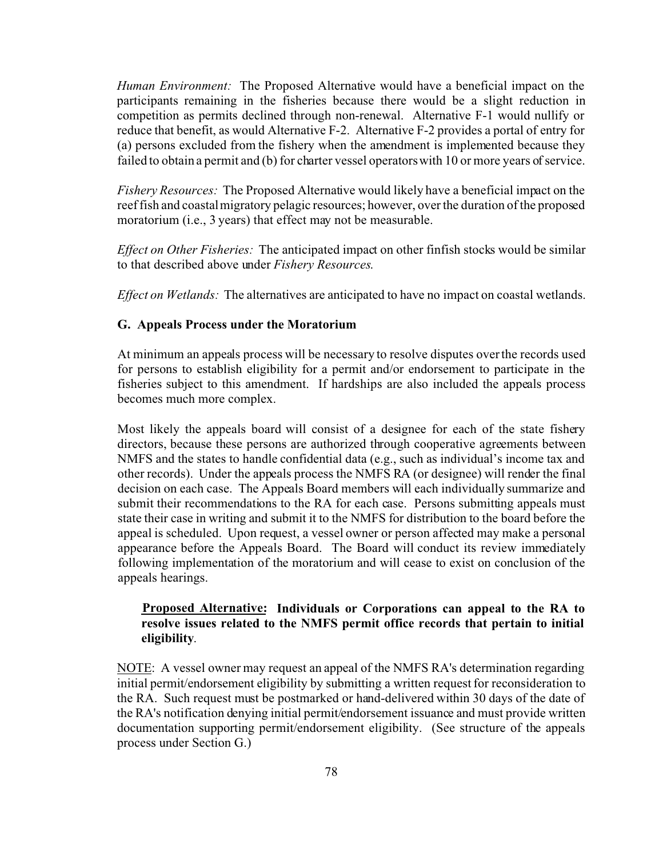*Human Environment:* The Proposed Alternative would have a beneficial impact on the participants remaining in the fisheries because there would be a slight reduction in competition as permits declined through non-renewal. Alternative F-1 would nullify or reduce that benefit, as would Alternative F-2. Alternative F-2 provides a portal of entry for (a) persons excluded from the fishery when the amendment is implemented because they failed to obtain a permit and (b) for charter vessel operators with 10 or more years of service.

*Fishery Resources:* The Proposed Alternative would likely have a beneficial impact on the reef fish and coastal migratory pelagic resources; however, over the duration of the proposed moratorium (i.e., 3 years) that effect may not be measurable.

*Effect on Other Fisheries:* The anticipated impact on other finfish stocks would be similar to that described above under *Fishery Resources*.

*Effect on Wetlands:* The alternatives are anticipated to have no impact on coastal wetlands.

#### **G. Appeals Process under the Moratorium**

At minimum an appeals process will be necessary to resolve disputes over the records used for persons to establish eligibility for a permit and/or endorsement to participate in the fisheries subject to this amendment. If hardships are also included the appeals process becomes much more complex.

Most likely the appeals board will consist of a designee for each of the state fishery directors, because these persons are authorized through cooperative agreements between NMFS and the states to handle confidential data (e.g., such as individual's income tax and other records). Under the appeals process the NMFS RA (or designee) will render the final decision on each case. The Appeals Board members will each individually summarize and submit their recommendations to the RA for each case. Persons submitting appeals must state their case in writing and submit it to the NMFS for distribution to the board before the appeal is scheduled. Upon request, a vessel owner or person affected may make a personal appearance before the Appeals Board. The Board will conduct its review immediately following implementation of the moratorium and will cease to exist on conclusion of the appeals hearings.

# **Proposed Alternative: Individuals or Corporations can appeal to the RA to resolve issues related to the NMFS permit office records that pertain to initial eligibility**.

NOTE: A vessel owner may request an appeal of the NMFS RA's determination regarding initial permit/endorsement eligibility by submitting a written request for reconsideration to the RA. Such request must be postmarked or hand-delivered within 30 days of the date of the RA's notification denying initial permit/endorsement issuance and must provide written documentation supporting permit/endorsement eligibility. (See structure of the appeals process under Section G.)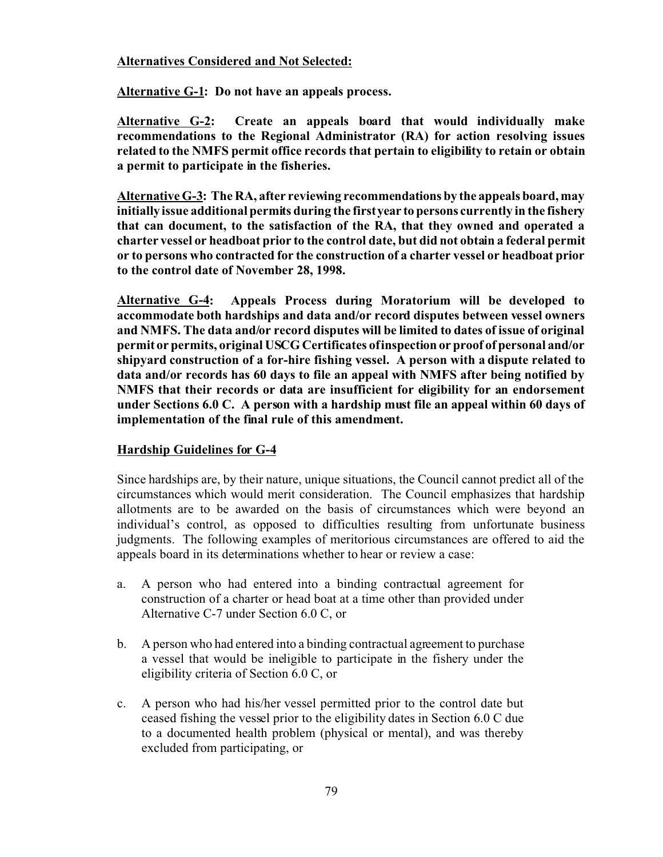# **Alternatives Considered and Not Selected:**

**Alternative G-1: Do not have an appeals process.**

**Alternative G-2: Create an appeals board that would individually make recommendations to the Regional Administrator (RA) for action resolving issues related to the NMFS permit office records that pertain to eligibility to retain or obtain a permit to participate in the fisheries.**

**Alternative G-3: The RA, after reviewing recommendations by the appeals board, may initially issue additional permits during the first year to persons currently in the fishery that can document, to the satisfaction of the RA, that they owned and operated a charter vessel or headboat prior to the control date, but did not obtain a federal permit or to persons who contracted for the construction of a charter vessel or headboat prior to the control date of November 28, 1998.** 

**Alternative G-4: Appeals Process during Moratorium will be developed to accommodate both hardships and data and/or record disputes between vessel owners and NMFS. The data and/or record disputes will be limited to dates of issue of original permit or permits, original USCG Certificates of inspection or proof of personal and/or shipyard construction of a for-hire fishing vessel. A person with a dispute related to data and/or records has 60 days to file an appeal with NMFS after being notified by NMFS that their records or data are insufficient for eligibility for an endorsement under Sections 6.0 C. A person with a hardship must file an appeal within 60 days of implementation of the final rule of this amendment.**

# **Hardship Guidelines for G-4**

Since hardships are, by their nature, unique situations, the Council cannot predict all of the circumstances which would merit consideration. The Council emphasizes that hardship allotments are to be awarded on the basis of circumstances which were beyond an individual's control, as opposed to difficulties resulting from unfortunate business judgments. The following examples of meritorious circumstances are offered to aid the appeals board in its determinations whether to hear or review a case:

- a. A person who had entered into a binding contractual agreement for construction of a charter or head boat at a time other than provided under Alternative C-7 under Section 6.0 C, or
- b. A person who had entered into a binding contractual agreement to purchase a vessel that would be ineligible to participate in the fishery under the eligibility criteria of Section 6.0 C, or
- c. A person who had his/her vessel permitted prior to the control date but ceased fishing the vessel prior to the eligibility dates in Section 6.0 C due to a documented health problem (physical or mental), and was thereby excluded from participating, or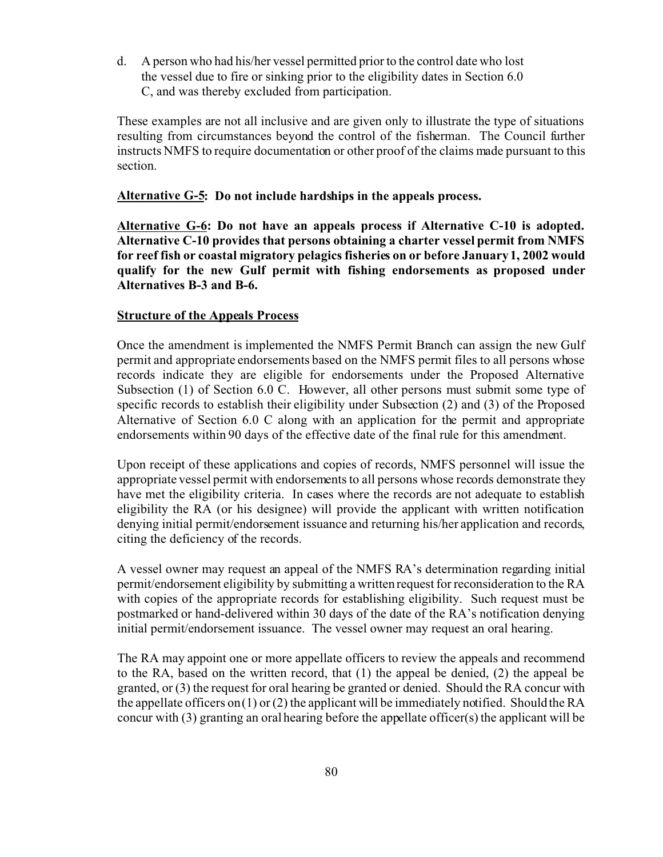d. A person who had his/her vessel permitted prior to the control date who lost the vessel due to fire or sinking prior to the eligibility dates in Section 6.0 C, and was thereby excluded from participation.

These examples are not all inclusive and are given only to illustrate the type of situations resulting from circumstances beyond the control of the fisherman. The Council further instructs NMFS to require documentation or other proof of the claims made pursuant to this section.

# **Alternative G-5: Do not include hardships in the appeals process.**

**Alternative G-6: Do not have an appeals process if Alternative C-10 is adopted. Alternative C-10 provides that persons obtaining a charter vessel permit from NMFS for reef fish or coastal migratory pelagics fisheries on or before January 1, 2002 would qualify for the new Gulf permit with fishing endorsements as proposed under Alternatives B-3 and B-6.**

#### **Structure of the Appeals Process**

Once the amendment is implemented the NMFS Permit Branch can assign the new Gulf permit and appropriate endorsements based on the NMFS permit files to all persons whose records indicate they are eligible for endorsements under the Proposed Alternative Subsection (1) of Section 6.0 C. However, all other persons must submit some type of specific records to establish their eligibility under Subsection (2) and (3) of the Proposed Alternative of Section 6.0 C along with an application for the permit and appropriate endorsements within 90 days of the effective date of the final rule for this amendment.

Upon receipt of these applications and copies of records, NMFS personnel will issue the appropriate vessel permit with endorsements to all persons whose records demonstrate they have met the eligibility criteria. In cases where the records are not adequate to establish eligibility the RA (or his designee) will provide the applicant with written notification denying initial permit/endorsement issuance and returning his/her application and records, citing the deficiency of the records.

A vessel owner may request an appeal of the NMFS RA's determination regarding initial permit/endorsement eligibility by submitting a written request for reconsideration to the RA with copies of the appropriate records for establishing eligibility. Such request must be postmarked or hand-delivered within 30 days of the date of the RA's notification denying initial permit/endorsement issuance. The vessel owner may request an oral hearing.

The RA may appoint one or more appellate officers to review the appeals and recommend to the RA, based on the written record, that (1) the appeal be denied, (2) the appeal be granted, or (3) the request for oral hearing be granted or denied. Should the RA concur with the appellate officers on (1) or (2) the applicant will be immediately notified. Should the RA concur with  $(3)$  granting an oral hearing before the appellate officer $(s)$  the applicant will be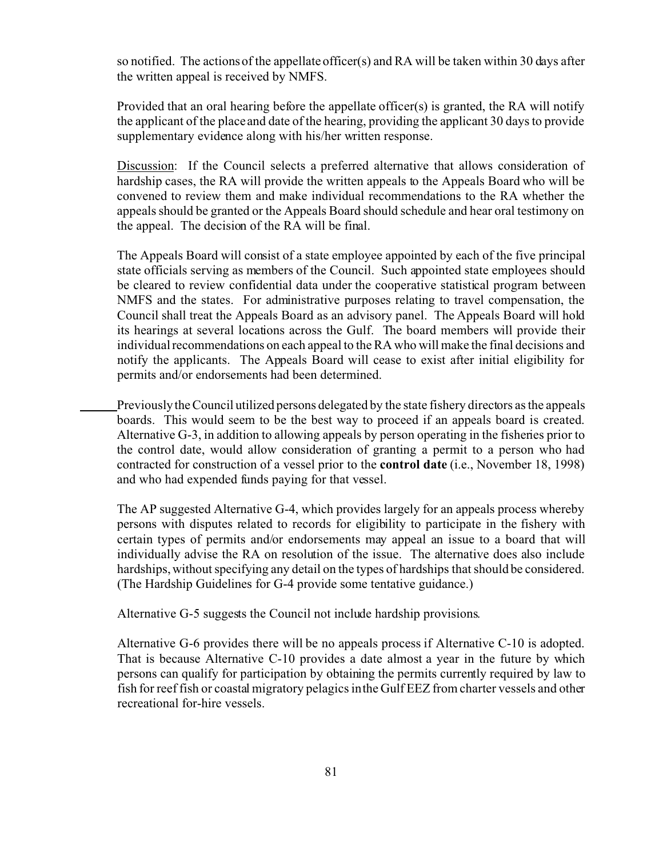so notified. The actions of the appellate officer(s) and RA will be taken within 30 days after the written appeal is received by NMFS.

Provided that an oral hearing before the appellate officer(s) is granted, the RA will notify the applicant of the place and date of the hearing, providing the applicant 30 days to provide supplementary evidence along with his/her written response.

Discussion: If the Council selects a preferred alternative that allows consideration of hardship cases, the RA will provide the written appeals to the Appeals Board who will be convened to review them and make individual recommendations to the RA whether the appeals should be granted or the Appeals Board should schedule and hear oral testimony on the appeal. The decision of the RA will be final.

The Appeals Board will consist of a state employee appointed by each of the five principal state officials serving as members of the Council. Such appointed state employees should be cleared to review confidential data under the cooperative statistical program between NMFS and the states. For administrative purposes relating to travel compensation, the Council shall treat the Appeals Board as an advisory panel. The Appeals Board will hold its hearings at several locations across the Gulf. The board members will provide their individual recommendations on each appeal to the RA who will make the final decisions and notify the applicants. The Appeals Board will cease to exist after initial eligibility for permits and/or endorsements had been determined.

Previously the Council utilized persons delegated by the state fishery directors as the appeals boards. This would seem to be the best way to proceed if an appeals board is created. Alternative G-3, in addition to allowing appeals by person operating in the fisheries prior to the control date, would allow consideration of granting a permit to a person who had contracted for construction of a vessel prior to the **control date** (i.e., November 18, 1998) and who had expended funds paying for that vessel.

The AP suggested Alternative G-4, which provides largely for an appeals process whereby persons with disputes related to records for eligibility to participate in the fishery with certain types of permits and/or endorsements may appeal an issue to a board that will individually advise the RA on resolution of the issue. The alternative does also include hardships, without specifying any detail on the types of hardships that should be considered. (The Hardship Guidelines for G-4 provide some tentative guidance.)

Alternative G-5 suggests the Council not include hardship provisions.

Alternative G-6 provides there will be no appeals process if Alternative C-10 is adopted. That is because Alternative C-10 provides a date almost a year in the future by which persons can qualify for participation by obtaining the permits currently required by law to fish for reef fish or coastal migratory pelagics in the Gulf EEZ from charter vessels and other recreational for-hire vessels.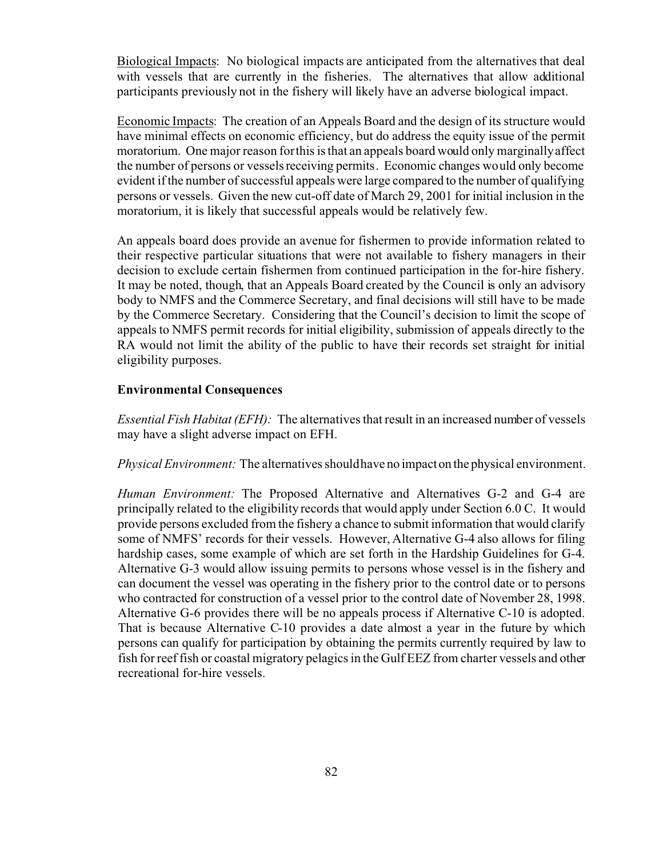Biological Impacts: No biological impacts are anticipated from the alternatives that deal with vessels that are currently in the fisheries. The alternatives that allow additional participants previously not in the fishery will likely have an adverse biological impact.

Economic Impacts: The creation of an Appeals Board and the design of its structure would have minimal effects on economic efficiency, but do address the equity issue of the permit moratorium. One major reason for this is that an appeals board would only marginally affect the number of persons or vessels receiving permits. Economic changes would only become evident if the number of successful appeals were large compared to the number of qualifying persons or vessels. Given the new cut-off date of March 29, 2001 for initial inclusion in the moratorium, it is likely that successful appeals would be relatively few.

An appeals board does provide an avenue for fishermen to provide information related to their respective particular situations that were not available to fishery managers in their decision to exclude certain fishermen from continued participation in the for-hire fishery. It may be noted, though, that an Appeals Board created by the Council is only an advisory body to NMFS and the Commerce Secretary, and final decisions will still have to be made by the Commerce Secretary. Considering that the Council's decision to limit the scope of appeals to NMFS permit records for initial eligibility, submission of appeals directly to the RA would not limit the ability of the public to have their records set straight for initial eligibility purposes.

# **Environmental Consequences**

*Essential Fish Habitat (EFH):* The alternatives that result in an increased number of vessels may have a slight adverse impact on EFH.

*Physical Environment:* The alternatives should have no impacton the physical environment.

*Human Environment:* The Proposed Alternative and Alternatives G-2 and G-4 are principally related to the eligibility records that would apply under Section 6.0 C. It would provide persons excluded from the fishery a chance to submit information that would clarify some of NMFS' records for their vessels. However, Alternative G-4 also allows for filing hardship cases, some example of which are set forth in the Hardship Guidelines for G-4. Alternative G-3 would allow issuing permits to persons whose vessel is in the fishery and can document the vessel was operating in the fishery prior to the control date or to persons who contracted for construction of a vessel prior to the control date of November 28, 1998. Alternative G-6 provides there will be no appeals process if Alternative C-10 is adopted. That is because Alternative C-10 provides a date almost a year in the future by which persons can qualify for participation by obtaining the permits currently required by law to fish for reef fish or coastal migratory pelagics in the Gulf EEZ from charter vessels and other recreational for-hire vessels.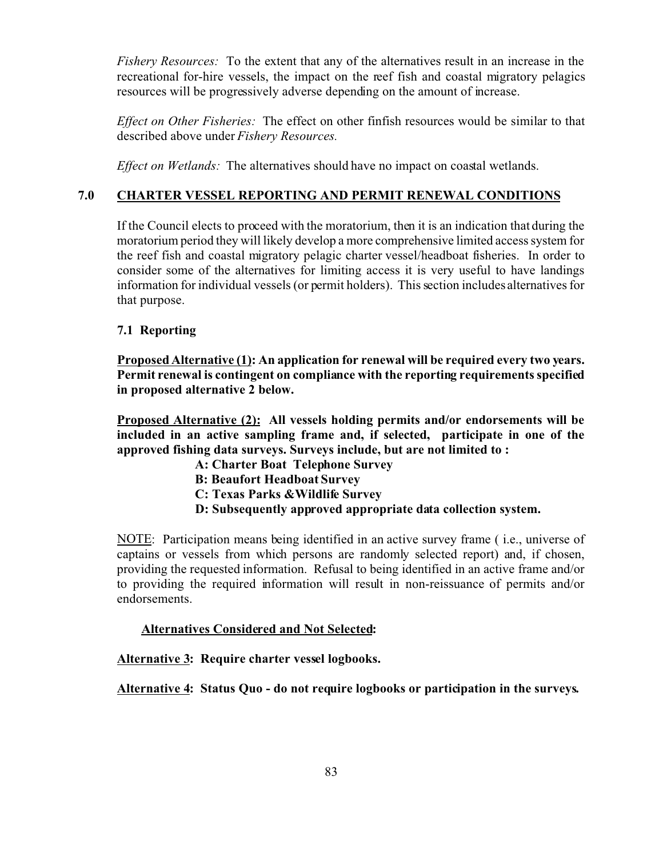*Fishery Resources:* To the extent that any of the alternatives result in an increase in the recreational for-hire vessels, the impact on the reef fish and coastal migratory pelagics resources will be progressively adverse depending on the amount of increase.

*Effect on Other Fisheries:* The effect on other finfish resources would be similar to that described above under *Fishery Resources.*

*Effect on Wetlands:* The alternatives should have no impact on coastal wetlands.

# **7.0 CHARTER VESSEL REPORTING AND PERMIT RENEWAL CONDITIONS**

If the Council elects to proceed with the moratorium, then it is an indication that during the moratorium period they will likely develop a more comprehensive limited access system for the reef fish and coastal migratory pelagic charter vessel/headboat fisheries. In order to consider some of the alternatives for limiting access it is very useful to have landings information for individual vessels (or permit holders). This section includes alternatives for that purpose.

# **7.1 Reporting**

**Proposed Alternative (1): An application for renewal will be required every two years. Permit renewal is contingent on compliance with the reporting requirements specified in proposed alternative 2 below.** 

**Proposed Alternative (2): All vessels holding permits and/or endorsements will be included in an active sampling frame and, if selected, participate in one of the approved fishing data surveys. Surveys include, but are not limited to :**

- **A: Charter Boat Telephone Survey B: Beaufort Headboat Survey C: Texas Parks &Wildlife Survey**
- **D: Subsequently approved appropriate data collection system.**

NOTE: Participation means being identified in an active survey frame ( i.e., universe of captains or vessels from which persons are randomly selected report) and, if chosen, providing the requested information. Refusal to being identified in an active frame and/or to providing the required information will result in non-reissuance of permits and/or endorsements.

# **Alternatives Considered and Not Selected:**

**Alternative 3: Require charter vessel logbooks.**

**Alternative 4: Status Quo - do not require logbooks or participation in the surveys.**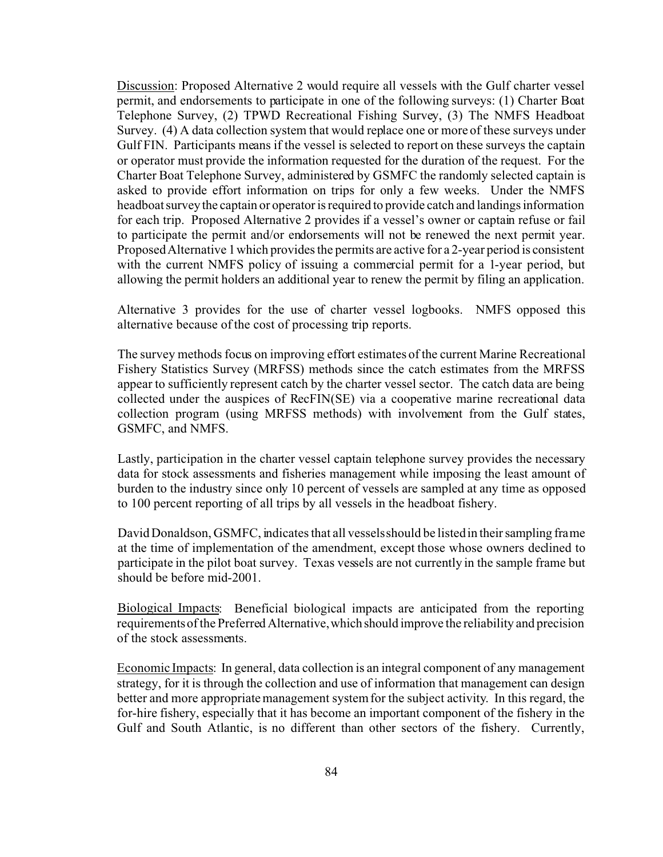Discussion: Proposed Alternative 2 would require all vessels with the Gulf charter vessel permit, and endorsements to participate in one of the following surveys: (1) Charter Boat Telephone Survey, (2) TPWD Recreational Fishing Survey, (3) The NMFS Headboat Survey. (4) A data collection system that would replace one or more of these surveys under Gulf FIN. Participants means if the vessel is selected to report on these surveys the captain or operator must provide the information requested for the duration of the request. For the Charter Boat Telephone Survey, administered by GSMFC the randomly selected captain is asked to provide effort information on trips for only a few weeks. Under the NMFS headboat survey the captain or operator is required to provide catch and landings information for each trip. Proposed Alternative 2 provides if a vessel's owner or captain refuse or fail to participate the permit and/or endorsements will not be renewed the next permit year. Proposed Alternative 1 which provides the permits are active for a 2-year period is consistent with the current NMFS policy of issuing a commercial permit for a 1-year period, but allowing the permit holders an additional year to renew the permit by filing an application.

Alternative 3 provides for the use of charter vessel logbooks. NMFS opposed this alternative because of the cost of processing trip reports.

The survey methods focus on improving effort estimates of the current Marine Recreational Fishery Statistics Survey (MRFSS) methods since the catch estimates from the MRFSS appear to sufficiently represent catch by the charter vessel sector. The catch data are being collected under the auspices of RecFIN(SE) via a cooperative marine recreational data collection program (using MRFSS methods) with involvement from the Gulf states, GSMFC, and NMFS.

Lastly, participation in the charter vessel captain telephone survey provides the necessary data for stock assessments and fisheries management while imposing the least amount of burden to the industry since only 10 percent of vessels are sampled at any time as opposed to 100 percent reporting of all trips by all vessels in the headboat fishery.

David Donaldson, GSMFC, indicates that all vessels should be listed in their sampling frame at the time of implementation of the amendment, except those whose owners declined to participate in the pilot boat survey. Texas vessels are not currently in the sample frame but should be before mid-2001.

Biological Impacts: Beneficial biological impacts are anticipated from the reporting requirements of the Preferred Alternative,which should improve the reliability and precision of the stock assessments.

Economic Impacts: In general, data collection is an integral component of any management strategy, for it is through the collection and use of information that management can design better and more appropriate management system for the subject activity. In this regard, the for-hire fishery, especially that it has become an important component of the fishery in the Gulf and South Atlantic, is no different than other sectors of the fishery. Currently,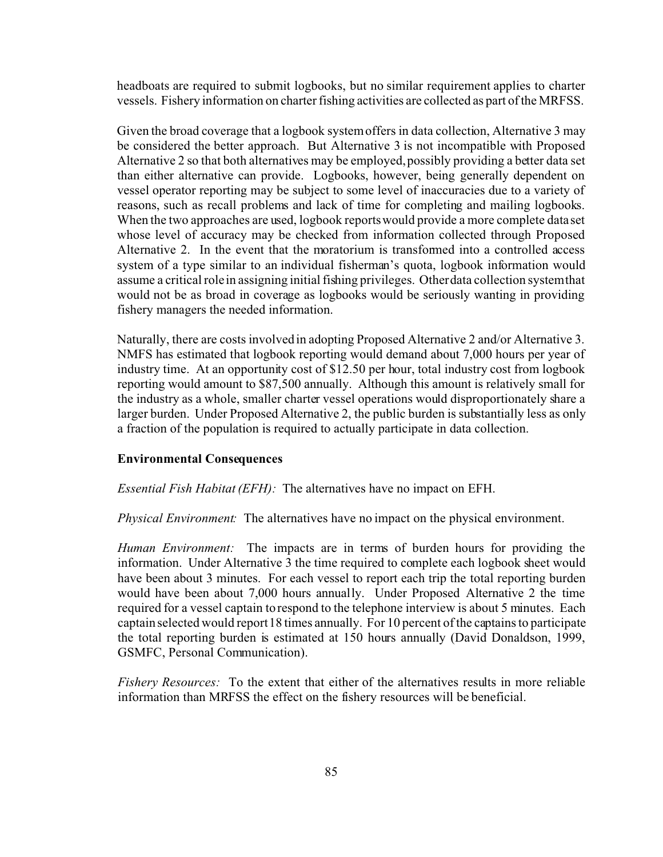headboats are required to submit logbooks, but no similar requirement applies to charter vessels. Fishery information on charter fishing activities are collected as part of the MRFSS.

Given the broad coverage that a logbook system offers in data collection, Alternative 3 may be considered the better approach. But Alternative 3 is not incompatible with Proposed Alternative 2 so that both alternatives may be employed, possibly providing a better data set than either alternative can provide. Logbooks, however, being generally dependent on vessel operator reporting may be subject to some level of inaccuracies due to a variety of reasons, such as recall problems and lack of time for completing and mailing logbooks. When the two approaches are used, logbook reports would provide a more complete data set whose level of accuracy may be checked from information collected through Proposed Alternative 2. In the event that the moratorium is transformed into a controlled access system of a type similar to an individual fisherman's quota, logbook information would assume a critical role in assigning initial fishing privileges. Other data collection system that would not be as broad in coverage as logbooks would be seriously wanting in providing fishery managers the needed information.

Naturally, there are costs involved in adopting Proposed Alternative 2 and/or Alternative 3. NMFS has estimated that logbook reporting would demand about 7,000 hours per year of industry time. At an opportunity cost of \$12.50 per hour, total industry cost from logbook reporting would amount to \$87,500 annually. Although this amount is relatively small for the industry as a whole, smaller charter vessel operations would disproportionately share a larger burden. Under Proposed Alternative 2, the public burden is substantially less as only a fraction of the population is required to actually participate in data collection.

# **Environmental Consequences**

*Essential Fish Habitat (EFH):* The alternatives have no impact on EFH.

*Physical Environment:* The alternatives have no impact on the physical environment.

*Human Environment:* The impacts are in terms of burden hours for providing the information. Under Alternative 3 the time required to complete each logbook sheet would have been about 3 minutes. For each vessel to report each trip the total reporting burden would have been about 7,000 hours annually. Under Proposed Alternative 2 the time required for a vessel captain to respond to the telephone interview is about 5 minutes. Each captain selected would report 18 times annually. For 10 percent of the captains to participate the total reporting burden is estimated at 150 hours annually (David Donaldson, 1999, GSMFC, Personal Communication).

*Fishery Resources:* To the extent that either of the alternatives results in more reliable information than MRFSS the effect on the fishery resources will be beneficial.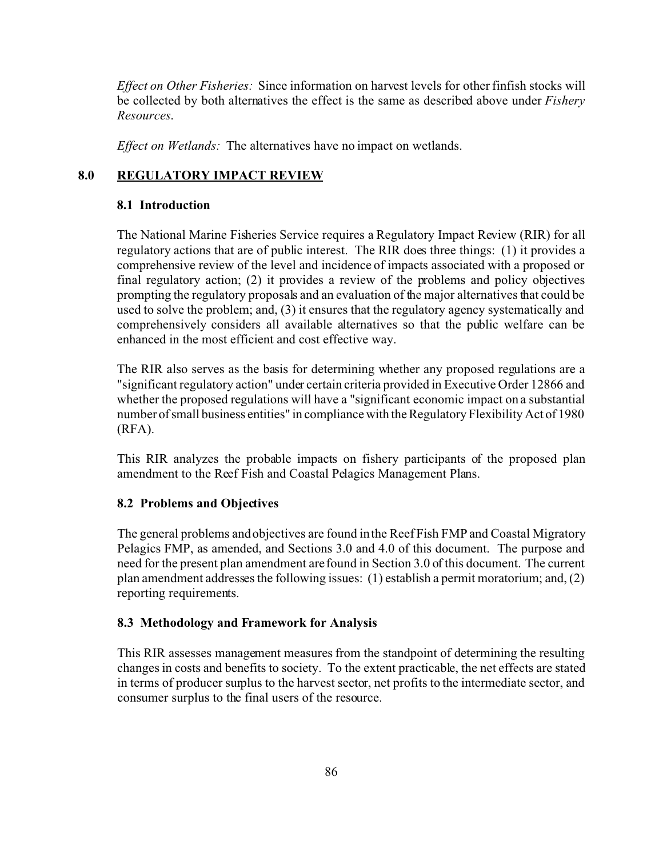*Effect on Other Fisheries:* Since information on harvest levels for other finfish stocks will be collected by both alternatives the effect is the same as described above under *Fishery Resources*.

*Effect on Wetlands:* The alternatives have no impact on wetlands.

# **8.0 REGULATORY IMPACT REVIEW**

# **8.1 Introduction**

The National Marine Fisheries Service requires a Regulatory Impact Review (RIR) for all regulatory actions that are of public interest. The RIR does three things: (1) it provides a comprehensive review of the level and incidence of impacts associated with a proposed or final regulatory action; (2) it provides a review of the problems and policy objectives prompting the regulatory proposals and an evaluation of the major alternatives that could be used to solve the problem; and, (3) it ensures that the regulatory agency systematically and comprehensively considers all available alternatives so that the public welfare can be enhanced in the most efficient and cost effective way.

The RIR also serves as the basis for determining whether any proposed regulations are a "significant regulatory action" under certain criteria provided in Executive Order 12866 and whether the proposed regulations will have a "significant economic impact on a substantial number of small business entities" in compliance with the Regulatory Flexibility Act of 1980 (RFA).

This RIR analyzes the probable impacts on fishery participants of the proposed plan amendment to the Reef Fish and Coastal Pelagics Management Plans.

# **8.2 Problems and Objectives**

The general problems and objectives are found in the Reef Fish FMP and Coastal Migratory Pelagics FMP, as amended, and Sections 3.0 and 4.0 of this document. The purpose and need for the present plan amendment are found in Section 3.0 of this document. The current plan amendment addresses the following issues: (1) establish a permit moratorium; and, (2) reporting requirements.

# **8.3 Methodology and Framework for Analysis**

This RIR assesses management measures from the standpoint of determining the resulting changes in costs and benefits to society. To the extent practicable, the net effects are stated in terms of producer surplus to the harvest sector, net profits to the intermediate sector, and consumer surplus to the final users of the resource.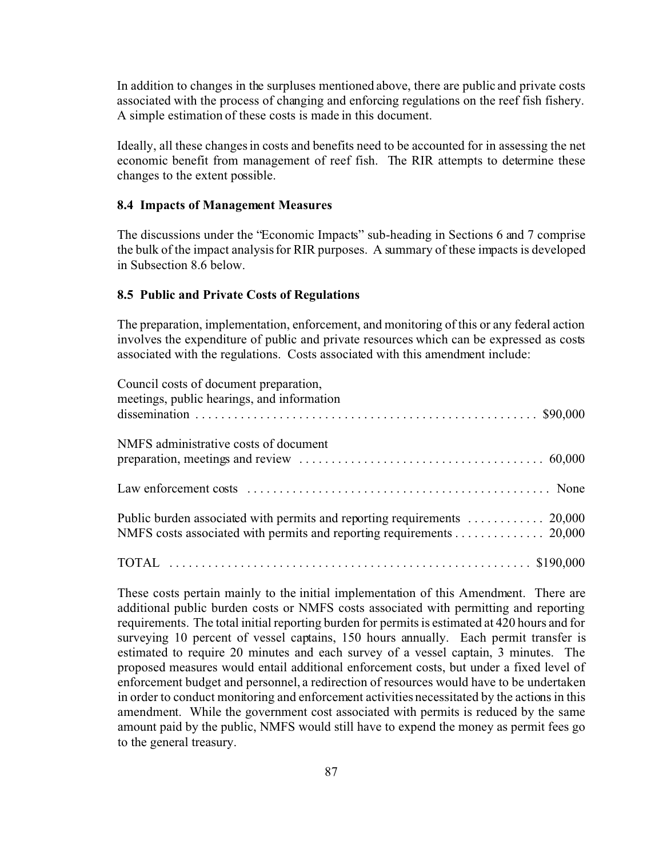In addition to changes in the surpluses mentioned above, there are public and private costs associated with the process of changing and enforcing regulations on the reef fish fishery. A simple estimation of these costs is made in this document.

Ideally, all these changes in costs and benefits need to be accounted for in assessing the net economic benefit from management of reef fish. The RIR attempts to determine these changes to the extent possible.

#### **8.4 Impacts of Management Measures**

The discussions under the "Economic Impacts" sub-heading in Sections 6 and 7 comprise the bulk of the impact analysis for RIR purposes. A summary of these impacts is developed in Subsection 8.6 below.

## **8.5 Public and Private Costs of Regulations**

The preparation, implementation, enforcement, and monitoring of this or any federal action involves the expenditure of public and private resources which can be expressed as costs associated with the regulations. Costs associated with this amendment include:

| Council costs of document preparation,<br>meetings, public hearings, and information                                                                                                                                           |
|--------------------------------------------------------------------------------------------------------------------------------------------------------------------------------------------------------------------------------|
|                                                                                                                                                                                                                                |
| NMFS administrative costs of document                                                                                                                                                                                          |
|                                                                                                                                                                                                                                |
|                                                                                                                                                                                                                                |
| NMFS costs associated with permits and reporting requirements 20,000                                                                                                                                                           |
|                                                                                                                                                                                                                                |
|                                                                                                                                                                                                                                |
| and the second contract of the second contract of the contract of the second contract of the second contract of the second contract of the second contract of the second contract of the second contract of the second contrac |

These costs pertain mainly to the initial implementation of this Amendment. There are additional public burden costs or NMFS costs associated with permitting and reporting requirements. The total initial reporting burden for permits is estimated at 420 hours and for surveying 10 percent of vessel captains, 150 hours annually. Each permit transfer is estimated to require 20 minutes and each survey of a vessel captain, 3 minutes. The proposed measures would entail additional enforcement costs, but under a fixed level of enforcement budget and personnel, a redirection of resources would have to be undertaken in order to conduct monitoring and enforcement activities necessitated by the actions in this amendment. While the government cost associated with permits is reduced by the same amount paid by the public, NMFS would still have to expend the money as permit fees go to the general treasury.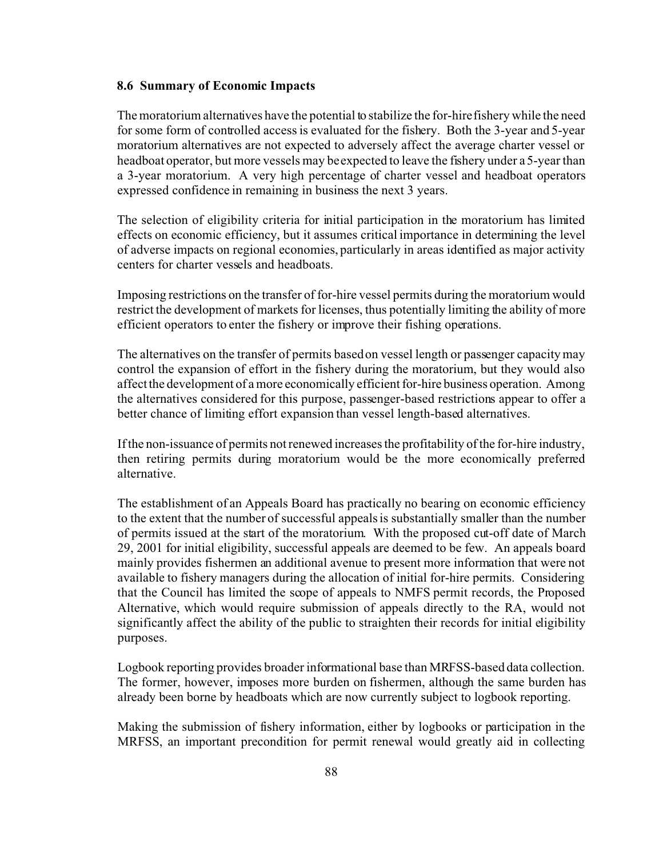#### **8.6 Summary of Economic Impacts**

The moratorium alternatives have the potential to stabilize the for-hire fishery while the need for some form of controlled access is evaluated for the fishery. Both the 3-year and 5-year moratorium alternatives are not expected to adversely affect the average charter vessel or headboat operator, but more vessels may be expected to leave the fishery under a 5-year than a 3-year moratorium. A very high percentage of charter vessel and headboat operators expressed confidence in remaining in business the next 3 years.

The selection of eligibility criteria for initial participation in the moratorium has limited effects on economic efficiency, but it assumes critical importance in determining the level of adverse impacts on regional economies, particularly in areas identified as major activity centers for charter vessels and headboats.

Imposing restrictions on the transfer of for-hire vessel permits during the moratorium would restrict the development of markets for licenses, thus potentially limiting the ability of more efficient operators to enter the fishery or improve their fishing operations.

The alternatives on the transfer of permits based on vessel length or passenger capacity may control the expansion of effort in the fishery during the moratorium, but they would also affect the development of a more economically efficient for-hire business operation. Among the alternatives considered for this purpose, passenger-based restrictions appear to offer a better chance of limiting effort expansion than vessel length-based alternatives.

If the non-issuance of permits not renewed increases the profitability of the for-hire industry, then retiring permits during moratorium would be the more economically preferred alternative.

The establishment of an Appeals Board has practically no bearing on economic efficiency to the extent that the number of successful appeals is substantially smaller than the number of permits issued at the start of the moratorium. With the proposed cut-off date of March 29, 2001 for initial eligibility, successful appeals are deemed to be few. An appeals board mainly provides fishermen an additional avenue to present more information that were not available to fishery managers during the allocation of initial for-hire permits. Considering that the Council has limited the scope of appeals to NMFS permit records, the Proposed Alternative, which would require submission of appeals directly to the RA, would not significantly affect the ability of the public to straighten their records for initial eligibility purposes.

Logbook reporting provides broader informational base than MRFSS-based data collection. The former, however, imposes more burden on fishermen, although the same burden has already been borne by headboats which are now currently subject to logbook reporting.

Making the submission of fishery information, either by logbooks or participation in the MRFSS, an important precondition for permit renewal would greatly aid in collecting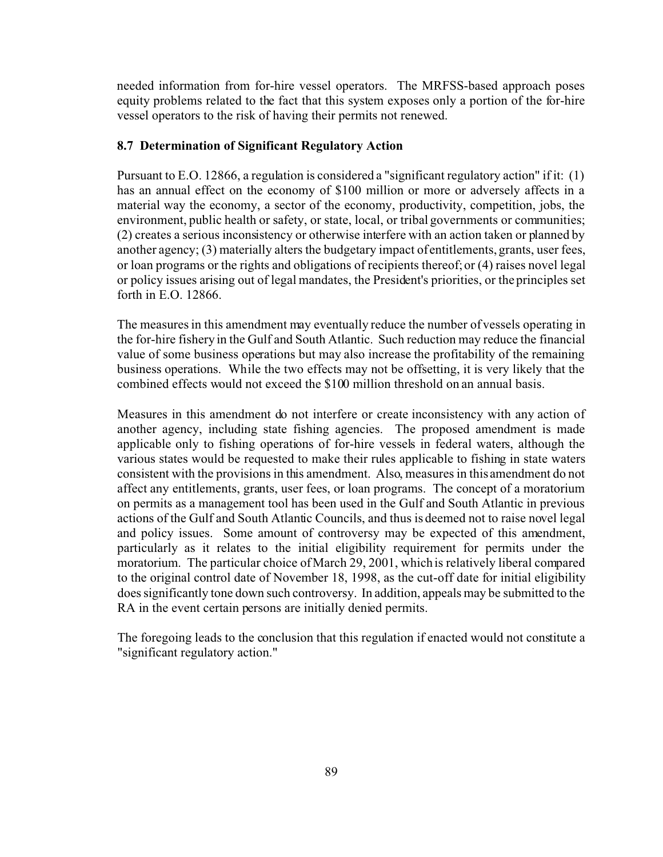needed information from for-hire vessel operators. The MRFSS-based approach poses equity problems related to the fact that this system exposes only a portion of the for-hire vessel operators to the risk of having their permits not renewed.

# **8.7 Determination of Significant Regulatory Action**

Pursuant to E.O. 12866, a regulation is considered a "significant regulatory action" if it: (1) has an annual effect on the economy of \$100 million or more or adversely affects in a material way the economy, a sector of the economy, productivity, competition, jobs, the environment, public health or safety, or state, local, or tribal governments or communities; (2) creates a serious inconsistency or otherwise interfere with an action taken or planned by another agency; (3) materially alters the budgetary impact of entitlements, grants, user fees, or loan programs or the rights and obligations of recipients thereof; or (4) raises novel legal or policy issues arising out of legal mandates, the President's priorities, or the principles set forth in  $E$  O 12866

The measures in this amendment may eventually reduce the number of vessels operating in the for-hire fishery in the Gulf and South Atlantic. Such reduction may reduce the financial value of some business operations but may also increase the profitability of the remaining business operations. While the two effects may not be offsetting, it is very likely that the combined effects would not exceed the \$100 million threshold on an annual basis.

Measures in this amendment do not interfere or create inconsistency with any action of another agency, including state fishing agencies. The proposed amendment is made applicable only to fishing operations of for-hire vessels in federal waters, although the various states would be requested to make their rules applicable to fishing in state waters consistent with the provisions in this amendment. Also, measures in this amendment do not affect any entitlements, grants, user fees, or loan programs. The concept of a moratorium on permits as a management tool has been used in the Gulf and South Atlantic in previous actions of the Gulf and South Atlantic Councils, and thus is deemed not to raise novel legal and policy issues. Some amount of controversy may be expected of this amendment, particularly as it relates to the initial eligibility requirement for permits under the moratorium. The particular choice of March 29, 2001, which is relatively liberal compared to the original control date of November 18, 1998, as the cut-off date for initial eligibility does significantly tone down such controversy. In addition, appeals may be submitted to the RA in the event certain persons are initially denied permits.

The foregoing leads to the conclusion that this regulation if enacted would not constitute a "significant regulatory action."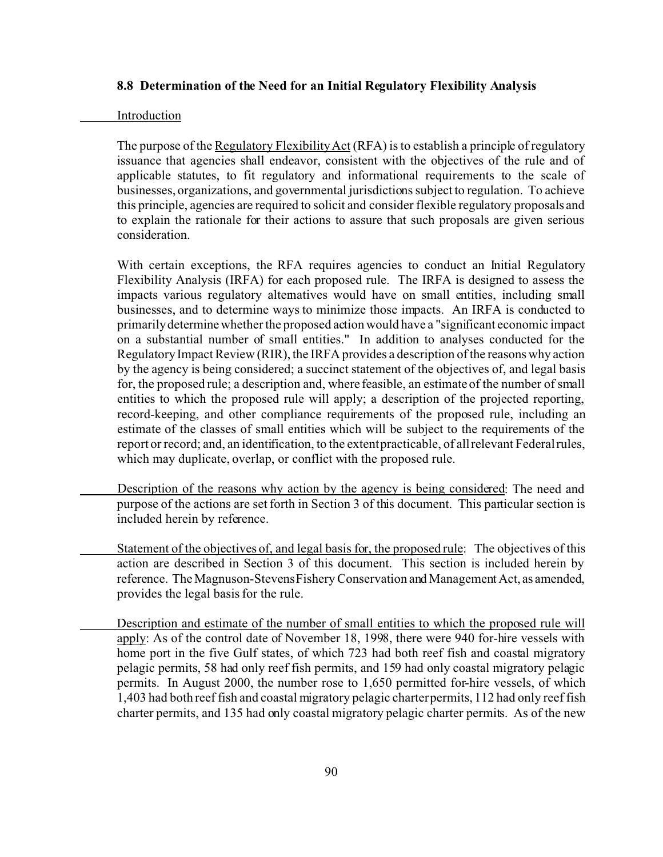# **8.8 Determination of the Need for an Initial Regulatory Flexibility Analysis**

#### Introduction

The purpose of the Regulatory Flexibility Act (RFA) is to establish a principle of regulatory issuance that agencies shall endeavor, consistent with the objectives of the rule and of applicable statutes, to fit regulatory and informational requirements to the scale of businesses, organizations, and governmental jurisdictions subject to regulation. To achieve this principle, agencies are required to solicit and consider flexible regulatory proposals and to explain the rationale for their actions to assure that such proposals are given serious consideration.

With certain exceptions, the RFA requires agencies to conduct an Initial Regulatory Flexibility Analysis (IRFA) for each proposed rule. The IRFA is designed to assess the impacts various regulatory alternatives would have on small entities, including small businesses, and to determine ways to minimize those impacts. An IRFA is conducted to primarily determine whether the proposed action would have a "significant economic impact on a substantial number of small entities." In addition to analyses conducted for the Regulatory Impact Review (RIR), the IRFA provides a description of the reasons why action by the agency is being considered; a succinct statement of the objectives of, and legal basis for, the proposed rule; a description and, where feasible, an estimate of the number of small entities to which the proposed rule will apply; a description of the projected reporting, record-keeping, and other compliance requirements of the proposed rule, including an estimate of the classes of small entities which will be subject to the requirements of the report or record; and, an identification, to the extent practicable, of all relevant Federal rules, which may duplicate, overlap, or conflict with the proposed rule.

- Description of the reasons why action by the agency is being considered: The need and purpose of the actions are set forth in Section 3 of this document. This particular section is included herein by reference.
	- Statement of the objectives of, and legal basis for, the proposed rule: The objectives of this action are described in Section 3 of this document. This section is included herein by reference. The Magnuson-Stevens Fishery Conservation and Management Act, as amended, provides the legal basis for the rule.
- Description and estimate of the number of small entities to which the proposed rule will apply: As of the control date of November 18, 1998, there were 940 for-hire vessels with home port in the five Gulf states, of which 723 had both reef fish and coastal migratory pelagic permits, 58 had only reef fish permits, and 159 had only coastal migratory pelagic permits. In August 2000, the number rose to 1,650 permitted for-hire vessels, of which 1,403 had both reef fish and coastal migratory pelagic charter permits, 112 had only reef fish charter permits, and 135 had only coastal migratory pelagic charter permits. As of the new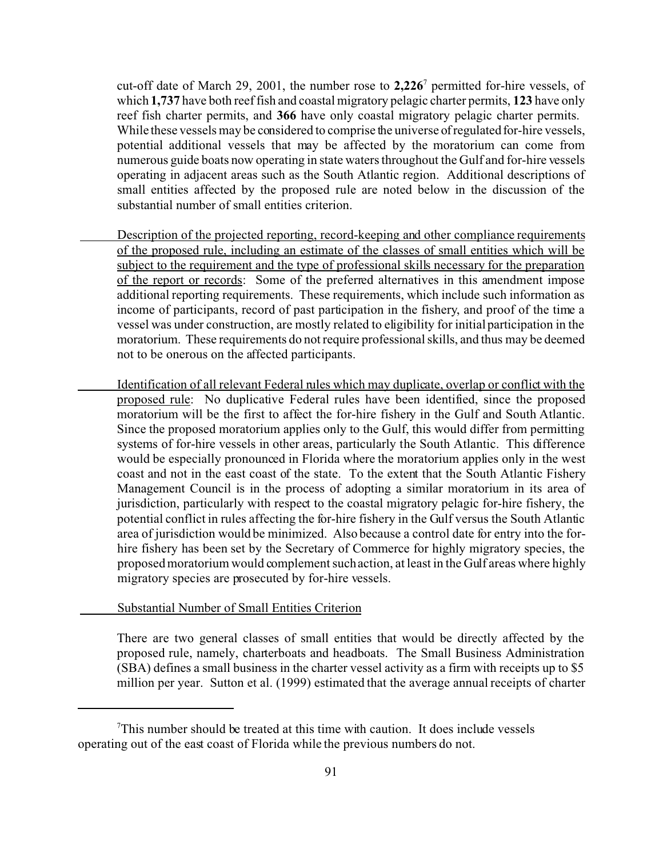cut-off date of March 29, 2001, the number rose to **2,226**<sup>7</sup> permitted for-hire vessels, of which **1,737** have both reef fish and coastal migratory pelagic charter permits, **123** have only reef fish charter permits, and **366** have only coastal migratory pelagic charter permits. While these vessels may be considered to comprise the universe of regulated for-hire vessels, potential additional vessels that may be affected by the moratorium can come from numerous guide boats now operating in state waters throughout the Gulf and for-hire vessels operating in adjacent areas such as the South Atlantic region. Additional descriptions of small entities affected by the proposed rule are noted below in the discussion of the substantial number of small entities criterion.

- Description of the projected reporting, record-keeping and other compliance requirements of the proposed rule, including an estimate of the classes of small entities which will be subject to the requirement and the type of professional skills necessary for the preparation of the report or records: Some of the preferred alternatives in this amendment impose additional reporting requirements. These requirements, which include such information as income of participants, record of past participation in the fishery, and proof of the time a vessel was under construction, are mostly related to eligibility for initial participation in the moratorium. These requirements do not require professional skills, and thus may be deemed not to be onerous on the affected participants.
	- Identification of all relevant Federal rules which may duplicate, overlap or conflict with the proposed rule: No duplicative Federal rules have been identified, since the proposed moratorium will be the first to affect the for-hire fishery in the Gulf and South Atlantic. Since the proposed moratorium applies only to the Gulf, this would differ from permitting systems of for-hire vessels in other areas, particularly the South Atlantic. This difference would be especially pronounced in Florida where the moratorium applies only in the west coast and not in the east coast of the state. To the extent that the South Atlantic Fishery Management Council is in the process of adopting a similar moratorium in its area of jurisdiction, particularly with respect to the coastal migratory pelagic for-hire fishery, the potential conflict in rules affecting the for-hire fishery in the Gulf versus the South Atlantic area of jurisdiction would be minimized. Also because a control date for entry into the forhire fishery has been set by the Secretary of Commerce for highly migratory species, the proposed moratorium would complement such action, at least in the Gulf areas where highly migratory species are prosecuted by for-hire vessels.

#### Substantial Number of Small Entities Criterion

There are two general classes of small entities that would be directly affected by the proposed rule, namely, charterboats and headboats. The Small Business Administration (SBA) defines a small business in the charter vessel activity as a firm with receipts up to \$5 million per year. Sutton et al. (1999) estimated that the average annual receipts of charter

<sup>7</sup>This number should be treated at this time with caution. It does include vessels operating out of the east coast of Florida while the previous numbers do not.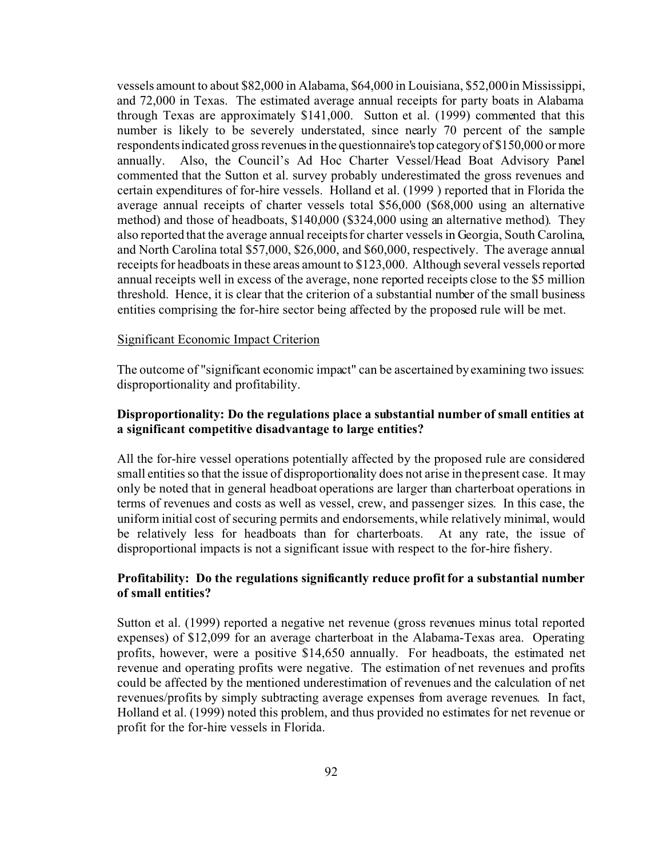vessels amount to about \$82,000 in Alabama, \$64,000 in Louisiana, \$52,000 in Mississippi, and 72,000 in Texas. The estimated average annual receipts for party boats in Alabama through Texas are approximately \$141,000. Sutton et al. (1999) commented that this number is likely to be severely understated, since nearly 70 percent of the sample respondents indicated gross revenues in the questionnaire's top categoryof \$150,000 or more annually. Also, the Council's Ad Hoc Charter Vessel/Head Boat Advisory Panel commented that the Sutton et al. survey probably underestimated the gross revenues and certain expenditures of for-hire vessels. Holland et al. (1999 ) reported that in Florida the average annual receipts of charter vessels total \$56,000 (\$68,000 using an alternative method) and those of headboats, \$140,000 (\$324,000 using an alternative method). They also reported that the average annual receipts for charter vessels in Georgia, South Carolina, and North Carolina total \$57,000, \$26,000, and \$60,000, respectively. The average annual receipts for headboats in these areas amount to \$123,000. Although several vessels reported annual receipts well in excess of the average, none reported receipts close to the \$5 million threshold. Hence, it is clear that the criterion of a substantial number of the small business entities comprising the for-hire sector being affected by the proposed rule will be met.

#### Significant Economic Impact Criterion

The outcome of "significant economic impact" can be ascertained by examining two issues: disproportionality and profitability.

# **Disproportionality: Do the regulations place a substantial number of small entities at a significant competitive disadvantage to large entities?**

All the for-hire vessel operations potentially affected by the proposed rule are considered small entities so that the issue of disproportionality does not arise in the present case. It may only be noted that in general headboat operations are larger than charterboat operations in terms of revenues and costs as well as vessel, crew, and passenger sizes. In this case, the uniform initial cost of securing permits and endorsements, while relatively minimal, would be relatively less for headboats than for charterboats. At any rate, the issue of disproportional impacts is not a significant issue with respect to the for-hire fishery.

# **Profitability: Do the regulations significantly reduce profit for a substantial number of small entities?**

Sutton et al. (1999) reported a negative net revenue (gross revenues minus total reported expenses) of \$12,099 for an average charterboat in the Alabama-Texas area. Operating profits, however, were a positive \$14,650 annually. For headboats, the estimated net revenue and operating profits were negative. The estimation of net revenues and profits could be affected by the mentioned underestimation of revenues and the calculation of net revenues/profits by simply subtracting average expenses from average revenues. In fact, Holland et al. (1999) noted this problem, and thus provided no estimates for net revenue or profit for the for-hire vessels in Florida.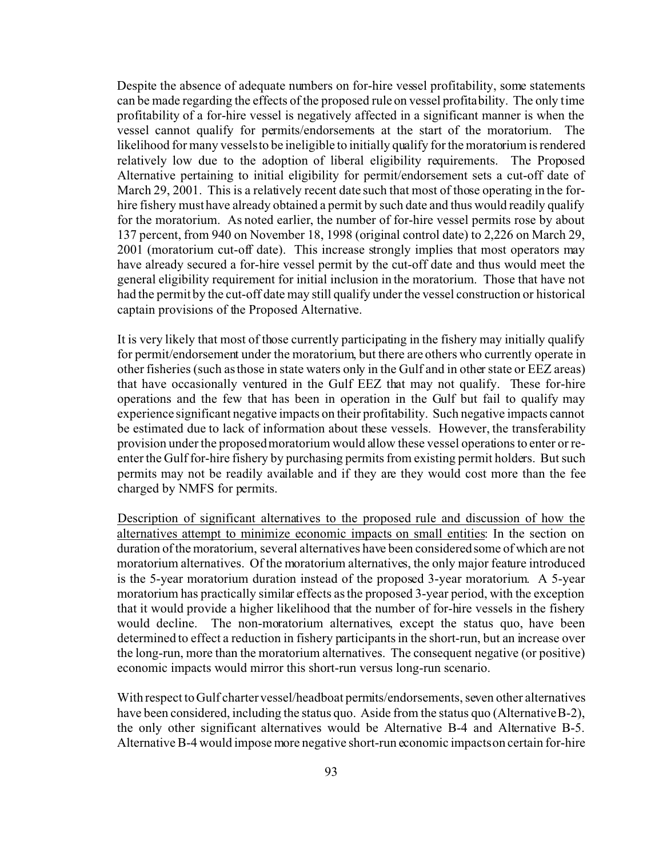Despite the absence of adequate numbers on for-hire vessel profitability, some statements can be made regarding the effects of the proposed rule on vessel profitability. The only time profitability of a for-hire vessel is negatively affected in a significant manner is when the vessel cannot qualify for permits/endorsements at the start of the moratorium. The likelihood for many vessels to be ineligible to initially qualify for the moratorium is rendered relatively low due to the adoption of liberal eligibility requirements. The Proposed Alternative pertaining to initial eligibility for permit/endorsement sets a cut-off date of March 29, 2001. This is a relatively recent date such that most of those operating in the forhire fishery must have already obtained a permit by such date and thus would readily qualify for the moratorium. As noted earlier, the number of for-hire vessel permits rose by about 137 percent, from 940 on November 18, 1998 (original control date) to 2,226 on March 29, 2001 (moratorium cut-off date). This increase strongly implies that most operators may have already secured a for-hire vessel permit by the cut-off date and thus would meet the general eligibility requirement for initial inclusion in the moratorium. Those that have not had the permit by the cut-off date may still qualify under the vessel construction or historical captain provisions of the Proposed Alternative.

It is very likely that most of those currently participating in the fishery may initially qualify for permit/endorsement under the moratorium, but there are others who currently operate in other fisheries (such as those in state waters only in the Gulf and in other state or EEZ areas) that have occasionally ventured in the Gulf EEZ that may not qualify. These for-hire operations and the few that has been in operation in the Gulf but fail to qualify may experience significant negative impacts on their profitability. Such negative impacts cannot be estimated due to lack of information about these vessels. However, the transferability provision under the proposed moratorium would allow these vessel operations to enter or reenter the Gulf for-hire fishery by purchasing permits from existing permit holders. But such permits may not be readily available and if they are they would cost more than the fee charged by NMFS for permits.

Description of significant alternatives to the proposed rule and discussion of how the alternatives attempt to minimize economic impacts on small entities: In the section on duration of the moratorium, several alternatives have been considered some of which are not moratorium alternatives. Of the moratorium alternatives, the only major feature introduced is the 5-year moratorium duration instead of the proposed 3-year moratorium. A 5-year moratorium has practically similar effects as the proposed 3-year period, with the exception that it would provide a higher likelihood that the number of for-hire vessels in the fishery would decline. The non-moratorium alternatives, except the status quo, have been determined to effect a reduction in fishery participants in the short-run, but an increase over the long-run, more than the moratorium alternatives. The consequent negative (or positive) economic impacts would mirror this short-run versus long-run scenario.

With respect to Gulf charter vessel/headboat permits/endorsements, seven other alternatives have been considered, including the status quo. Aside from the status quo (Alternative B-2), the only other significant alternatives would be Alternative B-4 and Alternative B-5. Alternative B-4 would impose more negative short-run economic impacts on certain for-hire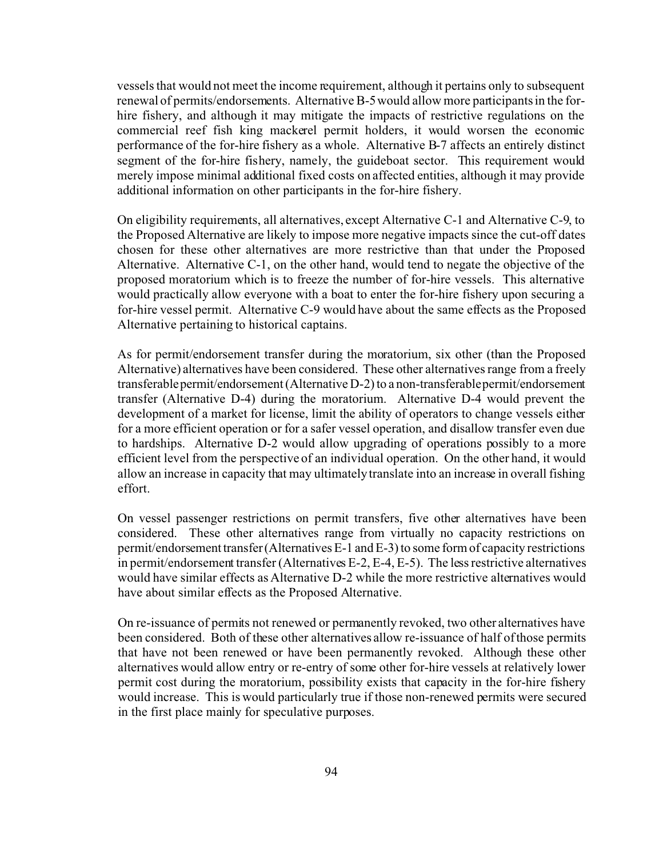vessels that would not meet the income requirement, although it pertains only to subsequent renewal of permits/endorsements. Alternative B-5 would allow more participants in the forhire fishery, and although it may mitigate the impacts of restrictive regulations on the commercial reef fish king mackerel permit holders, it would worsen the economic performance of the for-hire fishery as a whole. Alternative B-7 affects an entirely distinct segment of the for-hire fishery, namely, the guideboat sector. This requirement would merely impose minimal additional fixed costs on affected entities, although it may provide additional information on other participants in the for-hire fishery.

On eligibility requirements, all alternatives, except Alternative C-1 and Alternative C-9, to the Proposed Alternative are likely to impose more negative impacts since the cut-off dates chosen for these other alternatives are more restrictive than that under the Proposed Alternative. Alternative C-1, on the other hand, would tend to negate the objective of the proposed moratorium which is to freeze the number of for-hire vessels. This alternative would practically allow everyone with a boat to enter the for-hire fishery upon securing a for-hire vessel permit. Alternative C-9 would have about the same effects as the Proposed Alternative pertaining to historical captains.

As for permit/endorsement transfer during the moratorium, six other (than the Proposed Alternative) alternatives have been considered. These other alternatives range from a freely transferable permit/endorsement (Alternative D-2) to a non-transferable permit/endorsement transfer (Alternative D-4) during the moratorium. Alternative D-4 would prevent the development of a market for license, limit the ability of operators to change vessels either for a more efficient operation or for a safer vessel operation, and disallow transfer even due to hardships. Alternative D-2 would allow upgrading of operations possibly to a more efficient level from the perspective of an individual operation. On the other hand, it would allow an increase in capacity that may ultimately translate into an increase in overall fishing effort.

On vessel passenger restrictions on permit transfers, five other alternatives have been considered. These other alternatives range from virtually no capacity restrictions on permit/endorsement transfer (Alternatives E-1 and E-3) to some form of capacity restrictions in permit/endorsement transfer (Alternatives E-2, E-4, E-5). The less restrictive alternatives would have similar effects as Alternative D-2 while the more restrictive alternatives would have about similar effects as the Proposed Alternative.

On re-issuance of permits not renewed or permanently revoked, two other alternatives have been considered. Both of these other alternatives allow re-issuance of half of those permits that have not been renewed or have been permanently revoked. Although these other alternatives would allow entry or re-entry of some other for-hire vessels at relatively lower permit cost during the moratorium, possibility exists that capacity in the for-hire fishery would increase. This is would particularly true if those non-renewed permits were secured in the first place mainly for speculative purposes.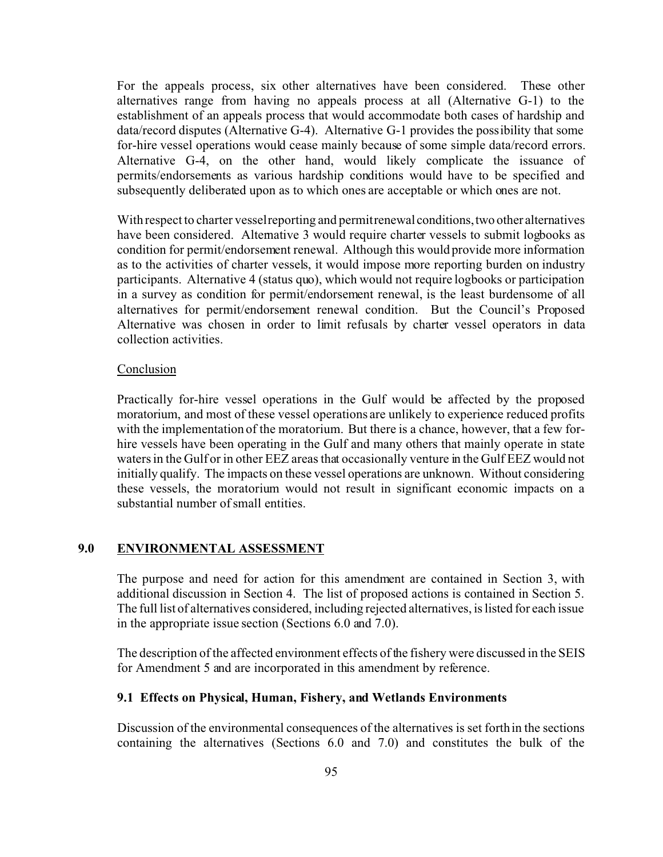For the appeals process, six other alternatives have been considered. These other alternatives range from having no appeals process at all (Alternative G-1) to the establishment of an appeals process that would accommodate both cases of hardship and data/record disputes (Alternative G-4). Alternative G-1 provides the possibility that some for-hire vessel operations would cease mainly because of some simple data/record errors. Alternative G-4, on the other hand, would likely complicate the issuance of permits/endorsements as various hardship conditions would have to be specified and subsequently deliberated upon as to which ones are acceptable or which ones are not.

With respect to charter vessel reporting and permit renewal conditions, two other alternatives have been considered. Alternative 3 would require charter vessels to submit logbooks as condition for permit/endorsement renewal. Although this would provide more information as to the activities of charter vessels, it would impose more reporting burden on industry participants. Alternative 4 (status quo), which would not require logbooks or participation in a survey as condition for permit/endorsement renewal, is the least burdensome of all alternatives for permit/endorsement renewal condition. But the Council's Proposed Alternative was chosen in order to limit refusals by charter vessel operators in data collection activities.

# Conclusion

Practically for-hire vessel operations in the Gulf would be affected by the proposed moratorium, and most of these vessel operations are unlikely to experience reduced profits with the implementation of the moratorium. But there is a chance, however, that a few forhire vessels have been operating in the Gulf and many others that mainly operate in state waters in the Gulf or in other EEZ areas that occasionally venture in the Gulf EEZ would not initially qualify. The impacts on these vessel operations are unknown. Without considering these vessels, the moratorium would not result in significant economic impacts on a substantial number of small entities.

# **9.0 ENVIRONMENTAL ASSESSMENT**

The purpose and need for action for this amendment are contained in Section 3, with additional discussion in Section 4. The list of proposed actions is contained in Section 5. The full list of alternatives considered, including rejected alternatives, is listed for each issue in the appropriate issue section (Sections 6.0 and 7.0).

The description of the affected environment effects of the fishery were discussed in the SEIS for Amendment 5 and are incorporated in this amendment by reference.

# **9.1 Effects on Physical, Human, Fishery, and Wetlands Environments**

Discussion of the environmental consequences of the alternatives is set forth in the sections containing the alternatives (Sections 6.0 and 7.0) and constitutes the bulk of the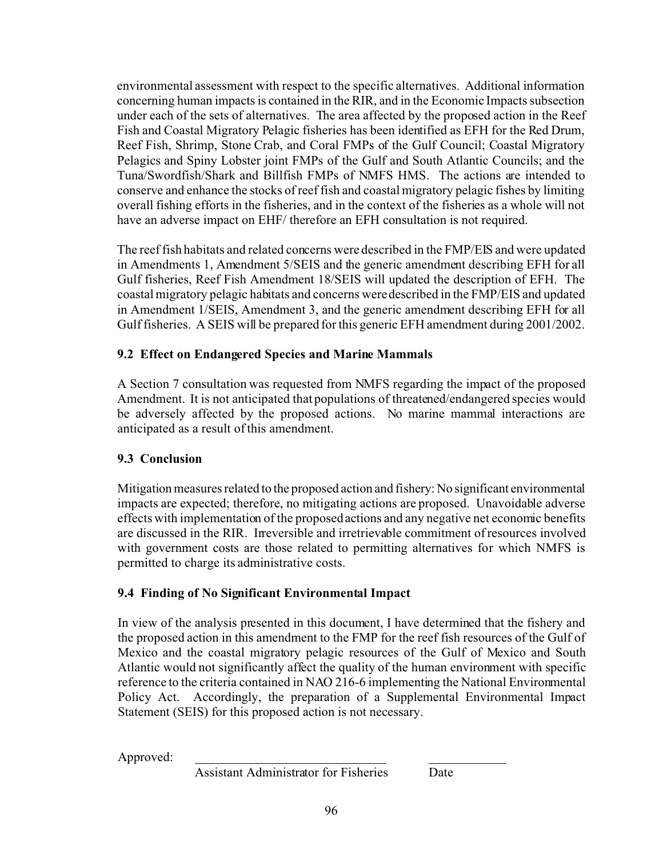environmental assessment with respect to the specific alternatives. Additional information concerning human impacts is contained in the RIR, and in the Economic Impacts subsection under each of the sets of alternatives. The area affected by the proposed action in the Reef Fish and Coastal Migratory Pelagic fisheries has been identified as EFH for the Red Drum, Reef Fish, Shrimp, Stone Crab, and Coral FMPs of the Gulf Council; Coastal Migratory Pelagics and Spiny Lobster joint FMPs of the Gulf and South Atlantic Councils; and the Tuna/Swordfish/Shark and Billfish FMPs of NMFS HMS. The actions are intended to conserve and enhance the stocks of reef fish and coastal migratory pelagic fishes by limiting overall fishing efforts in the fisheries, and in the context of the fisheries as a whole will not have an adverse impact on EHF/ therefore an EFH consultation is not required.

The reef fish habitats and related concerns were described in the FMP/EIS and were updated in Amendments 1, Amendment 5/SEIS and the generic amendment describing EFH for all Gulf fisheries, Reef Fish Amendment 18/SEIS will updated the description of EFH. The coastal migratory pelagic habitats and concerns were described in the FMP/EIS and updated in Amendment 1/SEIS, Amendment 3, and the generic amendment describing EFH for all Gulf fisheries. A SEIS will be prepared for this generic EFH amendment during 2001/2002.

# **9.2 Effect on Endangered Species and Marine Mammals**

A Section 7 consultation was requested from NMFS regarding the impact of the proposed Amendment. It is not anticipated that populations of threatened/endangered species would be adversely affected by the proposed actions. No marine mammal interactions are anticipated as a result of this amendment.

# **9.3 Conclusion**

Mitigation measures related to the proposed action and fishery: No significant environmental impacts are expected; therefore, no mitigating actions are proposed. Unavoidable adverse effects with implementation of the proposed actions and any negative net economic benefits are discussed in the RIR. Irreversible and irretrievable commitment of resources involved with government costs are those related to permitting alternatives for which NMFS is permitted to charge its administrative costs.

# **9.4 Finding of No Significant Environmental Impact**

In view of the analysis presented in this document, I have determined that the fishery and the proposed action in this amendment to the FMP for the reef fish resources of the Gulf of Mexico and the coastal migratory pelagic resources of the Gulf of Mexico and South Atlantic would not significantly affect the quality of the human environment with specific reference to the criteria contained in NAO 216-6 implementing the National Environmental Policy Act. Accordingly, the preparation of a Supplemental Environmental Impact Statement (SEIS) for this proposed action is not necessary.

Approved:

Assistant Administrator for Fisheries Date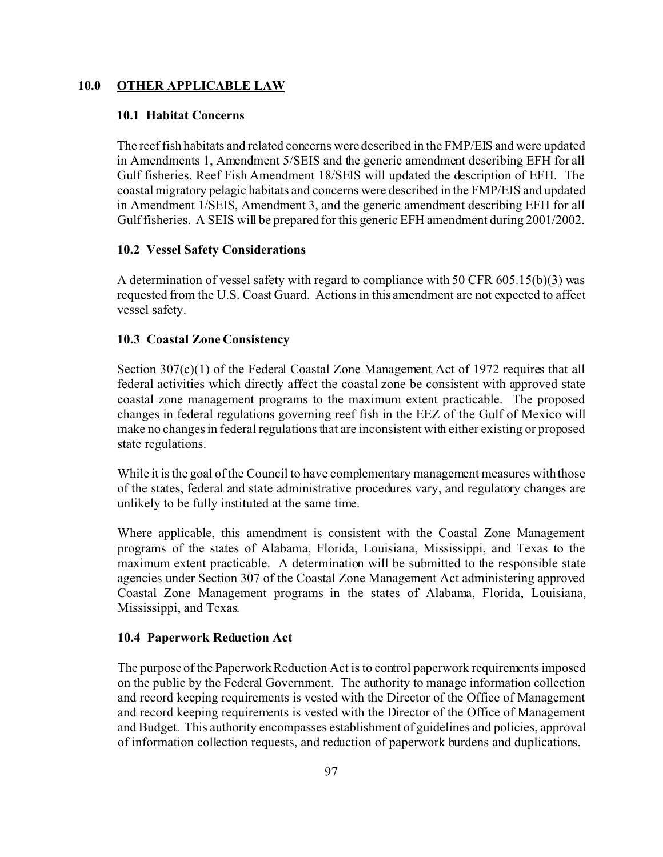# **10.0 OTHER APPLICABLE LAW**

#### **10.1 Habitat Concerns**

The reef fish habitats and related concerns were described in the FMP/EIS and were updated in Amendments 1, Amendment 5/SEIS and the generic amendment describing EFH for all Gulf fisheries, Reef Fish Amendment 18/SEIS will updated the description of EFH. The coastal migratory pelagic habitats and concerns were described in the FMP/EIS and updated in Amendment 1/SEIS, Amendment 3, and the generic amendment describing EFH for all Gulf fisheries. A SEIS will be prepared for this generic EFH amendment during 2001/2002.

# **10.2 Vessel Safety Considerations**

A determination of vessel safety with regard to compliance with 50 CFR 605.15(b)(3) was requested from the U.S. Coast Guard. Actions in this amendment are not expected to affect vessel safety.

# **10.3 Coastal Zone Consistency**

Section 307(c)(1) of the Federal Coastal Zone Management Act of 1972 requires that all federal activities which directly affect the coastal zone be consistent with approved state coastal zone management programs to the maximum extent practicable. The proposed changes in federal regulations governing reef fish in the EEZ of the Gulf of Mexico will make no changes in federal regulations that are inconsistent with either existing or proposed state regulations.

While it is the goal of the Council to have complementary management measures with those of the states, federal and state administrative procedures vary, and regulatory changes are unlikely to be fully instituted at the same time.

Where applicable, this amendment is consistent with the Coastal Zone Management programs of the states of Alabama, Florida, Louisiana, Mississippi, and Texas to the maximum extent practicable. A determination will be submitted to the responsible state agencies under Section 307 of the Coastal Zone Management Act administering approved Coastal Zone Management programs in the states of Alabama, Florida, Louisiana, Mississippi, and Texas.

### **10.4 Paperwork Reduction Act**

The purpose of the Paperwork Reduction Act is to control paperwork requirements imposed on the public by the Federal Government. The authority to manage information collection and record keeping requirements is vested with the Director of the Office of Management and record keeping requirements is vested with the Director of the Office of Management and Budget. This authority encompasses establishment of guidelines and policies, approval of information collection requests, and reduction of paperwork burdens and duplications.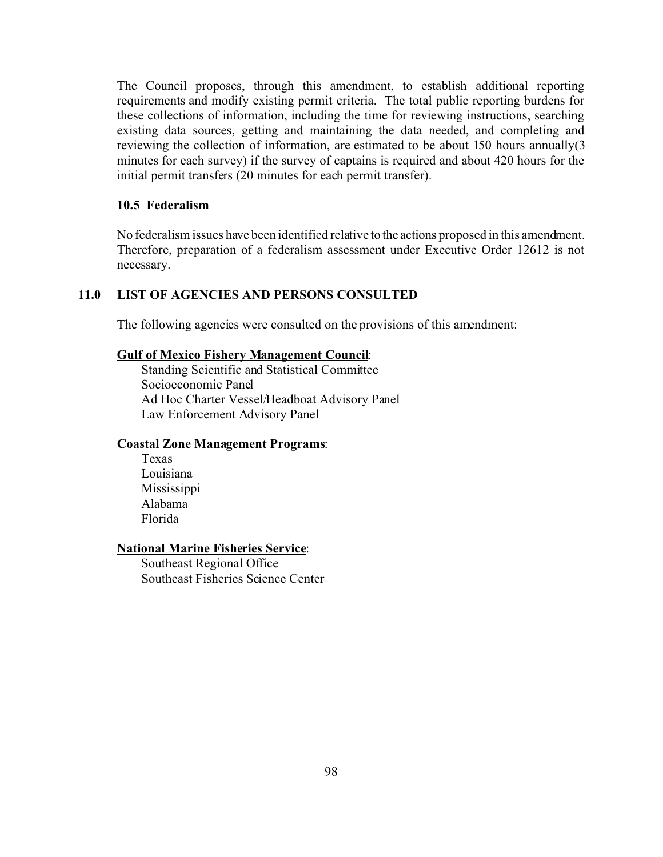The Council proposes, through this amendment, to establish additional reporting requirements and modify existing permit criteria. The total public reporting burdens for these collections of information, including the time for reviewing instructions, searching existing data sources, getting and maintaining the data needed, and completing and reviewing the collection of information, are estimated to be about 150 hours annually(3 minutes for each survey) if the survey of captains is required and about 420 hours for the initial permit transfers (20 minutes for each permit transfer).

# **10.5 Federalism**

No federalism issues have been identified relative to the actions proposed in this amendment. Therefore, preparation of a federalism assessment under Executive Order 12612 is not necessary.

# **11.0 LIST OF AGENCIES AND PERSONS CONSULTED**

The following agencies were consulted on the provisions of this amendment:

#### **Gulf of Mexico Fishery Management Council**:

Standing Scientific and Statistical Committee Socioeconomic Panel Ad Hoc Charter Vessel/Headboat Advisory Panel Law Enforcement Advisory Panel

# **Coastal Zone Management Programs**:

Texas Louisiana Mississippi Alabama Florida

## **National Marine Fisheries Service**:

Southeast Regional Office Southeast Fisheries Science Center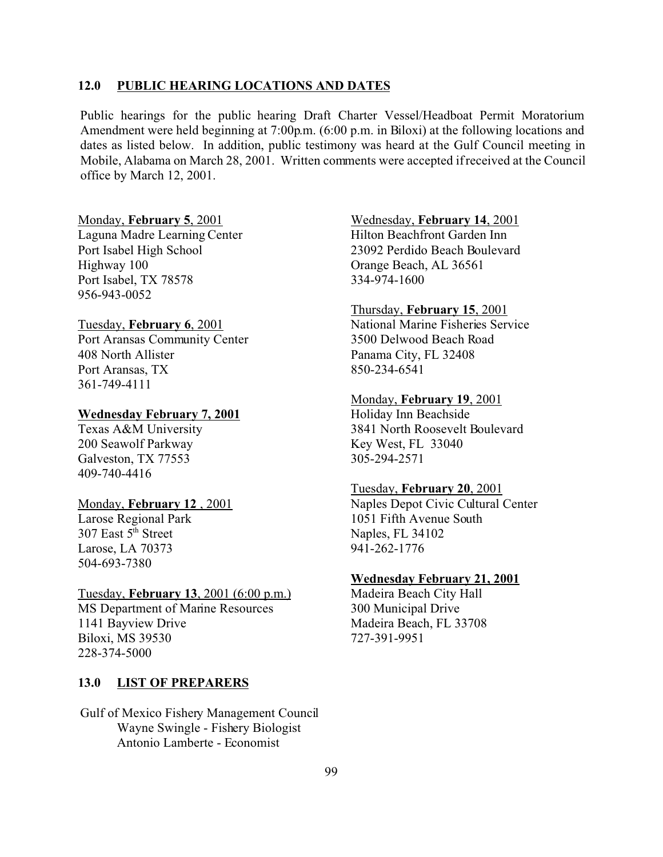# **12.0 PUBLIC HEARING LOCATIONS AND DATES**

Public hearings for the public hearing Draft Charter Vessel/Headboat Permit Moratorium Amendment were held beginning at 7:00p.m. (6:00 p.m. in Biloxi) at the following locations and dates as listed below. In addition, public testimony was heard at the Gulf Council meeting in Mobile, Alabama on March 28, 2001. Written comments were accepted if received at the Council office by March 12, 2001.

#### Monday, **February 5**, 2001

Laguna Madre Learning Center Port Isabel High School Highway 100 Port Isabel, TX 78578 956-943-0052

#### Tuesday, **February 6**, 2001

Port Aransas Community Center 408 North Allister Port Aransas, TX 361-749-4111

#### **Wednesday February 7, 2001**

Texas A&M University 200 Seawolf Parkway Galveston, TX 77553 409-740-4416

#### Monday, **February 12** , 2001

Larose Regional Park 307 East 5<sup>th</sup> Street Larose, LA 70373 504-693-7380

#### Tuesday, **February 13**, 2001 (6:00 p.m.)

MS Department of Marine Resources 1141 Bayview Drive Biloxi, MS 39530 228-374-5000

#### **13.0 LIST OF PREPARERS**

Gulf of Mexico Fishery Management Council Wayne Swingle - Fishery Biologist Antonio Lamberte - Economist

#### Wednesday, **February 14**, 2001

Hilton Beachfront Garden Inn 23092 Perdido Beach Boulevard Orange Beach, AL 36561 334-974-1600

#### Thursday, **February 15**, 2001

National Marine Fisheries Service 3500 Delwood Beach Road Panama City, FL 32408 850-234-6541

#### Monday, **February 19**, 2001

Holiday Inn Beachside 3841 North Roosevelt Boulevard Key West, FL 33040 305-294-2571

#### Tuesday, **February 20**, 2001

Naples Depot Civic Cultural Center 1051 Fifth Avenue South Naples, FL 34102 941-262-1776

#### **Wednesday February 21, 2001**

Madeira Beach City Hall 300 Municipal Drive Madeira Beach, FL 33708 727-391-9951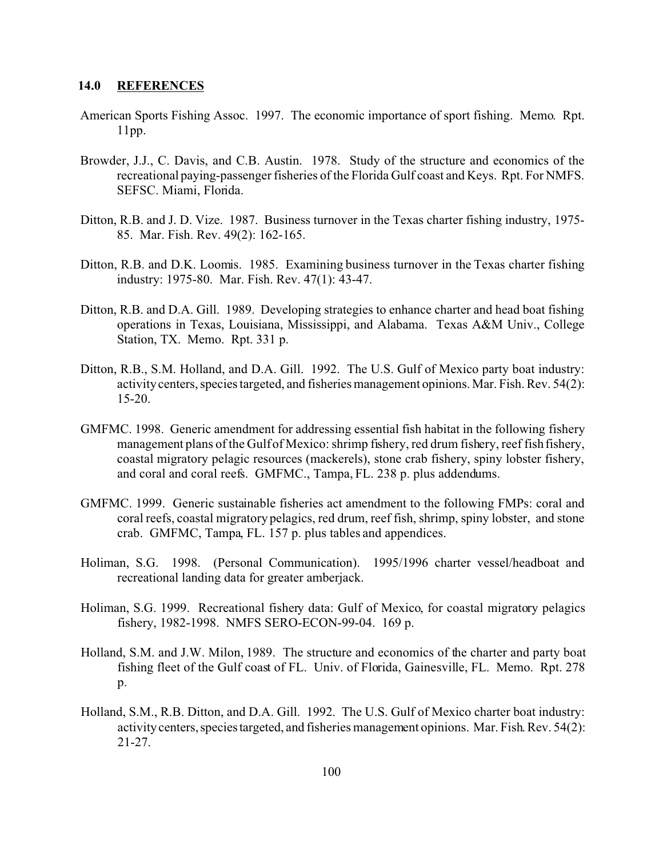# **14.0 REFERENCES**

- American Sports Fishing Assoc. 1997. The economic importance of sport fishing. Memo. Rpt. 11pp.
- Browder, J.J., C. Davis, and C.B. Austin. 1978. Study of the structure and economics of the recreational paying-passenger fisheries of the Florida Gulf coast and Keys. Rpt. For NMFS. SEFSC. Miami, Florida.
- Ditton, R.B. and J. D. Vize. 1987. Business turnover in the Texas charter fishing industry, 1975- 85. Mar. Fish. Rev. 49(2): 162-165.
- Ditton, R.B. and D.K. Loomis. 1985. Examining business turnover in the Texas charter fishing industry: 1975-80. Mar. Fish. Rev. 47(1): 43-47.
- Ditton, R.B. and D.A. Gill. 1989. Developing strategies to enhance charter and head boat fishing operations in Texas, Louisiana, Mississippi, and Alabama. Texas A&M Univ., College Station, TX. Memo. Rpt. 331 p.
- Ditton, R.B., S.M. Holland, and D.A. Gill. 1992. The U.S. Gulf of Mexico party boat industry: activity centers, species targeted, and fisheries management opinions. Mar. Fish. Rev. 54(2): 15-20.
- GMFMC. 1998. Generic amendment for addressing essential fish habitat in the following fishery management plans of the Gulf of Mexico: shrimp fishery, red drum fishery, reef fish fishery, coastal migratory pelagic resources (mackerels), stone crab fishery, spiny lobster fishery, and coral and coral reefs. GMFMC., Tampa, FL. 238 p. plus addendums.
- GMFMC. 1999. Generic sustainable fisheries act amendment to the following FMPs: coral and coral reefs, coastal migratory pelagics, red drum, reef fish, shrimp, spiny lobster, and stone crab. GMFMC, Tampa, FL. 157 p. plus tables and appendices.
- Holiman, S.G. 1998. (Personal Communication). 1995/1996 charter vessel/headboat and recreational landing data for greater amberjack.
- Holiman, S.G. 1999. Recreational fishery data: Gulf of Mexico, for coastal migratory pelagics fishery, 1982-1998. NMFS SERO-ECON-99-04. 169 p.
- Holland, S.M. and J.W. Milon, 1989. The structure and economics of the charter and party boat fishing fleet of the Gulf coast of FL. Univ. of Florida, Gainesville, FL. Memo. Rpt. 278 p.
- Holland, S.M., R.B. Ditton, and D.A. Gill. 1992. The U.S. Gulf of Mexico charter boat industry: activity centers, species targeted, and fisheries management opinions. Mar. Fish. Rev. 54(2): 21-27.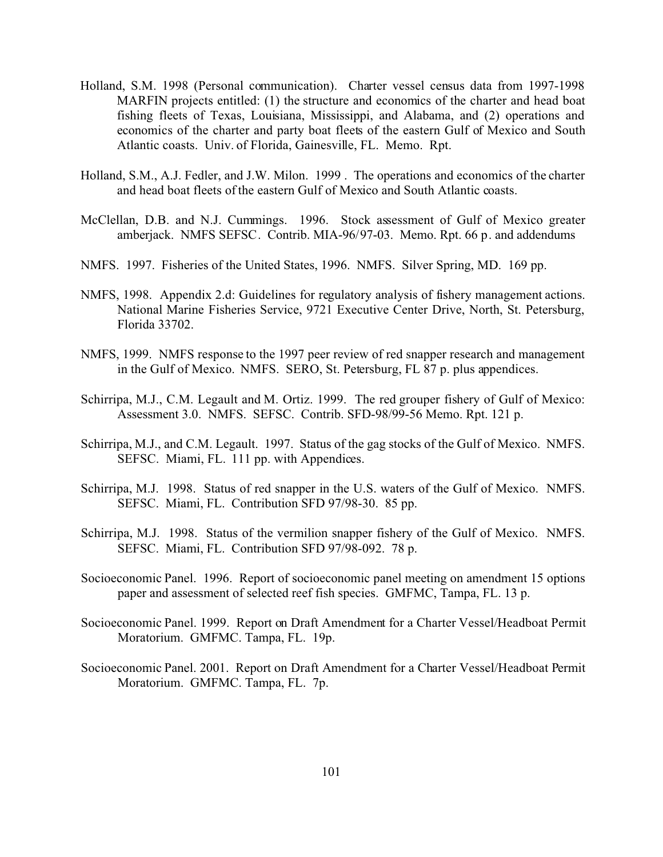- Holland, S.M. 1998 (Personal communication). Charter vessel census data from 1997-1998 MARFIN projects entitled: (1) the structure and economics of the charter and head boat fishing fleets of Texas, Louisiana, Mississippi, and Alabama, and (2) operations and economics of the charter and party boat fleets of the eastern Gulf of Mexico and South Atlantic coasts. Univ. of Florida, Gainesville, FL. Memo. Rpt.
- Holland, S.M., A.J. Fedler, and J.W. Milon. 1999 . The operations and economics of the charter and head boat fleets of the eastern Gulf of Mexico and South Atlantic coasts.
- McClellan, D.B. and N.J. Cummings. 1996. Stock assessment of Gulf of Mexico greater amberjack. NMFS SEFSC. Contrib. MIA-96/97-03. Memo. Rpt. 66 p. and addendums
- NMFS. 1997. Fisheries of the United States, 1996. NMFS. Silver Spring, MD. 169 pp.
- NMFS, 1998. Appendix 2.d: Guidelines for regulatory analysis of fishery management actions. National Marine Fisheries Service, 9721 Executive Center Drive, North, St. Petersburg, Florida 33702.
- NMFS, 1999. NMFS response to the 1997 peer review of red snapper research and management in the Gulf of Mexico. NMFS. SERO, St. Petersburg, FL 87 p. plus appendices.
- Schirripa, M.J., C.M. Legault and M. Ortiz. 1999. The red grouper fishery of Gulf of Mexico: Assessment 3.0. NMFS. SEFSC. Contrib. SFD-98/99-56 Memo. Rpt. 121 p.
- Schirripa, M.J., and C.M. Legault. 1997. Status of the gag stocks of the Gulf of Mexico. NMFS. SEFSC. Miami, FL. 111 pp. with Appendices.
- Schirripa, M.J. 1998. Status of red snapper in the U.S. waters of the Gulf of Mexico. NMFS. SEFSC. Miami, FL. Contribution SFD 97/98-30. 85 pp.
- Schirripa, M.J. 1998. Status of the vermilion snapper fishery of the Gulf of Mexico. NMFS. SEFSC. Miami, FL. Contribution SFD 97/98-092. 78 p.
- Socioeconomic Panel. 1996. Report of socioeconomic panel meeting on amendment 15 options paper and assessment of selected reef fish species. GMFMC, Tampa, FL. 13 p.
- Socioeconomic Panel. 1999. Report on Draft Amendment for a Charter Vessel/Headboat Permit Moratorium. GMFMC. Tampa, FL. 19p.
- Socioeconomic Panel. 2001. Report on Draft Amendment for a Charter Vessel/Headboat Permit Moratorium. GMFMC. Tampa, FL. 7p.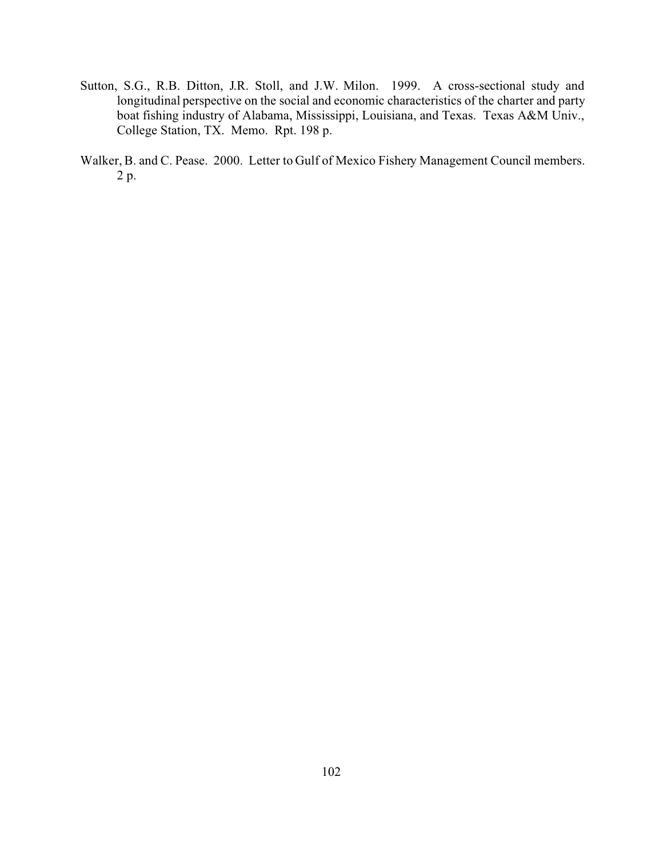- Sutton, S.G., R.B. Ditton, J.R. Stoll, and J.W. Milon. 1999. A cross-sectional study and longitudinal perspective on the social and economic characteristics of the charter and party boat fishing industry of Alabama, Mississippi, Louisiana, and Texas. Texas A&M Univ., College Station, TX. Memo. Rpt. 198 p.
- Walker, B. and C. Pease. 2000. Letter to Gulf of Mexico Fishery Management Council members. 2 p.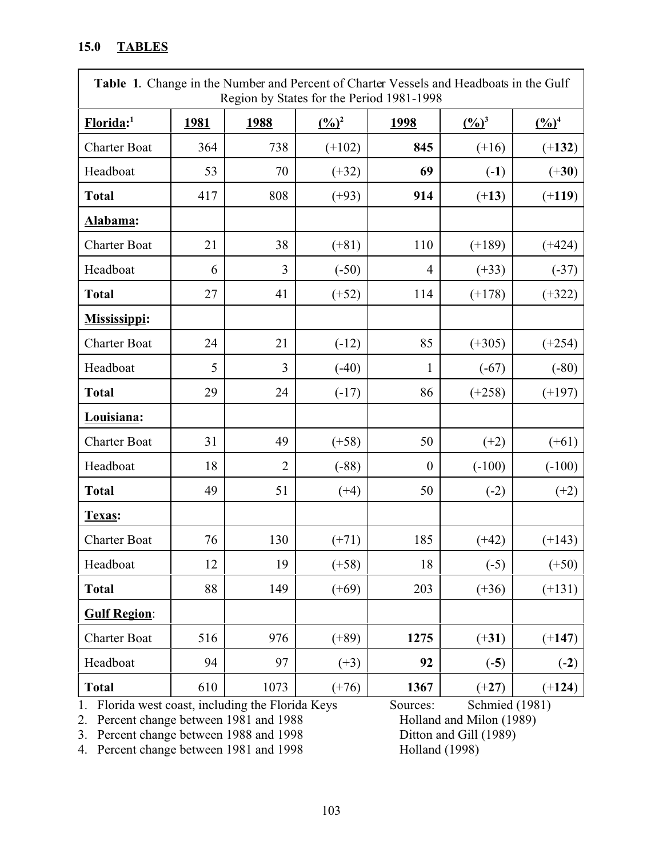# **15.0 TABLES**

| Table 1. Change in the Number and Percent of Charter Vessels and Headboats in the Gulf<br>Region by States for the Period 1981-1998 |      |                |                             |                |                             |                             |
|-------------------------------------------------------------------------------------------------------------------------------------|------|----------------|-----------------------------|----------------|-----------------------------|-----------------------------|
| Florida: <sup>1</sup>                                                                                                               | 1981 | 1988           | $\frac{(\frac{0}{0})^2}{2}$ | 1998           | $\frac{(\frac{0}{0})^3}{2}$ | $\frac{(\frac{0}{0})^4}{2}$ |
| <b>Charter Boat</b>                                                                                                                 | 364  | 738            | $(+102)$                    | 845            | $(+16)$                     | $(+132)$                    |
| Headboat                                                                                                                            | 53   | 70             | $(+32)$                     | 69             | $(-1)$                      | $(+30)$                     |
| <b>Total</b>                                                                                                                        | 417  | 808            | $(+93)$                     | 914            | $(+13)$                     | $(+119)$                    |
| Alabama:                                                                                                                            |      |                |                             |                |                             |                             |
| <b>Charter Boat</b>                                                                                                                 | 21   | 38             | $(+81)$                     | 110            | $(+189)$                    | $(+424)$                    |
| Headboat                                                                                                                            | 6    | 3              | $(-50)$                     | $\overline{4}$ | $(+33)$                     | $(-37)$                     |
| <b>Total</b>                                                                                                                        | 27   | 41             | $(+52)$                     | 114            | $(+178)$                    | $(+322)$                    |
| <b>Mississippi:</b>                                                                                                                 |      |                |                             |                |                             |                             |
| <b>Charter Boat</b>                                                                                                                 | 24   | 21             | $(-12)$                     | 85             | $(+305)$                    | $(+254)$                    |
| Headboat                                                                                                                            | 5    | 3              | $(-40)$                     | 1              | $(-67)$                     | $(-80)$                     |
| <b>Total</b>                                                                                                                        | 29   | 24             | $(-17)$                     | 86             | $(+258)$                    | $(+197)$                    |
| Louisiana:                                                                                                                          |      |                |                             |                |                             |                             |
| <b>Charter Boat</b>                                                                                                                 | 31   | 49             | $(+58)$                     | 50             | $(+2)$                      | $(+61)$                     |
| Headboat                                                                                                                            | 18   | $\overline{2}$ | $(-88)$                     | $\mathbf{0}$   | $(-100)$                    | $(-100)$                    |
| <b>Total</b>                                                                                                                        | 49   | 51             | $(+4)$                      | 50             | $(-2)$                      | $(+2)$                      |
| Texas:                                                                                                                              |      |                |                             |                |                             |                             |
| <b>Charter Boat</b>                                                                                                                 | 76   | 130            | $(+71)$                     | 185            | $(+42)$                     | $(+143)$                    |
| Headboat                                                                                                                            | 12   | 19             | $(+58)$                     | 18             | $(-5)$                      | $(+50)$                     |
| <b>Total</b>                                                                                                                        | 88   | 149            | $(+69)$                     | 203            | $(+36)$                     | $(+131)$                    |
| <b>Gulf Region:</b>                                                                                                                 |      |                |                             |                |                             |                             |
| <b>Charter Boat</b>                                                                                                                 | 516  | 976            | $(+89)$                     | 1275           | $(+31)$                     | $(+147)$                    |
| Headboat                                                                                                                            | 94   | 97             | $(+3)$                      | 92             | $(-5)$                      | $(-2)$                      |
| <b>Total</b>                                                                                                                        | 610  | 1073           | $(+76)$                     | 1367           | $(+27)$                     | $(+124)$                    |

3. Percent change between 1988 and 1998 Ditton and Gill (1998)<br>4. Percent change between 1981 and 1998 Holland (1998)

4. Percent change between 1981 and 1998

1. Florida west coast, including the Florida Keys Sources: Schmied (1981)<br>
2. Percent change between 1981 and 1988 Holland and Milon (1989) 2. Percent change between 1981 and 1988 Holland and Milon (1989)<br>
3. Percent change between 1988 and 1998 Ditton and Gill (1989)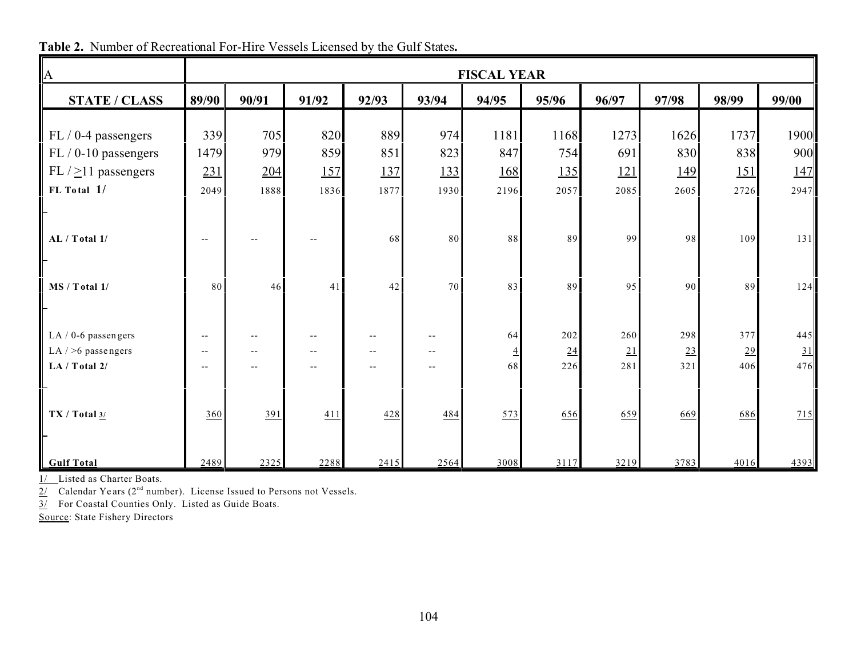| $\boldsymbol{A}$                                               | <b>FISCAL YEAR</b>                                   |            |                                                        |            |            |            |                  |                   |                  |                   |                  |  |  |  |
|----------------------------------------------------------------|------------------------------------------------------|------------|--------------------------------------------------------|------------|------------|------------|------------------|-------------------|------------------|-------------------|------------------|--|--|--|
| <b>STATE / CLASS</b>                                           | 89/90                                                | 90/91      | 91/92                                                  | 92/93      | 93/94      | 94/95      | 95/96            | 96/97             | 97/98            | 98/99             | 99/00            |  |  |  |
| $FL / 0-4$ passengers                                          | 339                                                  | 705        | 820                                                    | 889        | 974        | 1181       | 1168             | 1273              | 1626             | 1737              | 1900             |  |  |  |
| $FL/0-10$ passengers<br>FL $/$ $\geq$ 11 passengers            | 1479<br>231                                          | 979<br>204 | 859<br><u>157</u>                                      | 851<br>137 | 823<br>133 | 847<br>168 | 754<br>135       | 691<br><u>121</u> | 830<br>149       | 838<br><u>151</u> | 900<br>147       |  |  |  |
| FL Total 1/                                                    | 2049                                                 | 1888       | 1836                                                   | 1877       | 1930       | 2196       | 2057             | 2085              | 2605             | 2726              | 2947             |  |  |  |
| AL / Total 1/                                                  | $\overline{\phantom{a}}$                             |            |                                                        | 68         | 80         | 88         | 89               | 99                | 98               | 109               | 131              |  |  |  |
| MS / Total 1/                                                  | 80                                                   | 46         | 41                                                     | 42         | 70         | 83         | 89               | 95                | 90               | 89                | 124              |  |  |  |
| LA $/$ 0-6 passengers<br>LA $/$ >6 passengers<br>LA / Total 2/ | $\qquad \qquad -$<br>$\overline{\phantom{a}}$<br>$-$ |            | $- -$<br>$\overline{\phantom{a}}$<br>$\qquad \qquad -$ | $-$<br>$-$ | $-$        | 64<br>68   | 202<br>24<br>226 | 260<br>21<br>281  | 298<br>23<br>321 | 377<br>29<br>406  | 445<br>31<br>476 |  |  |  |
| TX / Total 3/                                                  | 360                                                  | 391        | 411                                                    | 428        | 484        | 573        | 656              | 659               | 669              | 686               | 715              |  |  |  |
| <b>Gulf Total</b>                                              | 2489                                                 | 2325       | 2288                                                   | 2415       | 2564       | 3008       | 3117             | 3219              | 3783             | 4016              | 4393             |  |  |  |

**Table 2.** Number of Recreational For-Hire Vessels Licensed by the Gulf States**.**

1/ Listed as Charter Boats.

 $2/$  Calendar Ye ars ( $2<sup>nd</sup>$  number). License Issued to Persons not Vessels.

3/ For Coastal Counties Only. Listed as Guide Boats.

Source: State Fishery Directors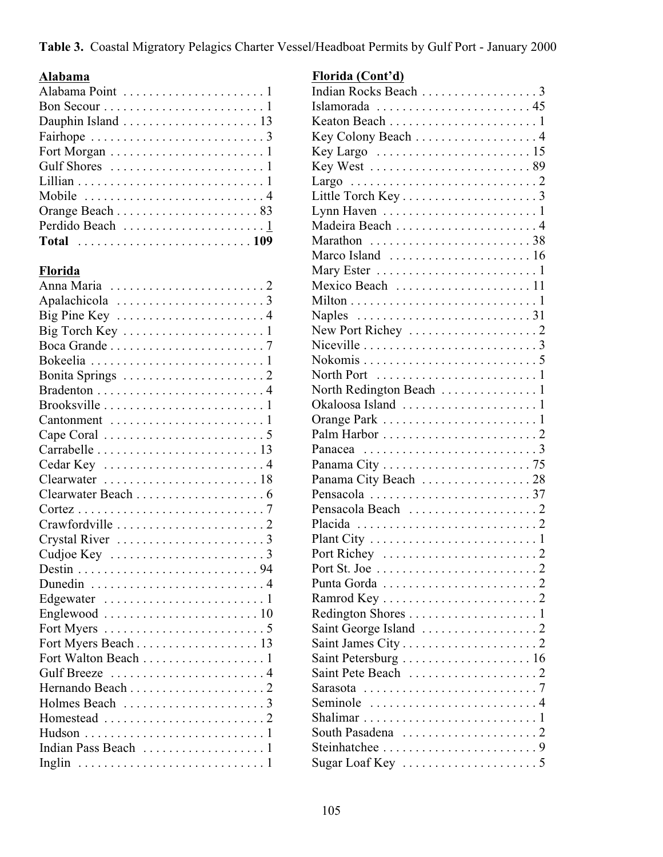**Table 3.** Coastal Migratory Pelagics Charter Vessel/Headboat Permits by Gulf Port - January 2000

## **Alabama**

### **Florida**

| Big Torch Key 1<br>Cedar Key 4<br>Crystal River 3<br>Fort Myers $\dots \dots \dots \dots \dots \dots \dots \dots \dots$<br>Fort Myers Beach 13<br>Fort Walton Beach 1 |  |
|-----------------------------------------------------------------------------------------------------------------------------------------------------------------------|--|
|                                                                                                                                                                       |  |
|                                                                                                                                                                       |  |
|                                                                                                                                                                       |  |
|                                                                                                                                                                       |  |
|                                                                                                                                                                       |  |
|                                                                                                                                                                       |  |
|                                                                                                                                                                       |  |
|                                                                                                                                                                       |  |
|                                                                                                                                                                       |  |
|                                                                                                                                                                       |  |
|                                                                                                                                                                       |  |
|                                                                                                                                                                       |  |
|                                                                                                                                                                       |  |
|                                                                                                                                                                       |  |
|                                                                                                                                                                       |  |
|                                                                                                                                                                       |  |
|                                                                                                                                                                       |  |
|                                                                                                                                                                       |  |
|                                                                                                                                                                       |  |
|                                                                                                                                                                       |  |
|                                                                                                                                                                       |  |
|                                                                                                                                                                       |  |
|                                                                                                                                                                       |  |
|                                                                                                                                                                       |  |
|                                                                                                                                                                       |  |
|                                                                                                                                                                       |  |
|                                                                                                                                                                       |  |
|                                                                                                                                                                       |  |
|                                                                                                                                                                       |  |
|                                                                                                                                                                       |  |
|                                                                                                                                                                       |  |
|                                                                                                                                                                       |  |
|                                                                                                                                                                       |  |

# **Florida (Cont'd)**

| Indian Rocks Beach 3                                                  |  |
|-----------------------------------------------------------------------|--|
| Islamorada  45                                                        |  |
|                                                                       |  |
| Key Colony Beach $\dots\dots\dots\dots\dots\dots$                     |  |
|                                                                       |  |
|                                                                       |  |
|                                                                       |  |
| Little Torch Key3                                                     |  |
|                                                                       |  |
|                                                                       |  |
| Marathon $\ldots \ldots \ldots \ldots \ldots \ldots \ldots 38$        |  |
|                                                                       |  |
|                                                                       |  |
| Mexico Beach  11                                                      |  |
|                                                                       |  |
| Naples $\ldots \ldots \ldots \ldots \ldots \ldots \ldots \ldots 31$   |  |
|                                                                       |  |
| Niceville $\ldots \ldots \ldots \ldots \ldots \ldots \ldots \ldots 3$ |  |
|                                                                       |  |
|                                                                       |  |
|                                                                       |  |
|                                                                       |  |
|                                                                       |  |
| Palm Harbor $\dots\dots\dots\dots\dots\dots\dots\dots$                |  |
|                                                                       |  |
|                                                                       |  |
| Panama City Beach 28                                                  |  |
|                                                                       |  |
|                                                                       |  |
|                                                                       |  |
|                                                                       |  |
|                                                                       |  |
| Port St. Joe $\ldots \ldots \ldots \ldots \ldots \ldots \ldots 2$     |  |
|                                                                       |  |
|                                                                       |  |
|                                                                       |  |
|                                                                       |  |
|                                                                       |  |
| Saint Petersburg  16                                                  |  |
|                                                                       |  |
| Sarasota $\ldots \ldots \ldots \ldots \ldots \ldots \ldots \ldots 7$  |  |
| Seminole 4                                                            |  |
|                                                                       |  |
|                                                                       |  |
|                                                                       |  |
|                                                                       |  |
|                                                                       |  |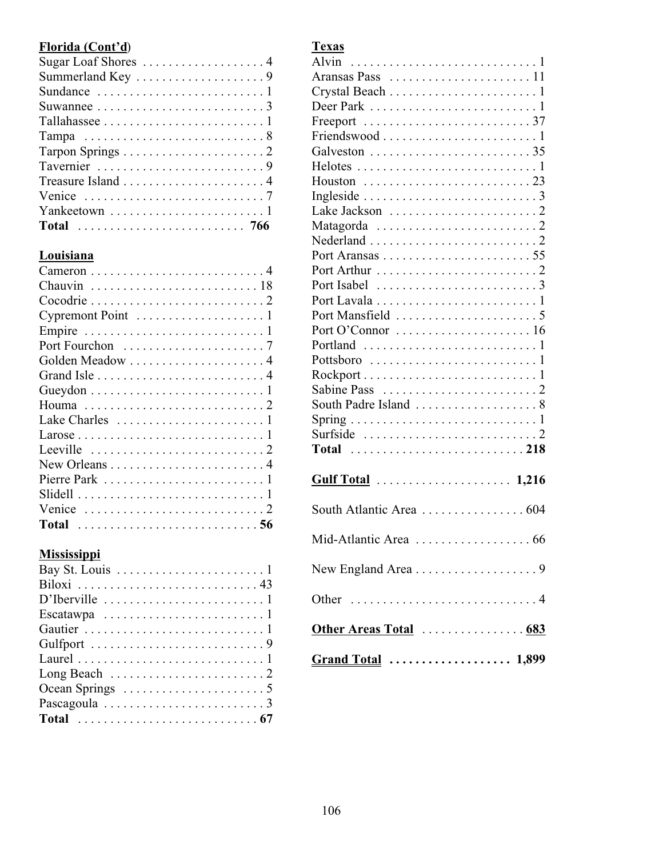# **Florida (Cont'd**)

| Venice $\ldots \ldots \ldots \ldots \ldots \ldots \ldots \ldots \ldots$ |
|-------------------------------------------------------------------------|
|                                                                         |
|                                                                         |

# **Louisiana**

| Leeville $\ldots \ldots \ldots \ldots \ldots \ldots \ldots 2$  |  |
|----------------------------------------------------------------|--|
|                                                                |  |
| Lake Charles $\dots \dots \dots \dots \dots \dots \dots \dots$ |  |
|                                                                |  |
|                                                                |  |
|                                                                |  |
| Golden Meadow  4                                               |  |
|                                                                |  |
|                                                                |  |
|                                                                |  |
|                                                                |  |
|                                                                |  |
|                                                                |  |

### **Mississippi**

| D'Iberville $\dots \dots \dots \dots \dots \dots \dots \dots \dots$ |
|---------------------------------------------------------------------|
| Escatawpa $\ldots \ldots \ldots \ldots \ldots \ldots \ldots 1$      |
|                                                                     |
|                                                                     |
|                                                                     |
|                                                                     |
|                                                                     |
|                                                                     |
|                                                                     |
|                                                                     |

| Aransas Pass 11                                                      |
|----------------------------------------------------------------------|
|                                                                      |
|                                                                      |
|                                                                      |
|                                                                      |
|                                                                      |
|                                                                      |
|                                                                      |
|                                                                      |
|                                                                      |
|                                                                      |
|                                                                      |
|                                                                      |
|                                                                      |
|                                                                      |
|                                                                      |
|                                                                      |
|                                                                      |
|                                                                      |
|                                                                      |
|                                                                      |
|                                                                      |
|                                                                      |
|                                                                      |
| Surfside $\ldots \ldots \ldots \ldots \ldots \ldots \ldots \ldots 2$ |
|                                                                      |
|                                                                      |
|                                                                      |
| South Atlantic Area  604                                             |
| Mid-Atlantic Area<br>66                                              |
|                                                                      |
|                                                                      |
| Other Areas Total  683                                               |
|                                                                      |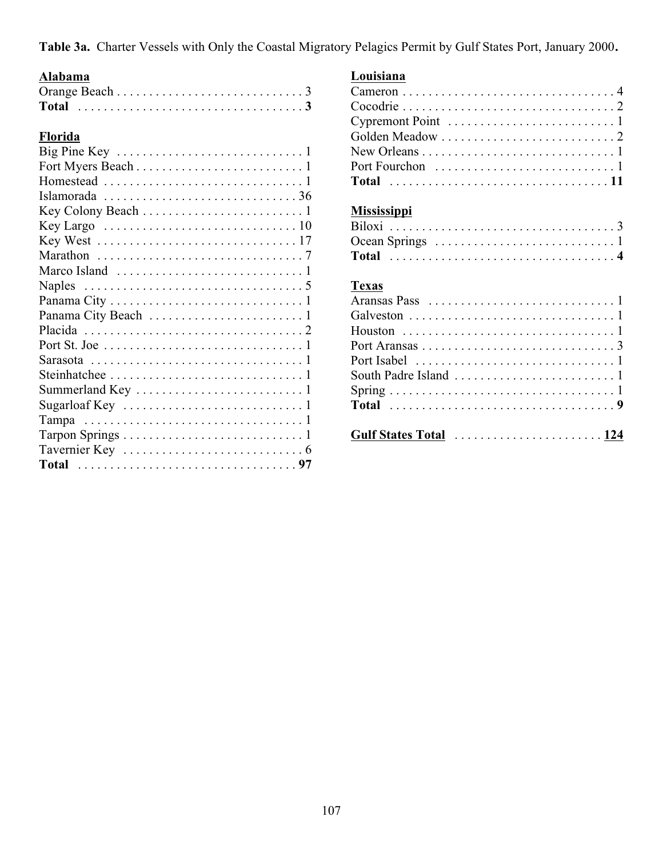**Table 3a.** Charter Vessels with Only the Coastal Migratory Pelagics Permit by Gulf States Port, January 2000**.**

## **Alabama**

| Florida                                                                          |
|----------------------------------------------------------------------------------|
|                                                                                  |
|                                                                                  |
|                                                                                  |
|                                                                                  |
|                                                                                  |
|                                                                                  |
|                                                                                  |
|                                                                                  |
|                                                                                  |
| Naples $\ldots \ldots \ldots \ldots \ldots \ldots \ldots \ldots \ldots \ldots 5$ |
|                                                                                  |
|                                                                                  |
|                                                                                  |
|                                                                                  |
|                                                                                  |
|                                                                                  |
|                                                                                  |
| Sugarloaf Key $\ldots \ldots \ldots \ldots \ldots \ldots \ldots \ldots 1$        |
|                                                                                  |
|                                                                                  |
|                                                                                  |
|                                                                                  |

#### **Louisiana**

| Cypremont Point $\dots\dots\dots\dots\dots\dots\dots\dots\dots$ |  |  |  |  |  |  |  |  |  |  |  |  |  |  |
|-----------------------------------------------------------------|--|--|--|--|--|--|--|--|--|--|--|--|--|--|
|                                                                 |  |  |  |  |  |  |  |  |  |  |  |  |  |  |
|                                                                 |  |  |  |  |  |  |  |  |  |  |  |  |  |  |
|                                                                 |  |  |  |  |  |  |  |  |  |  |  |  |  |  |
|                                                                 |  |  |  |  |  |  |  |  |  |  |  |  |  |  |

# **Mississippi**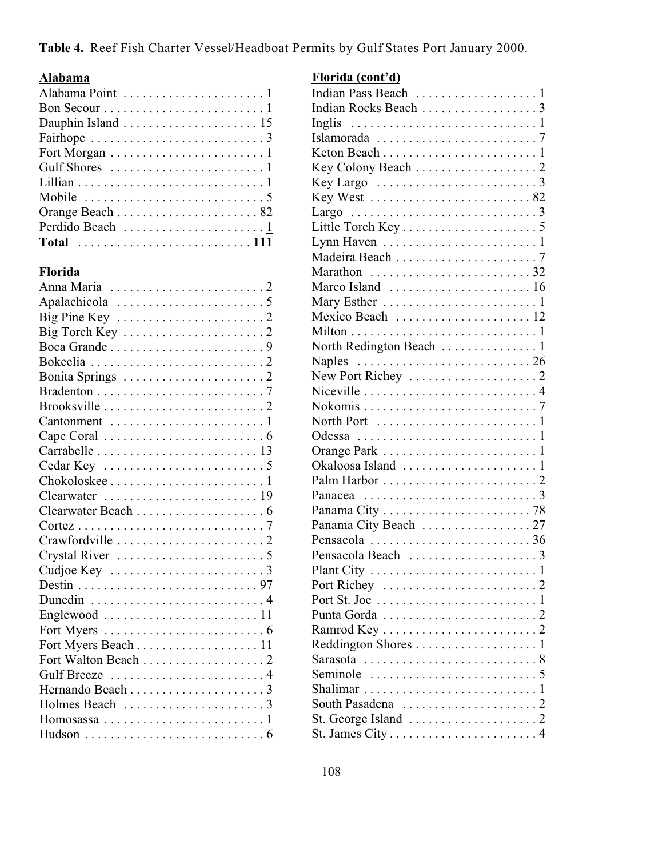**Table 4.** Reef Fish Charter Vessel/Headboat Permits by Gulf States Port January 2000.

### **Alabama**

| Fairhope $\ldots \ldots \ldots \ldots \ldots \ldots \ldots \ldots \ldots$ |
|---------------------------------------------------------------------------|
|                                                                           |
|                                                                           |
|                                                                           |
| Mobile $\ldots \ldots \ldots \ldots \ldots \ldots \ldots \ldots 5$        |
|                                                                           |
|                                                                           |
| Total 111                                                                 |

### **Florida**

| Big Pine Key $\dots \dots \dots \dots \dots \dots \dots \dots$       |
|----------------------------------------------------------------------|
|                                                                      |
|                                                                      |
|                                                                      |
|                                                                      |
|                                                                      |
|                                                                      |
|                                                                      |
| Cape Coral $\ldots \ldots \ldots \ldots \ldots \ldots \ldots \ldots$ |
|                                                                      |
|                                                                      |
|                                                                      |
|                                                                      |
|                                                                      |
|                                                                      |
|                                                                      |
|                                                                      |
|                                                                      |
|                                                                      |
| Dunedin 4                                                            |
| Englewood $\ldots \ldots \ldots \ldots \ldots \ldots \ldots 11$      |
|                                                                      |
| Fort Myers Beach 11                                                  |
|                                                                      |
| Gulf Breeze  4                                                       |
|                                                                      |
| Holmes Beach 3                                                       |
| Homosassa $\ldots \ldots \ldots \ldots \ldots \ldots \ldots 1$       |
| Hudson $\ldots \ldots \ldots \ldots \ldots \ldots \ldots \ldots 6$   |

### **Florida (cont'd)**

| Inglis                                                              |
|---------------------------------------------------------------------|
|                                                                     |
|                                                                     |
|                                                                     |
| Key Largo $\dots \dots \dots \dots \dots \dots \dots \dots$         |
| Key West 82                                                         |
|                                                                     |
|                                                                     |
| Lynn Haven $\dots\dots\dots\dots\dots\dots\dots\dots$               |
|                                                                     |
| Marathon 32                                                         |
|                                                                     |
|                                                                     |
| Mexico Beach  12                                                    |
|                                                                     |
|                                                                     |
| Naples $\ldots \ldots \ldots \ldots \ldots \ldots \ldots \ldots 26$ |
|                                                                     |
| Niceville 4                                                         |
|                                                                     |
| North Port $\dots\dots\dots\dots\dots\dots\dots\dots1$              |
| Odessa $\ldots \ldots \ldots \ldots \ldots \ldots \ldots \ldots 1$  |
|                                                                     |
|                                                                     |
| Palm Harbor $\dots\dots\dots\dots\dots\dots\dots\dots$              |
|                                                                     |
|                                                                     |
|                                                                     |
| Pensacola 36                                                        |
|                                                                     |
| Plant City                                                          |
|                                                                     |
| Port St. Joe $\ldots \ldots \ldots \ldots \ldots \ldots \ldots 1$   |
| Punta Gorda $\ldots \ldots \ldots \ldots \ldots \ldots \ldots 2$    |
|                                                                     |
| Reddington Shores 1                                                 |
| Sarasota 8                                                          |
| Seminole $\ldots \ldots \ldots \ldots \ldots \ldots \ldots 5$       |
|                                                                     |
|                                                                     |
| St. George Island $\ldots \ldots \ldots \ldots \ldots \ldots 2$     |
| St. James $City \ldots \ldots \ldots \ldots \ldots \ldots \ldots 4$ |
|                                                                     |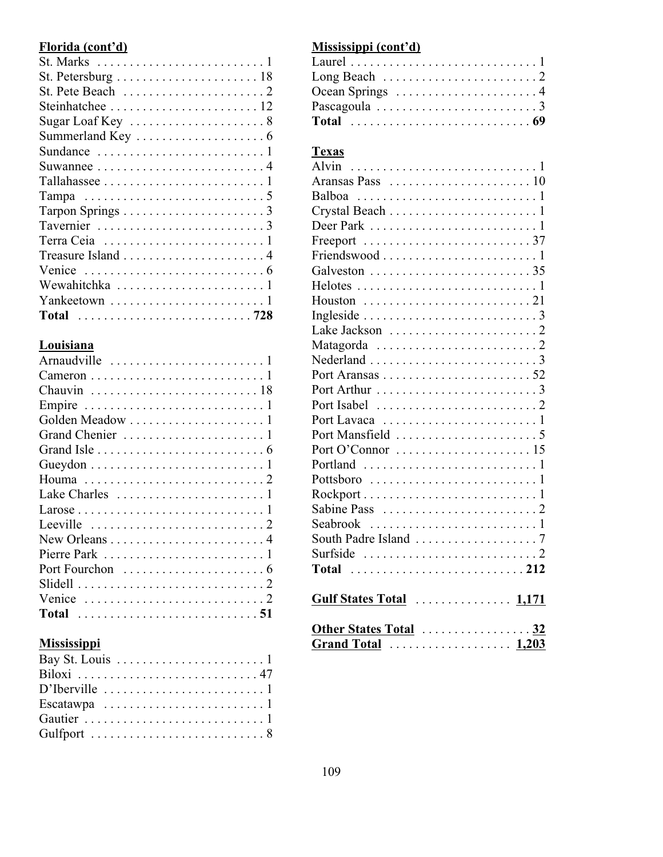### **Florida (cont'd)**

| St. Marks $\dots \dots \dots \dots \dots \dots \dots \dots \dots \dots$   |
|---------------------------------------------------------------------------|
| St. Petersburg $\ldots \ldots \ldots \ldots \ldots \ldots \ldots 18$      |
| St. Pete Beach $\ldots \ldots \ldots \ldots \ldots \ldots 2$              |
|                                                                           |
|                                                                           |
| Summerland Key $\dots\dots\dots\dots\dots\dots\dots$                      |
| Sundance $\ldots \ldots \ldots \ldots \ldots \ldots \ldots 1$             |
| Suwannee $\dots \dots \dots \dots \dots \dots \dots \dots \dots$          |
|                                                                           |
|                                                                           |
|                                                                           |
| Tavernier $\ldots \ldots \ldots \ldots \ldots \ldots \ldots \ldots$       |
|                                                                           |
|                                                                           |
| Venice $\ldots \ldots \ldots \ldots \ldots \ldots \ldots \ldots \ldots 6$ |
|                                                                           |
|                                                                           |
| Total 728                                                                 |

#### **Louisiana**

| Lake Charles $\dots \dots \dots \dots \dots \dots \dots \dots \dots$ |
|----------------------------------------------------------------------|
|                                                                      |
| Leeville $\ldots \ldots \ldots \ldots \ldots \ldots \ldots 2$        |
|                                                                      |
|                                                                      |
|                                                                      |
|                                                                      |
| Venice $\ldots \ldots \ldots \ldots \ldots \ldots \ldots \ldots 2$   |
|                                                                      |

#### **Mississippi**

| D'Iberville $\dots \dots \dots \dots \dots \dots \dots \dots \dots$ |
|---------------------------------------------------------------------|
| Escatawpa $\ldots \ldots \ldots \ldots \ldots \ldots \ldots 1$      |
|                                                                     |
|                                                                     |

### **Mississippi (cont'd)**

| Long Beach $\ldots \ldots \ldots \ldots \ldots \ldots 2$             |  |  |  |  |  |  |  |  |  |  |  |  |
|----------------------------------------------------------------------|--|--|--|--|--|--|--|--|--|--|--|--|
| Ocean Springs $\dots \dots \dots \dots \dots \dots \dots$            |  |  |  |  |  |  |  |  |  |  |  |  |
| Pascagoula $\ldots \ldots \ldots \ldots \ldots \ldots \ldots \ldots$ |  |  |  |  |  |  |  |  |  |  |  |  |
|                                                                      |  |  |  |  |  |  |  |  |  |  |  |  |
|                                                                      |  |  |  |  |  |  |  |  |  |  |  |  |

### **Texas**

| Freeport 37              |  |
|--------------------------|--|
|                          |  |
|                          |  |
|                          |  |
|                          |  |
|                          |  |
|                          |  |
|                          |  |
|                          |  |
|                          |  |
|                          |  |
|                          |  |
|                          |  |
|                          |  |
|                          |  |
|                          |  |
|                          |  |
|                          |  |
|                          |  |
|                          |  |
|                          |  |
|                          |  |
|                          |  |
| Gulf States Total  1,171 |  |
| Other States Total 32    |  |

**Grand Total** ................... **1,203**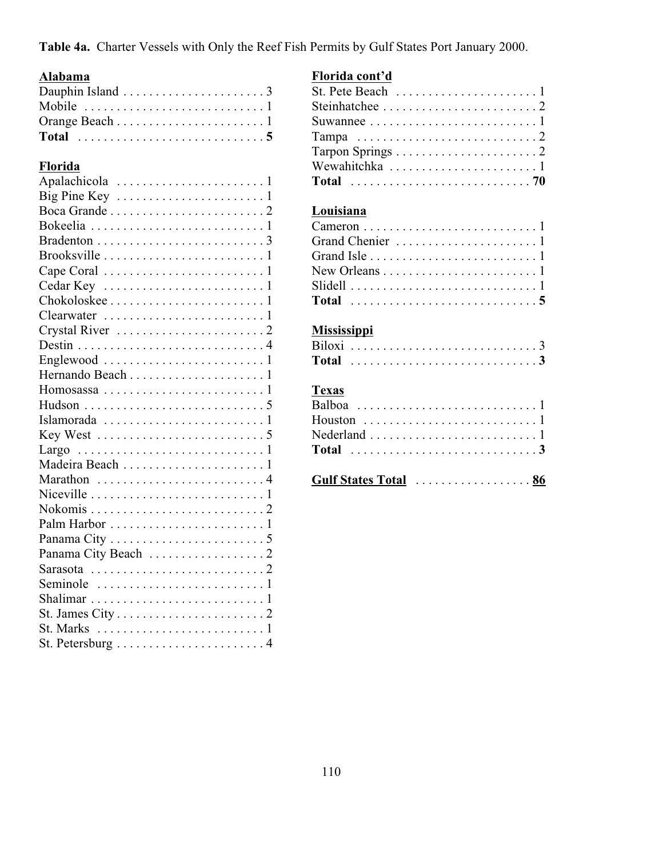**Table 4a.** Charter Vessels with Only the Reef Fish Permits by Gulf States Port January 2000.

# **Alabama**

## **Florida**

| Madeira Beach 1                                                         |
|-------------------------------------------------------------------------|
| Marathon 4                                                              |
|                                                                         |
|                                                                         |
|                                                                         |
|                                                                         |
|                                                                         |
|                                                                         |
| Seminole $\ldots \ldots \ldots \ldots \ldots \ldots \ldots \ldots 1$    |
|                                                                         |
|                                                                         |
| St. Marks $\dots \dots \dots \dots \dots \dots \dots \dots \dots \dots$ |
|                                                                         |

### **Florida cont'd**

| St. Pete Beach $\ldots \ldots \ldots \ldots \ldots \ldots 1$  |  |
|---------------------------------------------------------------|--|
|                                                               |  |
| Suwannee $\ldots \ldots \ldots \ldots \ldots \ldots \ldots 1$ |  |
|                                                               |  |
|                                                               |  |
| Wewahitchka 1                                                 |  |
|                                                               |  |
|                                                               |  |

# **Louisiana**

| New Orleans $\dots \dots \dots \dots \dots \dots \dots \dots 1$ |  |
|-----------------------------------------------------------------|--|
|                                                                 |  |
|                                                                 |  |
|                                                                 |  |

# **Mississippi**

| Gulf States Total  86 |  |  |  |  |  |  |  |  |
|-----------------------|--|--|--|--|--|--|--|--|
|                       |  |  |  |  |  |  |  |  |
|                       |  |  |  |  |  |  |  |  |
|                       |  |  |  |  |  |  |  |  |
|                       |  |  |  |  |  |  |  |  |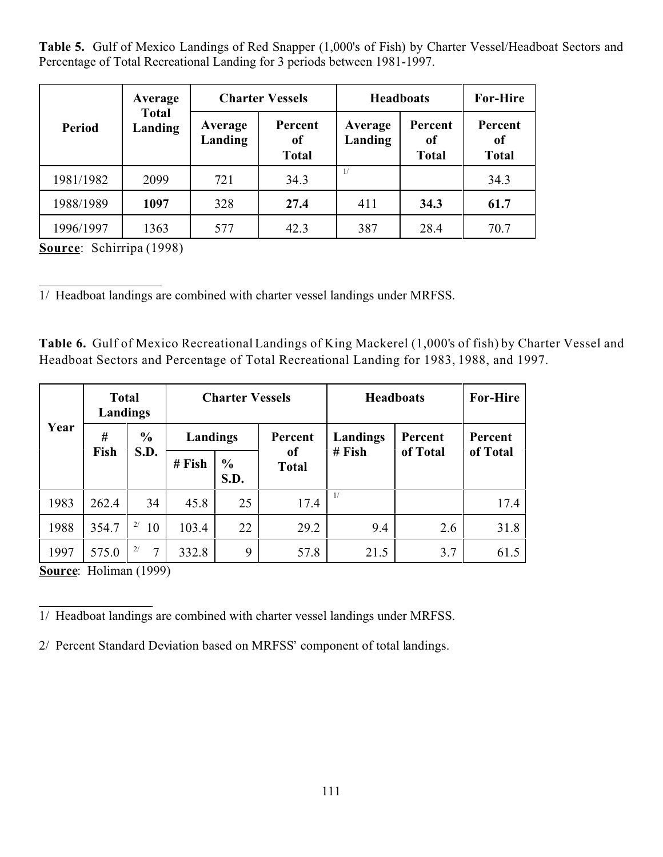**Table 5.** Gulf of Mexico Landings of Red Snapper (1,000's of Fish) by Charter Vessel/Headboat Sectors and Percentage of Total Recreational Landing for 3 periods between 1981-1997.

|               | Average                 |                    | <b>Charter Vessels</b>        | <b>Headboats</b>   | <b>For-Hire</b>               |                                          |
|---------------|-------------------------|--------------------|-------------------------------|--------------------|-------------------------------|------------------------------------------|
| <b>Period</b> | <b>Total</b><br>Landing | Average<br>Landing | Percent<br>of<br><b>Total</b> | Average<br>Landing | Percent<br>of<br><b>Total</b> | Percent<br><sub>of</sub><br><b>Total</b> |
| 1981/1982     | 2099                    | 721                | 34.3                          | 1/                 |                               | 34.3                                     |
| 1988/1989     | 1097                    | 328                | 27.4                          | 411                | 34.3                          | 61.7                                     |
| 1996/1997     | 1363                    | 577                | 42.3                          | 387                | 28.4                          | 70.7                                     |

**Source**: Schirripa (1998)

 $\overline{a}$ 1/ Headboat landings are combined with charter vessel landings under MRFSS.

**Table 6.** Gulf of Mexico Recreational Landings of King Mackerel (1,000's of fish) by Charter Vessel and Headboat Sectors and Percentage of Total Recreational Landing for 1983, 1988, and 1997.

|      | <b>Total</b><br>Landings |                           |        | <b>Charter Vessels</b> |                    | <b>Headboats</b> | <b>For-Hire</b> |          |
|------|--------------------------|---------------------------|--------|------------------------|--------------------|------------------|-----------------|----------|
| Year | #                        | $\frac{6}{6}$<br>Landings |        | Percent                | Landings           | Percent          | Percent         |          |
|      | Fish                     | S.D.                      | # Fish | $\frac{6}{6}$<br>S.D.  | оf<br><b>Total</b> | $#$ Fish         | of Total        | of Total |
| 1983 | 262.4                    | 34                        | 45.8   | 25                     | 17.4               | 1/               |                 | 17.4     |
| 1988 | 354.7                    | 2/<br>10                  | 103.4  | 22                     | 29.2               | 9.4              | 2.6             | 31.8     |
| 1997 | 575.0                    | 2/<br>$\tau$              | 332.8  | 9                      | 57.8               | 21.5             | 3.7             | 61.5     |

**Source**: Holiman (1999)

 $\overline{a}$ 1/ Headboat landings are combined with charter vessel landings under MRFSS.

2/ Percent Standard Deviation based on MRFSS' component of total landings.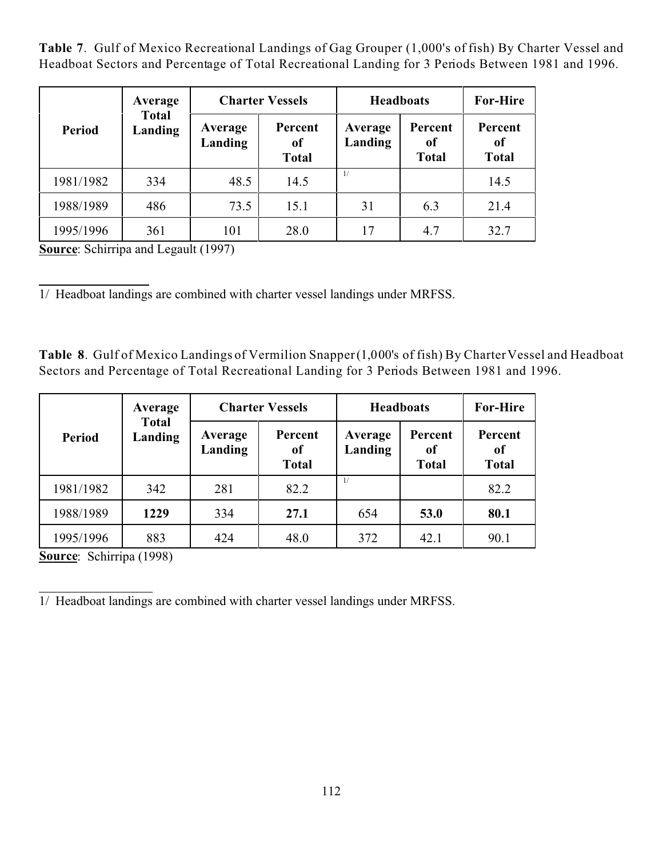**Table 7**. Gulf of Mexico Recreational Landings of Gag Grouper (1,000's of fish) By Charter Vessel and Headboat Sectors and Percentage of Total Recreational Landing for 3 Periods Between 1981 and 1996.

|               | Average                 |                    | <b>Charter Vessels</b>        | <b>Headboats</b>   | <b>For-Hire</b>               |                               |
|---------------|-------------------------|--------------------|-------------------------------|--------------------|-------------------------------|-------------------------------|
| <b>Period</b> | <b>Total</b><br>Landing | Average<br>Landing | Percent<br>0f<br><b>Total</b> | Average<br>Landing | Percent<br>of<br><b>Total</b> | Percent<br>of<br><b>Total</b> |
| 1981/1982     | 334                     | 48.5               | 14.5                          | 1/                 |                               | 14.5                          |
| 1988/1989     | 486                     | 73.5               | 15.1                          | 31                 | 6.3                           | 21.4                          |
| 1995/1996     | 361                     | 101                | 28.0                          | 17                 | 4.7                           | 32.7                          |

**Source:** Schirripa and Legault (1997)

l 1/ Headboat landings are combined with charter vessel landings under MRFSS.

**Table 8**. Gulf of Mexico Landings of Vermilion Snapper (1,000's of fish) By Charter Vessel and Headboat Sectors and Percentage of Total Recreational Landing for 3 Periods Between 1981 and 1996.

|           | Average                 |                    | <b>Charter Vessels</b>        | <b>Headboats</b>   | <b>For-Hire</b>               |                               |
|-----------|-------------------------|--------------------|-------------------------------|--------------------|-------------------------------|-------------------------------|
| Period    | <b>Total</b><br>Landing | Average<br>Landing | Percent<br>of<br><b>Total</b> | Average<br>Landing | Percent<br>of<br><b>Total</b> | Percent<br>0f<br><b>Total</b> |
| 1981/1982 | 342                     | 281                | 82.2                          | 1/                 |                               | 82.2                          |
| 1988/1989 | 1229                    | 334                | 27.1                          | 654                | 53.0                          | 80.1                          |
| 1995/1996 | 883                     | 424                | 48.0                          | 372                | 42.1                          | 90.1                          |

**Source**: Schirripa (1998)

 $\overline{a}$ 1/ Headboat landings are combined with charter vessel landings under MRFSS.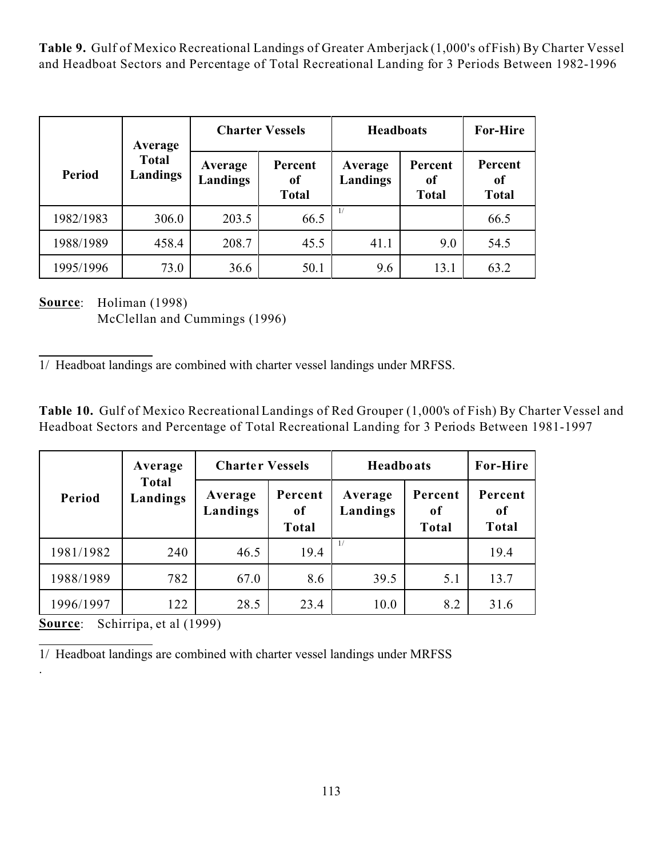**Table 9.** Gulf of Mexico Recreational Landings of Greater Amberjack (1,000's of Fish) By Charter Vessel and Headboat Sectors and Percentage of Total Recreational Landing for 3 Periods Between 1982-1996

|           | Average                  |                     | <b>Charter Vessels</b>        | <b>Headboats</b>    | <b>For-Hire</b>               |                                          |
|-----------|--------------------------|---------------------|-------------------------------|---------------------|-------------------------------|------------------------------------------|
| Period    | <b>Total</b><br>Landings | Average<br>Landings | Percent<br>of<br><b>Total</b> | Average<br>Landings | Percent<br>0f<br><b>Total</b> | Percent<br><sub>of</sub><br><b>Total</b> |
| 1982/1983 | 306.0                    | 203.5               | 66.5                          | $\frac{1}{2}$       |                               | 66.5                                     |
| 1988/1989 | 458.4                    | 208.7               | 45.5                          | 41.1                | 9.0                           | 54.5                                     |
| 1995/1996 | 73.0                     | 36.6                | 50.1                          | 9.6                 | 13.1                          | 63.2                                     |

**Source**: Holiman (1998) McClellan and Cummings (1996)

 $\overline{a}$ 1/ Headboat landings are combined with charter vessel landings under MRFSS.

**Table 10.** Gulf of Mexico Recreational Landings of Red Grouper (1,000's of Fish) By Charter Vessel and Headboat Sectors and Percentage of Total Recreational Landing for 3 Periods Between 1981-1997

|           | Average                  | <b>Charter Vessels</b> |                        | <b>Headboats</b>    | <b>For-Hire</b>               |                               |
|-----------|--------------------------|------------------------|------------------------|---------------------|-------------------------------|-------------------------------|
| Period    | <b>Total</b><br>Landings | Average<br>Landings    | Percent<br>0f<br>Total | Average<br>Landings | Percent<br>of<br><b>Total</b> | Percent<br>0f<br><b>Total</b> |
| 1981/1982 | 240                      | 46.5                   | 19.4                   | 1/                  |                               | 19.4                          |
| 1988/1989 | 782                      | 67.0                   | 8.6                    | 39.5                | 5.1                           | 13.7                          |
| 1996/1997 | 122                      | 28.5                   | 23.4                   | 10.0                | 8.2                           | 31.6                          |

**Source**: Schirripa, et al (1999)

.

 $\overline{a}$ 1/ Headboat landings are combined with charter vessel landings under MRFSS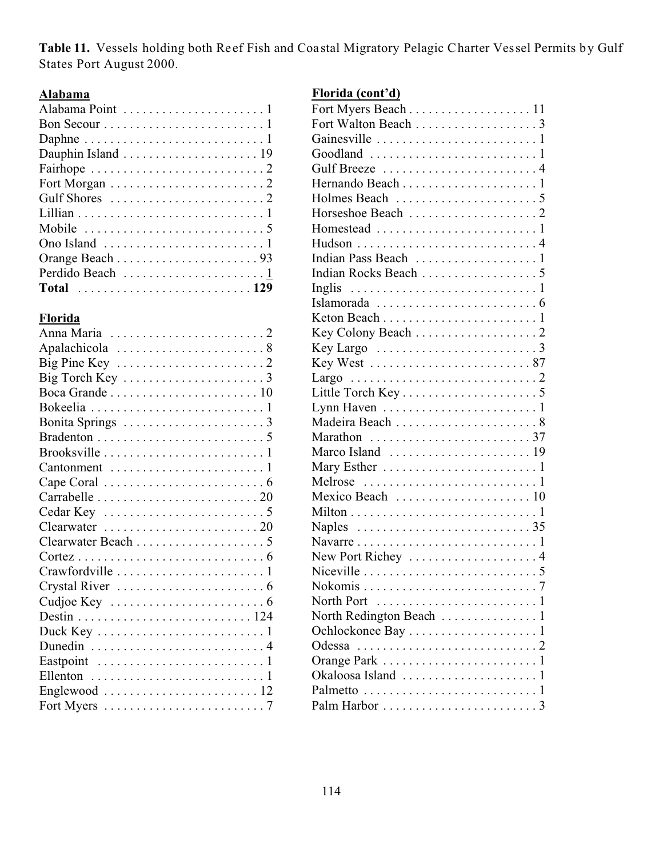Table 11. Vessels holding both Reef Fish and Coastal Migratory Pelagic Charter Vessel Permits by Gulf States Port August 2000.

#### **Alabama**

| Bon Secour $\dots \dots \dots \dots \dots \dots \dots \dots \dots$       |
|--------------------------------------------------------------------------|
|                                                                          |
|                                                                          |
|                                                                          |
|                                                                          |
|                                                                          |
|                                                                          |
| Mobile $\dots\dots\dots\dots\dots\dots\dots\dots\dots\dots5$             |
| Ono Island $\dots \dots \dots \dots \dots \dots \dots \dots \dots \dots$ |
|                                                                          |
|                                                                          |
| Total 129                                                                |

### **Florida**

| Big Pine Key $\dots \dots \dots \dots \dots \dots \dots \dots$       |
|----------------------------------------------------------------------|
|                                                                      |
|                                                                      |
|                                                                      |
|                                                                      |
|                                                                      |
|                                                                      |
|                                                                      |
|                                                                      |
|                                                                      |
|                                                                      |
| Clearwater $\dots\dots\dots\dots\dots\dots\dots\dots$                |
|                                                                      |
|                                                                      |
|                                                                      |
| Crystal River $\dots \dots \dots \dots \dots \dots \dots \dots$      |
| Cudjoe Key $\dots\dots\dots\dots\dots\dots\dots\dots\dots$           |
|                                                                      |
|                                                                      |
|                                                                      |
|                                                                      |
| Ellenton $\ldots \ldots \ldots \ldots \ldots \ldots \ldots \ldots 1$ |
| Englewood $\ldots \ldots \ldots \ldots \ldots \ldots \ldots 12$      |
| Fort Myers $\dots \dots \dots \dots \dots \dots \dots \dots \dots$   |
|                                                                      |

# **Florida (cont'd)**

| Fort Myers Beach 11                                                       |
|---------------------------------------------------------------------------|
| Fort Walton Beach 3                                                       |
|                                                                           |
| Goodland $\ldots \ldots \ldots \ldots \ldots \ldots \ldots \ldots 1$      |
| Gulf Breeze  4                                                            |
|                                                                           |
|                                                                           |
|                                                                           |
|                                                                           |
|                                                                           |
|                                                                           |
|                                                                           |
|                                                                           |
|                                                                           |
|                                                                           |
|                                                                           |
| Key Largo $\dots \dots \dots \dots \dots \dots \dots \dots$               |
|                                                                           |
|                                                                           |
|                                                                           |
| Lynn Haven $\dots\dots\dots\dots\dots\dots\dots\dots\dots$                |
|                                                                           |
|                                                                           |
|                                                                           |
| Mary Esther $\dots \dots \dots \dots \dots \dots \dots \dots \dots$       |
| Melrose $\ldots \ldots \ldots \ldots \ldots \ldots \ldots \ldots 1$       |
|                                                                           |
|                                                                           |
| Naples $\ldots \ldots \ldots \ldots \ldots \ldots \ldots \ldots 35$       |
| Navarre $\ldots \ldots \ldots \ldots \ldots \ldots \ldots \ldots 1$       |
| New Port Richey 4                                                         |
| Niceville $\ldots \ldots \ldots \ldots \ldots \ldots \ldots \ldots 5$     |
|                                                                           |
| North Port $\dots\dots\dots\dots\dots\dots\dots\dots1$                    |
|                                                                           |
| Ochlockonee Bay $\dots \dots \dots \dots \dots \dots \dots$               |
| Odessa $\ldots \ldots \ldots \ldots \ldots \ldots \ldots \ldots \ldots 2$ |
|                                                                           |
|                                                                           |
|                                                                           |
|                                                                           |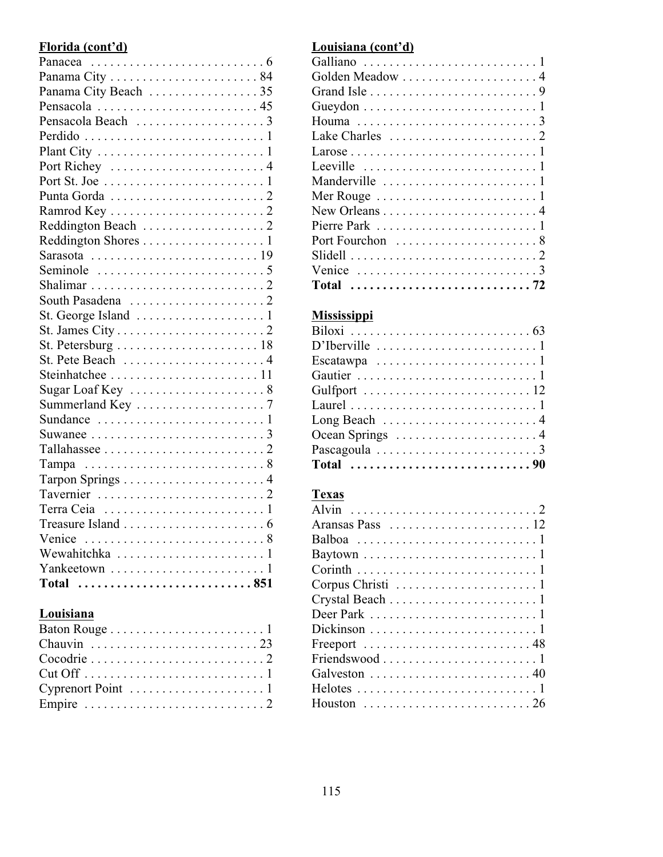# **Florida (cont'd)**

| Panama City Beach 35                                                     |
|--------------------------------------------------------------------------|
| Pensacola  45                                                            |
|                                                                          |
|                                                                          |
|                                                                          |
| Port Richey 4                                                            |
|                                                                          |
|                                                                          |
|                                                                          |
|                                                                          |
| Reddington Shores 1                                                      |
|                                                                          |
|                                                                          |
|                                                                          |
|                                                                          |
|                                                                          |
|                                                                          |
| St. Petersburg $\ldots \ldots \ldots \ldots \ldots \ldots \ldots 18$     |
| St. Pete Beach  4                                                        |
|                                                                          |
| Sugar Loaf Key 8                                                         |
|                                                                          |
|                                                                          |
| Suwanee $\ldots \ldots \ldots \ldots \ldots \ldots \ldots \ldots \ldots$ |
|                                                                          |
|                                                                          |
|                                                                          |
|                                                                          |
|                                                                          |
|                                                                          |
|                                                                          |
| Wewahitchka 1                                                            |
|                                                                          |
| Total 851                                                                |

### **Louisiana**

# **Louisiana (cont'd)**

| Golden Meadow  4                                                          |
|---------------------------------------------------------------------------|
|                                                                           |
| Gueydon $\dots \dots \dots \dots \dots \dots \dots \dots \dots \dots$     |
|                                                                           |
| Lake Charles $\dots \dots \dots \dots \dots \dots \dots 2$                |
|                                                                           |
| Leeville $\dots \dots \dots \dots \dots \dots \dots \dots \dots \dots$    |
|                                                                           |
| Mer Rouge $\dots \dots \dots \dots \dots \dots \dots \dots \dots$         |
| New Orleans $\dots \dots \dots \dots \dots \dots \dots \dots$             |
| Pierre Park $\ldots \ldots \ldots \ldots \ldots \ldots \ldots \ldots 1$   |
| Port Fourchon  8                                                          |
|                                                                           |
| Venice $\ldots \ldots \ldots \ldots \ldots \ldots \ldots \ldots \ldots 3$ |
|                                                                           |

# **Mississippi**

| Escatawpa $\ldots \ldots \ldots \ldots \ldots \ldots \ldots 1$                       |
|--------------------------------------------------------------------------------------|
|                                                                                      |
|                                                                                      |
|                                                                                      |
| Long Beach $\ldots \ldots \ldots \ldots \ldots \ldots \ldots 4$                      |
| Ocean Springs $\dots \dots \dots \dots \dots \dots \dots$                            |
|                                                                                      |
| Total $\ldots \ldots \ldots \ldots \ldots \ldots \ldots \ldots \ldots \ldots \ldots$ |

| Baytown $\ldots \ldots \ldots \ldots \ldots \ldots \ldots \ldots 1$         |
|-----------------------------------------------------------------------------|
| $Corinth \dots \dots \dots \dots \dots \dots \dots \dots \dots \dots \dots$ |
| Corpus Christi $\ldots \ldots \ldots \ldots \ldots \ldots \ldots$           |
|                                                                             |
| Deer Park $\ldots \ldots \ldots \ldots \ldots \ldots \ldots \ldots 1$       |
|                                                                             |
| Freeport $\ldots \ldots \ldots \ldots \ldots \ldots \ldots \ldots 48$       |
|                                                                             |
| Galveston 40                                                                |
|                                                                             |
|                                                                             |
|                                                                             |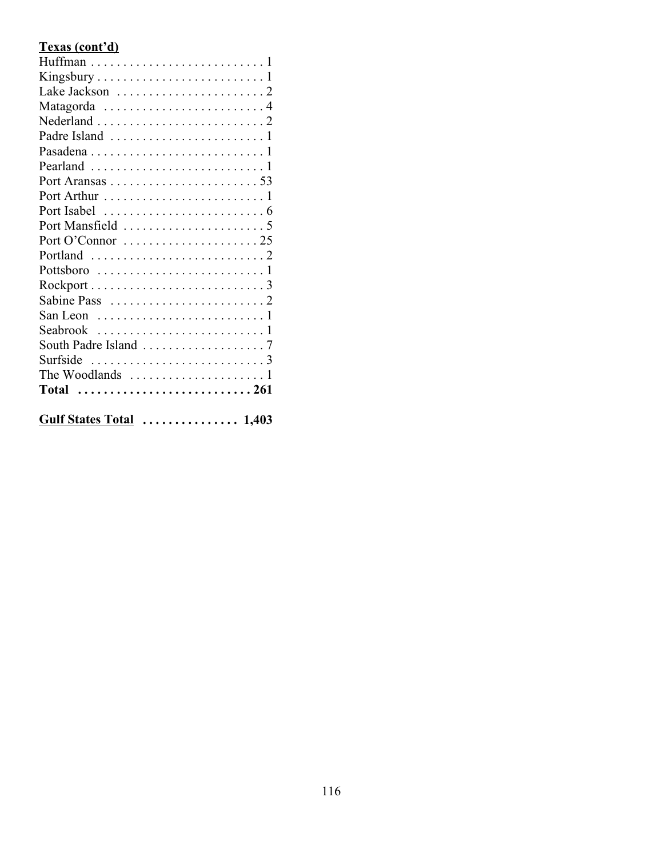# **Texas (cont'd)**

| Port O'Connor $\dots\dots\dots\dots\dots\dots\dots 25$                    |
|---------------------------------------------------------------------------|
| Portland $\ldots \ldots \ldots \ldots \ldots \ldots \ldots \ldots 2$      |
| Pottsboro $\ldots \ldots \ldots \ldots \ldots \ldots \ldots 1$            |
|                                                                           |
|                                                                           |
| San Leon $\dots\dots\dots\dots\dots\dots\dots\dots\dots$                  |
|                                                                           |
|                                                                           |
| Surfside $\ldots \ldots \ldots \ldots \ldots \ldots \ldots \ldots \ldots$ |
|                                                                           |
| Total 261                                                                 |
|                                                                           |
| Gulf States Total  1,403                                                  |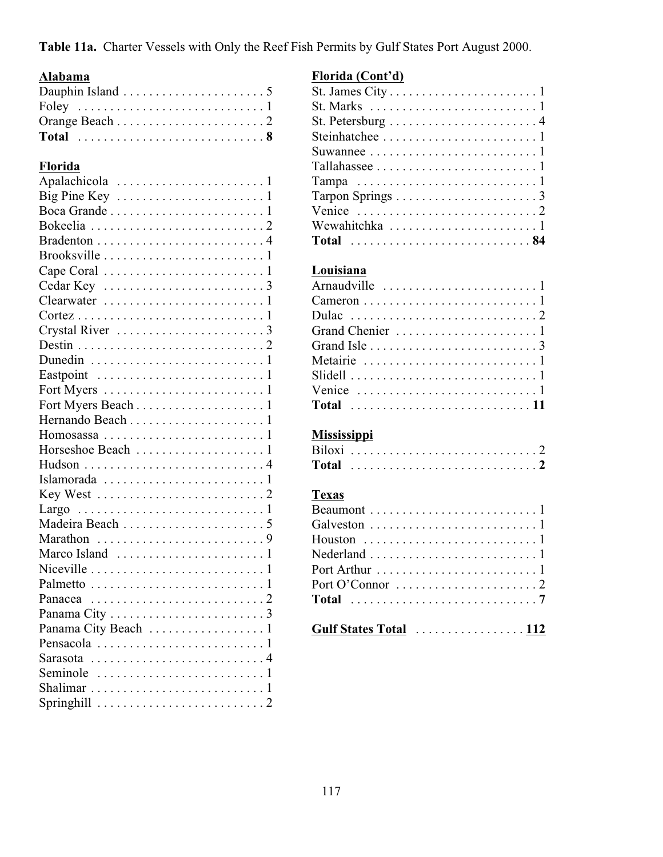**Table 11a.** Charter Vessels with Only the Reef Fish Permits by Gulf States Port August 2000.

### **Alabama**

# **Florida**

| Crystal River 3     |
|---------------------|
|                     |
|                     |
|                     |
|                     |
|                     |
|                     |
|                     |
|                     |
|                     |
|                     |
|                     |
|                     |
|                     |
|                     |
|                     |
|                     |
|                     |
|                     |
|                     |
| Panama City Beach 1 |
|                     |
| Sarasota 4          |
|                     |
|                     |
|                     |

#### **Florida (Cont'd)**

# **Louisiana**

| Venice $\ldots \ldots \ldots \ldots \ldots \ldots \ldots \ldots 1$ |
|--------------------------------------------------------------------|
| Total $\ldots \ldots \ldots \ldots \ldots \ldots \ldots \ldots 11$ |

# **Mississippi**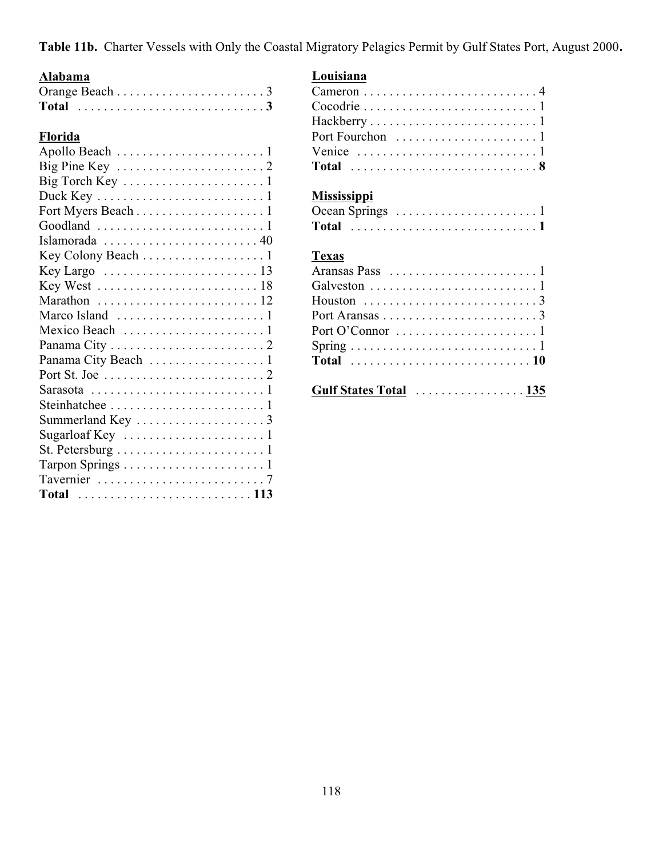**Table 11b.** Charter Vessels with Only the Coastal Migratory Pelagics Permit by Gulf States Port, August 2000**.**

# **Alabama**

# **Florida**

| Big Pine Key $\dots\dots\dots\dots\dots\dots\dots\dots$                    |
|----------------------------------------------------------------------------|
|                                                                            |
|                                                                            |
|                                                                            |
| Goodland $\ldots \ldots \ldots \ldots \ldots \ldots \ldots \ldots 1$       |
|                                                                            |
| Key Colony Beach 1                                                         |
|                                                                            |
| Key West $\ldots \ldots \ldots \ldots \ldots \ldots \ldots 18$             |
|                                                                            |
|                                                                            |
|                                                                            |
|                                                                            |
|                                                                            |
|                                                                            |
| Sarasota $\ldots \ldots \ldots \ldots \ldots \ldots \ldots \ldots 1$       |
|                                                                            |
|                                                                            |
| Sugarloaf Key $\dots\dots\dots\dots\dots\dots\dots$                        |
| St. Petersburg $\dots \dots \dots \dots \dots \dots \dots \dots$           |
|                                                                            |
|                                                                            |
| Total $\ldots \ldots \ldots \ldots \ldots \ldots \ldots \ldots \ldots 113$ |

### **Louisiana**

| $Hackberry \ldots \ldots \ldots \ldots \ldots \ldots \ldots 1$     |  |
|--------------------------------------------------------------------|--|
|                                                                    |  |
| Venice $\ldots \ldots \ldots \ldots \ldots \ldots \ldots \ldots 1$ |  |
| Total 8                                                            |  |
|                                                                    |  |

# **Mississippi**

| Ocean Springs $\dots \dots \dots \dots \dots \dots \dots \dots$ |  |  |  |  |  |  |  |  |  |  |  |  |
|-----------------------------------------------------------------|--|--|--|--|--|--|--|--|--|--|--|--|
|                                                                 |  |  |  |  |  |  |  |  |  |  |  |  |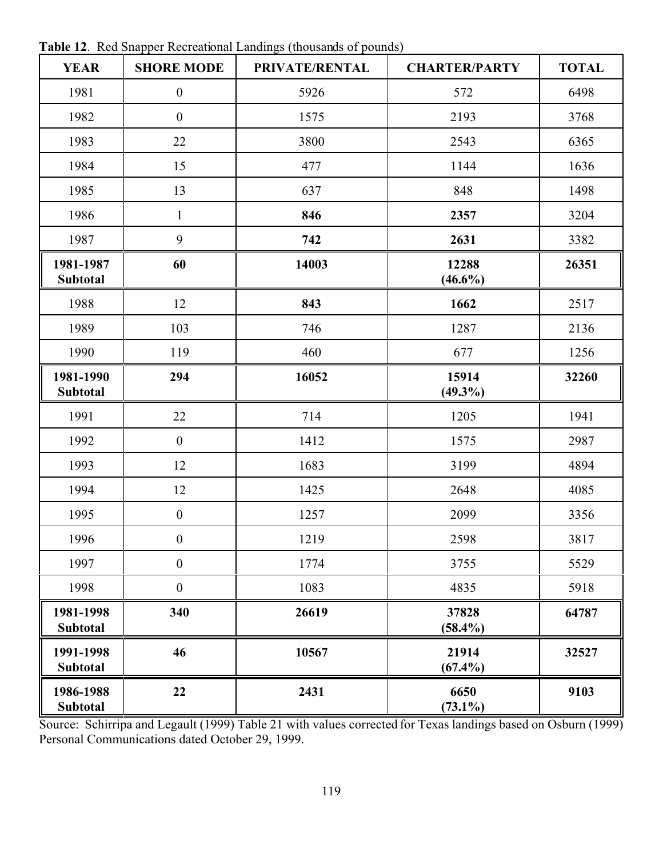| <b>YEAR</b>                  | <b>SHORE MODE</b> | PRIVATE/RENTAL | <b>CHARTER/PARTY</b> | <b>TOTAL</b> |
|------------------------------|-------------------|----------------|----------------------|--------------|
| 1981                         | $\boldsymbol{0}$  | 5926           | 572                  | 6498         |
| 1982                         | $\boldsymbol{0}$  | 1575           | 2193                 | 3768         |
| 1983                         | 22                | 3800           | 2543                 | 6365         |
| 1984                         | 15                | 477            | 1144                 | 1636         |
| 1985                         | 13                | 637            | 848                  | 1498         |
| 1986                         | $\mathbf{1}$      | 846            | 2357                 | 3204         |
| 1987                         | 9                 | 742            | 2631                 | 3382         |
| 1981-1987<br><b>Subtotal</b> | 60                | 14003          | 12288<br>$(46.6\%)$  | 26351        |
| 1988                         | 12                | 843            | 1662                 | 2517         |
| 1989                         | 103               | 746            | 1287                 | 2136         |
| 1990                         | 119               | 460            | 677                  | 1256         |
| 1981-1990<br><b>Subtotal</b> | 294               | 16052          | 15914<br>$(49.3\%)$  | 32260        |
| 1991                         | 22                | 714            | 1205                 | 1941         |
| 1992                         | $\boldsymbol{0}$  | 1412           | 1575                 | 2987         |
| 1993                         | 12                | 1683           | 3199                 | 4894         |
| 1994                         | 12                | 1425           | 2648                 | 4085         |
| 1995                         | $\boldsymbol{0}$  | 1257           | 2099                 | 3356         |
| 1996                         | $\boldsymbol{0}$  | 1219           | 2598                 | 3817         |
| 1997                         | $\boldsymbol{0}$  | 1774           | 3755                 | 5529         |
| 1998                         | $\boldsymbol{0}$  | 1083           | 4835                 | 5918         |
| 1981-1998<br><b>Subtotal</b> | 340               | 26619          | 37828<br>$(58.4\%)$  | 64787        |
| 1991-1998<br>Subtotal        | 46                | 10567          | 21914<br>$(67.4\%)$  | 32527        |
| 1986-1988<br>Subtotal        | 22                | 2431           | 6650<br>$(73.1\%)$   | 9103         |

**Table 12**. Red Snapper Recreational Landings (thousands of pounds)

Source: Schirripa and Legault (1999) Table 21 with values corrected for Texas landings based on Osburn (1999) Personal Communications dated October 29, 1999.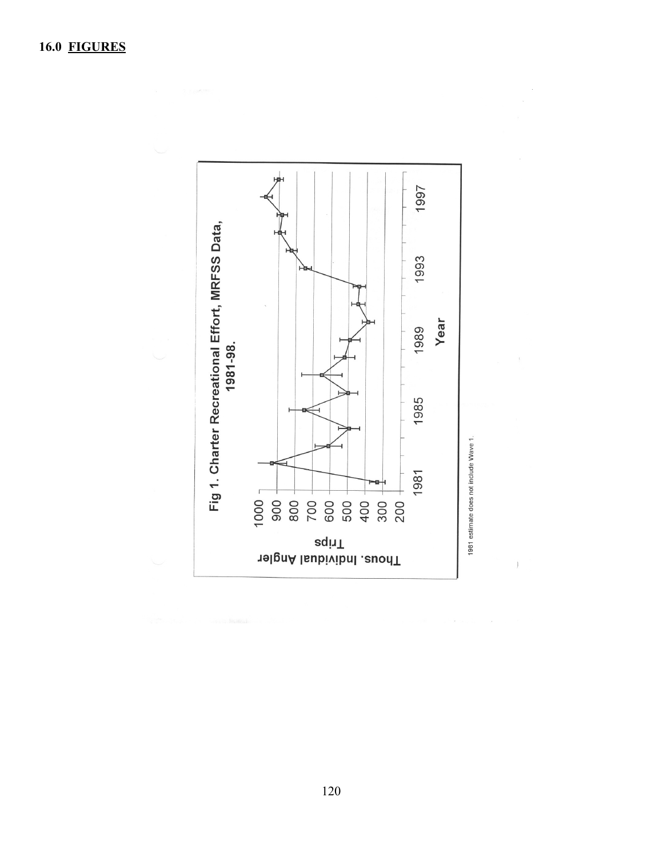

 $\overline{)}$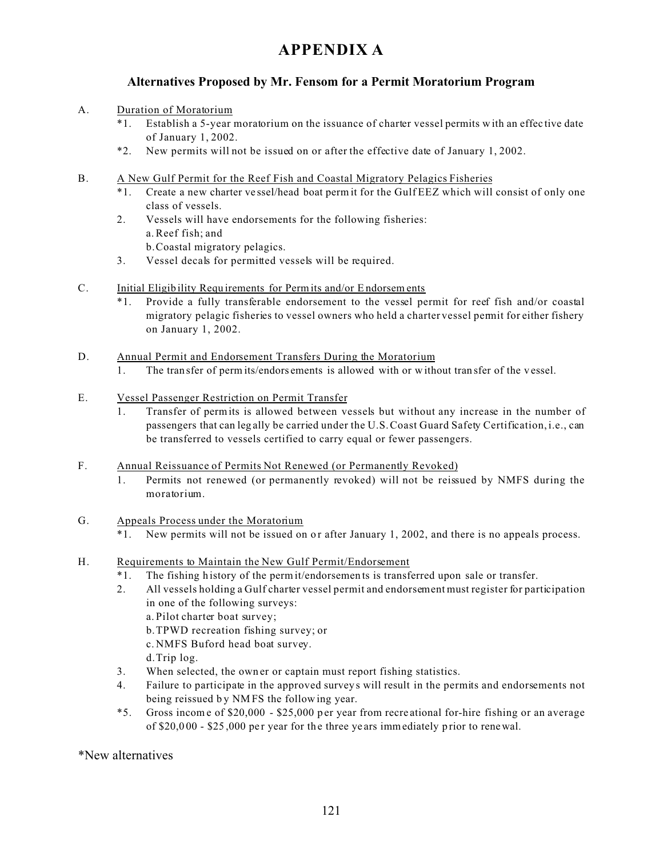# **APPENDIX A**

#### **Alternatives Proposed by Mr. Fensom for a Permit Moratorium Program**

#### A. Duration of Moratorium

- \*1. Establish a 5-year moratorium on the issuance of charter vessel permits w ith an effec tive date of January 1, 2002.
- \*2. New permits will not be issued on or after the effective date of January 1, 2002.
- B. A New Gulf Permit for the Reef Fish and Coastal Migratory Pelagics Fisheries
	- Create a new charter vessel/head boat perm it for the Gulf EEZ which will consist of only one class of vessels.
	- 2. Vessels will have endorsements for the following fisheries: a.Reef fish; and b.Coastal migratory pelagics.
	- 3. Vessel decals for permitted vessels will be required.
- C. Initial Eligib ility Requ irements for Permits and/or E ndorsem ents
	- \*1. Provide a fully transferable endorsement to the vessel permit for reef fish and/or coastal migratory pelagic fisheries to vessel owners who held a charter vessel permit for either fishery on January 1, 2002.
- D. Annual Permit and Endorsement Transfers During the Moratorium
	- 1. The tran sfer of perm its/endors ements is allowed with or w ithout tran sfer of the v essel.
- E. Vessel Passenger Restriction on Permit Transfer
	- 1. Transfer of permits is allowed between vessels but without any increase in the number of passengers that can leg ally be carried under the U.S. Coast Guard Safety Certification, i.e., can be transferred to vessels certified to carry equal or fewer passengers.
- F. Annual Reissuance of Permits Not Renewed (or Permanently Revoked)
	- 1. Permits not renewed (or permanently revoked) will not be reissued by NMFS during the moratorium.
- G. Appeals Process under the Moratorium
	- \*1. New permits will not be issued on o r after January 1, 2002, and there is no appeals process.
- H. Requirements to Maintain the New Gulf Permit/Endorsement
	- \*1. The fishing h istory of the permit/endorsemen ts is transferred upon sale or transfer.
	- 2. All vessels holding a Gulf charter vessel permit and endorsement must register for participation in one of the following surveys: a. Pilot charter boat survey; b.TPWD recreation fishing survey; or c. NMFS Buford head boat survey. d.Trip log.
	- 3. When selected, the own er or captain must report fishing statistics.
	- 4. Failure to participate in the approved survey s will result in the permits and endorsements not being reissued by NMFS the following year.
	- \*5. Gross incom e of \$20,000 \$25,000 p er year from recre ational for-hire fishing or an average of \$20,0 00 - \$25 ,000 pe r year for th e three ye ars immediately p rior to renewal.

\*New alternatives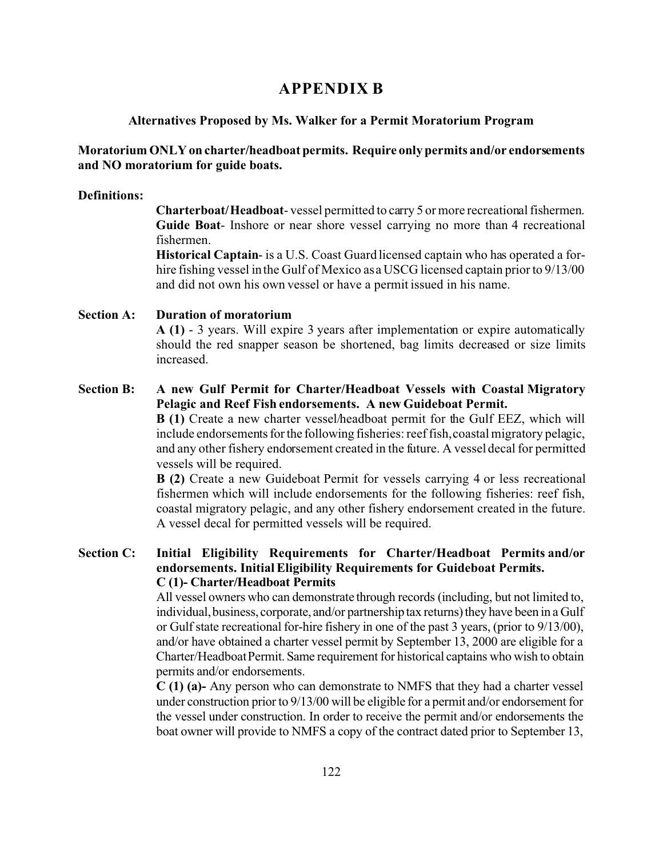## **APPENDIX B**

#### **Alternatives Proposed by Ms. Walker for a Permit Moratorium Program**

#### **Moratorium ONLY on charter/headboat permits. Require only permits and/or endorsements and NO moratorium for guide boats.**

#### **Definitions:**

**Charterboat/Headboat**- vessel permitted to carry 5 or more recreational fishermen. **Guide Boat**- Inshore or near shore vessel carrying no more than 4 recreational fishermen.

**Historical Captain**- is a U.S. Coast Guard licensed captain who has operated a forhire fishing vessel in the Gulf of Mexico as a USCG licensed captain prior to 9/13/00 and did not own his own vessel or have a permit issued in his name.

#### **Section A: Duration of moratorium A (1)** - 3 years. Will expire 3 years after implementation or expire automatically should the red snapper season be shortened, bag limits decreased or size limits increased.

#### **Section B: A new Gulf Permit for Charter/Headboat Vessels with Coastal Migratory Pelagic and Reef Fish endorsements. A new Guideboat Permit.**

**B (1)** Create a new charter vessel/headboat permit for the Gulf EEZ, which will include endorsements for the following fisheries: reef fish, coastal migratory pelagic, and any other fishery endorsement created in the future. A vessel decal for permitted vessels will be required.

**B (2)** Create a new Guideboat Permit for vessels carrying 4 or less recreational fishermen which will include endorsements for the following fisheries: reef fish, coastal migratory pelagic, and any other fishery endorsement created in the future. A vessel decal for permitted vessels will be required.

#### **Section C: Initial Eligibility Requirements for Charter/Headboat Permits and/or endorsements. Initial Eligibility Requirements for Guideboat Permits. C (1)- Charter/Headboat Permits**

All vessel owners who can demonstrate through records (including, but not limited to, individual, business, corporate, and/or partnershiptax returns) they have been in a Gulf or Gulf state recreational for-hire fishery in one of the past 3 years, (prior to 9/13/00), and/or have obtained a charter vessel permit by September 13, 2000 are eligible for a Charter/Headboat Permit. Same requirement for historical captains who wish to obtain permits and/or endorsements.

**C (1) (a)-** Any person who can demonstrate to NMFS that they had a charter vessel under construction prior to 9/13/00 will be eligible for a permit and/or endorsement for the vessel under construction. In order to receive the permit and/or endorsements the boat owner will provide to NMFS a copy of the contract dated prior to September 13,